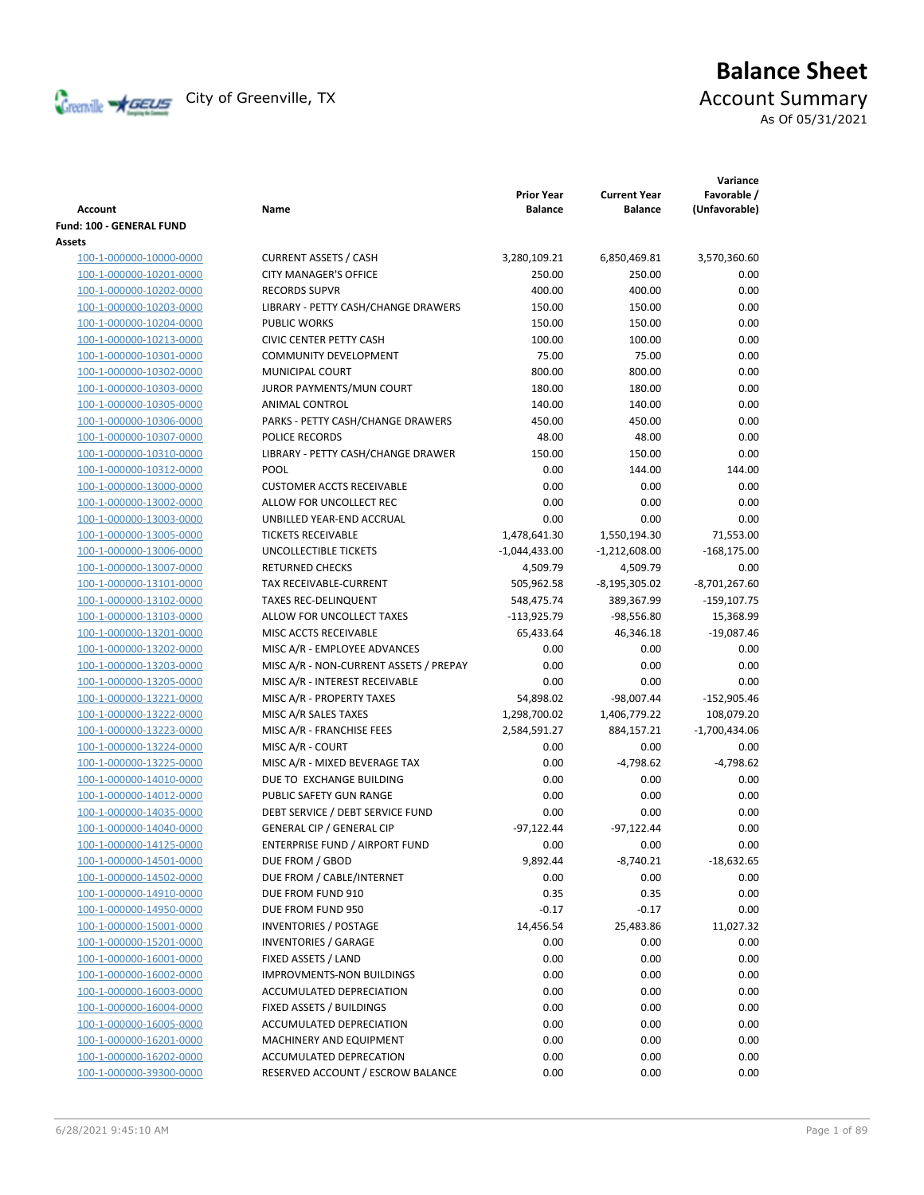

# **Balance Sheet** Creenville Strategy City of Greenville, TX Account Summary

As Of 05/31/2021

| <b>Account</b>                 | Name                                   | <b>Prior Year</b><br><b>Balance</b> | <b>Current Year</b><br><b>Balance</b> | Variance<br>Favorable /<br>(Unfavorable) |
|--------------------------------|----------------------------------------|-------------------------------------|---------------------------------------|------------------------------------------|
| Fund: 100 - GENERAL FUND       |                                        |                                     |                                       |                                          |
| Assets                         |                                        |                                     |                                       |                                          |
| 100-1-000000-10000-0000        | <b>CURRENT ASSETS / CASH</b>           | 3,280,109.21                        | 6,850,469.81                          | 3,570,360.60                             |
| 100-1-000000-10201-0000        | <b>CITY MANAGER'S OFFICE</b>           | 250.00                              | 250.00                                | 0.00                                     |
| 100-1-000000-10202-0000        | <b>RECORDS SUPVR</b>                   | 400.00                              | 400.00                                | 0.00                                     |
| 100-1-000000-10203-0000        | LIBRARY - PETTY CASH/CHANGE DRAWERS    | 150.00                              | 150.00                                | 0.00                                     |
| 100-1-000000-10204-0000        | <b>PUBLIC WORKS</b>                    | 150.00                              | 150.00                                | 0.00                                     |
| 100-1-000000-10213-0000        | <b>CIVIC CENTER PETTY CASH</b>         | 100.00                              | 100.00                                | 0.00                                     |
| 100-1-000000-10301-0000        | <b>COMMUNITY DEVELOPMENT</b>           | 75.00                               | 75.00                                 | 0.00                                     |
| 100-1-000000-10302-0000        | MUNICIPAL COURT                        | 800.00                              | 800.00                                | 0.00                                     |
| 100-1-000000-10303-0000        | JUROR PAYMENTS/MUN COURT               | 180.00                              | 180.00                                | 0.00                                     |
| 100-1-000000-10305-0000        | ANIMAL CONTROL                         | 140.00                              | 140.00                                | 0.00                                     |
| 100-1-000000-10306-0000        | PARKS - PETTY CASH/CHANGE DRAWERS      | 450.00                              | 450.00                                | 0.00                                     |
| 100-1-000000-10307-0000        | POLICE RECORDS                         | 48.00                               | 48.00                                 | 0.00                                     |
| 100-1-000000-10310-0000        | LIBRARY - PETTY CASH/CHANGE DRAWER     | 150.00                              | 150.00                                | 0.00                                     |
| 100-1-000000-10312-0000        | <b>POOL</b>                            | 0.00                                | 144.00                                | 144.00                                   |
| 100-1-000000-13000-0000        | <b>CUSTOMER ACCTS RECEIVABLE</b>       | 0.00                                | 0.00                                  | 0.00                                     |
| 100-1-000000-13002-0000        | ALLOW FOR UNCOLLECT REC                | 0.00                                | 0.00                                  | 0.00                                     |
| 100-1-000000-13003-0000        | UNBILLED YEAR-END ACCRUAL              | 0.00                                | 0.00                                  | 0.00                                     |
| 100-1-000000-13005-0000        | <b>TICKETS RECEIVABLE</b>              | 1,478,641.30                        | 1,550,194.30                          | 71,553.00                                |
| 100-1-000000-13006-0000        | <b>UNCOLLECTIBLE TICKETS</b>           | $-1,044,433.00$                     | $-1,212,608.00$                       | $-168,175.00$                            |
| 100-1-000000-13007-0000        | <b>RETURNED CHECKS</b>                 | 4,509.79                            | 4,509.79                              | 0.00                                     |
| 100-1-000000-13101-0000        | <b>TAX RECEIVABLE-CURRENT</b>          | 505,962.58                          | $-8,195,305.02$                       | $-8,701,267.60$                          |
| 100-1-000000-13102-0000        | <b>TAXES REC-DELINQUENT</b>            | 548,475.74                          | 389,367.99                            | $-159, 107.75$                           |
| 100-1-000000-13103-0000        | ALLOW FOR UNCOLLECT TAXES              | $-113,925.79$                       | $-98,556.80$                          | 15,368.99                                |
| 100-1-000000-13201-0000        | MISC ACCTS RECEIVABLE                  | 65,433.64                           | 46,346.18                             | $-19,087.46$                             |
| 100-1-000000-13202-0000        | MISC A/R - EMPLOYEE ADVANCES           | 0.00                                | 0.00                                  | 0.00                                     |
| 100-1-000000-13203-0000        | MISC A/R - NON-CURRENT ASSETS / PREPAY | 0.00                                | 0.00                                  | 0.00                                     |
| 100-1-000000-13205-0000        | MISC A/R - INTEREST RECEIVABLE         | 0.00                                | 0.00                                  | 0.00                                     |
| 100-1-000000-13221-0000        | MISC A/R - PROPERTY TAXES              | 54,898.02                           | $-98,007.44$                          | -152,905.46                              |
| 100-1-000000-13222-0000        | MISC A/R SALES TAXES                   | 1,298,700.02                        | 1,406,779.22                          | 108,079.20                               |
| 100-1-000000-13223-0000        | MISC A/R - FRANCHISE FEES              | 2,584,591.27                        | 884,157.21                            | $-1,700,434.06$                          |
| 100-1-000000-13224-0000        | MISC A/R - COURT                       | 0.00                                | 0.00                                  | 0.00                                     |
| 100-1-000000-13225-0000        | MISC A/R - MIXED BEVERAGE TAX          | 0.00                                | $-4,798.62$                           | $-4,798.62$                              |
| 100-1-000000-14010-0000        | DUE TO EXCHANGE BUILDING               | 0.00                                | 0.00                                  | 0.00                                     |
| 100-1-000000-14012-0000        | PUBLIC SAFETY GUN RANGE                | 0.00                                | 0.00                                  | 0.00                                     |
| 100-1-000000-14035-0000        | DEBT SERVICE / DEBT SERVICE FUND       | 0.00                                | 0.00                                  | 0.00                                     |
| 100-1-000000-14040-0000        | <b>GENERAL CIP / GENERAL CIP</b>       | $-97,122.44$                        | $-97,122.44$                          | 0.00                                     |
| <u>100-1-000000-14125-0000</u> | ENTERPRISE FUND / AIRPORT FUND         | 0.00                                | 0.00                                  | 0.00                                     |
| 100-1-000000-14501-0000        | DUE FROM / GBOD                        | 9,892.44                            | $-8,740.21$                           | $-18,632.65$                             |
| 100-1-000000-14502-0000        | DUE FROM / CABLE/INTERNET              | 0.00                                | 0.00                                  | 0.00                                     |
| 100-1-000000-14910-0000        | DUE FROM FUND 910                      | 0.35                                | 0.35                                  | 0.00                                     |
| 100-1-000000-14950-0000        | DUE FROM FUND 950                      | $-0.17$                             | $-0.17$                               | 0.00                                     |
| 100-1-000000-15001-0000        | <b>INVENTORIES / POSTAGE</b>           | 14,456.54                           | 25,483.86                             | 11,027.32                                |
| 100-1-000000-15201-0000        | <b>INVENTORIES / GARAGE</b>            | 0.00                                | 0.00                                  | 0.00                                     |
| 100-1-000000-16001-0000        | FIXED ASSETS / LAND                    | 0.00                                | 0.00                                  | 0.00                                     |
| 100-1-000000-16002-0000        | <b>IMPROVMENTS-NON BUILDINGS</b>       | 0.00                                | 0.00                                  | 0.00                                     |
| 100-1-000000-16003-0000        | ACCUMULATED DEPRECIATION               | 0.00                                | 0.00                                  | 0.00                                     |
| 100-1-000000-16004-0000        | FIXED ASSETS / BUILDINGS               | 0.00                                | 0.00                                  | 0.00                                     |
| 100-1-000000-16005-0000        | ACCUMULATED DEPRECIATION               | 0.00                                | 0.00                                  | 0.00                                     |
| 100-1-000000-16201-0000        | MACHINERY AND EQUIPMENT                | 0.00                                | 0.00                                  | 0.00                                     |
| 100-1-000000-16202-0000        | ACCUMULATED DEPRECATION                | 0.00                                | 0.00                                  | 0.00                                     |
| 100-1-000000-39300-0000        | RESERVED ACCOUNT / ESCROW BALANCE      | 0.00                                | 0.00                                  | 0.00                                     |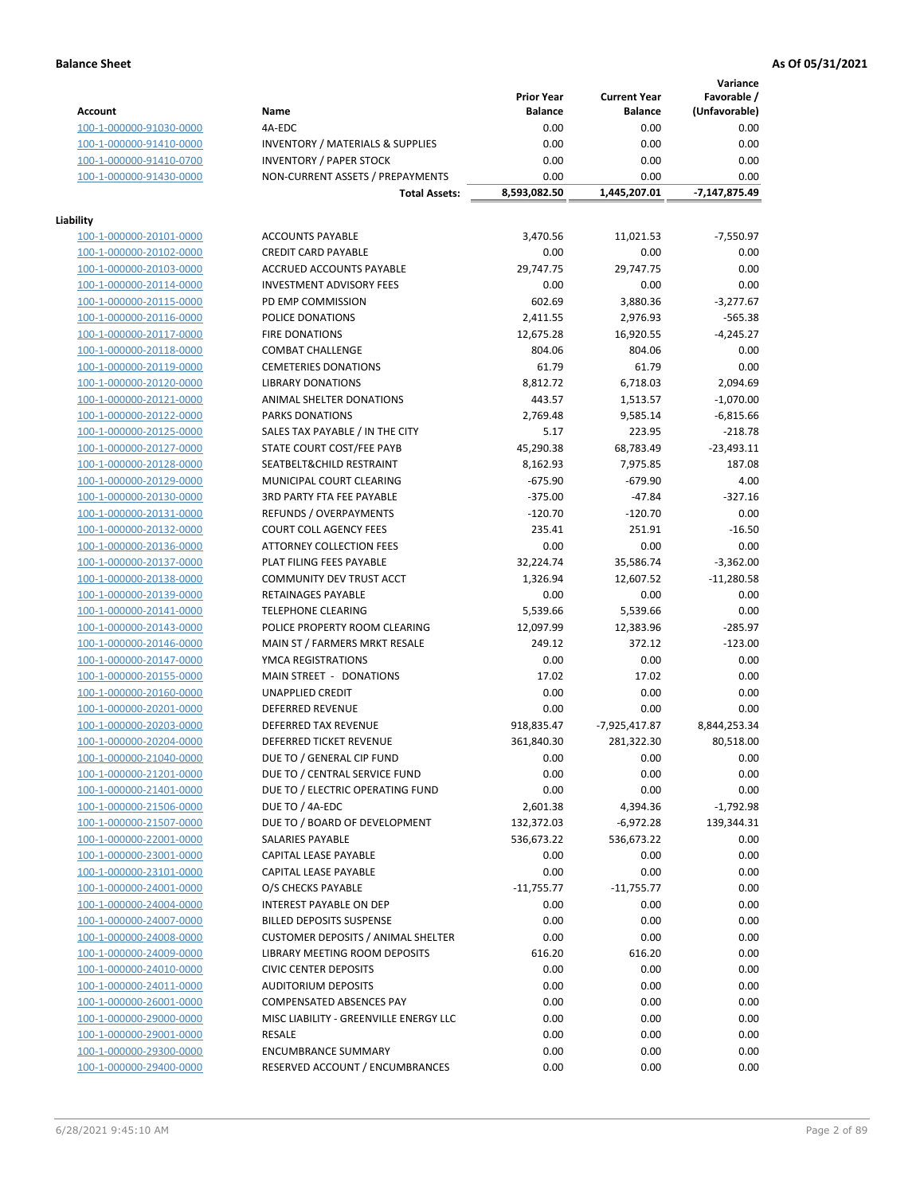**Variance**

|                         |                                                     | <b>Prior Year</b> | <b>Current Year</b> | Favorable /   |
|-------------------------|-----------------------------------------------------|-------------------|---------------------|---------------|
| <b>Account</b>          | Name                                                | <b>Balance</b>    | <b>Balance</b>      | (Unfavorable) |
| 100-1-000000-91030-0000 | 4A-EDC                                              | 0.00              | 0.00                | 0.00          |
| 100-1-000000-91410-0000 | <b>INVENTORY / MATERIALS &amp; SUPPLIES</b>         | 0.00              | 0.00                | 0.00          |
| 100-1-000000-91410-0700 | <b>INVENTORY / PAPER STOCK</b>                      | 0.00              | 0.00                | 0.00          |
| 100-1-000000-91430-0000 | NON-CURRENT ASSETS / PREPAYMENTS                    | 0.00              | 0.00                | 0.00          |
|                         | <b>Total Assets:</b>                                | 8,593,082.50      | 1,445,207.01        | -7,147,875.49 |
|                         |                                                     |                   |                     |               |
| Liability               |                                                     |                   |                     |               |
| 100-1-000000-20101-0000 | <b>ACCOUNTS PAYABLE</b>                             | 3,470.56          | 11,021.53           | $-7,550.97$   |
| 100-1-000000-20102-0000 | <b>CREDIT CARD PAYABLE</b>                          | 0.00              | 0.00                | 0.00          |
| 100-1-000000-20103-0000 | ACCRUED ACCOUNTS PAYABLE                            | 29,747.75         | 29,747.75           | 0.00          |
| 100-1-000000-20114-0000 | <b>INVESTMENT ADVISORY FEES</b>                     | 0.00              | 0.00                | 0.00          |
| 100-1-000000-20115-0000 | PD EMP COMMISSION                                   | 602.69            | 3,880.36            | $-3,277.67$   |
| 100-1-000000-20116-0000 | POLICE DONATIONS                                    | 2,411.55          | 2,976.93            | $-565.38$     |
| 100-1-000000-20117-0000 | <b>FIRE DONATIONS</b>                               | 12,675.28         | 16,920.55           | $-4,245.27$   |
| 100-1-000000-20118-0000 | <b>COMBAT CHALLENGE</b>                             | 804.06            | 804.06              | 0.00          |
| 100-1-000000-20119-0000 | <b>CEMETERIES DONATIONS</b>                         | 61.79             | 61.79               | 0.00          |
| 100-1-000000-20120-0000 | <b>LIBRARY DONATIONS</b>                            | 8,812.72          | 6,718.03            | 2,094.69      |
| 100-1-000000-20121-0000 | ANIMAL SHELTER DONATIONS                            | 443.57            | 1,513.57            | $-1,070.00$   |
| 100-1-000000-20122-0000 | PARKS DONATIONS                                     | 2,769.48          | 9,585.14            | $-6,815.66$   |
| 100-1-000000-20125-0000 | SALES TAX PAYABLE / IN THE CITY                     | 5.17              | 223.95              | $-218.78$     |
| 100-1-000000-20127-0000 | STATE COURT COST/FEE PAYB                           | 45,290.38         | 68,783.49           | $-23,493.11$  |
| 100-1-000000-20128-0000 | SEATBELT&CHILD RESTRAINT                            | 8,162.93          | 7,975.85            | 187.08        |
| 100-1-000000-20129-0000 | MUNICIPAL COURT CLEARING                            | $-675.90$         | $-679.90$           | 4.00          |
| 100-1-000000-20130-0000 | <b>3RD PARTY FTA FEE PAYABLE</b>                    | $-375.00$         | $-47.84$            | $-327.16$     |
| 100-1-000000-20131-0000 | REFUNDS / OVERPAYMENTS                              | $-120.70$         | $-120.70$           | 0.00          |
| 100-1-000000-20132-0000 | <b>COURT COLL AGENCY FEES</b>                       | 235.41            | 251.91              | $-16.50$      |
| 100-1-000000-20136-0000 | <b>ATTORNEY COLLECTION FEES</b>                     | 0.00              | 0.00                | 0.00          |
| 100-1-000000-20137-0000 | PLAT FILING FEES PAYABLE                            | 32,224.74         | 35,586.74           | $-3,362.00$   |
| 100-1-000000-20138-0000 | COMMUNITY DEV TRUST ACCT                            | 1,326.94          | 12,607.52           | $-11,280.58$  |
| 100-1-000000-20139-0000 | RETAINAGES PAYABLE                                  | 0.00              | 0.00                | 0.00          |
| 100-1-000000-20141-0000 | <b>TELEPHONE CLEARING</b>                           | 5,539.66          | 5,539.66            | 0.00          |
| 100-1-000000-20143-0000 | POLICE PROPERTY ROOM CLEARING                       | 12,097.99         | 12,383.96           | $-285.97$     |
| 100-1-000000-20146-0000 | MAIN ST / FARMERS MRKT RESALE                       | 249.12            | 372.12              | $-123.00$     |
| 100-1-000000-20147-0000 | YMCA REGISTRATIONS                                  | 0.00              | 0.00                | 0.00          |
| 100-1-000000-20155-0000 | MAIN STREET - DONATIONS                             | 17.02             | 17.02               | 0.00          |
| 100-1-000000-20160-0000 | UNAPPLIED CREDIT                                    | 0.00              | 0.00                | 0.00          |
| 100-1-000000-20201-0000 | <b>DEFERRED REVENUE</b>                             | 0.00              | 0.00                | 0.00          |
| 100-1-000000-20203-0000 | DEFERRED TAX REVENUE                                | 918,835.47        | -7,925,417.87       | 8,844,253.34  |
| 100-1-000000-20204-0000 | <b>DEFERRED TICKET REVENUE</b>                      | 361,840.30        | 281,322.30          | 80,518.00     |
| 100-1-000000-21040-0000 | DUE TO / GENERAL CIP FUND                           | 0.00              | 0.00                | 0.00          |
| 100-1-000000-21201-0000 | DUE TO / CENTRAL SERVICE FUND                       | 0.00              | 0.00                | 0.00          |
|                         |                                                     |                   |                     |               |
| 100-1-000000-21401-0000 | DUE TO / ELECTRIC OPERATING FUND<br>DUE TO / 4A-EDC | 0.00              | 0.00                | 0.00          |
| 100-1-000000-21506-0000 |                                                     | 2,601.38          | 4,394.36            | $-1,792.98$   |
| 100-1-000000-21507-0000 | DUE TO / BOARD OF DEVELOPMENT                       | 132,372.03        | -6,972.28           | 139,344.31    |
| 100-1-000000-22001-0000 | SALARIES PAYABLE                                    | 536,673.22        | 536,673.22          | 0.00          |
| 100-1-000000-23001-0000 | CAPITAL LEASE PAYABLE                               | 0.00              | 0.00                | 0.00          |
| 100-1-000000-23101-0000 | CAPITAL LEASE PAYABLE                               | 0.00              | 0.00                | 0.00          |
| 100-1-000000-24001-0000 | O/S CHECKS PAYABLE                                  | $-11,755.77$      | $-11,755.77$        | 0.00          |
| 100-1-000000-24004-0000 | INTEREST PAYABLE ON DEP                             | 0.00              | 0.00                | 0.00          |
| 100-1-000000-24007-0000 | <b>BILLED DEPOSITS SUSPENSE</b>                     | 0.00              | 0.00                | 0.00          |
| 100-1-000000-24008-0000 | <b>CUSTOMER DEPOSITS / ANIMAL SHELTER</b>           | 0.00              | 0.00                | 0.00          |
| 100-1-000000-24009-0000 | LIBRARY MEETING ROOM DEPOSITS                       | 616.20            | 616.20              | 0.00          |
| 100-1-000000-24010-0000 | <b>CIVIC CENTER DEPOSITS</b>                        | 0.00              | 0.00                | 0.00          |
| 100-1-000000-24011-0000 | <b>AUDITORIUM DEPOSITS</b>                          | 0.00              | 0.00                | 0.00          |
| 100-1-000000-26001-0000 | <b>COMPENSATED ABSENCES PAY</b>                     | 0.00              | 0.00                | 0.00          |
| 100-1-000000-29000-0000 | MISC LIABILITY - GREENVILLE ENERGY LLC              | 0.00              | 0.00                | 0.00          |
| 100-1-000000-29001-0000 | <b>RESALE</b>                                       | 0.00              | 0.00                | 0.00          |
| 100-1-000000-29300-0000 | <b>ENCUMBRANCE SUMMARY</b>                          | 0.00              | 0.00                | 0.00          |
| 100-1-000000-29400-0000 | RESERVED ACCOUNT / ENCUMBRANCES                     | 0.00              | 0.00                | 0.00          |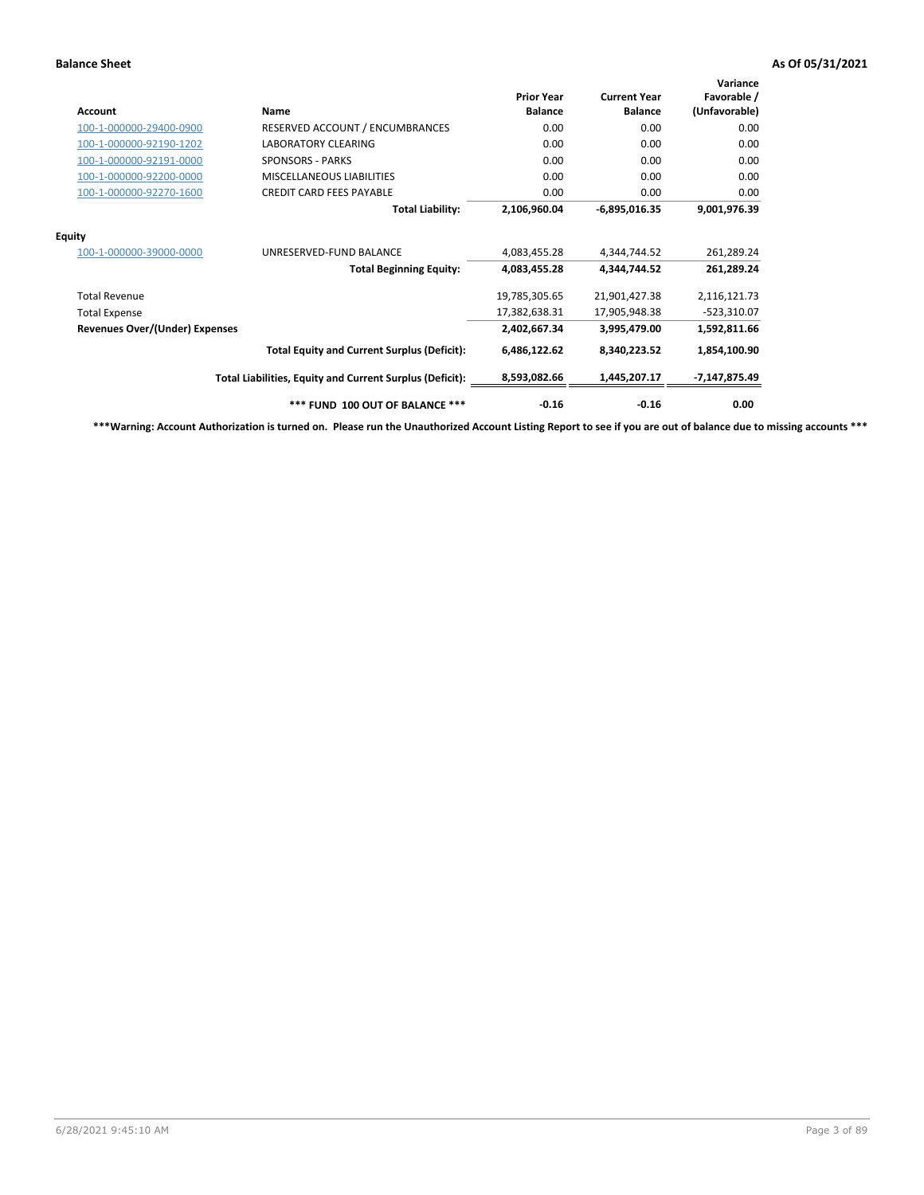| <b>Account</b>                        | Name                                                     | <b>Prior Year</b><br><b>Balance</b> | <b>Current Year</b><br><b>Balance</b> | Variance<br>Favorable /<br>(Unfavorable) |
|---------------------------------------|----------------------------------------------------------|-------------------------------------|---------------------------------------|------------------------------------------|
| 100-1-000000-29400-0900               | RESERVED ACCOUNT / ENCUMBRANCES                          | 0.00                                | 0.00                                  | 0.00                                     |
| 100-1-000000-92190-1202               | <b>LABORATORY CLEARING</b>                               | 0.00                                | 0.00                                  | 0.00                                     |
| 100-1-000000-92191-0000               | <b>SPONSORS - PARKS</b>                                  | 0.00                                | 0.00                                  | 0.00                                     |
| 100-1-000000-92200-0000               | MISCELLANEOUS LIABILITIES                                | 0.00                                | 0.00                                  | 0.00                                     |
| 100-1-000000-92270-1600               | <b>CREDIT CARD FEES PAYABLE</b>                          | 0.00                                | 0.00                                  | 0.00                                     |
|                                       | <b>Total Liability:</b>                                  | 2,106,960.04                        | $-6,895,016.35$                       | 9,001,976.39                             |
| <b>Equity</b>                         |                                                          |                                     |                                       |                                          |
| 100-1-000000-39000-0000               | UNRESERVED-FUND BALANCE                                  | 4,083,455.28                        | 4,344,744.52                          | 261,289.24                               |
|                                       | <b>Total Beginning Equity:</b>                           | 4,083,455.28                        | 4,344,744.52                          | 261,289.24                               |
| <b>Total Revenue</b>                  |                                                          | 19,785,305.65                       | 21,901,427.38                         | 2,116,121.73                             |
| <b>Total Expense</b>                  |                                                          | 17,382,638.31                       | 17,905,948.38                         | -523,310.07                              |
| <b>Revenues Over/(Under) Expenses</b> |                                                          | 2,402,667.34                        | 3,995,479.00                          | 1,592,811.66                             |
|                                       | <b>Total Equity and Current Surplus (Deficit):</b>       | 6,486,122.62                        | 8,340,223.52                          | 1,854,100.90                             |
|                                       | Total Liabilities, Equity and Current Surplus (Deficit): | 8,593,082.66                        | 1,445,207.17                          | -7,147,875.49                            |
|                                       | *** FUND 100 OUT OF BALANCE ***                          | $-0.16$                             | $-0.16$                               | 0.00                                     |

**\*\*\*Warning: Account Authorization is turned on. Please run the Unauthorized Account Listing Report to see if you are out of balance due to missing accounts \*\*\***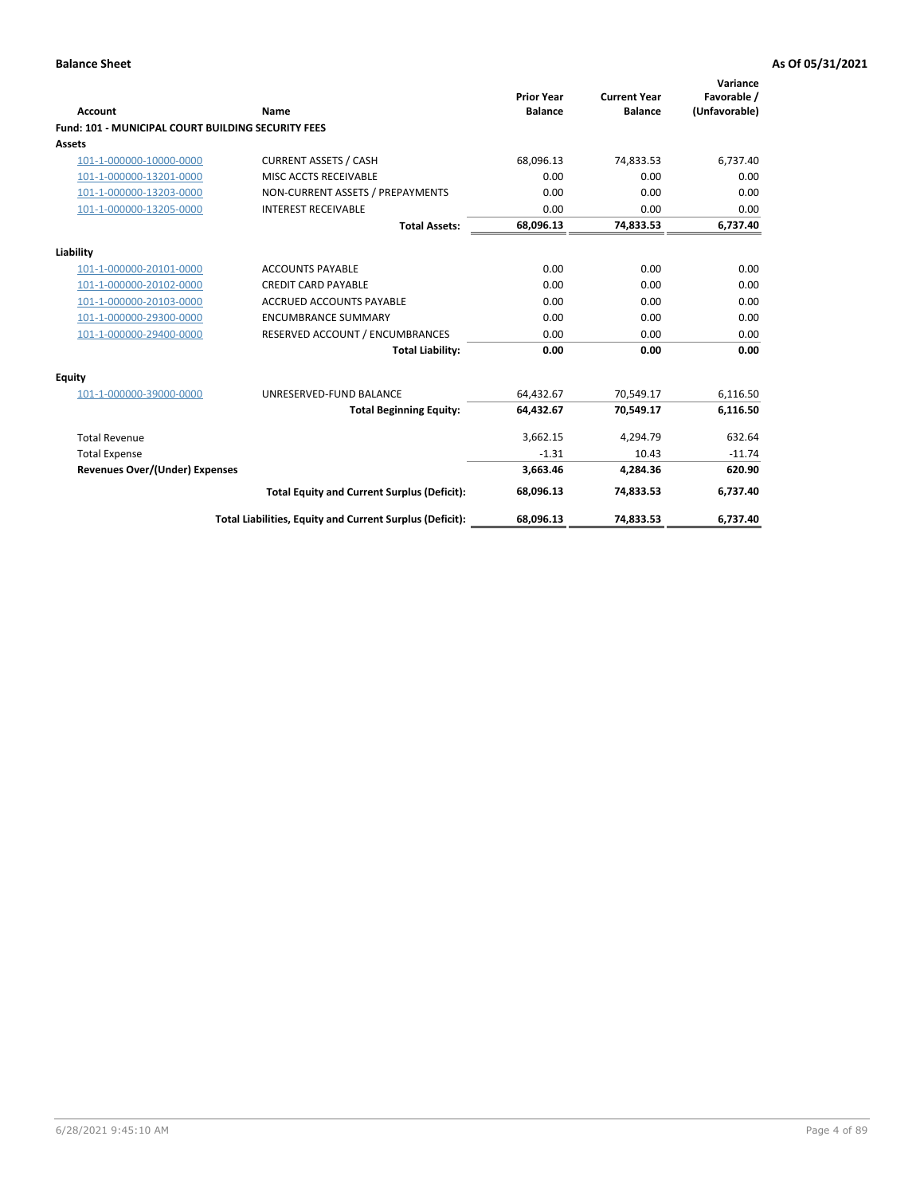| Account                                                   | Name                                                     | <b>Prior Year</b><br><b>Balance</b> | <b>Current Year</b><br><b>Balance</b> | Variance<br>Favorable /<br>(Unfavorable) |
|-----------------------------------------------------------|----------------------------------------------------------|-------------------------------------|---------------------------------------|------------------------------------------|
| <b>Fund: 101 - MUNICIPAL COURT BUILDING SECURITY FEES</b> |                                                          |                                     |                                       |                                          |
| Assets                                                    |                                                          |                                     |                                       |                                          |
| 101-1-000000-10000-0000                                   | <b>CURRENT ASSETS / CASH</b>                             | 68,096.13                           | 74,833.53                             | 6,737.40                                 |
| 101-1-000000-13201-0000                                   | MISC ACCTS RECEIVABLE                                    | 0.00                                | 0.00                                  | 0.00                                     |
| 101-1-000000-13203-0000                                   | NON-CURRENT ASSETS / PREPAYMENTS                         | 0.00                                | 0.00                                  | 0.00                                     |
| 101-1-000000-13205-0000                                   | <b>INTEREST RECEIVABLE</b>                               | 0.00                                | 0.00                                  | 0.00                                     |
|                                                           | <b>Total Assets:</b>                                     | 68,096.13                           | 74,833.53                             | 6,737.40                                 |
| Liability                                                 |                                                          |                                     |                                       |                                          |
| 101-1-000000-20101-0000                                   | <b>ACCOUNTS PAYABLE</b>                                  | 0.00                                | 0.00                                  | 0.00                                     |
| 101-1-000000-20102-0000                                   | <b>CREDIT CARD PAYABLE</b>                               | 0.00                                | 0.00                                  | 0.00                                     |
| 101-1-000000-20103-0000                                   | <b>ACCRUED ACCOUNTS PAYABLE</b>                          | 0.00                                | 0.00                                  | 0.00                                     |
| 101-1-000000-29300-0000                                   | <b>ENCUMBRANCE SUMMARY</b>                               | 0.00                                | 0.00                                  | 0.00                                     |
| 101-1-000000-29400-0000                                   | RESERVED ACCOUNT / ENCUMBRANCES                          | 0.00                                | 0.00                                  | 0.00                                     |
|                                                           | <b>Total Liability:</b>                                  | 0.00                                | 0.00                                  | 0.00                                     |
| <b>Equity</b>                                             |                                                          |                                     |                                       |                                          |
| 101-1-000000-39000-0000                                   | UNRESERVED-FUND BALANCE                                  | 64,432.67                           | 70,549.17                             | 6,116.50                                 |
|                                                           | <b>Total Beginning Equity:</b>                           | 64,432.67                           | 70,549.17                             | 6,116.50                                 |
| <b>Total Revenue</b>                                      |                                                          | 3,662.15                            | 4,294.79                              | 632.64                                   |
| <b>Total Expense</b>                                      |                                                          | $-1.31$                             | 10.43                                 | $-11.74$                                 |
| Revenues Over/(Under) Expenses                            |                                                          | 3,663.46                            | 4,284.36                              | 620.90                                   |
|                                                           | <b>Total Equity and Current Surplus (Deficit):</b>       | 68,096.13                           | 74.833.53                             | 6,737.40                                 |
|                                                           | Total Liabilities, Equity and Current Surplus (Deficit): | 68,096.13                           | 74,833.53                             | 6,737.40                                 |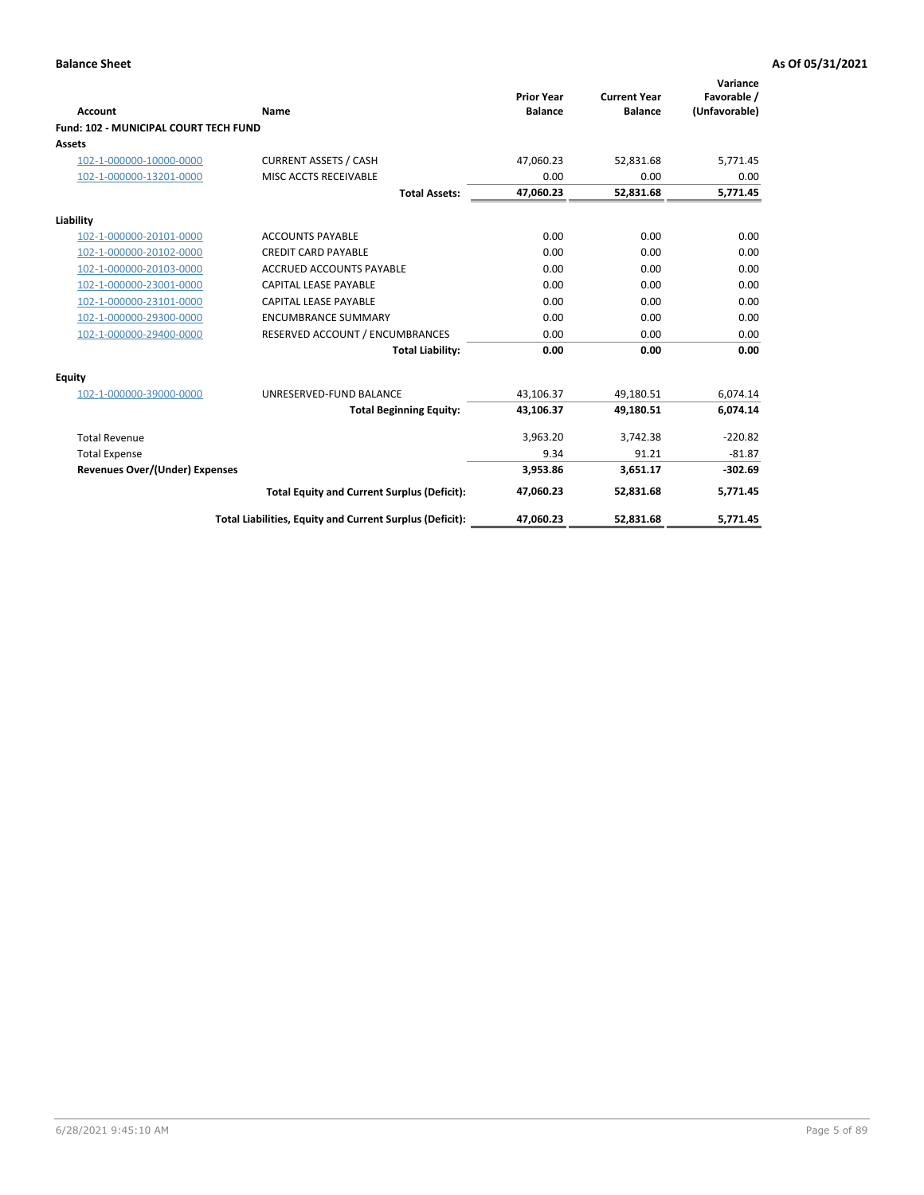| <b>Account</b>                               | Name                                                     | <b>Prior Year</b><br><b>Balance</b> | <b>Current Year</b><br><b>Balance</b> | Variance<br>Favorable /<br>(Unfavorable) |
|----------------------------------------------|----------------------------------------------------------|-------------------------------------|---------------------------------------|------------------------------------------|
| <b>Fund: 102 - MUNICIPAL COURT TECH FUND</b> |                                                          |                                     |                                       |                                          |
| Assets                                       |                                                          |                                     |                                       |                                          |
| 102-1-000000-10000-0000                      | <b>CURRENT ASSETS / CASH</b>                             | 47,060.23                           | 52,831.68                             | 5,771.45                                 |
| 102-1-000000-13201-0000                      | MISC ACCTS RECEIVABLE                                    | 0.00                                | 0.00                                  | 0.00                                     |
|                                              | <b>Total Assets:</b>                                     | 47,060.23                           | 52,831.68                             | 5,771.45                                 |
| Liability                                    |                                                          |                                     |                                       |                                          |
| 102-1-000000-20101-0000                      | <b>ACCOUNTS PAYABLE</b>                                  | 0.00                                | 0.00                                  | 0.00                                     |
| 102-1-000000-20102-0000                      | <b>CREDIT CARD PAYABLE</b>                               | 0.00                                | 0.00                                  | 0.00                                     |
| 102-1-000000-20103-0000                      | <b>ACCRUED ACCOUNTS PAYABLE</b>                          | 0.00                                | 0.00                                  | 0.00                                     |
| 102-1-000000-23001-0000                      | <b>CAPITAL LEASE PAYABLE</b>                             | 0.00                                | 0.00                                  | 0.00                                     |
| 102-1-000000-23101-0000                      | <b>CAPITAL LEASE PAYABLE</b>                             | 0.00                                | 0.00                                  | 0.00                                     |
| 102-1-000000-29300-0000                      | <b>ENCUMBRANCE SUMMARY</b>                               | 0.00                                | 0.00                                  | 0.00                                     |
| 102-1-000000-29400-0000                      | RESERVED ACCOUNT / ENCUMBRANCES                          | 0.00                                | 0.00                                  | 0.00                                     |
|                                              | <b>Total Liability:</b>                                  | 0.00                                | 0.00                                  | 0.00                                     |
| Equity                                       |                                                          |                                     |                                       |                                          |
| 102-1-000000-39000-0000                      | UNRESERVED-FUND BALANCE                                  | 43,106.37                           | 49,180.51                             | 6,074.14                                 |
|                                              | <b>Total Beginning Equity:</b>                           | 43,106.37                           | 49,180.51                             | 6,074.14                                 |
| <b>Total Revenue</b>                         |                                                          | 3,963.20                            | 3,742.38                              | $-220.82$                                |
| <b>Total Expense</b>                         |                                                          | 9.34                                | 91.21                                 | $-81.87$                                 |
| <b>Revenues Over/(Under) Expenses</b>        |                                                          | 3,953.86                            | 3,651.17                              | $-302.69$                                |
|                                              | <b>Total Equity and Current Surplus (Deficit):</b>       | 47,060.23                           | 52,831.68                             | 5,771.45                                 |
|                                              | Total Liabilities, Equity and Current Surplus (Deficit): | 47,060.23                           | 52,831.68                             | 5,771.45                                 |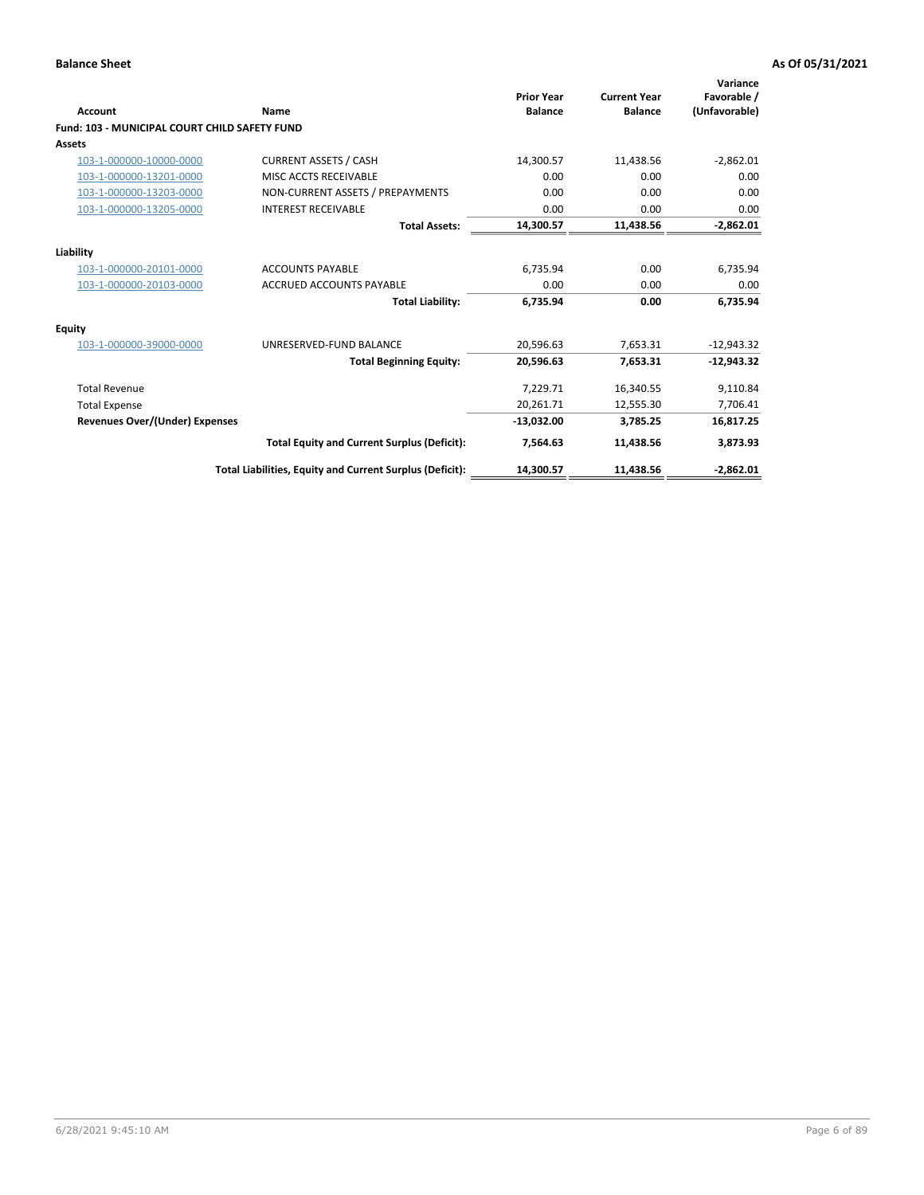| <b>Account</b>                                       | Name                                                     | <b>Prior Year</b><br><b>Balance</b> | <b>Current Year</b><br><b>Balance</b> | Variance<br>Favorable /<br>(Unfavorable) |
|------------------------------------------------------|----------------------------------------------------------|-------------------------------------|---------------------------------------|------------------------------------------|
| <b>Fund: 103 - MUNICIPAL COURT CHILD SAFETY FUND</b> |                                                          |                                     |                                       |                                          |
| <b>Assets</b>                                        |                                                          |                                     |                                       |                                          |
| 103-1-000000-10000-0000                              | <b>CURRENT ASSETS / CASH</b>                             | 14,300.57                           | 11,438.56                             | $-2,862.01$                              |
| 103-1-000000-13201-0000                              | MISC ACCTS RECEIVABLE                                    | 0.00                                | 0.00                                  | 0.00                                     |
| 103-1-000000-13203-0000                              | NON-CURRENT ASSETS / PREPAYMENTS                         | 0.00                                | 0.00                                  | 0.00                                     |
| 103-1-000000-13205-0000                              | <b>INTEREST RECEIVABLE</b>                               | 0.00                                | 0.00                                  | 0.00                                     |
|                                                      | <b>Total Assets:</b>                                     | 14,300.57                           | 11,438.56                             | $-2,862.01$                              |
| Liability                                            |                                                          |                                     |                                       |                                          |
| 103-1-000000-20101-0000                              | <b>ACCOUNTS PAYABLE</b>                                  | 6.735.94                            | 0.00                                  | 6,735.94                                 |
| 103-1-000000-20103-0000                              | <b>ACCRUED ACCOUNTS PAYABLE</b>                          | 0.00                                | 0.00                                  | 0.00                                     |
|                                                      | <b>Total Liability:</b>                                  | 6,735.94                            | 0.00                                  | 6,735.94                                 |
| Equity                                               |                                                          |                                     |                                       |                                          |
| 103-1-000000-39000-0000                              | UNRESERVED-FUND BALANCE                                  | 20,596.63                           | 7,653.31                              | $-12,943.32$                             |
|                                                      | <b>Total Beginning Equity:</b>                           | 20,596.63                           | 7,653.31                              | $-12.943.32$                             |
| <b>Total Revenue</b>                                 |                                                          | 7,229.71                            | 16,340.55                             | 9,110.84                                 |
| <b>Total Expense</b>                                 |                                                          | 20,261.71                           | 12,555.30                             | 7,706.41                                 |
| <b>Revenues Over/(Under) Expenses</b>                |                                                          | $-13,032.00$                        | 3,785.25                              | 16,817.25                                |
|                                                      | <b>Total Equity and Current Surplus (Deficit):</b>       | 7,564.63                            | 11,438.56                             | 3,873.93                                 |
|                                                      | Total Liabilities, Equity and Current Surplus (Deficit): | 14,300.57                           | 11,438.56                             | $-2,862.01$                              |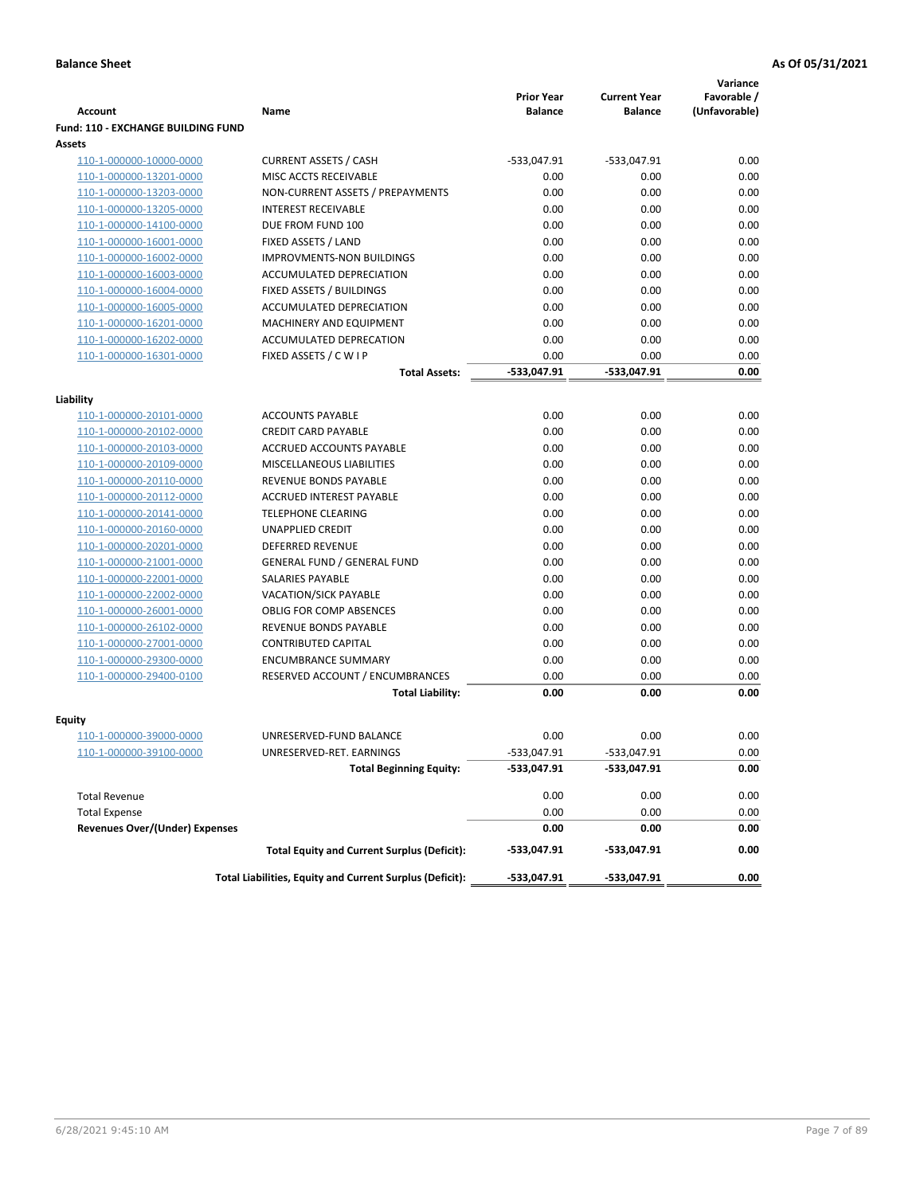| Account                                   | Name                                                     | <b>Prior Year</b><br><b>Balance</b> | <b>Current Year</b><br><b>Balance</b> | Variance<br>Favorable /<br>(Unfavorable) |
|-------------------------------------------|----------------------------------------------------------|-------------------------------------|---------------------------------------|------------------------------------------|
| <b>Fund: 110 - EXCHANGE BUILDING FUND</b> |                                                          |                                     |                                       |                                          |
| <b>Assets</b>                             |                                                          |                                     |                                       |                                          |
| 110-1-000000-10000-0000                   | <b>CURRENT ASSETS / CASH</b>                             | $-533,047.91$                       | $-533,047.91$                         | 0.00                                     |
| 110-1-000000-13201-0000                   | MISC ACCTS RECEIVABLE                                    | 0.00                                | 0.00                                  | 0.00                                     |
| 110-1-000000-13203-0000                   | NON-CURRENT ASSETS / PREPAYMENTS                         | 0.00                                | 0.00                                  | 0.00                                     |
| 110-1-000000-13205-0000                   | <b>INTEREST RECEIVABLE</b>                               | 0.00                                | 0.00                                  | 0.00                                     |
| 110-1-000000-14100-0000                   | DUE FROM FUND 100                                        | 0.00                                | 0.00                                  | 0.00                                     |
| 110-1-000000-16001-0000                   | FIXED ASSETS / LAND                                      | 0.00                                | 0.00                                  | 0.00                                     |
| 110-1-000000-16002-0000                   | <b>IMPROVMENTS-NON BUILDINGS</b>                         | 0.00                                | 0.00                                  | 0.00                                     |
| 110-1-000000-16003-0000                   | ACCUMULATED DEPRECIATION                                 | 0.00                                | 0.00                                  | 0.00                                     |
| 110-1-000000-16004-0000                   | FIXED ASSETS / BUILDINGS                                 | 0.00                                | 0.00                                  | 0.00                                     |
| 110-1-000000-16005-0000                   | ACCUMULATED DEPRECIATION                                 | 0.00                                | 0.00                                  | 0.00                                     |
| 110-1-000000-16201-0000                   | MACHINERY AND EQUIPMENT                                  | 0.00                                | 0.00                                  | 0.00                                     |
| 110-1-000000-16202-0000                   | ACCUMULATED DEPRECATION                                  | 0.00                                | 0.00                                  | 0.00                                     |
| 110-1-000000-16301-0000                   | FIXED ASSETS / C W I P                                   | 0.00                                | 0.00                                  | 0.00                                     |
|                                           | <b>Total Assets:</b>                                     | -533,047.91                         | -533,047.91                           | 0.00                                     |
|                                           |                                                          |                                     |                                       |                                          |
| Liability                                 |                                                          |                                     |                                       |                                          |
| 110-1-000000-20101-0000                   | <b>ACCOUNTS PAYABLE</b>                                  | 0.00                                | 0.00                                  | 0.00                                     |
| 110-1-000000-20102-0000                   | <b>CREDIT CARD PAYABLE</b>                               | 0.00                                | 0.00                                  | 0.00                                     |
| 110-1-000000-20103-0000                   | ACCRUED ACCOUNTS PAYABLE                                 | 0.00                                | 0.00                                  | 0.00                                     |
| 110-1-000000-20109-0000                   | MISCELLANEOUS LIABILITIES                                | 0.00                                | 0.00                                  | 0.00                                     |
| 110-1-000000-20110-0000                   | REVENUE BONDS PAYABLE                                    | 0.00                                | 0.00                                  | 0.00                                     |
| 110-1-000000-20112-0000                   | <b>ACCRUED INTEREST PAYABLE</b>                          | 0.00                                | 0.00                                  | 0.00                                     |
| 110-1-000000-20141-0000                   | <b>TELEPHONE CLEARING</b>                                | 0.00                                | 0.00                                  | 0.00                                     |
| 110-1-000000-20160-0000                   | <b>UNAPPLIED CREDIT</b>                                  | 0.00                                | 0.00                                  | 0.00                                     |
| 110-1-000000-20201-0000                   | <b>DEFERRED REVENUE</b>                                  | 0.00                                | 0.00                                  | 0.00                                     |
| 110-1-000000-21001-0000                   | <b>GENERAL FUND / GENERAL FUND</b>                       | 0.00                                | 0.00                                  | 0.00                                     |
| 110-1-000000-22001-0000                   | SALARIES PAYABLE                                         | 0.00                                | 0.00                                  | 0.00                                     |
| 110-1-000000-22002-0000                   | <b>VACATION/SICK PAYABLE</b>                             | 0.00                                | 0.00                                  | 0.00                                     |
| 110-1-000000-26001-0000                   | <b>OBLIG FOR COMP ABSENCES</b>                           | 0.00                                | 0.00                                  | 0.00                                     |
| 110-1-000000-26102-0000                   | REVENUE BONDS PAYABLE                                    | 0.00                                | 0.00                                  | 0.00                                     |
| 110-1-000000-27001-0000                   | <b>CONTRIBUTED CAPITAL</b>                               | 0.00                                | 0.00                                  | 0.00                                     |
| 110-1-000000-29300-0000                   | <b>ENCUMBRANCE SUMMARY</b>                               | 0.00                                | 0.00                                  | 0.00                                     |
| 110-1-000000-29400-0100                   | RESERVED ACCOUNT / ENCUMBRANCES                          | 0.00                                | 0.00                                  | 0.00                                     |
|                                           | <b>Total Liability:</b>                                  | 0.00                                | 0.00                                  | 0.00                                     |
|                                           |                                                          |                                     |                                       |                                          |
| Equity                                    |                                                          |                                     |                                       |                                          |
| 110-1-000000-39000-0000                   | UNRESERVED-FUND BALANCE                                  | 0.00                                | 0.00                                  | 0.00                                     |
| <u>110-1-000000-39100-0000</u>            | UNRESERVED-RET. EARNINGS                                 | -533,047.91                         | -533,047.91                           | 0.00                                     |
|                                           | <b>Total Beginning Equity:</b>                           | -533,047.91                         | -533,047.91                           | 0.00                                     |
| <b>Total Revenue</b>                      |                                                          | 0.00                                | 0.00                                  | 0.00                                     |
| <b>Total Expense</b>                      |                                                          | 0.00                                | 0.00                                  | 0.00                                     |
| <b>Revenues Over/(Under) Expenses</b>     |                                                          | 0.00                                | 0.00                                  | 0.00                                     |
|                                           | <b>Total Equity and Current Surplus (Deficit):</b>       | -533,047.91                         | -533,047.91                           | 0.00                                     |
|                                           | Total Liabilities, Equity and Current Surplus (Deficit): | -533,047.91                         | -533,047.91                           | 0.00                                     |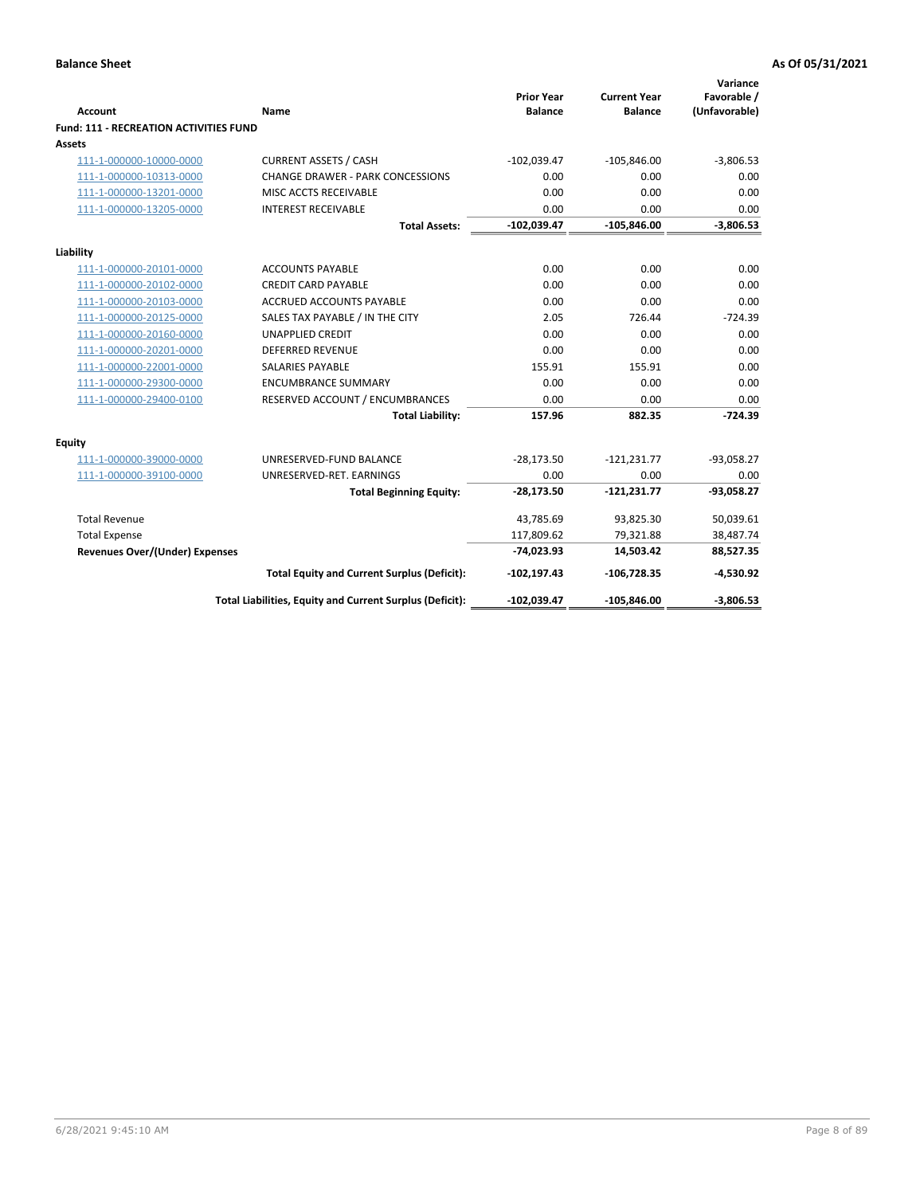| <b>Account</b>                                | Name                                                     | <b>Prior Year</b><br><b>Balance</b> | <b>Current Year</b><br><b>Balance</b> | Variance<br>Favorable /<br>(Unfavorable) |
|-----------------------------------------------|----------------------------------------------------------|-------------------------------------|---------------------------------------|------------------------------------------|
| <b>Fund: 111 - RECREATION ACTIVITIES FUND</b> |                                                          |                                     |                                       |                                          |
| Assets                                        |                                                          |                                     |                                       |                                          |
| 111-1-000000-10000-0000                       | <b>CURRENT ASSETS / CASH</b>                             | $-102,039.47$                       | $-105,846.00$                         | $-3,806.53$                              |
| 111-1-000000-10313-0000                       | <b>CHANGE DRAWER - PARK CONCESSIONS</b>                  | 0.00                                | 0.00                                  | 0.00                                     |
| 111-1-000000-13201-0000                       | MISC ACCTS RECEIVABLE                                    | 0.00                                | 0.00                                  | 0.00                                     |
| 111-1-000000-13205-0000                       | <b>INTEREST RECEIVABLE</b>                               | 0.00                                | 0.00                                  | 0.00                                     |
|                                               | <b>Total Assets:</b>                                     | $-102,039.47$                       | $-105,846.00$                         | $-3,806.53$                              |
| Liability                                     |                                                          |                                     |                                       |                                          |
| 111-1-000000-20101-0000                       | <b>ACCOUNTS PAYABLE</b>                                  | 0.00                                | 0.00                                  | 0.00                                     |
| 111-1-000000-20102-0000                       | <b>CREDIT CARD PAYABLE</b>                               | 0.00                                | 0.00                                  | 0.00                                     |
| 111-1-000000-20103-0000                       | <b>ACCRUED ACCOUNTS PAYABLE</b>                          | 0.00                                | 0.00                                  | 0.00                                     |
| 111-1-000000-20125-0000                       | SALES TAX PAYABLE / IN THE CITY                          | 2.05                                | 726.44                                | $-724.39$                                |
| 111-1-000000-20160-0000                       | <b>UNAPPLIED CREDIT</b>                                  | 0.00                                | 0.00                                  | 0.00                                     |
| 111-1-000000-20201-0000                       | <b>DEFERRED REVENUE</b>                                  | 0.00                                | 0.00                                  | 0.00                                     |
| 111-1-000000-22001-0000                       | <b>SALARIES PAYABLE</b>                                  | 155.91                              | 155.91                                | 0.00                                     |
| 111-1-000000-29300-0000                       | <b>ENCUMBRANCE SUMMARY</b>                               | 0.00                                | 0.00                                  | 0.00                                     |
| 111-1-000000-29400-0100                       | RESERVED ACCOUNT / ENCUMBRANCES                          | 0.00                                | 0.00                                  | 0.00                                     |
|                                               | <b>Total Liability:</b>                                  | 157.96                              | 882.35                                | $-724.39$                                |
| <b>Equity</b>                                 |                                                          |                                     |                                       |                                          |
| 111-1-000000-39000-0000                       | UNRESERVED-FUND BALANCE                                  | $-28,173.50$                        | $-121,231.77$                         | $-93,058.27$                             |
| 111-1-000000-39100-0000                       | UNRESERVED-RET. EARNINGS                                 | 0.00                                | 0.00                                  | 0.00                                     |
|                                               | <b>Total Beginning Equity:</b>                           | $-28,173.50$                        | $-121,231.77$                         | $-93,058.27$                             |
| <b>Total Revenue</b>                          |                                                          | 43,785.69                           | 93,825.30                             | 50,039.61                                |
| <b>Total Expense</b>                          |                                                          | 117,809.62                          | 79,321.88                             | 38,487.74                                |
| <b>Revenues Over/(Under) Expenses</b>         |                                                          | $-74,023.93$                        | 14,503.42                             | 88,527.35                                |
|                                               | <b>Total Equity and Current Surplus (Deficit):</b>       | $-102, 197.43$                      | $-106,728.35$                         | $-4,530.92$                              |
|                                               | Total Liabilities, Equity and Current Surplus (Deficit): | $-102,039.47$                       | $-105,846.00$                         | $-3,806.53$                              |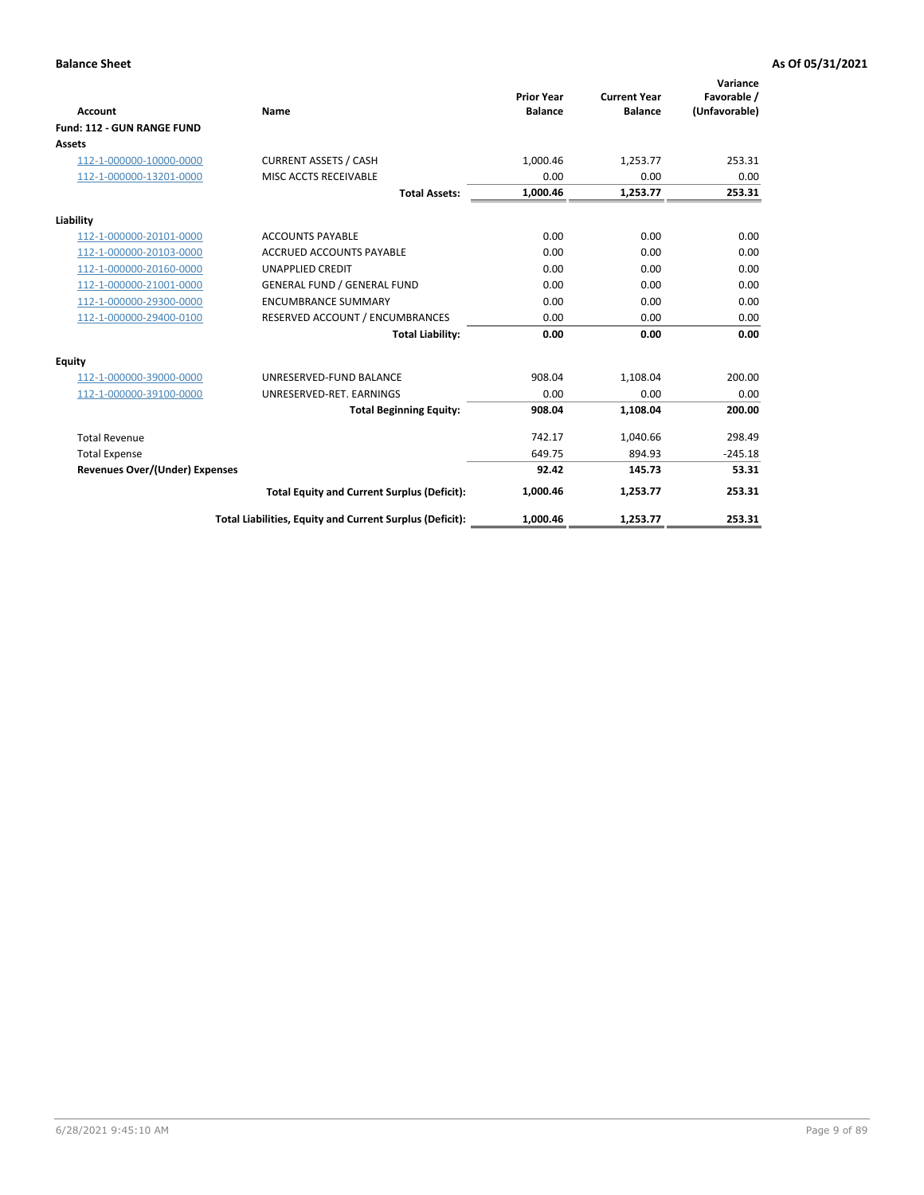| <b>Account</b>                 | Name                                                     | <b>Prior Year</b><br><b>Balance</b> | <b>Current Year</b><br><b>Balance</b> | Variance<br>Favorable /<br>(Unfavorable) |
|--------------------------------|----------------------------------------------------------|-------------------------------------|---------------------------------------|------------------------------------------|
| Fund: 112 - GUN RANGE FUND     |                                                          |                                     |                                       |                                          |
| Assets                         |                                                          |                                     |                                       |                                          |
| 112-1-000000-10000-0000        | <b>CURRENT ASSETS / CASH</b>                             | 1.000.46                            | 1.253.77                              | 253.31                                   |
| 112-1-000000-13201-0000        | MISC ACCTS RECEIVABLE                                    | 0.00                                | 0.00                                  | 0.00                                     |
|                                | <b>Total Assets:</b>                                     | 1,000.46                            | 1,253.77                              | 253.31                                   |
| Liability                      |                                                          |                                     |                                       |                                          |
| 112-1-000000-20101-0000        | <b>ACCOUNTS PAYABLE</b>                                  | 0.00                                | 0.00                                  | 0.00                                     |
| 112-1-000000-20103-0000        | <b>ACCRUED ACCOUNTS PAYABLE</b>                          | 0.00                                | 0.00                                  | 0.00                                     |
| 112-1-000000-20160-0000        | <b>UNAPPLIED CREDIT</b>                                  | 0.00                                | 0.00                                  | 0.00                                     |
| 112-1-000000-21001-0000        | <b>GENERAL FUND / GENERAL FUND</b>                       | 0.00                                | 0.00                                  | 0.00                                     |
| 112-1-000000-29300-0000        | <b>ENCUMBRANCE SUMMARY</b>                               | 0.00                                | 0.00                                  | 0.00                                     |
| 112-1-000000-29400-0100        | RESERVED ACCOUNT / ENCUMBRANCES                          | 0.00                                | 0.00                                  | 0.00                                     |
|                                | <b>Total Liability:</b>                                  | 0.00                                | 0.00                                  | 0.00                                     |
| <b>Equity</b>                  |                                                          |                                     |                                       |                                          |
| 112-1-000000-39000-0000        | UNRESERVED-FUND BALANCE                                  | 908.04                              | 1,108.04                              | 200.00                                   |
| 112-1-000000-39100-0000        | UNRESERVED-RET. EARNINGS                                 | 0.00                                | 0.00                                  | 0.00                                     |
|                                | <b>Total Beginning Equity:</b>                           | 908.04                              | 1,108.04                              | 200.00                                   |
| <b>Total Revenue</b>           |                                                          | 742.17                              | 1,040.66                              | 298.49                                   |
| <b>Total Expense</b>           |                                                          | 649.75                              | 894.93                                | $-245.18$                                |
| Revenues Over/(Under) Expenses |                                                          | 92.42                               | 145.73                                | 53.31                                    |
|                                | <b>Total Equity and Current Surplus (Deficit):</b>       | 1,000.46                            | 1,253.77                              | 253.31                                   |
|                                | Total Liabilities, Equity and Current Surplus (Deficit): | 1,000.46                            | 1,253.77                              | 253.31                                   |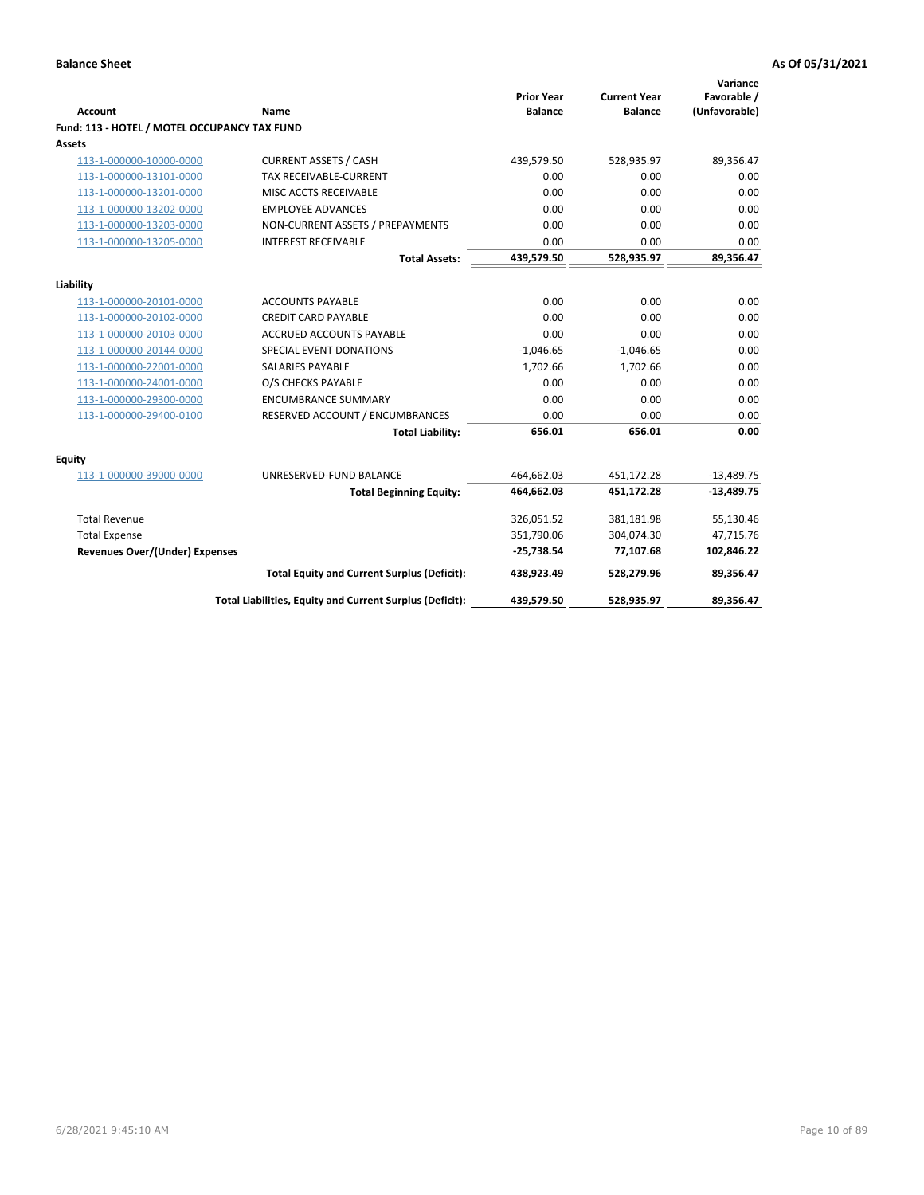| <b>Account</b>                               | <b>Name</b>                                              | <b>Prior Year</b><br><b>Balance</b> | <b>Current Year</b><br><b>Balance</b> | Variance<br>Favorable /<br>(Unfavorable) |
|----------------------------------------------|----------------------------------------------------------|-------------------------------------|---------------------------------------|------------------------------------------|
| Fund: 113 - HOTEL / MOTEL OCCUPANCY TAX FUND |                                                          |                                     |                                       |                                          |
| Assets                                       |                                                          |                                     |                                       |                                          |
| 113-1-000000-10000-0000                      | <b>CURRENT ASSETS / CASH</b>                             | 439,579.50                          | 528,935.97                            | 89,356.47                                |
| 113-1-000000-13101-0000                      | TAX RECEIVABLE-CURRENT                                   | 0.00                                | 0.00                                  | 0.00                                     |
| 113-1-000000-13201-0000                      | MISC ACCTS RECEIVABLE                                    | 0.00                                | 0.00                                  | 0.00                                     |
| 113-1-000000-13202-0000                      | <b>EMPLOYEE ADVANCES</b>                                 | 0.00                                | 0.00                                  | 0.00                                     |
| 113-1-000000-13203-0000                      | NON-CURRENT ASSETS / PREPAYMENTS                         | 0.00                                | 0.00                                  | 0.00                                     |
| 113-1-000000-13205-0000                      | <b>INTEREST RECEIVABLE</b>                               | 0.00                                | 0.00                                  | 0.00                                     |
|                                              | <b>Total Assets:</b>                                     | 439,579.50                          | 528,935.97                            | 89,356.47                                |
| Liability                                    |                                                          |                                     |                                       |                                          |
| 113-1-000000-20101-0000                      | <b>ACCOUNTS PAYABLE</b>                                  | 0.00                                | 0.00                                  | 0.00                                     |
| 113-1-000000-20102-0000                      | <b>CREDIT CARD PAYABLE</b>                               | 0.00                                | 0.00                                  | 0.00                                     |
| 113-1-000000-20103-0000                      | <b>ACCRUED ACCOUNTS PAYABLE</b>                          | 0.00                                | 0.00                                  | 0.00                                     |
| 113-1-000000-20144-0000                      | SPECIAL EVENT DONATIONS                                  | $-1,046.65$                         | $-1,046.65$                           | 0.00                                     |
| 113-1-000000-22001-0000                      | <b>SALARIES PAYABLE</b>                                  | 1,702.66                            | 1,702.66                              | 0.00                                     |
| 113-1-000000-24001-0000                      | O/S CHECKS PAYABLE                                       | 0.00                                | 0.00                                  | 0.00                                     |
| 113-1-000000-29300-0000                      | <b>ENCUMBRANCE SUMMARY</b>                               | 0.00                                | 0.00                                  | 0.00                                     |
| 113-1-000000-29400-0100                      | RESERVED ACCOUNT / ENCUMBRANCES                          | 0.00                                | 0.00                                  | 0.00                                     |
|                                              | <b>Total Liability:</b>                                  | 656.01                              | 656.01                                | 0.00                                     |
| Equity                                       |                                                          |                                     |                                       |                                          |
| 113-1-000000-39000-0000                      | UNRESERVED-FUND BALANCE                                  | 464,662.03                          | 451,172.28                            | $-13,489.75$                             |
|                                              | <b>Total Beginning Equity:</b>                           | 464,662.03                          | 451,172.28                            | $-13,489.75$                             |
| <b>Total Revenue</b>                         |                                                          | 326,051.52                          | 381,181.98                            | 55,130.46                                |
| <b>Total Expense</b>                         |                                                          | 351,790.06                          | 304,074.30                            | 47,715.76                                |
| Revenues Over/(Under) Expenses               |                                                          | $-25,738.54$                        | 77,107.68                             | 102,846.22                               |
|                                              | <b>Total Equity and Current Surplus (Deficit):</b>       | 438,923.49                          | 528,279.96                            | 89,356.47                                |
|                                              | Total Liabilities, Equity and Current Surplus (Deficit): | 439,579.50                          | 528,935.97                            | 89,356.47                                |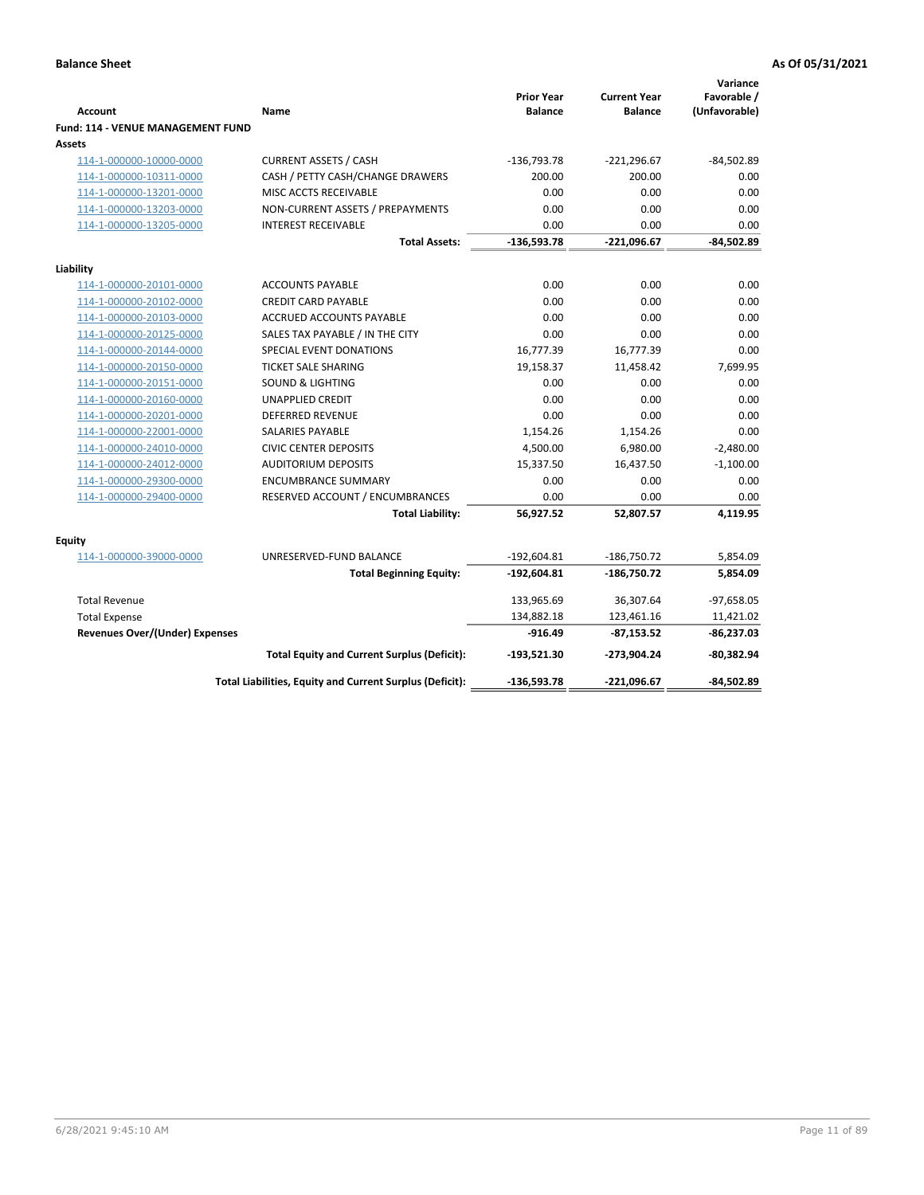| <b>Account</b>                        | Name                                                     | <b>Prior Year</b><br><b>Balance</b> | <b>Current Year</b><br><b>Balance</b> | Variance<br>Favorable /<br>(Unfavorable) |
|---------------------------------------|----------------------------------------------------------|-------------------------------------|---------------------------------------|------------------------------------------|
| Fund: 114 - VENUE MANAGEMENT FUND     |                                                          |                                     |                                       |                                          |
| Assets                                |                                                          |                                     |                                       |                                          |
| 114-1-000000-10000-0000               | <b>CURRENT ASSETS / CASH</b>                             | $-136,793.78$                       | $-221,296.67$                         | $-84,502.89$                             |
| 114-1-000000-10311-0000               | CASH / PETTY CASH/CHANGE DRAWERS                         | 200.00                              | 200.00                                | 0.00                                     |
| 114-1-000000-13201-0000               | MISC ACCTS RECEIVABLE                                    | 0.00                                | 0.00                                  | 0.00                                     |
| 114-1-000000-13203-0000               | NON-CURRENT ASSETS / PREPAYMENTS                         | 0.00                                | 0.00                                  | 0.00                                     |
| 114-1-000000-13205-0000               | <b>INTEREST RECEIVABLE</b>                               | 0.00                                | 0.00                                  | 0.00                                     |
|                                       | <b>Total Assets:</b>                                     | $-136,593.78$                       | $-221,096.67$                         | $-84,502.89$                             |
| Liability                             |                                                          |                                     |                                       |                                          |
| 114-1-000000-20101-0000               | <b>ACCOUNTS PAYABLE</b>                                  | 0.00                                | 0.00                                  | 0.00                                     |
| 114-1-000000-20102-0000               | <b>CREDIT CARD PAYABLE</b>                               | 0.00                                | 0.00                                  | 0.00                                     |
| 114-1-000000-20103-0000               | <b>ACCRUED ACCOUNTS PAYABLE</b>                          | 0.00                                | 0.00                                  | 0.00                                     |
| 114-1-000000-20125-0000               | SALES TAX PAYABLE / IN THE CITY                          | 0.00                                | 0.00                                  | 0.00                                     |
| 114-1-000000-20144-0000               | SPECIAL EVENT DONATIONS                                  | 16,777.39                           | 16,777.39                             | 0.00                                     |
| 114-1-000000-20150-0000               | TICKET SALE SHARING                                      | 19,158.37                           | 11,458.42                             | 7,699.95                                 |
| 114-1-000000-20151-0000               | <b>SOUND &amp; LIGHTING</b>                              | 0.00                                | 0.00                                  | 0.00                                     |
| 114-1-000000-20160-0000               | <b>UNAPPLIED CREDIT</b>                                  | 0.00                                | 0.00                                  | 0.00                                     |
| 114-1-000000-20201-0000               | <b>DEFERRED REVENUE</b>                                  | 0.00                                | 0.00                                  | 0.00                                     |
| 114-1-000000-22001-0000               | SALARIES PAYABLE                                         | 1,154.26                            | 1,154.26                              | 0.00                                     |
| 114-1-000000-24010-0000               | <b>CIVIC CENTER DEPOSITS</b>                             | 4,500.00                            | 6,980.00                              | $-2,480.00$                              |
| 114-1-000000-24012-0000               | <b>AUDITORIUM DEPOSITS</b>                               | 15,337.50                           | 16,437.50                             | $-1,100.00$                              |
| 114-1-000000-29300-0000               | <b>ENCUMBRANCE SUMMARY</b>                               | 0.00                                | 0.00                                  | 0.00                                     |
| 114-1-000000-29400-0000               | RESERVED ACCOUNT / ENCUMBRANCES                          | 0.00                                | 0.00                                  | 0.00                                     |
|                                       | <b>Total Liability:</b>                                  | 56,927.52                           | 52,807.57                             | 4,119.95                                 |
| Equity                                |                                                          |                                     |                                       |                                          |
| 114-1-000000-39000-0000               | UNRESERVED-FUND BALANCE                                  | $-192,604.81$                       | $-186,750.72$                         | 5,854.09                                 |
|                                       | <b>Total Beginning Equity:</b>                           | $-192,604.81$                       | -186,750.72                           | 5,854.09                                 |
| <b>Total Revenue</b>                  |                                                          | 133,965.69                          | 36,307.64                             | $-97,658.05$                             |
| <b>Total Expense</b>                  |                                                          | 134,882.18                          | 123,461.16                            | 11,421.02                                |
| <b>Revenues Over/(Under) Expenses</b> |                                                          | $-916.49$                           | $-87,153.52$                          | $-86,237.03$                             |
|                                       | <b>Total Equity and Current Surplus (Deficit):</b>       | $-193,521.30$                       | -273,904.24                           | $-80,382.94$                             |
|                                       | Total Liabilities, Equity and Current Surplus (Deficit): | $-136,593.78$                       | -221,096.67                           | $-84,502.89$                             |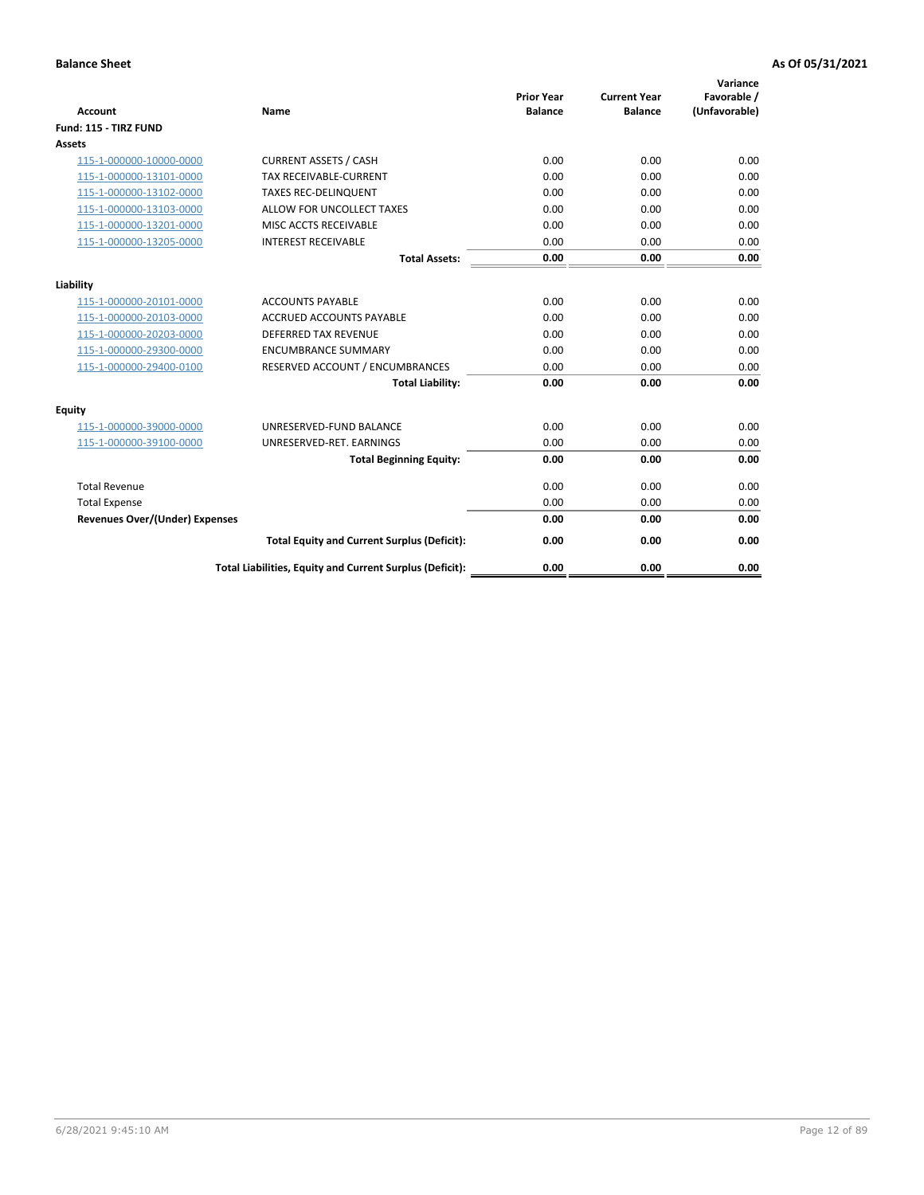| <b>Account</b>                        | Name                                                     | <b>Prior Year</b><br><b>Balance</b> | <b>Current Year</b><br><b>Balance</b> | Variance<br>Favorable /<br>(Unfavorable) |
|---------------------------------------|----------------------------------------------------------|-------------------------------------|---------------------------------------|------------------------------------------|
| Fund: 115 - TIRZ FUND                 |                                                          |                                     |                                       |                                          |
| <b>Assets</b>                         |                                                          |                                     |                                       |                                          |
| 115-1-000000-10000-0000               | <b>CURRENT ASSETS / CASH</b>                             | 0.00                                | 0.00                                  | 0.00                                     |
| 115-1-000000-13101-0000               | <b>TAX RECEIVABLE-CURRENT</b>                            | 0.00                                | 0.00                                  | 0.00                                     |
| 115-1-000000-13102-0000               | <b>TAXES REC-DELINQUENT</b>                              | 0.00                                | 0.00                                  | 0.00                                     |
| 115-1-000000-13103-0000               | ALLOW FOR UNCOLLECT TAXES                                | 0.00                                | 0.00                                  | 0.00                                     |
| 115-1-000000-13201-0000               | MISC ACCTS RECEIVABLE                                    | 0.00                                | 0.00                                  | 0.00                                     |
| 115-1-000000-13205-0000               | <b>INTEREST RECEIVABLE</b>                               | 0.00                                | 0.00                                  | 0.00                                     |
|                                       | <b>Total Assets:</b>                                     | 0.00                                | 0.00                                  | 0.00                                     |
| Liability                             |                                                          |                                     |                                       |                                          |
| 115-1-000000-20101-0000               | <b>ACCOUNTS PAYABLE</b>                                  | 0.00                                | 0.00                                  | 0.00                                     |
| 115-1-000000-20103-0000               | <b>ACCRUED ACCOUNTS PAYABLE</b>                          | 0.00                                | 0.00                                  | 0.00                                     |
| 115-1-000000-20203-0000               | <b>DEFERRED TAX REVENUE</b>                              | 0.00                                | 0.00                                  | 0.00                                     |
| 115-1-000000-29300-0000               | <b>ENCUMBRANCE SUMMARY</b>                               | 0.00                                | 0.00                                  | 0.00                                     |
| 115-1-000000-29400-0100               | RESERVED ACCOUNT / ENCUMBRANCES                          | 0.00                                | 0.00                                  | 0.00                                     |
|                                       | <b>Total Liability:</b>                                  | 0.00                                | 0.00                                  | 0.00                                     |
| Equity                                |                                                          |                                     |                                       |                                          |
| 115-1-000000-39000-0000               | UNRESERVED-FUND BALANCE                                  | 0.00                                | 0.00                                  | 0.00                                     |
| 115-1-000000-39100-0000               | UNRESERVED-RET. EARNINGS                                 | 0.00                                | 0.00                                  | 0.00                                     |
|                                       | <b>Total Beginning Equity:</b>                           | 0.00                                | 0.00                                  | 0.00                                     |
| <b>Total Revenue</b>                  |                                                          | 0.00                                | 0.00                                  | 0.00                                     |
| <b>Total Expense</b>                  |                                                          | 0.00                                | 0.00                                  | 0.00                                     |
| <b>Revenues Over/(Under) Expenses</b> |                                                          | 0.00                                | 0.00                                  | 0.00                                     |
|                                       | <b>Total Equity and Current Surplus (Deficit):</b>       | 0.00                                | 0.00                                  | 0.00                                     |
|                                       | Total Liabilities, Equity and Current Surplus (Deficit): | 0.00                                | 0.00                                  | 0.00                                     |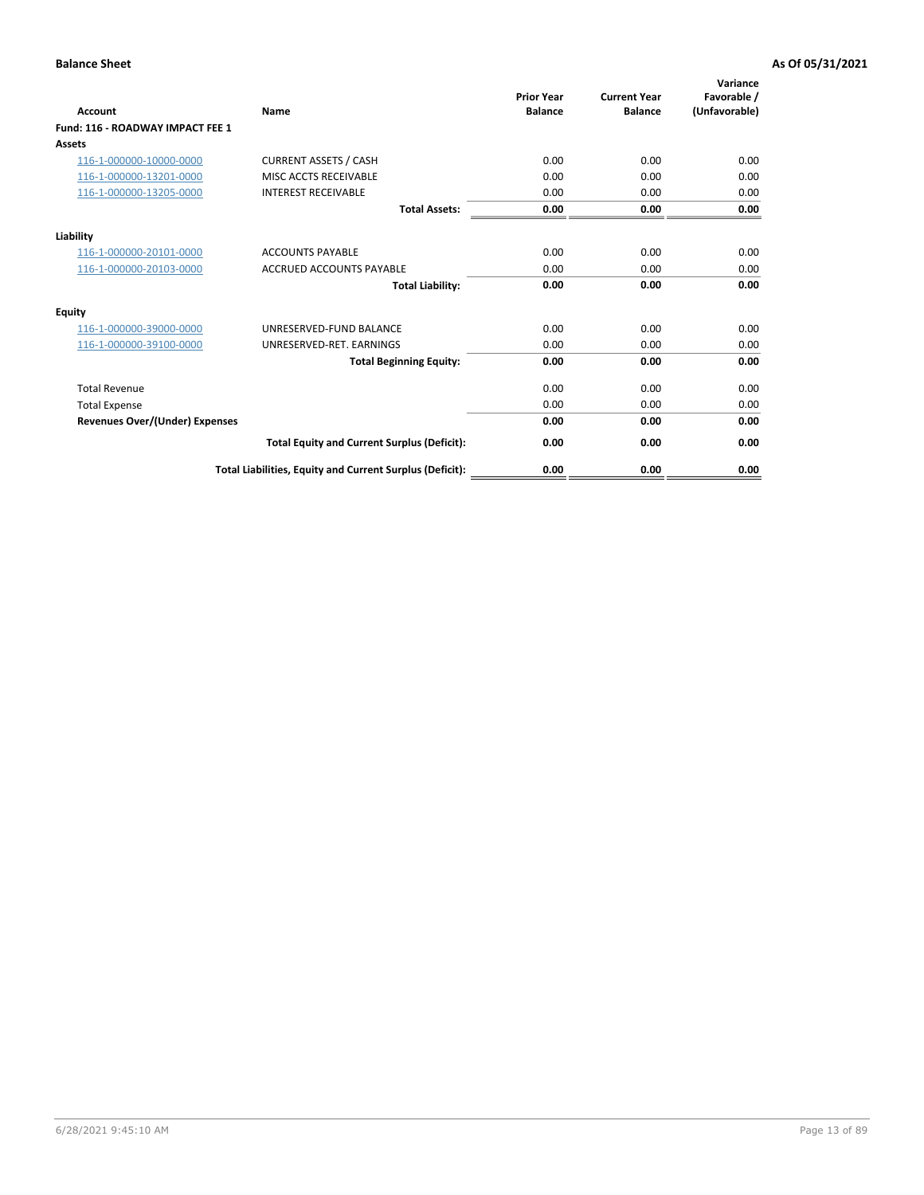| Account                               | Name                                                     | <b>Prior Year</b><br><b>Balance</b> | <b>Current Year</b><br><b>Balance</b> | Variance<br>Favorable /<br>(Unfavorable) |
|---------------------------------------|----------------------------------------------------------|-------------------------------------|---------------------------------------|------------------------------------------|
| Fund: 116 - ROADWAY IMPACT FEE 1      |                                                          |                                     |                                       |                                          |
| Assets                                |                                                          |                                     |                                       |                                          |
| 116-1-000000-10000-0000               | <b>CURRENT ASSETS / CASH</b>                             | 0.00                                | 0.00                                  | 0.00                                     |
| 116-1-000000-13201-0000               | MISC ACCTS RECEIVABLE                                    | 0.00                                | 0.00                                  | 0.00                                     |
| 116-1-000000-13205-0000               | <b>INTEREST RECEIVABLE</b>                               | 0.00                                | 0.00                                  | 0.00                                     |
|                                       | <b>Total Assets:</b>                                     | 0.00                                | 0.00                                  | 0.00                                     |
| Liability                             |                                                          |                                     |                                       |                                          |
| 116-1-000000-20101-0000               | <b>ACCOUNTS PAYABLE</b>                                  | 0.00                                | 0.00                                  | 0.00                                     |
| 116-1-000000-20103-0000               | <b>ACCRUED ACCOUNTS PAYABLE</b>                          | 0.00                                | 0.00                                  | 0.00                                     |
|                                       | <b>Total Liability:</b>                                  | 0.00                                | 0.00                                  | 0.00                                     |
| Equity                                |                                                          |                                     |                                       |                                          |
| 116-1-000000-39000-0000               | UNRESERVED-FUND BALANCE                                  | 0.00                                | 0.00                                  | 0.00                                     |
| 116-1-000000-39100-0000               | UNRESERVED-RET. EARNINGS                                 | 0.00                                | 0.00                                  | 0.00                                     |
|                                       | <b>Total Beginning Equity:</b>                           | 0.00                                | 0.00                                  | 0.00                                     |
| <b>Total Revenue</b>                  |                                                          | 0.00                                | 0.00                                  | 0.00                                     |
| <b>Total Expense</b>                  |                                                          | 0.00                                | 0.00                                  | 0.00                                     |
| <b>Revenues Over/(Under) Expenses</b> |                                                          | 0.00                                | 0.00                                  | 0.00                                     |
|                                       | <b>Total Equity and Current Surplus (Deficit):</b>       | 0.00                                | 0.00                                  | 0.00                                     |
|                                       | Total Liabilities, Equity and Current Surplus (Deficit): | 0.00                                | 0.00                                  | 0.00                                     |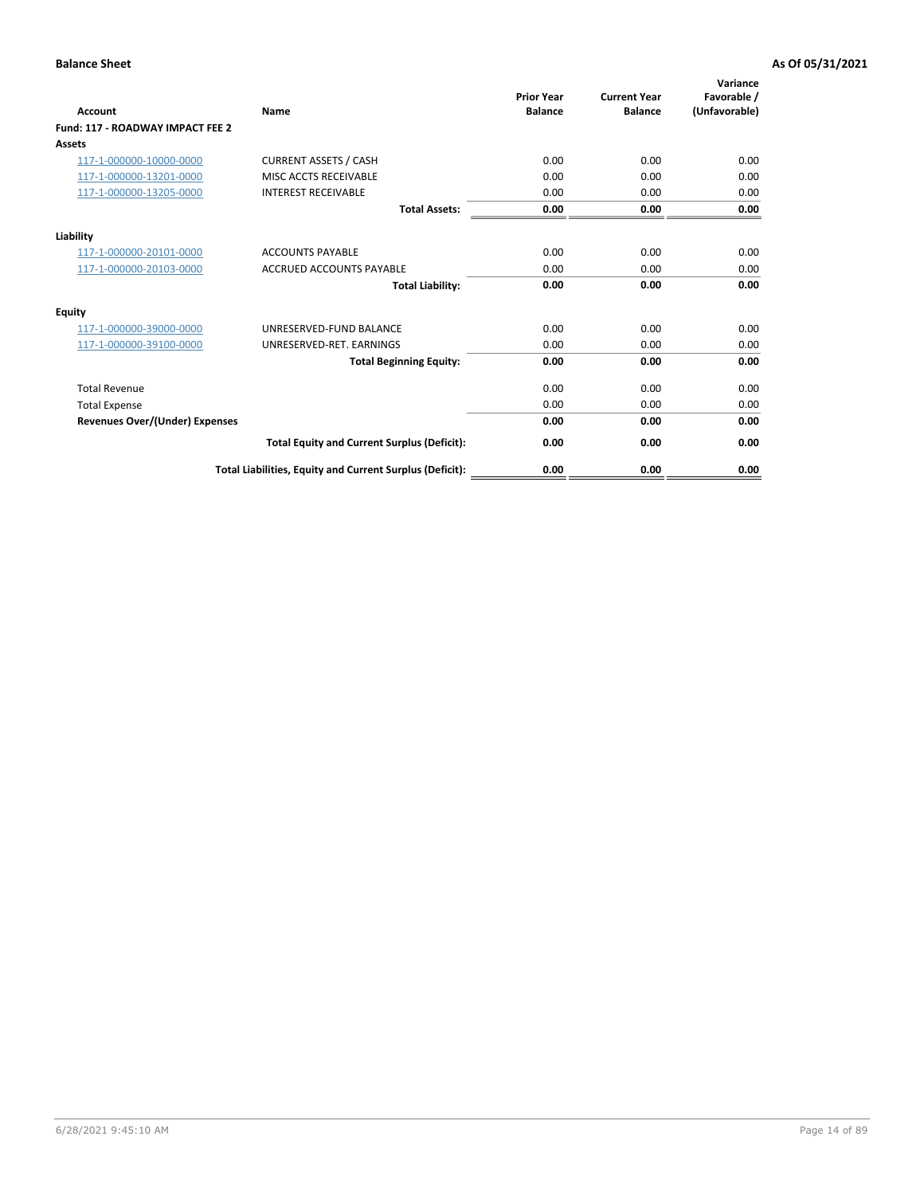| Account                               | Name                                                     | <b>Prior Year</b><br><b>Balance</b> | <b>Current Year</b><br><b>Balance</b> | Variance<br>Favorable /<br>(Unfavorable) |
|---------------------------------------|----------------------------------------------------------|-------------------------------------|---------------------------------------|------------------------------------------|
| Fund: 117 - ROADWAY IMPACT FEE 2      |                                                          |                                     |                                       |                                          |
| Assets                                |                                                          |                                     |                                       |                                          |
| 117-1-000000-10000-0000               | <b>CURRENT ASSETS / CASH</b>                             | 0.00                                | 0.00                                  | 0.00                                     |
| 117-1-000000-13201-0000               | MISC ACCTS RECEIVABLE                                    | 0.00                                | 0.00                                  | 0.00                                     |
| 117-1-000000-13205-0000               | <b>INTEREST RECEIVABLE</b>                               | 0.00                                | 0.00                                  | 0.00                                     |
|                                       | <b>Total Assets:</b>                                     | 0.00                                | 0.00                                  | 0.00                                     |
| Liability                             |                                                          |                                     |                                       |                                          |
| 117-1-000000-20101-0000               | <b>ACCOUNTS PAYABLE</b>                                  | 0.00                                | 0.00                                  | 0.00                                     |
| 117-1-000000-20103-0000               | <b>ACCRUED ACCOUNTS PAYABLE</b>                          | 0.00                                | 0.00                                  | 0.00                                     |
|                                       | <b>Total Liability:</b>                                  | 0.00                                | 0.00                                  | 0.00                                     |
| Equity                                |                                                          |                                     |                                       |                                          |
| 117-1-000000-39000-0000               | UNRESERVED-FUND BALANCE                                  | 0.00                                | 0.00                                  | 0.00                                     |
| 117-1-000000-39100-0000               | UNRESERVED-RET. EARNINGS                                 | 0.00                                | 0.00                                  | 0.00                                     |
|                                       | <b>Total Beginning Equity:</b>                           | 0.00                                | 0.00                                  | 0.00                                     |
| <b>Total Revenue</b>                  |                                                          | 0.00                                | 0.00                                  | 0.00                                     |
| <b>Total Expense</b>                  |                                                          | 0.00                                | 0.00                                  | 0.00                                     |
| <b>Revenues Over/(Under) Expenses</b> |                                                          | 0.00                                | 0.00                                  | 0.00                                     |
|                                       | <b>Total Equity and Current Surplus (Deficit):</b>       | 0.00                                | 0.00                                  | 0.00                                     |
|                                       | Total Liabilities, Equity and Current Surplus (Deficit): | 0.00                                | 0.00                                  | 0.00                                     |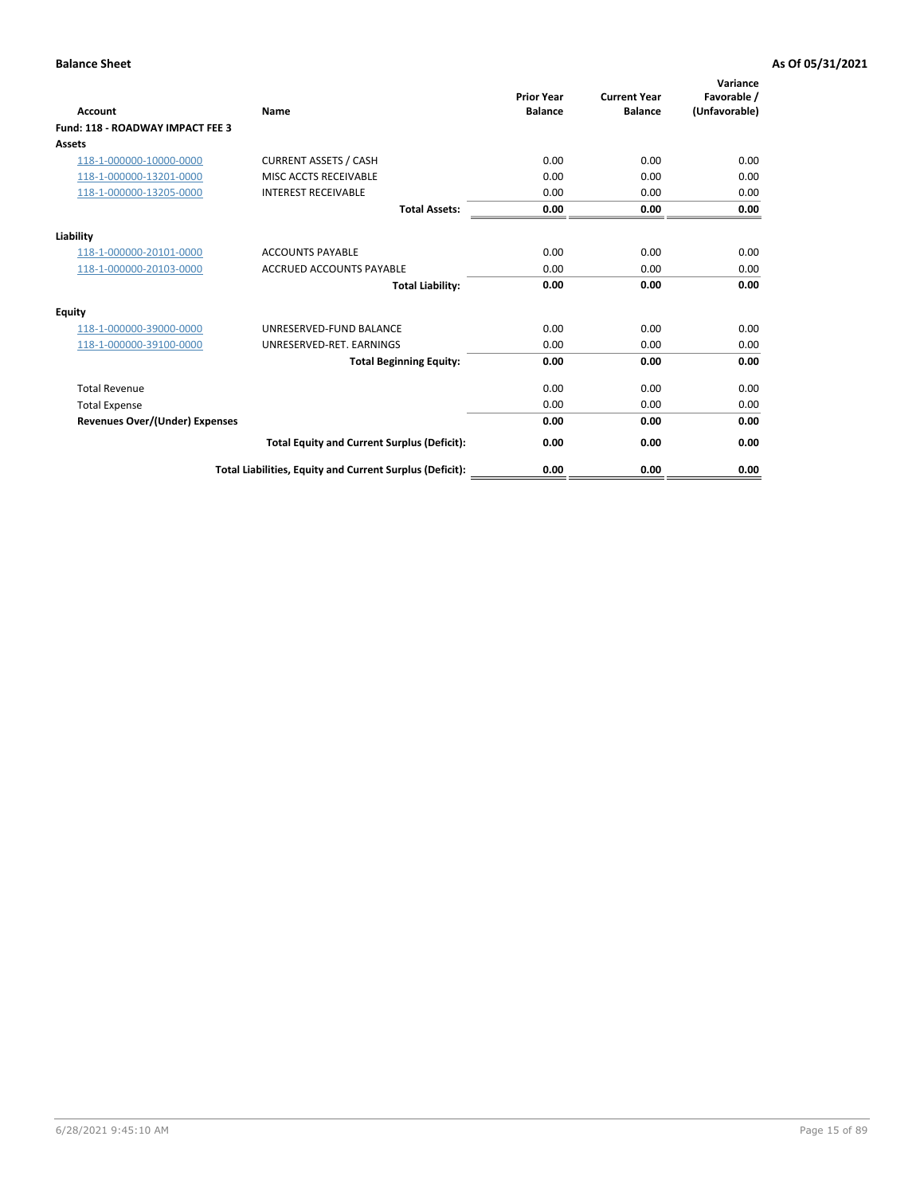| Account                                 | Name                                                     | <b>Prior Year</b><br><b>Balance</b> | <b>Current Year</b><br><b>Balance</b> | Variance<br>Favorable /<br>(Unfavorable) |
|-----------------------------------------|----------------------------------------------------------|-------------------------------------|---------------------------------------|------------------------------------------|
| <b>Fund: 118 - ROADWAY IMPACT FEE 3</b> |                                                          |                                     |                                       |                                          |
| Assets                                  |                                                          |                                     |                                       |                                          |
| 118-1-000000-10000-0000                 | <b>CURRENT ASSETS / CASH</b>                             | 0.00                                | 0.00                                  | 0.00                                     |
| 118-1-000000-13201-0000                 | MISC ACCTS RECEIVABLE                                    | 0.00                                | 0.00                                  | 0.00                                     |
| 118-1-000000-13205-0000                 | <b>INTEREST RECEIVABLE</b>                               | 0.00                                | 0.00                                  | 0.00                                     |
|                                         | <b>Total Assets:</b>                                     | 0.00                                | 0.00                                  | 0.00                                     |
| Liability                               |                                                          |                                     |                                       |                                          |
| 118-1-000000-20101-0000                 | <b>ACCOUNTS PAYABLE</b>                                  | 0.00                                | 0.00                                  | 0.00                                     |
| 118-1-000000-20103-0000                 | <b>ACCRUED ACCOUNTS PAYABLE</b>                          | 0.00                                | 0.00                                  | 0.00                                     |
|                                         | <b>Total Liability:</b>                                  | 0.00                                | 0.00                                  | 0.00                                     |
| Equity                                  |                                                          |                                     |                                       |                                          |
| 118-1-000000-39000-0000                 | UNRESERVED-FUND BALANCE                                  | 0.00                                | 0.00                                  | 0.00                                     |
| 118-1-000000-39100-0000                 | UNRESERVED-RET. EARNINGS                                 | 0.00                                | 0.00                                  | 0.00                                     |
|                                         | <b>Total Beginning Equity:</b>                           | 0.00                                | 0.00                                  | 0.00                                     |
| <b>Total Revenue</b>                    |                                                          | 0.00                                | 0.00                                  | 0.00                                     |
| <b>Total Expense</b>                    |                                                          | 0.00                                | 0.00                                  | 0.00                                     |
| <b>Revenues Over/(Under) Expenses</b>   |                                                          | 0.00                                | 0.00                                  | 0.00                                     |
|                                         | <b>Total Equity and Current Surplus (Deficit):</b>       | 0.00                                | 0.00                                  | 0.00                                     |
|                                         | Total Liabilities, Equity and Current Surplus (Deficit): | 0.00                                | 0.00                                  | 0.00                                     |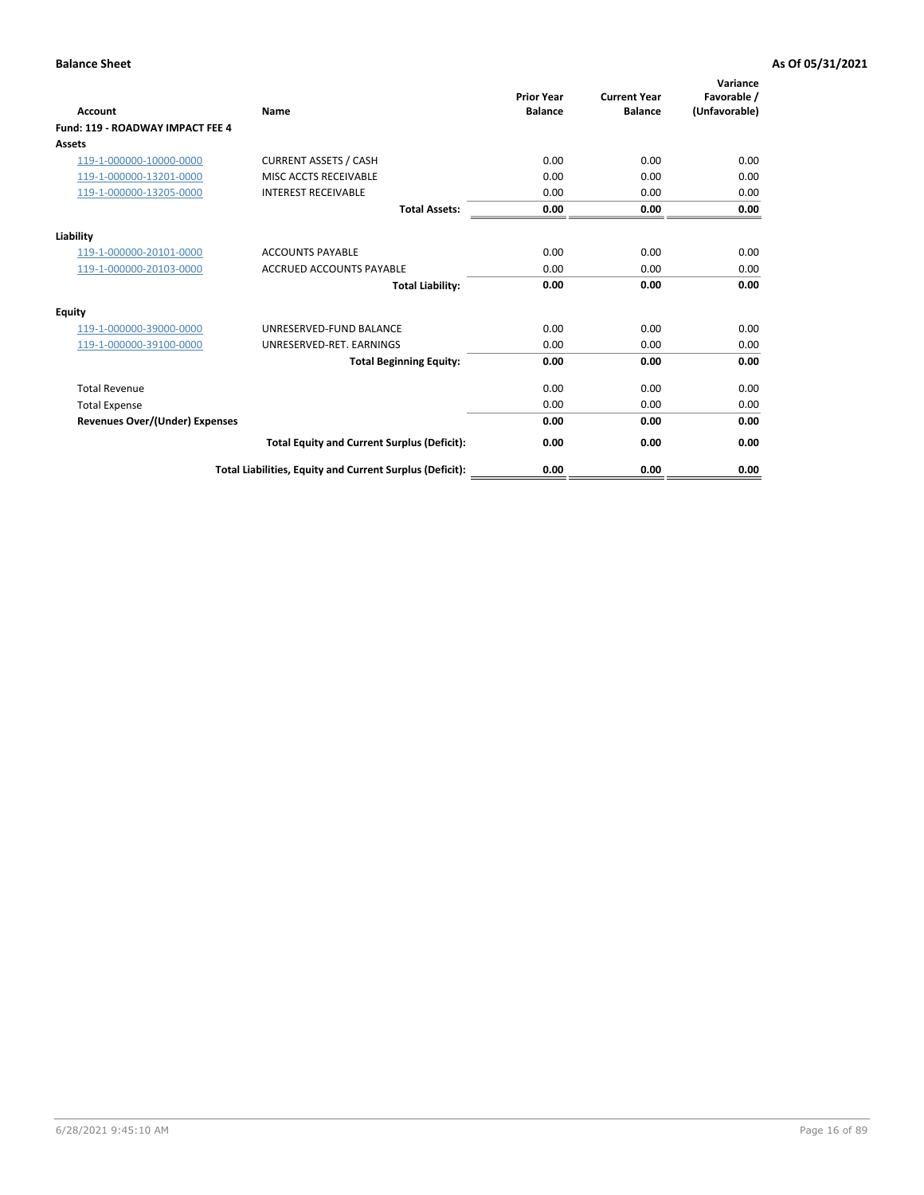| Account                                 | Name                                                     | <b>Prior Year</b><br><b>Balance</b> | <b>Current Year</b><br><b>Balance</b> | Variance<br>Favorable /<br>(Unfavorable) |
|-----------------------------------------|----------------------------------------------------------|-------------------------------------|---------------------------------------|------------------------------------------|
| <b>Fund: 119 - ROADWAY IMPACT FEE 4</b> |                                                          |                                     |                                       |                                          |
| Assets                                  |                                                          |                                     |                                       |                                          |
| 119-1-000000-10000-0000                 | <b>CURRENT ASSETS / CASH</b>                             | 0.00                                | 0.00                                  | 0.00                                     |
| 119-1-000000-13201-0000                 | MISC ACCTS RECEIVABLE                                    | 0.00                                | 0.00                                  | 0.00                                     |
| 119-1-000000-13205-0000                 | <b>INTEREST RECEIVABLE</b>                               | 0.00                                | 0.00                                  | 0.00                                     |
|                                         | <b>Total Assets:</b>                                     | 0.00                                | 0.00                                  | 0.00                                     |
| Liability                               |                                                          |                                     |                                       |                                          |
| 119-1-000000-20101-0000                 | <b>ACCOUNTS PAYABLE</b>                                  | 0.00                                | 0.00                                  | 0.00                                     |
| 119-1-000000-20103-0000                 | <b>ACCRUED ACCOUNTS PAYABLE</b>                          | 0.00                                | 0.00                                  | 0.00                                     |
|                                         | <b>Total Liability:</b>                                  | 0.00                                | 0.00                                  | 0.00                                     |
| Equity                                  |                                                          |                                     |                                       |                                          |
| 119-1-000000-39000-0000                 | UNRESERVED-FUND BALANCE                                  | 0.00                                | 0.00                                  | 0.00                                     |
| 119-1-000000-39100-0000                 | UNRESERVED-RET. EARNINGS                                 | 0.00                                | 0.00                                  | 0.00                                     |
|                                         | <b>Total Beginning Equity:</b>                           | 0.00                                | 0.00                                  | 0.00                                     |
| <b>Total Revenue</b>                    |                                                          | 0.00                                | 0.00                                  | 0.00                                     |
| <b>Total Expense</b>                    |                                                          | 0.00                                | 0.00                                  | 0.00                                     |
| <b>Revenues Over/(Under) Expenses</b>   |                                                          | 0.00                                | 0.00                                  | 0.00                                     |
|                                         | <b>Total Equity and Current Surplus (Deficit):</b>       | 0.00                                | 0.00                                  | 0.00                                     |
|                                         | Total Liabilities, Equity and Current Surplus (Deficit): | 0.00                                | 0.00                                  | 0.00                                     |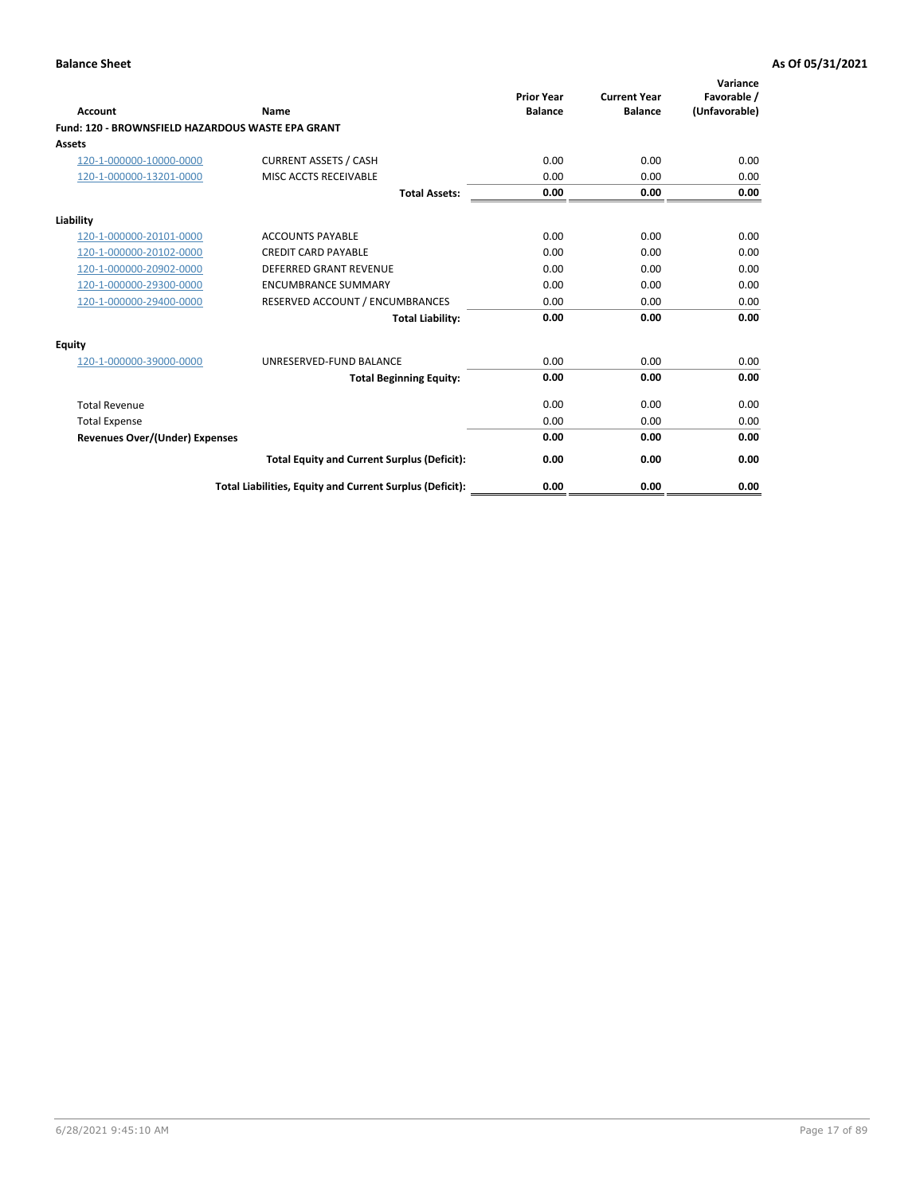| <b>Account</b>                                    | Name                                                     | <b>Prior Year</b><br><b>Balance</b> | <b>Current Year</b><br><b>Balance</b> | Variance<br>Favorable /<br>(Unfavorable) |
|---------------------------------------------------|----------------------------------------------------------|-------------------------------------|---------------------------------------|------------------------------------------|
| Fund: 120 - BROWNSFIELD HAZARDOUS WASTE EPA GRANT |                                                          |                                     |                                       |                                          |
| Assets                                            |                                                          |                                     |                                       |                                          |
| 120-1-000000-10000-0000                           | <b>CURRENT ASSETS / CASH</b>                             | 0.00                                | 0.00                                  | 0.00                                     |
| 120-1-000000-13201-0000                           | MISC ACCTS RECEIVABLE                                    | 0.00                                | 0.00                                  | 0.00                                     |
|                                                   | <b>Total Assets:</b>                                     | 0.00                                | 0.00                                  | 0.00                                     |
| Liability                                         |                                                          |                                     |                                       |                                          |
| 120-1-000000-20101-0000                           | <b>ACCOUNTS PAYABLE</b>                                  | 0.00                                | 0.00                                  | 0.00                                     |
| 120-1-000000-20102-0000                           | <b>CREDIT CARD PAYABLE</b>                               | 0.00                                | 0.00                                  | 0.00                                     |
| 120-1-000000-20902-0000                           | <b>DEFERRED GRANT REVENUE</b>                            | 0.00                                | 0.00                                  | 0.00                                     |
| 120-1-000000-29300-0000                           | <b>ENCUMBRANCE SUMMARY</b>                               | 0.00                                | 0.00                                  | 0.00                                     |
| 120-1-000000-29400-0000                           | RESERVED ACCOUNT / ENCUMBRANCES                          | 0.00                                | 0.00                                  | 0.00                                     |
|                                                   | <b>Total Liability:</b>                                  | 0.00                                | 0.00                                  | 0.00                                     |
| Equity                                            |                                                          |                                     |                                       |                                          |
| 120-1-000000-39000-0000                           | UNRESERVED-FUND BALANCE                                  | 0.00                                | 0.00                                  | 0.00                                     |
|                                                   | <b>Total Beginning Equity:</b>                           | 0.00                                | 0.00                                  | 0.00                                     |
| <b>Total Revenue</b>                              |                                                          | 0.00                                | 0.00                                  | 0.00                                     |
| <b>Total Expense</b>                              |                                                          | 0.00                                | 0.00                                  | 0.00                                     |
| <b>Revenues Over/(Under) Expenses</b>             |                                                          | 0.00                                | 0.00                                  | 0.00                                     |
|                                                   | <b>Total Equity and Current Surplus (Deficit):</b>       | 0.00                                | 0.00                                  | 0.00                                     |
|                                                   | Total Liabilities, Equity and Current Surplus (Deficit): | 0.00                                | 0.00                                  | 0.00                                     |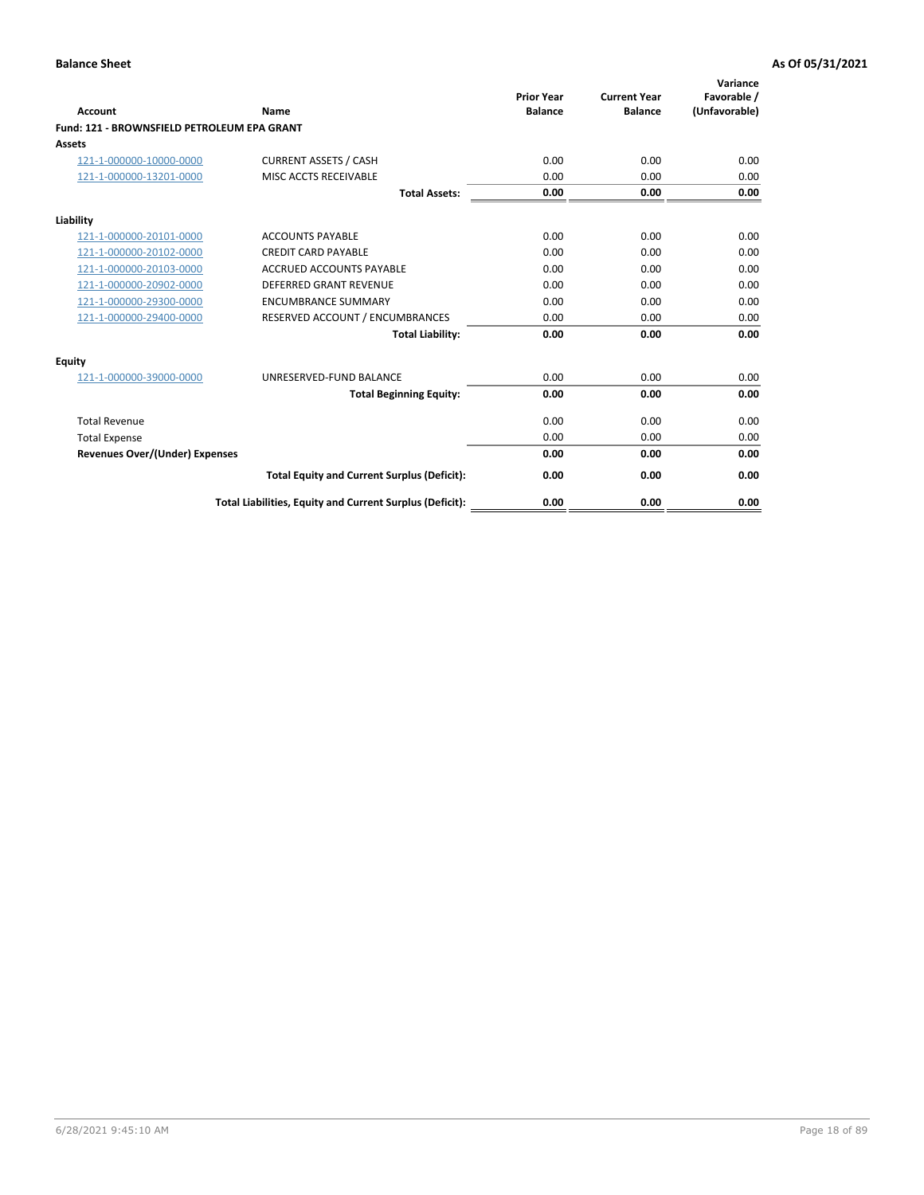| <b>Account</b>                              | Name                                                     | <b>Prior Year</b><br><b>Balance</b> | <b>Current Year</b><br><b>Balance</b> | Variance<br>Favorable /<br>(Unfavorable) |
|---------------------------------------------|----------------------------------------------------------|-------------------------------------|---------------------------------------|------------------------------------------|
| Fund: 121 - BROWNSFIELD PETROLEUM EPA GRANT |                                                          |                                     |                                       |                                          |
| Assets                                      |                                                          |                                     |                                       |                                          |
| 121-1-000000-10000-0000                     | <b>CURRENT ASSETS / CASH</b>                             | 0.00                                | 0.00                                  | 0.00                                     |
| 121-1-000000-13201-0000                     | MISC ACCTS RECEIVABLE                                    | 0.00                                | 0.00                                  | 0.00                                     |
|                                             | <b>Total Assets:</b>                                     | 0.00                                | 0.00                                  | 0.00                                     |
| Liability                                   |                                                          |                                     |                                       |                                          |
| 121-1-000000-20101-0000                     | <b>ACCOUNTS PAYABLE</b>                                  | 0.00                                | 0.00                                  | 0.00                                     |
| 121-1-000000-20102-0000                     | <b>CREDIT CARD PAYABLE</b>                               | 0.00                                | 0.00                                  | 0.00                                     |
| 121-1-000000-20103-0000                     | ACCRUED ACCOUNTS PAYABLE                                 | 0.00                                | 0.00                                  | 0.00                                     |
| 121-1-000000-20902-0000                     | <b>DEFERRED GRANT REVENUE</b>                            | 0.00                                | 0.00                                  | 0.00                                     |
| 121-1-000000-29300-0000                     | <b>ENCUMBRANCE SUMMARY</b>                               | 0.00                                | 0.00                                  | 0.00                                     |
| 121-1-000000-29400-0000                     | RESERVED ACCOUNT / ENCUMBRANCES                          | 0.00                                | 0.00                                  | 0.00                                     |
|                                             | <b>Total Liability:</b>                                  | 0.00                                | 0.00                                  | 0.00                                     |
| Equity                                      |                                                          |                                     |                                       |                                          |
| 121-1-000000-39000-0000                     | UNRESERVED-FUND BALANCE                                  | 0.00                                | 0.00                                  | 0.00                                     |
|                                             | <b>Total Beginning Equity:</b>                           | 0.00                                | 0.00                                  | 0.00                                     |
| <b>Total Revenue</b>                        |                                                          | 0.00                                | 0.00                                  | 0.00                                     |
| <b>Total Expense</b>                        |                                                          | 0.00                                | 0.00                                  | 0.00                                     |
| <b>Revenues Over/(Under) Expenses</b>       |                                                          | 0.00                                | 0.00                                  | 0.00                                     |
|                                             | <b>Total Equity and Current Surplus (Deficit):</b>       | 0.00                                | 0.00                                  | 0.00                                     |
|                                             | Total Liabilities, Equity and Current Surplus (Deficit): | 0.00                                | 0.00                                  | 0.00                                     |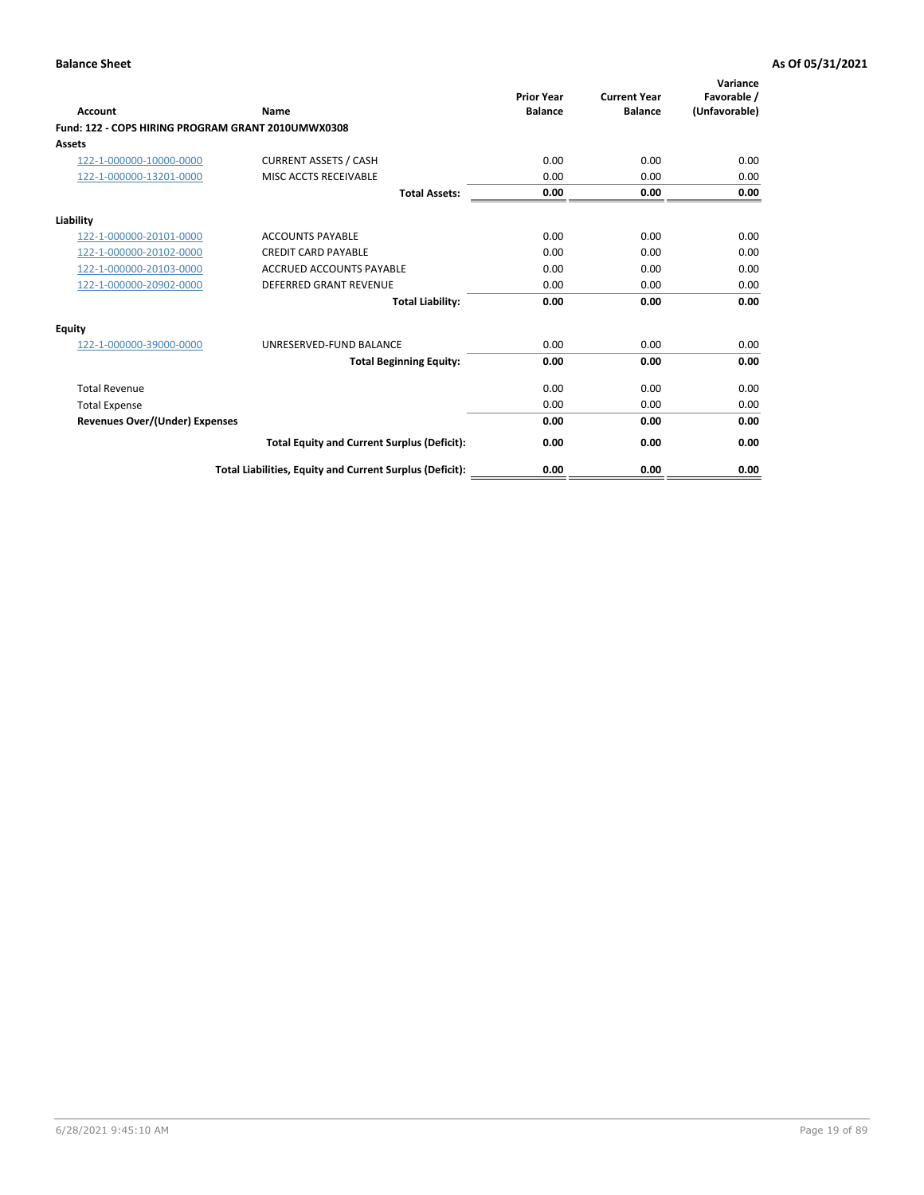| <b>Account</b>                                     | <b>Name</b>                                              | <b>Prior Year</b><br><b>Balance</b> | <b>Current Year</b><br><b>Balance</b> | Variance<br>Favorable /<br>(Unfavorable) |
|----------------------------------------------------|----------------------------------------------------------|-------------------------------------|---------------------------------------|------------------------------------------|
| Fund: 122 - COPS HIRING PROGRAM GRANT 2010UMWX0308 |                                                          |                                     |                                       |                                          |
| <b>Assets</b>                                      |                                                          |                                     |                                       |                                          |
| 122-1-000000-10000-0000                            | <b>CURRENT ASSETS / CASH</b>                             | 0.00                                | 0.00                                  | 0.00                                     |
| 122-1-000000-13201-0000                            | MISC ACCTS RECEIVABLE                                    | 0.00                                | 0.00                                  | 0.00                                     |
|                                                    | <b>Total Assets:</b>                                     | 0.00                                | 0.00                                  | 0.00                                     |
| Liability                                          |                                                          |                                     |                                       |                                          |
| 122-1-000000-20101-0000                            | <b>ACCOUNTS PAYABLE</b>                                  | 0.00                                | 0.00                                  | 0.00                                     |
| 122-1-000000-20102-0000                            | <b>CREDIT CARD PAYABLE</b>                               | 0.00                                | 0.00                                  | 0.00                                     |
| 122-1-000000-20103-0000                            | <b>ACCRUED ACCOUNTS PAYABLE</b>                          | 0.00                                | 0.00                                  | 0.00                                     |
| 122-1-000000-20902-0000                            | <b>DEFERRED GRANT REVENUE</b>                            | 0.00                                | 0.00                                  | 0.00                                     |
|                                                    | <b>Total Liability:</b>                                  | 0.00                                | 0.00                                  | 0.00                                     |
| Equity                                             |                                                          |                                     |                                       |                                          |
| 122-1-000000-39000-0000                            | UNRESERVED-FUND BALANCE                                  | 0.00                                | 0.00                                  | 0.00                                     |
|                                                    | <b>Total Beginning Equity:</b>                           | 0.00                                | 0.00                                  | 0.00                                     |
| <b>Total Revenue</b>                               |                                                          | 0.00                                | 0.00                                  | 0.00                                     |
| <b>Total Expense</b>                               |                                                          | 0.00                                | 0.00                                  | 0.00                                     |
| <b>Revenues Over/(Under) Expenses</b>              |                                                          | 0.00                                | 0.00                                  | 0.00                                     |
|                                                    | <b>Total Equity and Current Surplus (Deficit):</b>       | 0.00                                | 0.00                                  | 0.00                                     |
|                                                    | Total Liabilities, Equity and Current Surplus (Deficit): | 0.00                                | 0.00                                  | 0.00                                     |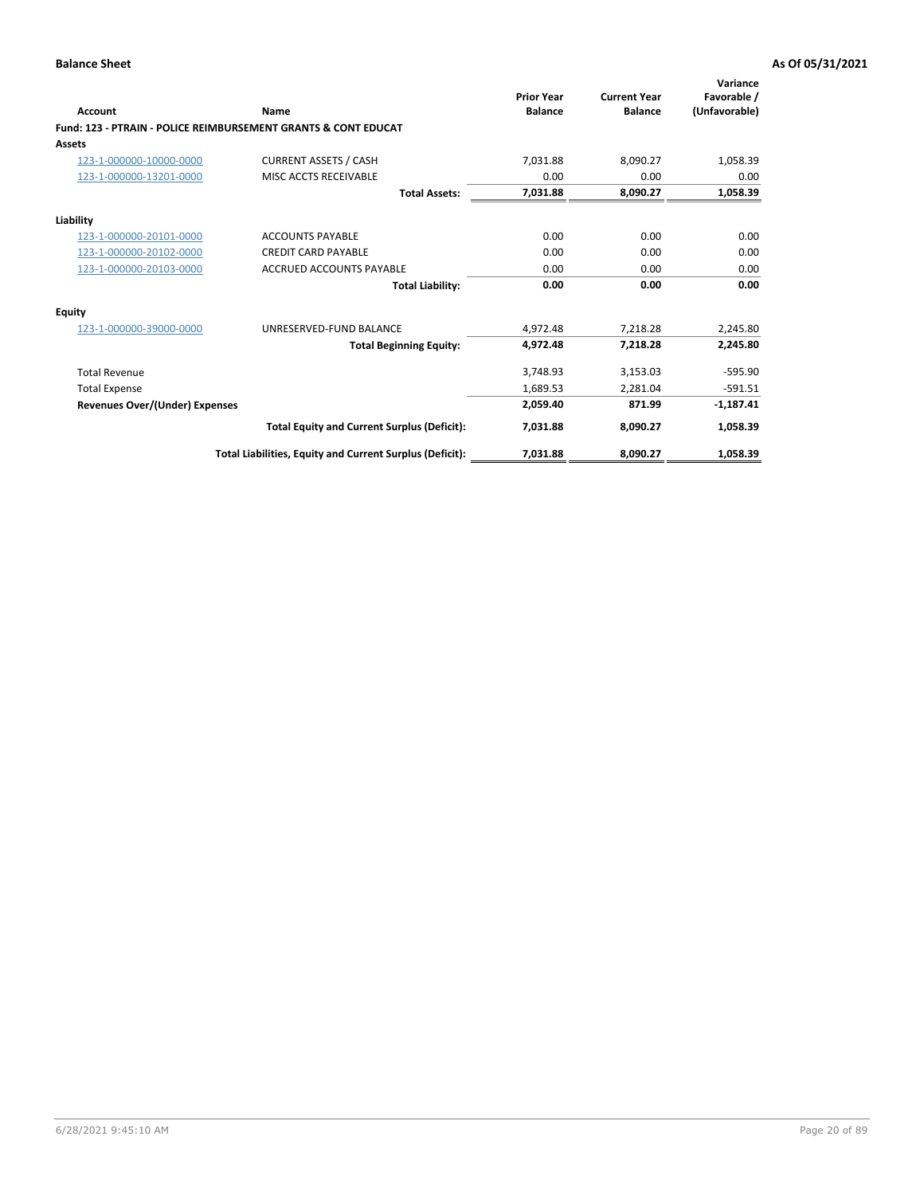| Account                               | Name                                                           | <b>Prior Year</b><br><b>Balance</b> | <b>Current Year</b><br><b>Balance</b> | Variance<br>Favorable /<br>(Unfavorable) |
|---------------------------------------|----------------------------------------------------------------|-------------------------------------|---------------------------------------|------------------------------------------|
|                                       | Fund: 123 - PTRAIN - POLICE REIMBURSEMENT GRANTS & CONT EDUCAT |                                     |                                       |                                          |
| Assets                                |                                                                |                                     |                                       |                                          |
| 123-1-000000-10000-0000               | <b>CURRENT ASSETS / CASH</b>                                   | 7,031.88                            | 8,090.27                              | 1,058.39                                 |
| 123-1-000000-13201-0000               | MISC ACCTS RECEIVABLE                                          | 0.00                                | 0.00                                  | 0.00                                     |
|                                       | <b>Total Assets:</b>                                           | 7,031.88                            | 8,090.27                              | 1,058.39                                 |
| Liability                             |                                                                |                                     |                                       |                                          |
| 123-1-000000-20101-0000               | <b>ACCOUNTS PAYABLE</b>                                        | 0.00                                | 0.00                                  | 0.00                                     |
| 123-1-000000-20102-0000               | <b>CREDIT CARD PAYABLE</b>                                     | 0.00                                | 0.00                                  | 0.00                                     |
| 123-1-000000-20103-0000               | <b>ACCRUED ACCOUNTS PAYABLE</b>                                | 0.00                                | 0.00                                  | 0.00                                     |
|                                       | <b>Total Liability:</b>                                        | 0.00                                | 0.00                                  | 0.00                                     |
| Equity                                |                                                                |                                     |                                       |                                          |
| 123-1-000000-39000-0000               | UNRESERVED-FUND BALANCE                                        | 4,972.48                            | 7,218.28                              | 2,245.80                                 |
|                                       | <b>Total Beginning Equity:</b>                                 | 4,972.48                            | 7,218.28                              | 2,245.80                                 |
| <b>Total Revenue</b>                  |                                                                | 3,748.93                            | 3,153.03                              | $-595.90$                                |
| <b>Total Expense</b>                  |                                                                | 1,689.53                            | 2,281.04                              | $-591.51$                                |
| <b>Revenues Over/(Under) Expenses</b> |                                                                | 2,059.40                            | 871.99                                | $-1,187.41$                              |
|                                       | <b>Total Equity and Current Surplus (Deficit):</b>             | 7,031.88                            | 8,090.27                              | 1,058.39                                 |
|                                       | Total Liabilities, Equity and Current Surplus (Deficit):       | 7,031.88                            | 8,090.27                              | 1,058.39                                 |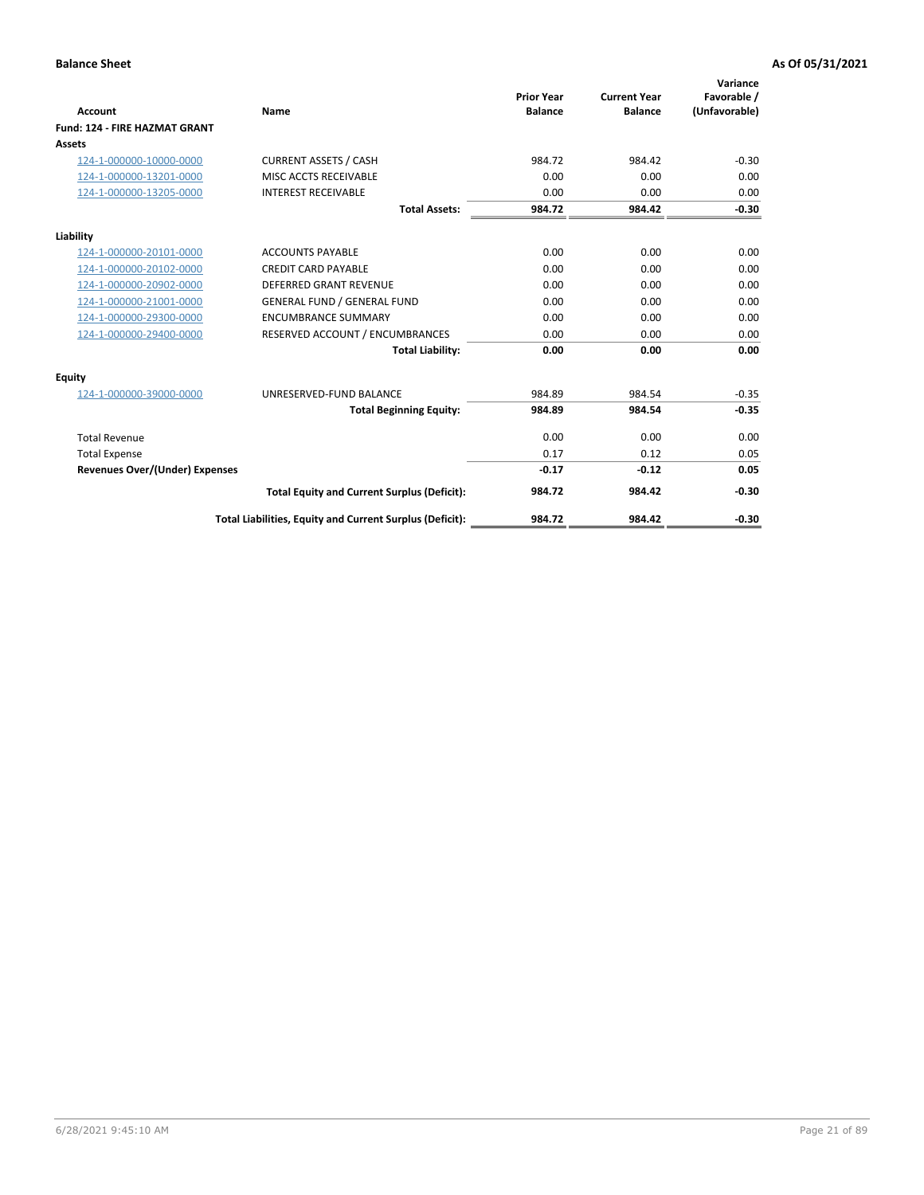|                                      |                                                          | <b>Prior Year</b> | <b>Current Year</b> | Variance<br>Favorable / |
|--------------------------------------|----------------------------------------------------------|-------------------|---------------------|-------------------------|
| <b>Account</b>                       | Name                                                     | <b>Balance</b>    | <b>Balance</b>      | (Unfavorable)           |
| <b>Fund: 124 - FIRE HAZMAT GRANT</b> |                                                          |                   |                     |                         |
| <b>Assets</b>                        |                                                          |                   |                     |                         |
| 124-1-000000-10000-0000              | <b>CURRENT ASSETS / CASH</b>                             | 984.72            | 984.42              | $-0.30$                 |
| 124-1-000000-13201-0000              | MISC ACCTS RECEIVABLE                                    | 0.00              | 0.00                | 0.00                    |
| 124-1-000000-13205-0000              | <b>INTEREST RECEIVABLE</b>                               | 0.00              | 0.00                | 0.00                    |
|                                      | <b>Total Assets:</b>                                     | 984.72            | 984.42              | $-0.30$                 |
| Liability                            |                                                          |                   |                     |                         |
| 124-1-000000-20101-0000              | <b>ACCOUNTS PAYABLE</b>                                  | 0.00              | 0.00                | 0.00                    |
| 124-1-000000-20102-0000              | <b>CREDIT CARD PAYABLE</b>                               | 0.00              | 0.00                | 0.00                    |
| 124-1-000000-20902-0000              | <b>DEFERRED GRANT REVENUE</b>                            | 0.00              | 0.00                | 0.00                    |
| 124-1-000000-21001-0000              | <b>GENERAL FUND / GENERAL FUND</b>                       | 0.00              | 0.00                | 0.00                    |
| 124-1-000000-29300-0000              | <b>ENCUMBRANCE SUMMARY</b>                               | 0.00              | 0.00                | 0.00                    |
| 124-1-000000-29400-0000              | RESERVED ACCOUNT / ENCUMBRANCES                          | 0.00              | 0.00                | 0.00                    |
|                                      | <b>Total Liability:</b>                                  | 0.00              | 0.00                | 0.00                    |
| Equity                               |                                                          |                   |                     |                         |
| 124-1-000000-39000-0000              | UNRESERVED-FUND BALANCE                                  | 984.89            | 984.54              | $-0.35$                 |
|                                      | <b>Total Beginning Equity:</b>                           | 984.89            | 984.54              | $-0.35$                 |
| <b>Total Revenue</b>                 |                                                          | 0.00              | 0.00                | 0.00                    |
| <b>Total Expense</b>                 |                                                          | 0.17              | 0.12                | 0.05                    |
| Revenues Over/(Under) Expenses       |                                                          | $-0.17$           | $-0.12$             | 0.05                    |
|                                      | <b>Total Equity and Current Surplus (Deficit):</b>       | 984.72            | 984.42              | $-0.30$                 |
|                                      | Total Liabilities, Equity and Current Surplus (Deficit): | 984.72            | 984.42              | $-0.30$                 |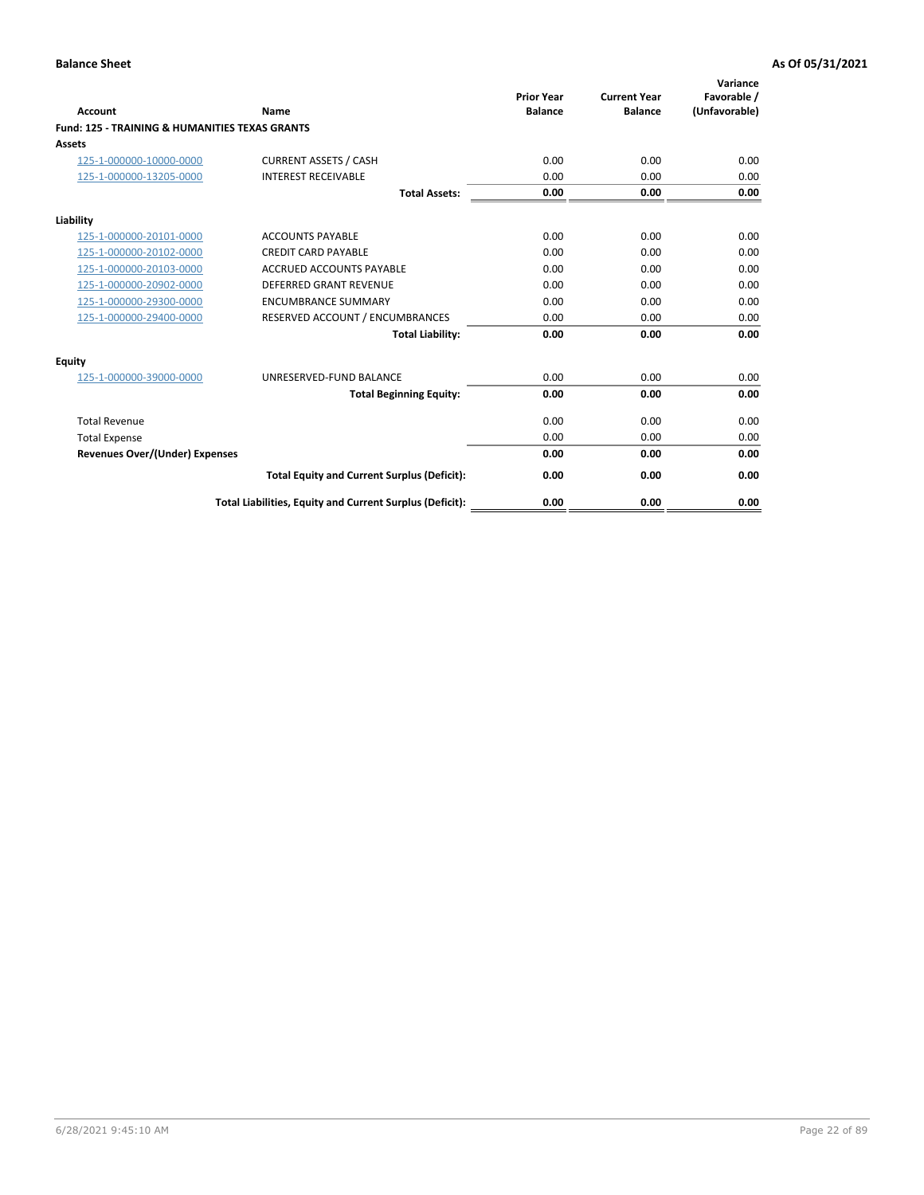| <b>Account</b>                                            | Name                                                     | <b>Prior Year</b><br><b>Balance</b> | <b>Current Year</b><br><b>Balance</b> | Variance<br>Favorable /<br>(Unfavorable) |
|-----------------------------------------------------------|----------------------------------------------------------|-------------------------------------|---------------------------------------|------------------------------------------|
| <b>Fund: 125 - TRAINING &amp; HUMANITIES TEXAS GRANTS</b> |                                                          |                                     |                                       |                                          |
| Assets                                                    |                                                          |                                     |                                       |                                          |
| 125-1-000000-10000-0000                                   | <b>CURRENT ASSETS / CASH</b>                             | 0.00                                | 0.00                                  | 0.00                                     |
| 125-1-000000-13205-0000                                   | <b>INTEREST RECEIVABLE</b>                               | 0.00                                | 0.00                                  | 0.00                                     |
|                                                           | <b>Total Assets:</b>                                     | 0.00                                | 0.00                                  | 0.00                                     |
| Liability                                                 |                                                          |                                     |                                       |                                          |
| 125-1-000000-20101-0000                                   | <b>ACCOUNTS PAYABLE</b>                                  | 0.00                                | 0.00                                  | 0.00                                     |
| 125-1-000000-20102-0000                                   | <b>CREDIT CARD PAYABLE</b>                               | 0.00                                | 0.00                                  | 0.00                                     |
| 125-1-000000-20103-0000                                   | ACCRUED ACCOUNTS PAYABLE                                 | 0.00                                | 0.00                                  | 0.00                                     |
| 125-1-000000-20902-0000                                   | <b>DEFERRED GRANT REVENUE</b>                            | 0.00                                | 0.00                                  | 0.00                                     |
| 125-1-000000-29300-0000                                   | <b>ENCUMBRANCE SUMMARY</b>                               | 0.00                                | 0.00                                  | 0.00                                     |
| 125-1-000000-29400-0000                                   | RESERVED ACCOUNT / ENCUMBRANCES                          | 0.00                                | 0.00                                  | 0.00                                     |
|                                                           | <b>Total Liability:</b>                                  | 0.00                                | 0.00                                  | 0.00                                     |
| Equity                                                    |                                                          |                                     |                                       |                                          |
| 125-1-000000-39000-0000                                   | UNRESERVED-FUND BALANCE                                  | 0.00                                | 0.00                                  | 0.00                                     |
|                                                           | <b>Total Beginning Equity:</b>                           | 0.00                                | 0.00                                  | 0.00                                     |
| <b>Total Revenue</b>                                      |                                                          | 0.00                                | 0.00                                  | 0.00                                     |
| <b>Total Expense</b>                                      |                                                          | 0.00                                | 0.00                                  | 0.00                                     |
| <b>Revenues Over/(Under) Expenses</b>                     |                                                          | 0.00                                | 0.00                                  | 0.00                                     |
|                                                           | <b>Total Equity and Current Surplus (Deficit):</b>       | 0.00                                | 0.00                                  | 0.00                                     |
|                                                           | Total Liabilities, Equity and Current Surplus (Deficit): | 0.00                                | 0.00                                  | 0.00                                     |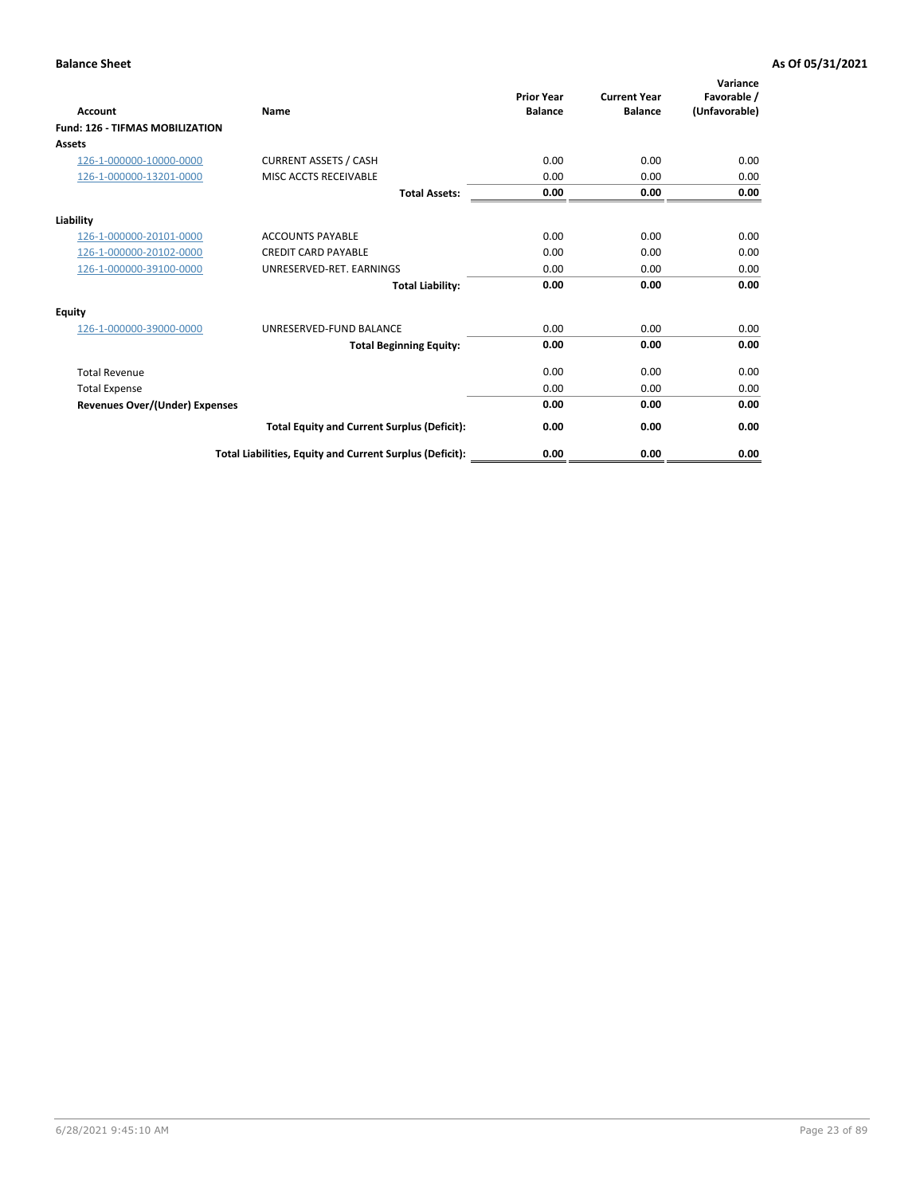| <b>Account</b>                         | Name                                                     | <b>Prior Year</b><br><b>Balance</b> | <b>Current Year</b><br><b>Balance</b> | Variance<br>Favorable /<br>(Unfavorable) |
|----------------------------------------|----------------------------------------------------------|-------------------------------------|---------------------------------------|------------------------------------------|
| <b>Fund: 126 - TIFMAS MOBILIZATION</b> |                                                          |                                     |                                       |                                          |
| Assets                                 |                                                          |                                     |                                       |                                          |
| 126-1-000000-10000-0000                | <b>CURRENT ASSETS / CASH</b>                             | 0.00                                | 0.00                                  | 0.00                                     |
| 126-1-000000-13201-0000                | MISC ACCTS RECEIVABLE                                    | 0.00                                | 0.00                                  | 0.00                                     |
|                                        | <b>Total Assets:</b>                                     | 0.00                                | 0.00                                  | 0.00                                     |
| Liability                              |                                                          |                                     |                                       |                                          |
| 126-1-000000-20101-0000                | <b>ACCOUNTS PAYABLE</b>                                  | 0.00                                | 0.00                                  | 0.00                                     |
| 126-1-000000-20102-0000                | <b>CREDIT CARD PAYABLE</b>                               | 0.00                                | 0.00                                  | 0.00                                     |
| 126-1-000000-39100-0000                | UNRESERVED-RET. EARNINGS                                 | 0.00                                | 0.00                                  | 0.00                                     |
|                                        | <b>Total Liability:</b>                                  | 0.00                                | 0.00                                  | 0.00                                     |
| Equity                                 |                                                          |                                     |                                       |                                          |
| 126-1-000000-39000-0000                | UNRESERVED-FUND BALANCE                                  | 0.00                                | 0.00                                  | 0.00                                     |
|                                        | <b>Total Beginning Equity:</b>                           | 0.00                                | 0.00                                  | 0.00                                     |
| <b>Total Revenue</b>                   |                                                          | 0.00                                | 0.00                                  | 0.00                                     |
| <b>Total Expense</b>                   |                                                          | 0.00                                | 0.00                                  | 0.00                                     |
| Revenues Over/(Under) Expenses         |                                                          | 0.00                                | 0.00                                  | 0.00                                     |
|                                        | <b>Total Equity and Current Surplus (Deficit):</b>       | 0.00                                | 0.00                                  | 0.00                                     |
|                                        | Total Liabilities, Equity and Current Surplus (Deficit): | 0.00                                | 0.00                                  | 0.00                                     |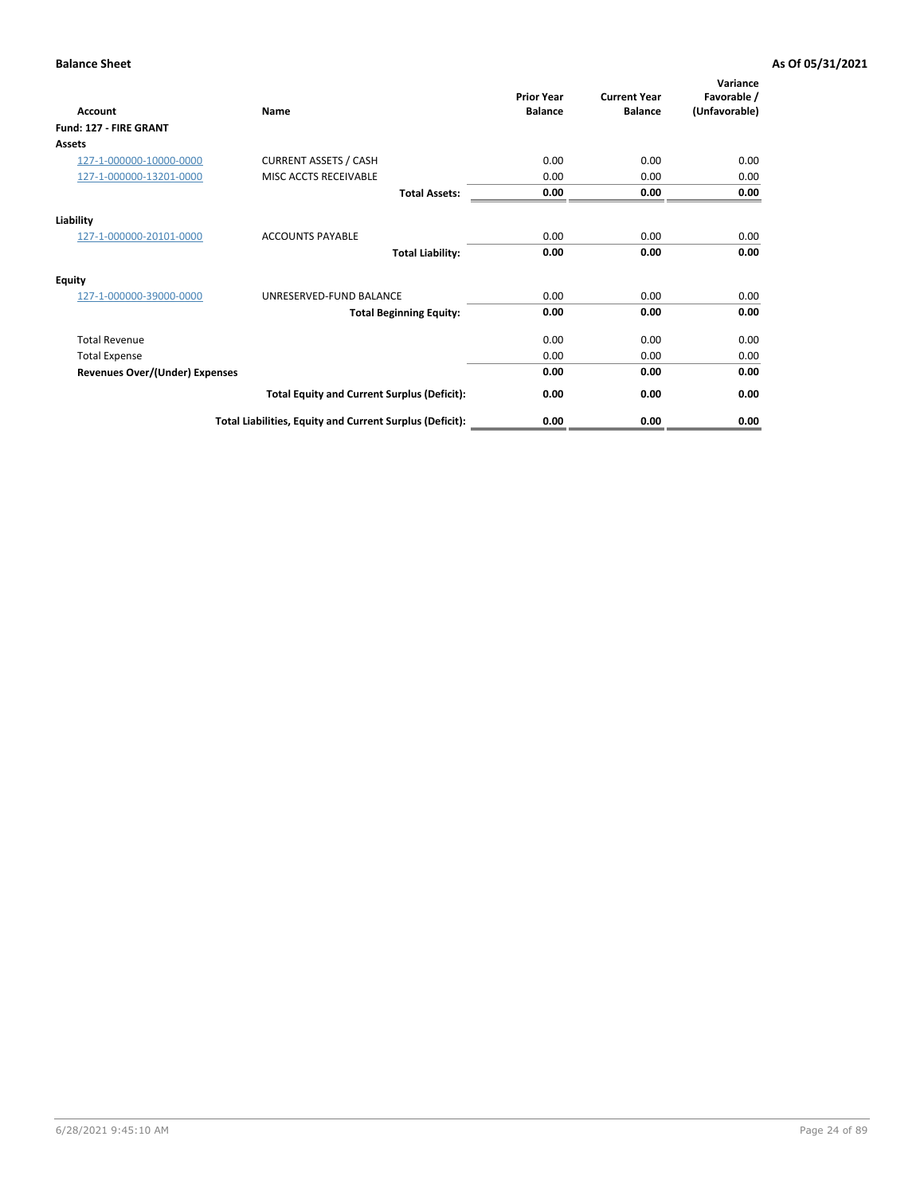| <b>Account</b>                        | Name                                                     | <b>Prior Year</b><br><b>Balance</b> | <b>Current Year</b><br><b>Balance</b> | Variance<br>Favorable /<br>(Unfavorable) |
|---------------------------------------|----------------------------------------------------------|-------------------------------------|---------------------------------------|------------------------------------------|
| Fund: 127 - FIRE GRANT                |                                                          |                                     |                                       |                                          |
| <b>Assets</b>                         |                                                          |                                     |                                       |                                          |
| 127-1-000000-10000-0000               | <b>CURRENT ASSETS / CASH</b>                             | 0.00                                | 0.00                                  | 0.00                                     |
| 127-1-000000-13201-0000               | MISC ACCTS RECEIVABLE                                    | 0.00                                | 0.00                                  | 0.00                                     |
|                                       | <b>Total Assets:</b>                                     | 0.00                                | 0.00                                  | 0.00                                     |
| Liability                             |                                                          |                                     |                                       |                                          |
| 127-1-000000-20101-0000               | <b>ACCOUNTS PAYABLE</b>                                  | 0.00                                | 0.00                                  | 0.00                                     |
|                                       | <b>Total Liability:</b>                                  | 0.00                                | 0.00                                  | 0.00                                     |
| <b>Equity</b>                         |                                                          |                                     |                                       |                                          |
| 127-1-000000-39000-0000               | UNRESERVED-FUND BALANCE                                  | 0.00                                | 0.00                                  | 0.00                                     |
|                                       | <b>Total Beginning Equity:</b>                           | 0.00                                | 0.00                                  | 0.00                                     |
| <b>Total Revenue</b>                  |                                                          | 0.00                                | 0.00                                  | 0.00                                     |
| <b>Total Expense</b>                  |                                                          | 0.00                                | 0.00                                  | 0.00                                     |
| <b>Revenues Over/(Under) Expenses</b> |                                                          | 0.00                                | 0.00                                  | 0.00                                     |
|                                       | <b>Total Equity and Current Surplus (Deficit):</b>       | 0.00                                | 0.00                                  | 0.00                                     |
|                                       | Total Liabilities, Equity and Current Surplus (Deficit): | 0.00                                | 0.00                                  | 0.00                                     |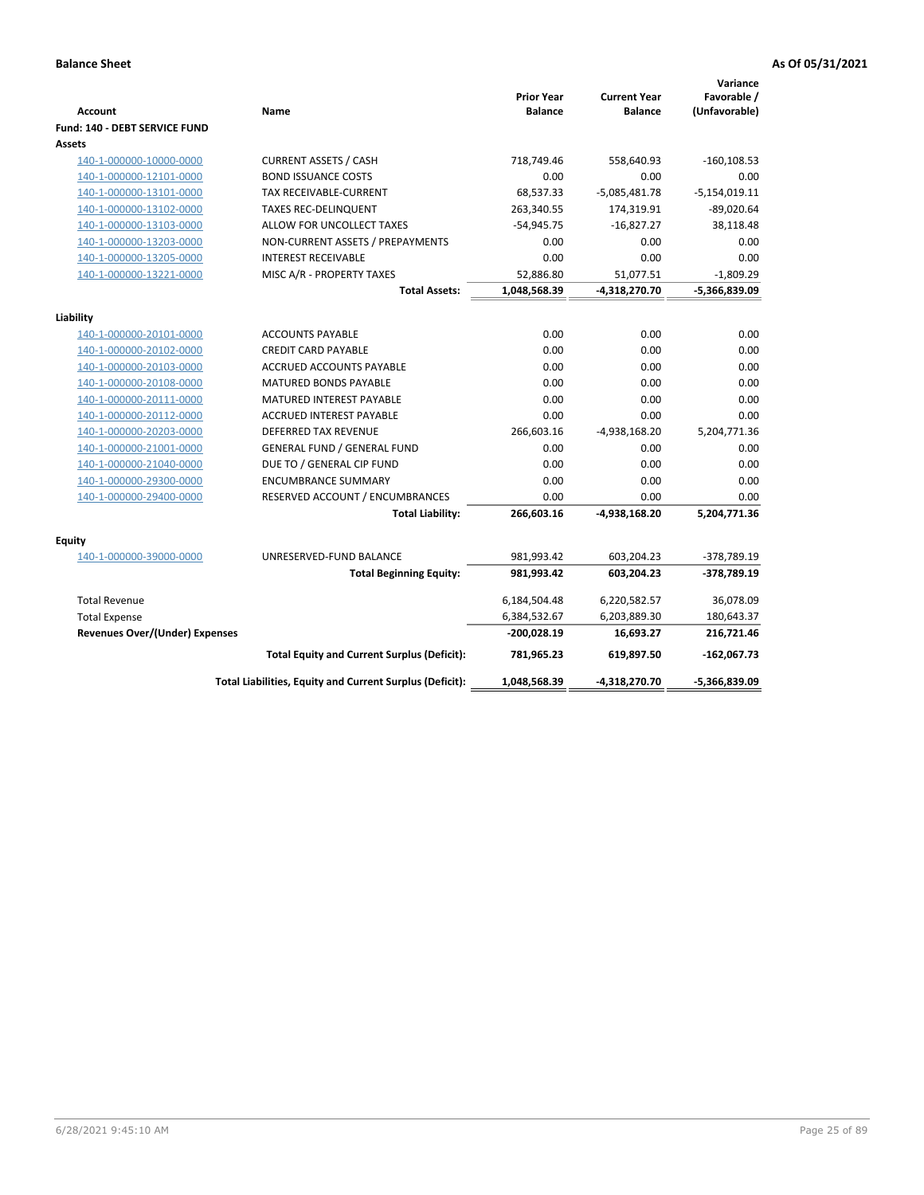| <b>Account</b>                                     | Name                                                     | <b>Prior Year</b><br><b>Balance</b> | <b>Current Year</b><br><b>Balance</b> | Variance<br>Favorable /<br>(Unfavorable) |
|----------------------------------------------------|----------------------------------------------------------|-------------------------------------|---------------------------------------|------------------------------------------|
| Fund: 140 - DEBT SERVICE FUND<br>Assets            |                                                          |                                     |                                       |                                          |
| 140-1-000000-10000-0000                            | <b>CURRENT ASSETS / CASH</b>                             | 718,749.46                          | 558,640.93                            | $-160, 108.53$                           |
| 140-1-000000-12101-0000                            | <b>BOND ISSUANCE COSTS</b>                               | 0.00                                | 0.00                                  | 0.00                                     |
| 140-1-000000-13101-0000                            | <b>TAX RECEIVABLE-CURRENT</b>                            | 68,537.33                           | $-5,085,481.78$                       | $-5,154,019.11$                          |
| 140-1-000000-13102-0000                            | <b>TAXES REC-DELINQUENT</b>                              | 263,340.55                          | 174,319.91                            | $-89,020.64$                             |
| 140-1-000000-13103-0000                            | ALLOW FOR UNCOLLECT TAXES                                | $-54,945.75$                        | $-16,827.27$                          | 38,118.48                                |
| 140-1-000000-13203-0000                            | NON-CURRENT ASSETS / PREPAYMENTS                         | 0.00                                | 0.00                                  | 0.00                                     |
|                                                    | <b>INTEREST RECEIVABLE</b>                               | 0.00                                | 0.00                                  | 0.00                                     |
| 140-1-000000-13205-0000<br>140-1-000000-13221-0000 | MISC A/R - PROPERTY TAXES                                | 52,886.80                           | 51,077.51                             | $-1,809.29$                              |
|                                                    | <b>Total Assets:</b>                                     | 1,048,568.39                        | -4,318,270.70                         | -5,366,839.09                            |
|                                                    |                                                          |                                     |                                       |                                          |
| Liability                                          |                                                          |                                     |                                       |                                          |
| 140-1-000000-20101-0000                            | <b>ACCOUNTS PAYABLE</b>                                  | 0.00                                | 0.00                                  | 0.00                                     |
| 140-1-000000-20102-0000                            | <b>CREDIT CARD PAYABLE</b>                               | 0.00                                | 0.00                                  | 0.00                                     |
| 140-1-000000-20103-0000                            | <b>ACCRUED ACCOUNTS PAYABLE</b>                          | 0.00                                | 0.00                                  | 0.00                                     |
| 140-1-000000-20108-0000                            | MATURED BONDS PAYABLE                                    | 0.00                                | 0.00                                  | 0.00                                     |
| 140-1-000000-20111-0000                            | MATURED INTEREST PAYABLE                                 | 0.00                                | 0.00                                  | 0.00                                     |
| 140-1-000000-20112-0000                            | ACCRUED INTEREST PAYABLE                                 | 0.00                                | 0.00                                  | 0.00                                     |
| 140-1-000000-20203-0000                            | <b>DEFERRED TAX REVENUE</b>                              | 266,603.16                          | $-4,938,168.20$                       | 5,204,771.36                             |
| 140-1-000000-21001-0000                            | <b>GENERAL FUND / GENERAL FUND</b>                       | 0.00                                | 0.00                                  | 0.00                                     |
| 140-1-000000-21040-0000                            | DUE TO / GENERAL CIP FUND                                | 0.00                                | 0.00                                  | 0.00                                     |
| 140-1-000000-29300-0000                            | <b>ENCUMBRANCE SUMMARY</b>                               | 0.00                                | 0.00                                  | 0.00                                     |
| 140-1-000000-29400-0000                            | RESERVED ACCOUNT / ENCUMBRANCES                          | 0.00                                | 0.00                                  | 0.00                                     |
|                                                    | <b>Total Liability:</b>                                  | 266,603.16                          | -4,938,168.20                         | 5,204,771.36                             |
| Equity                                             |                                                          |                                     |                                       |                                          |
| 140-1-000000-39000-0000                            | UNRESERVED-FUND BALANCE                                  | 981,993.42                          | 603,204.23                            | -378,789.19                              |
|                                                    | <b>Total Beginning Equity:</b>                           | 981,993.42                          | 603,204.23                            | $-378,789.19$                            |
|                                                    |                                                          |                                     |                                       |                                          |
| <b>Total Revenue</b>                               |                                                          | 6,184,504.48                        | 6,220,582.57                          | 36,078.09                                |
| <b>Total Expense</b>                               |                                                          | 6,384,532.67                        | 6,203,889.30                          | 180,643.37                               |
| <b>Revenues Over/(Under) Expenses</b>              |                                                          | $-200,028.19$                       | 16,693.27                             | 216,721.46                               |
|                                                    | <b>Total Equity and Current Surplus (Deficit):</b>       | 781,965.23                          | 619,897.50                            | $-162,067.73$                            |
|                                                    | Total Liabilities, Equity and Current Surplus (Deficit): | 1,048,568.39                        | -4,318,270.70                         | -5,366,839.09                            |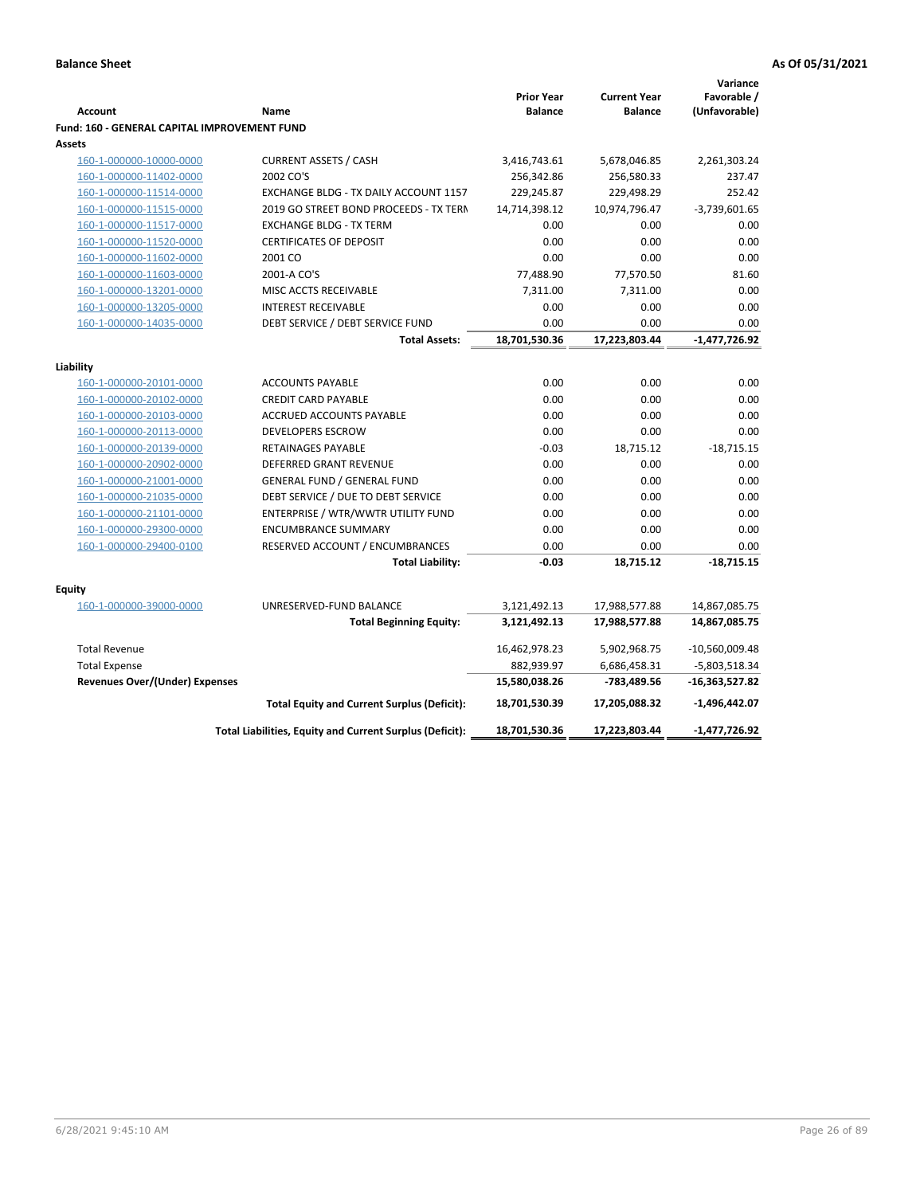|                                                     |                                                          | <b>Prior Year</b> | <b>Current Year</b> | Variance<br>Favorable / |
|-----------------------------------------------------|----------------------------------------------------------|-------------------|---------------------|-------------------------|
| <b>Account</b>                                      | Name                                                     | <b>Balance</b>    | <b>Balance</b>      | (Unfavorable)           |
| <b>Fund: 160 - GENERAL CAPITAL IMPROVEMENT FUND</b> |                                                          |                   |                     |                         |
| Assets                                              |                                                          |                   |                     |                         |
| 160-1-000000-10000-0000                             | <b>CURRENT ASSETS / CASH</b>                             | 3,416,743.61      | 5,678,046.85        | 2,261,303.24            |
| 160-1-000000-11402-0000                             | 2002 CO'S                                                | 256,342.86        | 256,580.33          | 237.47                  |
| 160-1-000000-11514-0000                             | EXCHANGE BLDG - TX DAILY ACCOUNT 1157                    | 229,245.87        | 229,498.29          | 252.42                  |
| 160-1-000000-11515-0000                             | 2019 GO STREET BOND PROCEEDS - TX TERN                   | 14,714,398.12     | 10,974,796.47       | $-3,739,601.65$         |
| 160-1-000000-11517-0000                             | <b>EXCHANGE BLDG - TX TERM</b>                           | 0.00              | 0.00                | 0.00                    |
| 160-1-000000-11520-0000                             | <b>CERTIFICATES OF DEPOSIT</b>                           | 0.00              | 0.00                | 0.00                    |
| 160-1-000000-11602-0000                             | 2001 CO                                                  | 0.00              | 0.00                | 0.00                    |
| 160-1-000000-11603-0000                             | 2001-A CO'S                                              | 77,488.90         | 77,570.50           | 81.60                   |
| 160-1-000000-13201-0000                             | MISC ACCTS RECEIVABLE                                    | 7,311.00          | 7,311.00            | 0.00                    |
| 160-1-000000-13205-0000                             | <b>INTEREST RECEIVABLE</b>                               | 0.00              | 0.00                | 0.00                    |
| 160-1-000000-14035-0000                             | DEBT SERVICE / DEBT SERVICE FUND                         | 0.00              | 0.00                | 0.00                    |
|                                                     | <b>Total Assets:</b>                                     | 18,701,530.36     | 17,223,803.44       | $-1,477,726.92$         |
| Liability                                           |                                                          |                   |                     |                         |
| 160-1-000000-20101-0000                             | <b>ACCOUNTS PAYABLE</b>                                  | 0.00              | 0.00                | 0.00                    |
| 160-1-000000-20102-0000                             | <b>CREDIT CARD PAYABLE</b>                               | 0.00              | 0.00                | 0.00                    |
| 160-1-000000-20103-0000                             | <b>ACCRUED ACCOUNTS PAYABLE</b>                          | 0.00              | 0.00                | 0.00                    |
| 160-1-000000-20113-0000                             | <b>DEVELOPERS ESCROW</b>                                 | 0.00              | 0.00                | 0.00                    |
| 160-1-000000-20139-0000                             | RETAINAGES PAYABLE                                       | $-0.03$           | 18,715.12           | $-18,715.15$            |
| 160-1-000000-20902-0000                             | <b>DEFERRED GRANT REVENUE</b>                            | 0.00              | 0.00                | 0.00                    |
| 160-1-000000-21001-0000                             | <b>GENERAL FUND / GENERAL FUND</b>                       | 0.00              | 0.00                | 0.00                    |
| 160-1-000000-21035-0000                             | DEBT SERVICE / DUE TO DEBT SERVICE                       | 0.00              | 0.00                | 0.00                    |
| 160-1-000000-21101-0000                             | ENTERPRISE / WTR/WWTR UTILITY FUND                       | 0.00              | 0.00                | 0.00                    |
| 160-1-000000-29300-0000                             | <b>ENCUMBRANCE SUMMARY</b>                               | 0.00              | 0.00                | 0.00                    |
| 160-1-000000-29400-0100                             | RESERVED ACCOUNT / ENCUMBRANCES                          | 0.00              | 0.00                | 0.00                    |
|                                                     | <b>Total Liability:</b>                                  | $-0.03$           | 18,715.12           | $-18,715.15$            |
|                                                     |                                                          |                   |                     |                         |
| <b>Equity</b>                                       |                                                          |                   |                     |                         |
| 160-1-000000-39000-0000                             | UNRESERVED-FUND BALANCE                                  | 3,121,492.13      | 17,988,577.88       | 14,867,085.75           |
|                                                     | <b>Total Beginning Equity:</b>                           | 3,121,492.13      | 17,988,577.88       | 14,867,085.75           |
| <b>Total Revenue</b>                                |                                                          | 16,462,978.23     | 5,902,968.75        | $-10,560,009.48$        |
| <b>Total Expense</b>                                |                                                          | 882,939.97        | 6,686,458.31        | -5,803,518.34           |
| <b>Revenues Over/(Under) Expenses</b>               |                                                          | 15,580,038.26     | -783,489.56         | $-16,363,527.82$        |
|                                                     | <b>Total Equity and Current Surplus (Deficit):</b>       | 18,701,530.39     | 17,205,088.32       | -1,496,442.07           |
|                                                     | Total Liabilities, Equity and Current Surplus (Deficit): | 18,701,530.36     | 17,223,803.44       | -1,477,726.92           |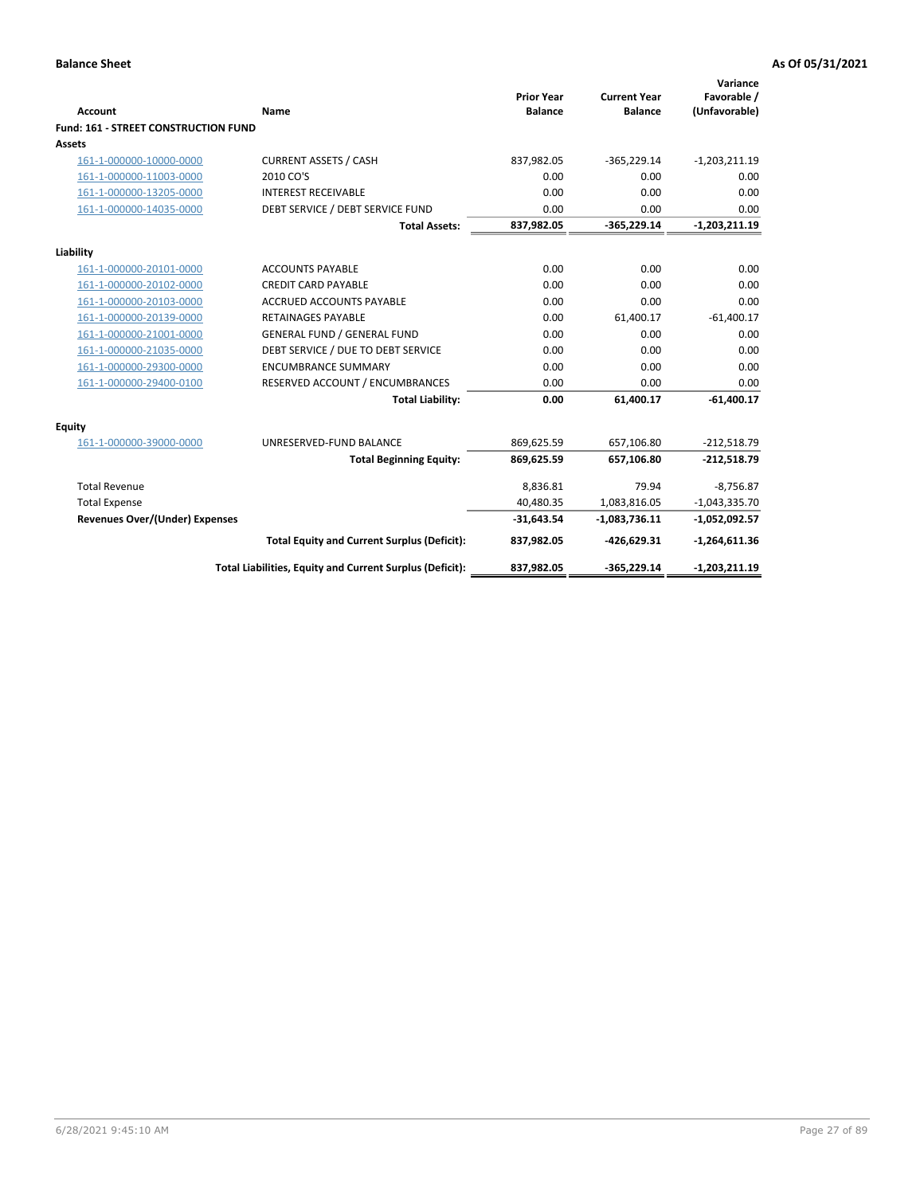| <b>Account</b>                       | Name                                                     | <b>Prior Year</b><br><b>Balance</b> | <b>Current Year</b><br><b>Balance</b> | Variance<br>Favorable /<br>(Unfavorable) |
|--------------------------------------|----------------------------------------------------------|-------------------------------------|---------------------------------------|------------------------------------------|
| Fund: 161 - STREET CONSTRUCTION FUND |                                                          |                                     |                                       |                                          |
| <b>Assets</b>                        |                                                          |                                     |                                       |                                          |
| 161-1-000000-10000-0000              | <b>CURRENT ASSETS / CASH</b>                             | 837,982.05                          | $-365,229.14$                         | $-1,203,211.19$                          |
| 161-1-000000-11003-0000              | 2010 CO'S                                                | 0.00                                | 0.00                                  | 0.00                                     |
| 161-1-000000-13205-0000              | <b>INTEREST RECEIVABLE</b>                               | 0.00                                | 0.00                                  | 0.00                                     |
| 161-1-000000-14035-0000              | DEBT SERVICE / DEBT SERVICE FUND                         | 0.00                                | 0.00                                  | 0.00                                     |
|                                      | <b>Total Assets:</b>                                     | 837,982.05                          | $-365,229.14$                         | $-1,203,211.19$                          |
| Liability                            |                                                          |                                     |                                       |                                          |
| 161-1-000000-20101-0000              | <b>ACCOUNTS PAYABLE</b>                                  | 0.00                                | 0.00                                  | 0.00                                     |
| 161-1-000000-20102-0000              | <b>CREDIT CARD PAYABLE</b>                               | 0.00                                | 0.00                                  | 0.00                                     |
| 161-1-000000-20103-0000              | <b>ACCRUED ACCOUNTS PAYABLE</b>                          | 0.00                                | 0.00                                  | 0.00                                     |
| 161-1-000000-20139-0000              | <b>RETAINAGES PAYABLE</b>                                | 0.00                                | 61,400.17                             | $-61,400.17$                             |
| 161-1-000000-21001-0000              | <b>GENERAL FUND / GENERAL FUND</b>                       | 0.00                                | 0.00                                  | 0.00                                     |
| 161-1-000000-21035-0000              | DEBT SERVICE / DUE TO DEBT SERVICE                       | 0.00                                | 0.00                                  | 0.00                                     |
| 161-1-000000-29300-0000              | <b>ENCUMBRANCE SUMMARY</b>                               | 0.00                                | 0.00                                  | 0.00                                     |
| 161-1-000000-29400-0100              | RESERVED ACCOUNT / ENCUMBRANCES                          | 0.00                                | 0.00                                  | 0.00                                     |
|                                      | <b>Total Liability:</b>                                  | 0.00                                | 61,400.17                             | $-61,400.17$                             |
| <b>Equity</b>                        |                                                          |                                     |                                       |                                          |
| 161-1-000000-39000-0000              | UNRESERVED-FUND BALANCE                                  | 869,625.59                          | 657,106.80                            | $-212,518.79$                            |
|                                      | <b>Total Beginning Equity:</b>                           | 869,625.59                          | 657,106.80                            | $-212,518.79$                            |
| <b>Total Revenue</b>                 |                                                          | 8,836.81                            | 79.94                                 | $-8,756.87$                              |
| <b>Total Expense</b>                 |                                                          | 40,480.35                           | 1,083,816.05                          | $-1,043,335.70$                          |
| Revenues Over/(Under) Expenses       |                                                          | $-31,643.54$                        | $-1,083,736.11$                       | $-1,052,092.57$                          |
|                                      | <b>Total Equity and Current Surplus (Deficit):</b>       | 837,982.05                          | $-426,629.31$                         | $-1,264,611.36$                          |
|                                      | Total Liabilities, Equity and Current Surplus (Deficit): | 837,982.05                          | $-365,229.14$                         | $-1,203,211.19$                          |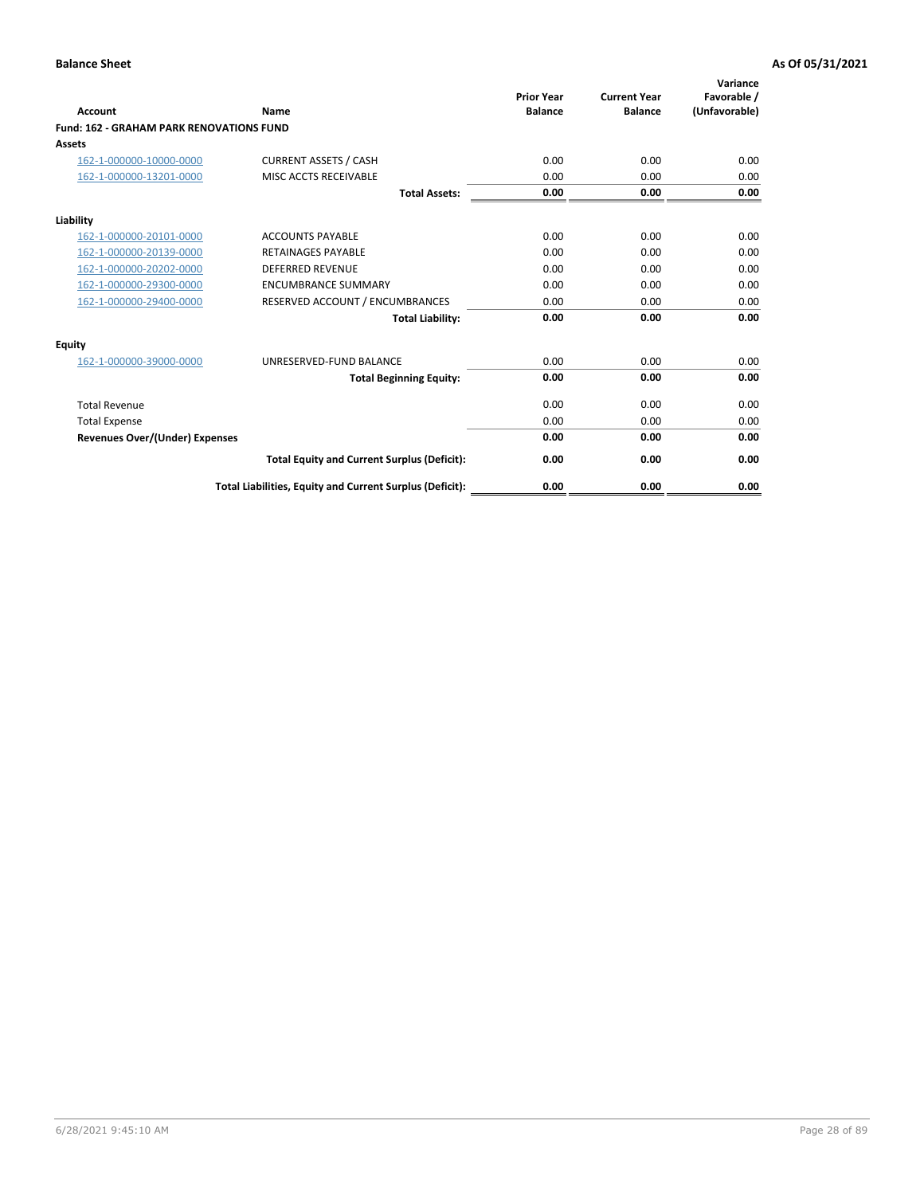| Account                                         | Name                                                     | <b>Prior Year</b><br><b>Balance</b> | <b>Current Year</b><br><b>Balance</b> | Variance<br>Favorable /<br>(Unfavorable) |
|-------------------------------------------------|----------------------------------------------------------|-------------------------------------|---------------------------------------|------------------------------------------|
| <b>Fund: 162 - GRAHAM PARK RENOVATIONS FUND</b> |                                                          |                                     |                                       |                                          |
| <b>Assets</b>                                   |                                                          |                                     |                                       |                                          |
| 162-1-000000-10000-0000                         | <b>CURRENT ASSETS / CASH</b>                             | 0.00                                | 0.00                                  | 0.00                                     |
| 162-1-000000-13201-0000                         | MISC ACCTS RECEIVABLE                                    | 0.00                                | 0.00                                  | 0.00                                     |
|                                                 | <b>Total Assets:</b>                                     | 0.00                                | 0.00                                  | 0.00                                     |
| Liability                                       |                                                          |                                     |                                       |                                          |
| 162-1-000000-20101-0000                         | <b>ACCOUNTS PAYABLE</b>                                  | 0.00                                | 0.00                                  | 0.00                                     |
| 162-1-000000-20139-0000                         | <b>RETAINAGES PAYABLE</b>                                | 0.00                                | 0.00                                  | 0.00                                     |
| 162-1-000000-20202-0000                         | <b>DEFERRED REVENUE</b>                                  | 0.00                                | 0.00                                  | 0.00                                     |
| 162-1-000000-29300-0000                         | <b>ENCUMBRANCE SUMMARY</b>                               | 0.00                                | 0.00                                  | 0.00                                     |
| 162-1-000000-29400-0000                         | RESERVED ACCOUNT / ENCUMBRANCES                          | 0.00                                | 0.00                                  | 0.00                                     |
|                                                 | <b>Total Liability:</b>                                  | 0.00                                | 0.00                                  | 0.00                                     |
| Equity                                          |                                                          |                                     |                                       |                                          |
| 162-1-000000-39000-0000                         | UNRESERVED-FUND BALANCE                                  | 0.00                                | 0.00                                  | 0.00                                     |
|                                                 | <b>Total Beginning Equity:</b>                           | 0.00                                | 0.00                                  | 0.00                                     |
| <b>Total Revenue</b>                            |                                                          | 0.00                                | 0.00                                  | 0.00                                     |
| <b>Total Expense</b>                            |                                                          | 0.00                                | 0.00                                  | 0.00                                     |
| <b>Revenues Over/(Under) Expenses</b>           |                                                          | 0.00                                | 0.00                                  | 0.00                                     |
|                                                 | <b>Total Equity and Current Surplus (Deficit):</b>       | 0.00                                | 0.00                                  | 0.00                                     |
|                                                 | Total Liabilities, Equity and Current Surplus (Deficit): | 0.00                                | 0.00                                  | 0.00                                     |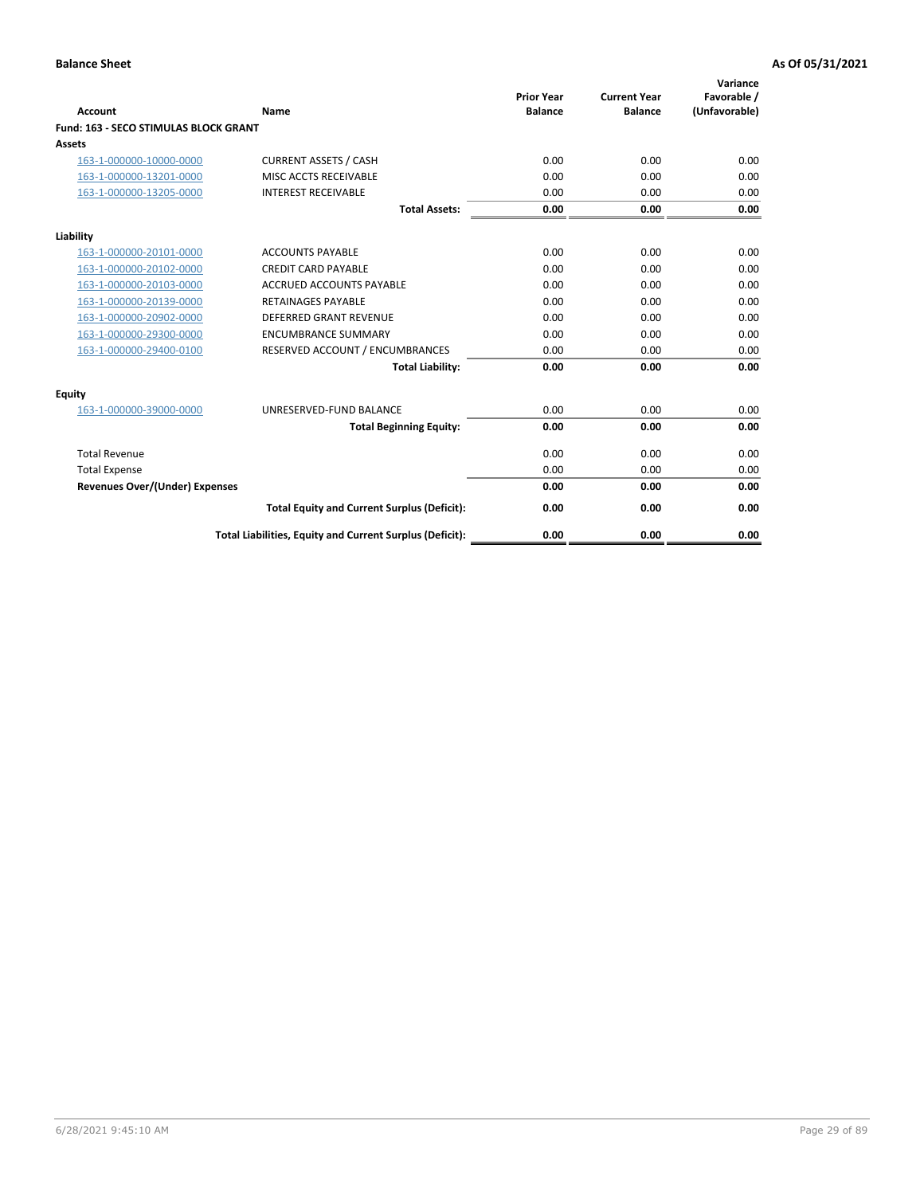|                                              |                                                          | <b>Prior Year</b> | <b>Current Year</b> | Variance<br>Favorable / |
|----------------------------------------------|----------------------------------------------------------|-------------------|---------------------|-------------------------|
| <b>Account</b>                               | Name                                                     | <b>Balance</b>    | <b>Balance</b>      | (Unfavorable)           |
| <b>Fund: 163 - SECO STIMULAS BLOCK GRANT</b> |                                                          |                   |                     |                         |
| Assets                                       |                                                          |                   |                     |                         |
| 163-1-000000-10000-0000                      | <b>CURRENT ASSETS / CASH</b>                             | 0.00              | 0.00                | 0.00                    |
| 163-1-000000-13201-0000                      | MISC ACCTS RECEIVABLE                                    | 0.00              | 0.00                | 0.00                    |
| 163-1-000000-13205-0000                      | <b>INTEREST RECEIVABLE</b>                               | 0.00              | 0.00                | 0.00                    |
|                                              | <b>Total Assets:</b>                                     | 0.00              | 0.00                | 0.00                    |
| Liability                                    |                                                          |                   |                     |                         |
| 163-1-000000-20101-0000                      | <b>ACCOUNTS PAYABLE</b>                                  | 0.00              | 0.00                | 0.00                    |
| 163-1-000000-20102-0000                      | <b>CREDIT CARD PAYABLE</b>                               | 0.00              | 0.00                | 0.00                    |
| 163-1-000000-20103-0000                      | <b>ACCRUED ACCOUNTS PAYABLE</b>                          | 0.00              | 0.00                | 0.00                    |
| 163-1-000000-20139-0000                      | <b>RETAINAGES PAYABLE</b>                                | 0.00              | 0.00                | 0.00                    |
| 163-1-000000-20902-0000                      | <b>DEFERRED GRANT REVENUE</b>                            | 0.00              | 0.00                | 0.00                    |
| 163-1-000000-29300-0000                      | <b>ENCUMBRANCE SUMMARY</b>                               | 0.00              | 0.00                | 0.00                    |
| 163-1-000000-29400-0100                      | RESERVED ACCOUNT / ENCUMBRANCES                          | 0.00              | 0.00                | 0.00                    |
|                                              | <b>Total Liability:</b>                                  | 0.00              | 0.00                | 0.00                    |
| <b>Equity</b>                                |                                                          |                   |                     |                         |
| 163-1-000000-39000-0000                      | UNRESERVED-FUND BALANCE                                  | 0.00              | 0.00                | 0.00                    |
|                                              | <b>Total Beginning Equity:</b>                           | 0.00              | 0.00                | 0.00                    |
| <b>Total Revenue</b>                         |                                                          | 0.00              | 0.00                | 0.00                    |
| <b>Total Expense</b>                         |                                                          | 0.00              | 0.00                | 0.00                    |
| Revenues Over/(Under) Expenses               |                                                          | 0.00              | 0.00                | 0.00                    |
|                                              | <b>Total Equity and Current Surplus (Deficit):</b>       | 0.00              | 0.00                | 0.00                    |
|                                              | Total Liabilities, Equity and Current Surplus (Deficit): | 0.00              | 0.00                | 0.00                    |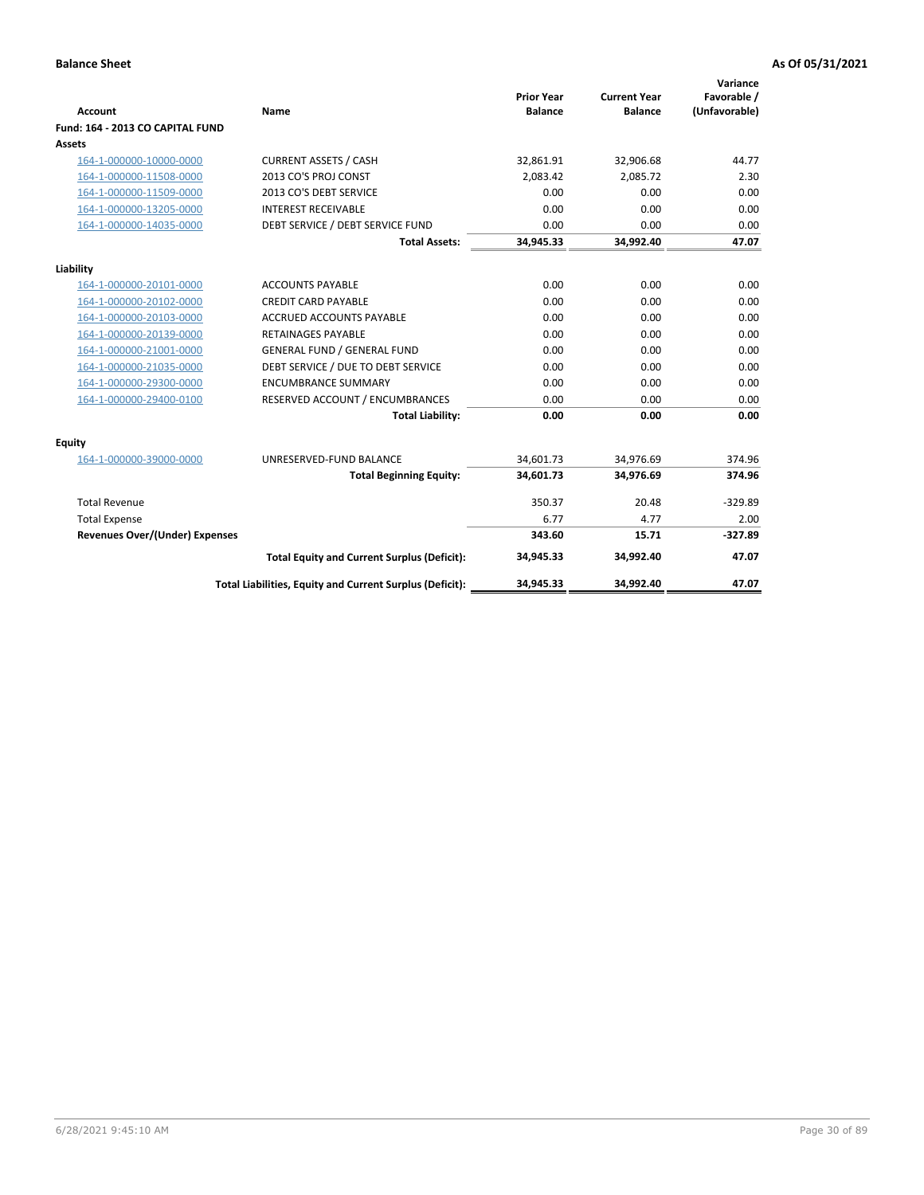| <b>Account</b>                        | <b>Name</b>                                              | <b>Prior Year</b><br><b>Balance</b> | <b>Current Year</b><br><b>Balance</b> | Variance<br>Favorable /<br>(Unfavorable) |
|---------------------------------------|----------------------------------------------------------|-------------------------------------|---------------------------------------|------------------------------------------|
| Fund: 164 - 2013 CO CAPITAL FUND      |                                                          |                                     |                                       |                                          |
| Assets                                |                                                          |                                     |                                       |                                          |
| 164-1-000000-10000-0000               | <b>CURRENT ASSETS / CASH</b>                             | 32,861.91                           | 32,906.68                             | 44.77                                    |
| 164-1-000000-11508-0000               | 2013 CO'S PROJ CONST                                     | 2,083.42                            | 2,085.72                              | 2.30                                     |
| 164-1-000000-11509-0000               | 2013 CO'S DEBT SERVICE                                   | 0.00                                | 0.00                                  | 0.00                                     |
| 164-1-000000-13205-0000               | <b>INTEREST RECEIVABLE</b>                               | 0.00                                | 0.00                                  | 0.00                                     |
| 164-1-000000-14035-0000               | DEBT SERVICE / DEBT SERVICE FUND                         | 0.00                                | 0.00                                  | 0.00                                     |
|                                       | <b>Total Assets:</b>                                     | 34,945.33                           | 34,992.40                             | 47.07                                    |
| Liability                             |                                                          |                                     |                                       |                                          |
| 164-1-000000-20101-0000               | <b>ACCOUNTS PAYABLE</b>                                  | 0.00                                | 0.00                                  | 0.00                                     |
| 164-1-000000-20102-0000               | <b>CREDIT CARD PAYABLE</b>                               | 0.00                                | 0.00                                  | 0.00                                     |
| 164-1-000000-20103-0000               | <b>ACCRUED ACCOUNTS PAYABLE</b>                          | 0.00                                | 0.00                                  | 0.00                                     |
| 164-1-000000-20139-0000               | <b>RETAINAGES PAYABLE</b>                                | 0.00                                | 0.00                                  | 0.00                                     |
| 164-1-000000-21001-0000               | <b>GENERAL FUND / GENERAL FUND</b>                       | 0.00                                | 0.00                                  | 0.00                                     |
| 164-1-000000-21035-0000               | DEBT SERVICE / DUE TO DEBT SERVICE                       | 0.00                                | 0.00                                  | 0.00                                     |
| 164-1-000000-29300-0000               | <b>ENCUMBRANCE SUMMARY</b>                               | 0.00                                | 0.00                                  | 0.00                                     |
| 164-1-000000-29400-0100               | RESERVED ACCOUNT / ENCUMBRANCES                          | 0.00                                | 0.00                                  | 0.00                                     |
|                                       | <b>Total Liability:</b>                                  | 0.00                                | 0.00                                  | 0.00                                     |
| Equity                                |                                                          |                                     |                                       |                                          |
| 164-1-000000-39000-0000               | UNRESERVED-FUND BALANCE                                  | 34,601.73                           | 34,976.69                             | 374.96                                   |
|                                       | <b>Total Beginning Equity:</b>                           | 34,601.73                           | 34,976.69                             | 374.96                                   |
| <b>Total Revenue</b>                  |                                                          | 350.37                              | 20.48                                 | $-329.89$                                |
| <b>Total Expense</b>                  |                                                          | 6.77                                | 4.77                                  | 2.00                                     |
| <b>Revenues Over/(Under) Expenses</b> |                                                          | 343.60                              | 15.71                                 | $-327.89$                                |
|                                       | <b>Total Equity and Current Surplus (Deficit):</b>       | 34,945.33                           | 34,992.40                             | 47.07                                    |
|                                       | Total Liabilities, Equity and Current Surplus (Deficit): | 34,945.33                           | 34,992.40                             | 47.07                                    |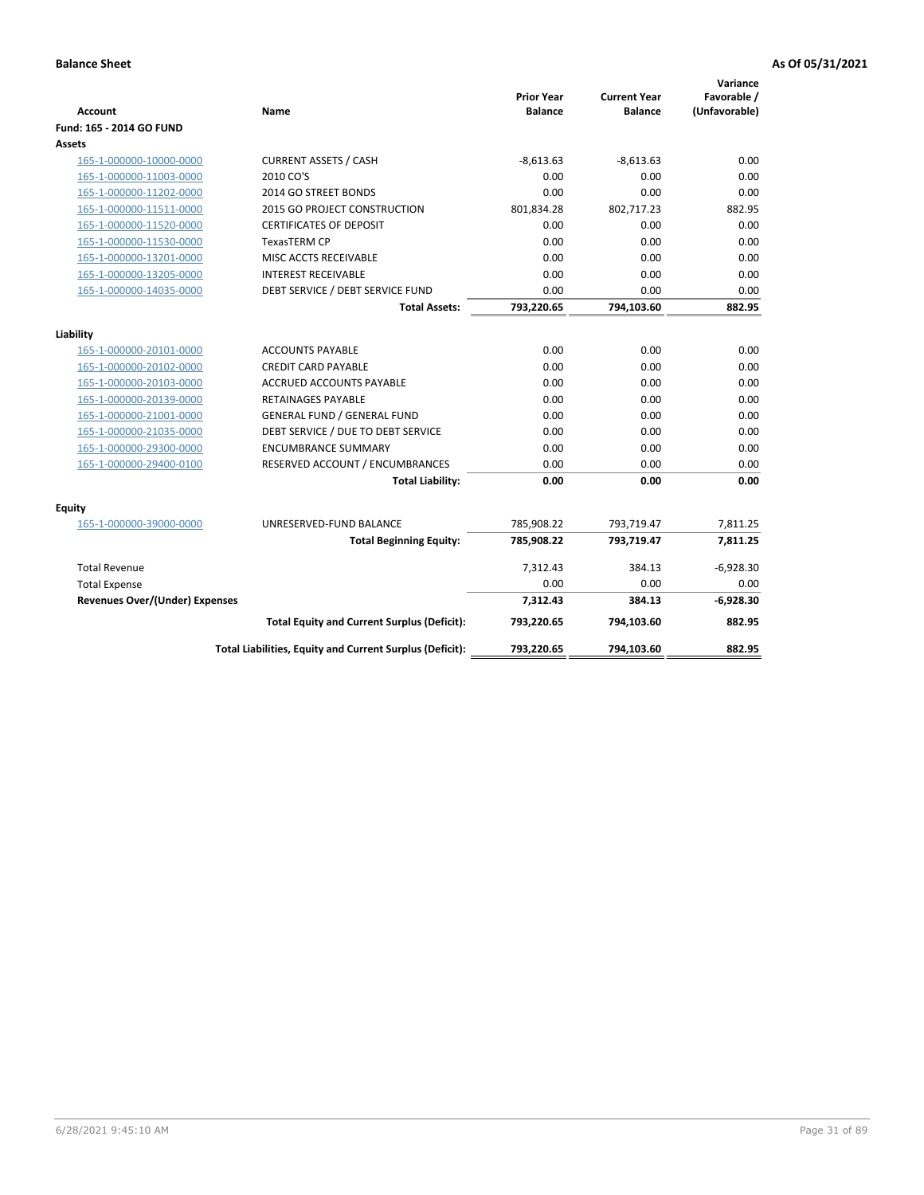| <b>Account</b>                        | Name                                                     | <b>Prior Year</b><br><b>Balance</b> | <b>Current Year</b><br><b>Balance</b> | Variance<br>Favorable /<br>(Unfavorable) |
|---------------------------------------|----------------------------------------------------------|-------------------------------------|---------------------------------------|------------------------------------------|
| Fund: 165 - 2014 GO FUND              |                                                          |                                     |                                       |                                          |
| Assets                                |                                                          |                                     |                                       |                                          |
| 165-1-000000-10000-0000               | <b>CURRENT ASSETS / CASH</b>                             | $-8,613.63$                         | $-8,613.63$                           | 0.00                                     |
| 165-1-000000-11003-0000               | 2010 CO'S                                                | 0.00                                | 0.00                                  | 0.00                                     |
| 165-1-000000-11202-0000               | 2014 GO STREET BONDS                                     | 0.00                                | 0.00                                  | 0.00                                     |
| 165-1-000000-11511-0000               | <b>2015 GO PROJECT CONSTRUCTION</b>                      | 801,834.28                          | 802,717.23                            | 882.95                                   |
| 165-1-000000-11520-0000               | <b>CERTIFICATES OF DEPOSIT</b>                           | 0.00                                | 0.00                                  | 0.00                                     |
| 165-1-000000-11530-0000               | <b>TexasTERM CP</b>                                      | 0.00                                | 0.00                                  | 0.00                                     |
| 165-1-000000-13201-0000               | MISC ACCTS RECEIVABLE                                    | 0.00                                | 0.00                                  | 0.00                                     |
| 165-1-000000-13205-0000               | <b>INTEREST RECEIVABLE</b>                               | 0.00                                | 0.00                                  | 0.00                                     |
| 165-1-000000-14035-0000               | DEBT SERVICE / DEBT SERVICE FUND                         | 0.00                                | 0.00                                  | 0.00                                     |
|                                       | <b>Total Assets:</b>                                     | 793,220.65                          | 794,103.60                            | 882.95                                   |
| Liability                             |                                                          |                                     |                                       |                                          |
| 165-1-000000-20101-0000               | <b>ACCOUNTS PAYABLE</b>                                  | 0.00                                | 0.00                                  | 0.00                                     |
| 165-1-000000-20102-0000               | <b>CREDIT CARD PAYABLE</b>                               | 0.00                                | 0.00                                  | 0.00                                     |
| 165-1-000000-20103-0000               | <b>ACCRUED ACCOUNTS PAYABLE</b>                          | 0.00                                | 0.00                                  | 0.00                                     |
| 165-1-000000-20139-0000               | <b>RETAINAGES PAYABLE</b>                                | 0.00                                | 0.00                                  | 0.00                                     |
| 165-1-000000-21001-0000               | <b>GENERAL FUND / GENERAL FUND</b>                       | 0.00                                | 0.00                                  | 0.00                                     |
| 165-1-000000-21035-0000               | DEBT SERVICE / DUE TO DEBT SERVICE                       | 0.00                                | 0.00                                  | 0.00                                     |
| 165-1-000000-29300-0000               | <b>ENCUMBRANCE SUMMARY</b>                               | 0.00                                | 0.00                                  | 0.00                                     |
| 165-1-000000-29400-0100               | RESERVED ACCOUNT / ENCUMBRANCES                          | 0.00                                | 0.00                                  | 0.00                                     |
|                                       | <b>Total Liability:</b>                                  | 0.00                                | 0.00                                  | 0.00                                     |
| Equity                                |                                                          |                                     |                                       |                                          |
| 165-1-000000-39000-0000               | UNRESERVED-FUND BALANCE                                  | 785,908.22                          | 793,719.47                            | 7,811.25                                 |
|                                       | <b>Total Beginning Equity:</b>                           | 785,908.22                          | 793,719.47                            | 7,811.25                                 |
| <b>Total Revenue</b>                  |                                                          | 7,312.43                            | 384.13                                | $-6,928.30$                              |
| <b>Total Expense</b>                  |                                                          | 0.00                                | 0.00                                  | 0.00                                     |
| <b>Revenues Over/(Under) Expenses</b> |                                                          | 7,312.43                            | 384.13                                | $-6,928.30$                              |
|                                       | <b>Total Equity and Current Surplus (Deficit):</b>       | 793,220.65                          | 794,103.60                            | 882.95                                   |
|                                       | Total Liabilities, Equity and Current Surplus (Deficit): | 793,220.65                          | 794,103.60                            | 882.95                                   |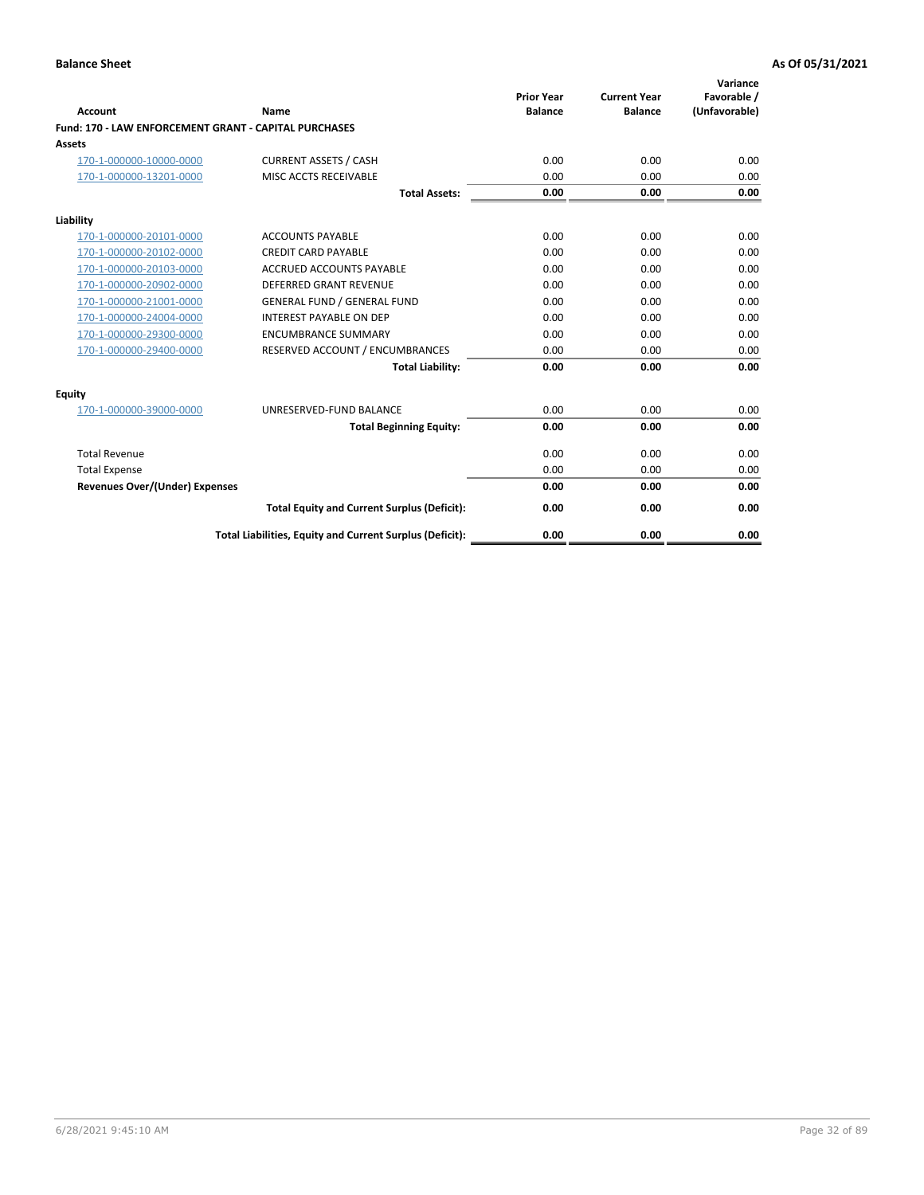| Account                                               | Name                                                     | <b>Prior Year</b><br><b>Balance</b> | <b>Current Year</b><br><b>Balance</b> | Variance<br>Favorable /<br>(Unfavorable) |
|-------------------------------------------------------|----------------------------------------------------------|-------------------------------------|---------------------------------------|------------------------------------------|
| Fund: 170 - LAW ENFORCEMENT GRANT - CAPITAL PURCHASES |                                                          |                                     |                                       |                                          |
| <b>Assets</b>                                         |                                                          |                                     |                                       |                                          |
| 170-1-000000-10000-0000                               | <b>CURRENT ASSETS / CASH</b>                             | 0.00                                | 0.00                                  | 0.00                                     |
| 170-1-000000-13201-0000                               | MISC ACCTS RECEIVABLE                                    | 0.00                                | 0.00                                  | 0.00                                     |
|                                                       | <b>Total Assets:</b>                                     | 0.00                                | 0.00                                  | 0.00                                     |
| Liability                                             |                                                          |                                     |                                       |                                          |
| 170-1-000000-20101-0000                               | <b>ACCOUNTS PAYABLE</b>                                  | 0.00                                | 0.00                                  | 0.00                                     |
| 170-1-000000-20102-0000                               | <b>CREDIT CARD PAYABLE</b>                               | 0.00                                | 0.00                                  | 0.00                                     |
| 170-1-000000-20103-0000                               | <b>ACCRUED ACCOUNTS PAYABLE</b>                          | 0.00                                | 0.00                                  | 0.00                                     |
| 170-1-000000-20902-0000                               | DEFERRED GRANT REVENUE                                   | 0.00                                | 0.00                                  | 0.00                                     |
| 170-1-000000-21001-0000                               | <b>GENERAL FUND / GENERAL FUND</b>                       | 0.00                                | 0.00                                  | 0.00                                     |
| 170-1-000000-24004-0000                               | <b>INTEREST PAYABLE ON DEP</b>                           | 0.00                                | 0.00                                  | 0.00                                     |
| 170-1-000000-29300-0000                               | <b>ENCUMBRANCE SUMMARY</b>                               | 0.00                                | 0.00                                  | 0.00                                     |
| 170-1-000000-29400-0000                               | RESERVED ACCOUNT / ENCUMBRANCES                          | 0.00                                | 0.00                                  | 0.00                                     |
|                                                       | <b>Total Liability:</b>                                  | 0.00                                | 0.00                                  | 0.00                                     |
| <b>Equity</b>                                         |                                                          |                                     |                                       |                                          |
| 170-1-000000-39000-0000                               | UNRESERVED-FUND BALANCE                                  | 0.00                                | 0.00                                  | 0.00                                     |
|                                                       | <b>Total Beginning Equity:</b>                           | 0.00                                | 0.00                                  | 0.00                                     |
| <b>Total Revenue</b>                                  |                                                          | 0.00                                | 0.00                                  | 0.00                                     |
| <b>Total Expense</b>                                  |                                                          | 0.00                                | 0.00                                  | 0.00                                     |
| <b>Revenues Over/(Under) Expenses</b>                 |                                                          | 0.00                                | 0.00                                  | 0.00                                     |
|                                                       | <b>Total Equity and Current Surplus (Deficit):</b>       | 0.00                                | 0.00                                  | 0.00                                     |
|                                                       | Total Liabilities, Equity and Current Surplus (Deficit): | 0.00                                | 0.00                                  | 0.00                                     |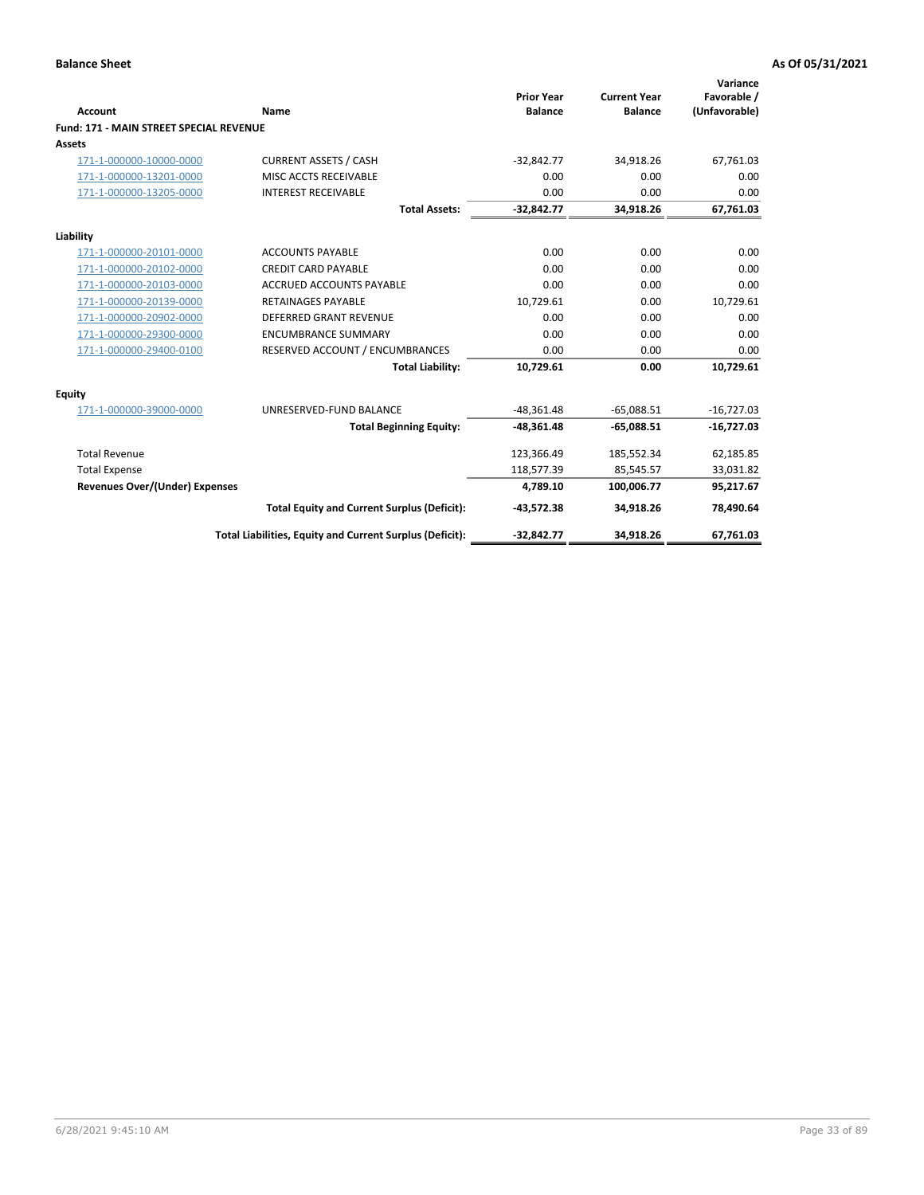|                                                |                                                          | <b>Prior Year</b> | <b>Current Year</b> | Variance<br>Favorable / |
|------------------------------------------------|----------------------------------------------------------|-------------------|---------------------|-------------------------|
| <b>Account</b>                                 | Name                                                     | <b>Balance</b>    | <b>Balance</b>      | (Unfavorable)           |
| <b>Fund: 171 - MAIN STREET SPECIAL REVENUE</b> |                                                          |                   |                     |                         |
| <b>Assets</b>                                  |                                                          |                   |                     |                         |
| 171-1-000000-10000-0000                        | <b>CURRENT ASSETS / CASH</b>                             | $-32,842.77$      | 34,918.26           | 67,761.03               |
| 171-1-000000-13201-0000                        | MISC ACCTS RECEIVABLE                                    | 0.00              | 0.00                | 0.00                    |
| 171-1-000000-13205-0000                        | <b>INTEREST RECEIVABLE</b>                               | 0.00              | 0.00                | 0.00                    |
|                                                | <b>Total Assets:</b>                                     | $-32.842.77$      | 34.918.26           | 67,761.03               |
| Liability                                      |                                                          |                   |                     |                         |
| 171-1-000000-20101-0000                        | <b>ACCOUNTS PAYABLE</b>                                  | 0.00              | 0.00                | 0.00                    |
| 171-1-000000-20102-0000                        | <b>CREDIT CARD PAYABLE</b>                               | 0.00              | 0.00                | 0.00                    |
| 171-1-000000-20103-0000                        | <b>ACCRUED ACCOUNTS PAYABLE</b>                          | 0.00              | 0.00                | 0.00                    |
| 171-1-000000-20139-0000                        | <b>RETAINAGES PAYABLE</b>                                | 10.729.61         | 0.00                | 10,729.61               |
| 171-1-000000-20902-0000                        | DEFERRED GRANT REVENUE                                   | 0.00              | 0.00                | 0.00                    |
| 171-1-000000-29300-0000                        | <b>ENCUMBRANCE SUMMARY</b>                               | 0.00              | 0.00                | 0.00                    |
| 171-1-000000-29400-0100                        | RESERVED ACCOUNT / ENCUMBRANCES                          | 0.00              | 0.00                | 0.00                    |
|                                                | <b>Total Liability:</b>                                  | 10,729.61         | 0.00                | 10,729.61               |
| <b>Equity</b>                                  |                                                          |                   |                     |                         |
| 171-1-000000-39000-0000                        | UNRESERVED-FUND BALANCE                                  | $-48,361.48$      | $-65,088.51$        | $-16,727.03$            |
|                                                | <b>Total Beginning Equity:</b>                           | $-48,361.48$      | $-65,088.51$        | $-16,727.03$            |
| <b>Total Revenue</b>                           |                                                          | 123,366.49        | 185,552.34          | 62,185.85               |
| <b>Total Expense</b>                           |                                                          | 118,577.39        | 85,545.57           | 33,031.82               |
| <b>Revenues Over/(Under) Expenses</b>          |                                                          | 4,789.10          | 100,006.77          | 95,217.67               |
|                                                | <b>Total Equity and Current Surplus (Deficit):</b>       | $-43,572.38$      | 34,918.26           | 78,490.64               |
|                                                | Total Liabilities, Equity and Current Surplus (Deficit): | $-32,842.77$      | 34,918.26           | 67.761.03               |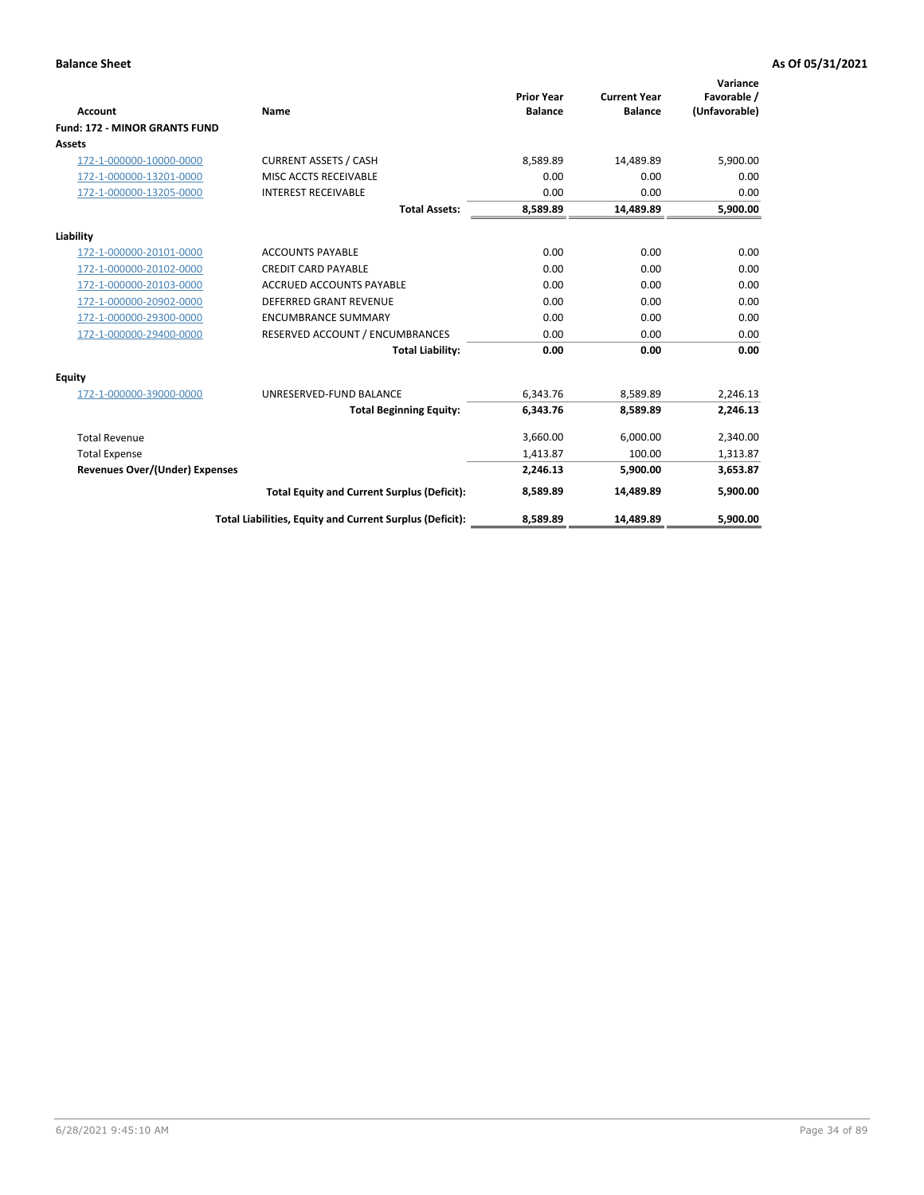|                                       |                                                          |                                     |                                       | Variance                     |
|---------------------------------------|----------------------------------------------------------|-------------------------------------|---------------------------------------|------------------------------|
| <b>Account</b>                        | <b>Name</b>                                              | <b>Prior Year</b><br><b>Balance</b> | <b>Current Year</b><br><b>Balance</b> | Favorable /<br>(Unfavorable) |
| <b>Fund: 172 - MINOR GRANTS FUND</b>  |                                                          |                                     |                                       |                              |
| <b>Assets</b>                         |                                                          |                                     |                                       |                              |
| 172-1-000000-10000-0000               | <b>CURRENT ASSETS / CASH</b>                             | 8,589.89                            | 14,489.89                             | 5,900.00                     |
| 172-1-000000-13201-0000               | MISC ACCTS RECEIVABLE                                    | 0.00                                | 0.00                                  | 0.00                         |
| 172-1-000000-13205-0000               | <b>INTEREST RECEIVABLE</b>                               | 0.00                                | 0.00                                  | 0.00                         |
|                                       | <b>Total Assets:</b>                                     | 8,589.89                            | 14,489.89                             | 5,900.00                     |
| Liability                             |                                                          |                                     |                                       |                              |
| 172-1-000000-20101-0000               | <b>ACCOUNTS PAYABLE</b>                                  | 0.00                                | 0.00                                  | 0.00                         |
| 172-1-000000-20102-0000               | <b>CREDIT CARD PAYABLE</b>                               | 0.00                                | 0.00                                  | 0.00                         |
| 172-1-000000-20103-0000               | <b>ACCRUED ACCOUNTS PAYABLE</b>                          | 0.00                                | 0.00                                  | 0.00                         |
| 172-1-000000-20902-0000               | <b>DEFERRED GRANT REVENUE</b>                            | 0.00                                | 0.00                                  | 0.00                         |
| 172-1-000000-29300-0000               | <b>ENCUMBRANCE SUMMARY</b>                               | 0.00                                | 0.00                                  | 0.00                         |
| 172-1-000000-29400-0000               | RESERVED ACCOUNT / ENCUMBRANCES                          | 0.00                                | 0.00                                  | 0.00                         |
|                                       | <b>Total Liability:</b>                                  | 0.00                                | 0.00                                  | 0.00                         |
| Equity                                |                                                          |                                     |                                       |                              |
| 172-1-000000-39000-0000               | UNRESERVED-FUND BALANCE                                  | 6,343.76                            | 8,589.89                              | 2,246.13                     |
|                                       | <b>Total Beginning Equity:</b>                           | 6,343.76                            | 8,589.89                              | 2,246.13                     |
| <b>Total Revenue</b>                  |                                                          | 3,660.00                            | 6,000.00                              | 2,340.00                     |
| <b>Total Expense</b>                  |                                                          | 1,413.87                            | 100.00                                | 1,313.87                     |
| <b>Revenues Over/(Under) Expenses</b> |                                                          | 2,246.13                            | 5,900.00                              | 3,653.87                     |
|                                       | <b>Total Equity and Current Surplus (Deficit):</b>       | 8,589.89                            | 14.489.89                             | 5,900.00                     |
|                                       | Total Liabilities, Equity and Current Surplus (Deficit): | 8,589.89                            | 14,489.89                             | 5,900.00                     |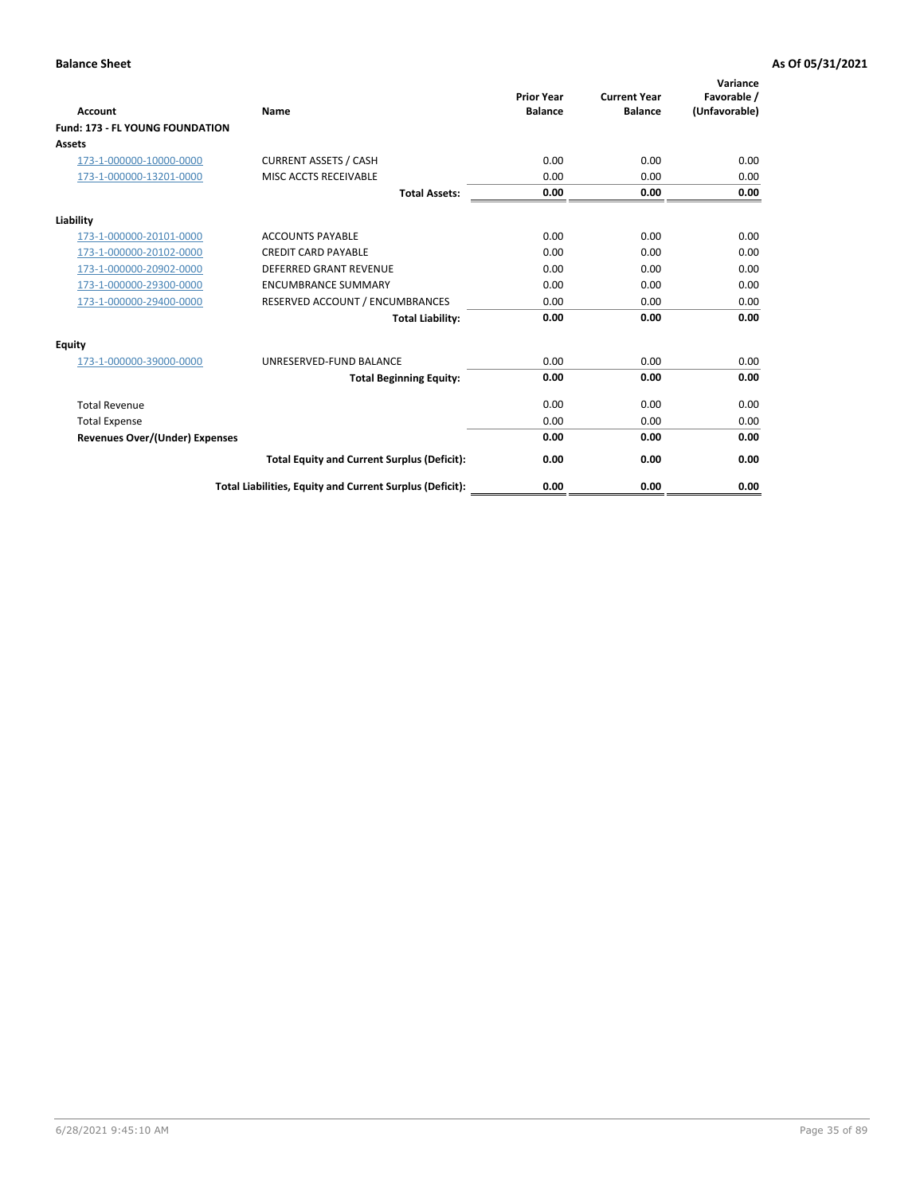| <b>Account</b>                         | <b>Name</b>                                              | <b>Prior Year</b><br><b>Balance</b> | <b>Current Year</b><br><b>Balance</b> | Variance<br>Favorable /<br>(Unfavorable) |
|----------------------------------------|----------------------------------------------------------|-------------------------------------|---------------------------------------|------------------------------------------|
| <b>Fund: 173 - FL YOUNG FOUNDATION</b> |                                                          |                                     |                                       |                                          |
| Assets                                 |                                                          |                                     |                                       |                                          |
| 173-1-000000-10000-0000                | <b>CURRENT ASSETS / CASH</b>                             | 0.00                                | 0.00                                  | 0.00                                     |
| 173-1-000000-13201-0000                | MISC ACCTS RECEIVABLE                                    | 0.00                                | 0.00                                  | 0.00                                     |
|                                        | <b>Total Assets:</b>                                     | 0.00                                | 0.00                                  | 0.00                                     |
| Liability                              |                                                          |                                     |                                       |                                          |
| 173-1-000000-20101-0000                | <b>ACCOUNTS PAYABLE</b>                                  | 0.00                                | 0.00                                  | 0.00                                     |
| 173-1-000000-20102-0000                | <b>CREDIT CARD PAYABLE</b>                               | 0.00                                | 0.00                                  | 0.00                                     |
| 173-1-000000-20902-0000                | <b>DEFERRED GRANT REVENUE</b>                            | 0.00                                | 0.00                                  | 0.00                                     |
| 173-1-000000-29300-0000                | <b>ENCUMBRANCE SUMMARY</b>                               | 0.00                                | 0.00                                  | 0.00                                     |
| 173-1-000000-29400-0000                | RESERVED ACCOUNT / ENCUMBRANCES                          | 0.00                                | 0.00                                  | 0.00                                     |
|                                        | <b>Total Liability:</b>                                  | 0.00                                | 0.00                                  | 0.00                                     |
| Equity                                 |                                                          |                                     |                                       |                                          |
| 173-1-000000-39000-0000                | UNRESERVED-FUND BALANCE                                  | 0.00                                | 0.00                                  | 0.00                                     |
|                                        | <b>Total Beginning Equity:</b>                           | 0.00                                | 0.00                                  | 0.00                                     |
| <b>Total Revenue</b>                   |                                                          | 0.00                                | 0.00                                  | 0.00                                     |
| <b>Total Expense</b>                   |                                                          | 0.00                                | 0.00                                  | 0.00                                     |
| <b>Revenues Over/(Under) Expenses</b>  |                                                          | 0.00                                | 0.00                                  | 0.00                                     |
|                                        | <b>Total Equity and Current Surplus (Deficit):</b>       | 0.00                                | 0.00                                  | 0.00                                     |
|                                        | Total Liabilities, Equity and Current Surplus (Deficit): | 0.00                                | 0.00                                  | 0.00                                     |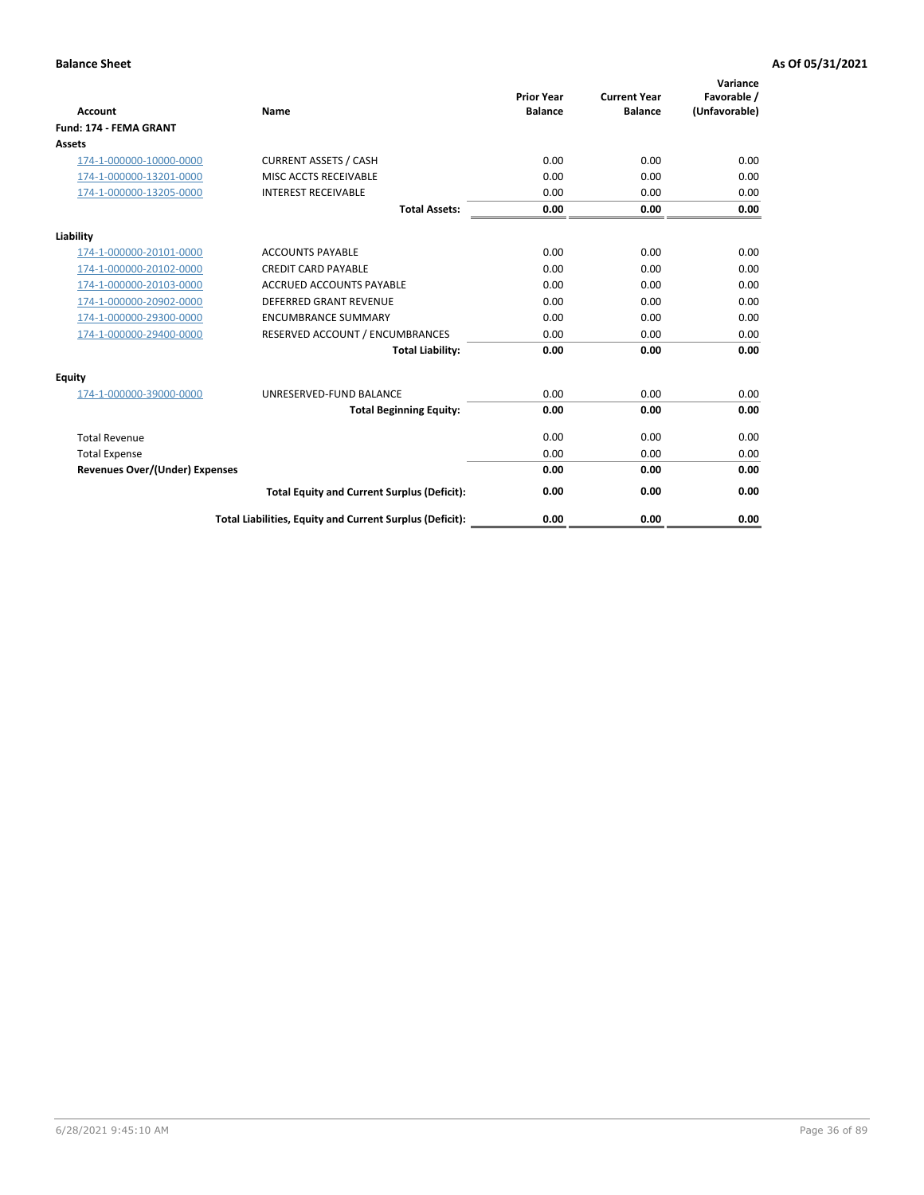| <b>Account</b>                        | Name                                                     | <b>Prior Year</b><br><b>Balance</b> | <b>Current Year</b><br><b>Balance</b> | Variance<br>Favorable /<br>(Unfavorable) |
|---------------------------------------|----------------------------------------------------------|-------------------------------------|---------------------------------------|------------------------------------------|
| Fund: 174 - FEMA GRANT                |                                                          |                                     |                                       |                                          |
| Assets                                |                                                          |                                     |                                       |                                          |
| 174-1-000000-10000-0000               | <b>CURRENT ASSETS / CASH</b>                             | 0.00                                | 0.00                                  | 0.00                                     |
| 174-1-000000-13201-0000               | MISC ACCTS RECEIVABLE                                    | 0.00                                | 0.00                                  | 0.00                                     |
| 174-1-000000-13205-0000               | <b>INTEREST RECEIVABLE</b>                               | 0.00                                | 0.00                                  | 0.00                                     |
|                                       | <b>Total Assets:</b>                                     | 0.00                                | 0.00                                  | 0.00                                     |
| Liability                             |                                                          |                                     |                                       |                                          |
| 174-1-000000-20101-0000               | <b>ACCOUNTS PAYABLE</b>                                  | 0.00                                | 0.00                                  | 0.00                                     |
| 174-1-000000-20102-0000               | <b>CREDIT CARD PAYABLE</b>                               | 0.00                                | 0.00                                  | 0.00                                     |
| 174-1-000000-20103-0000               | <b>ACCRUED ACCOUNTS PAYABLE</b>                          | 0.00                                | 0.00                                  | 0.00                                     |
| 174-1-000000-20902-0000               | <b>DEFERRED GRANT REVENUE</b>                            | 0.00                                | 0.00                                  | 0.00                                     |
| 174-1-000000-29300-0000               | <b>ENCUMBRANCE SUMMARY</b>                               | 0.00                                | 0.00                                  | 0.00                                     |
| 174-1-000000-29400-0000               | RESERVED ACCOUNT / ENCUMBRANCES                          | 0.00                                | 0.00                                  | 0.00                                     |
|                                       | <b>Total Liability:</b>                                  | 0.00                                | 0.00                                  | 0.00                                     |
| <b>Equity</b>                         |                                                          |                                     |                                       |                                          |
| 174-1-000000-39000-0000               | UNRESERVED-FUND BALANCE                                  | 0.00                                | 0.00                                  | 0.00                                     |
|                                       | <b>Total Beginning Equity:</b>                           | 0.00                                | 0.00                                  | 0.00                                     |
| <b>Total Revenue</b>                  |                                                          | 0.00                                | 0.00                                  | 0.00                                     |
| <b>Total Expense</b>                  |                                                          | 0.00                                | 0.00                                  | 0.00                                     |
| <b>Revenues Over/(Under) Expenses</b> |                                                          | 0.00                                | 0.00                                  | 0.00                                     |
|                                       | <b>Total Equity and Current Surplus (Deficit):</b>       | 0.00                                | 0.00                                  | 0.00                                     |
|                                       | Total Liabilities, Equity and Current Surplus (Deficit): | 0.00                                | 0.00                                  | 0.00                                     |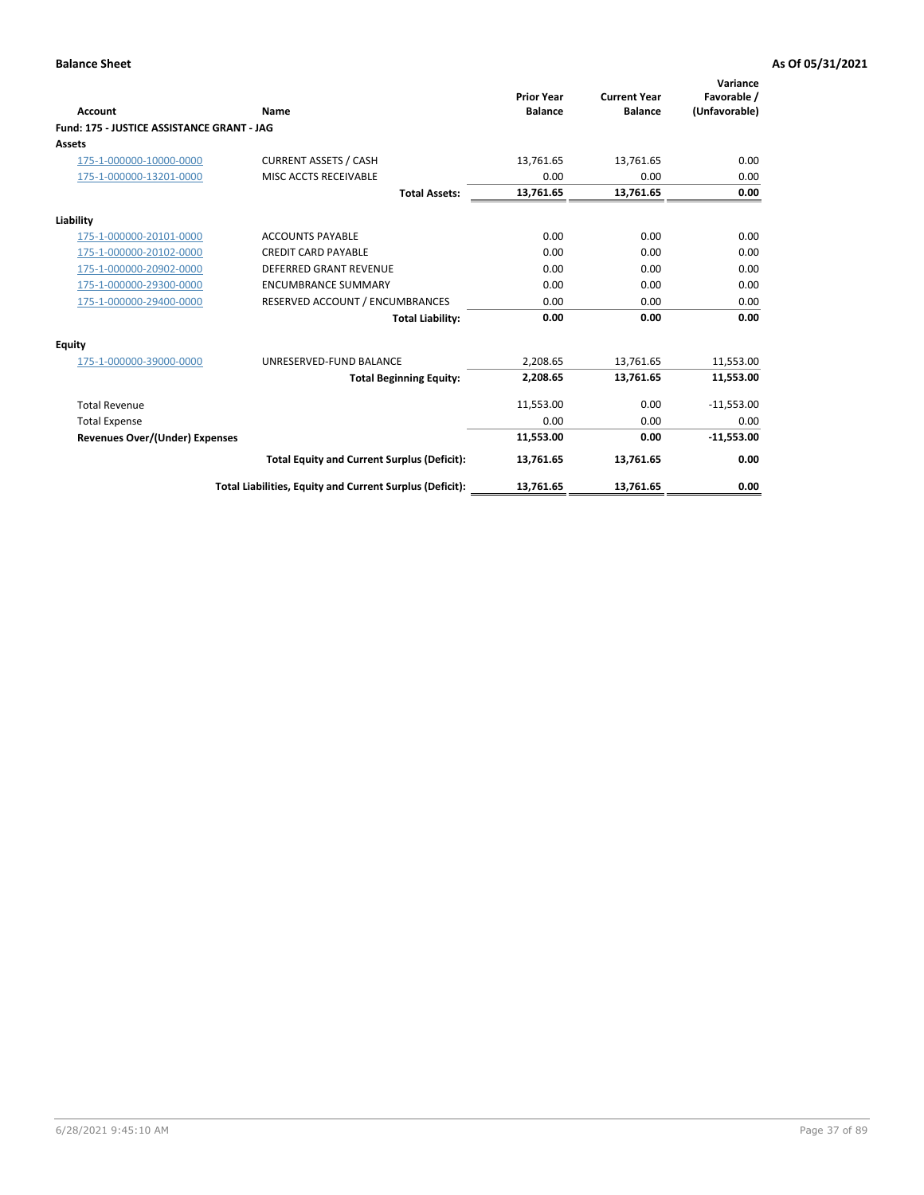|                                            |                                                          | <b>Prior Year</b> | <b>Current Year</b> | Variance<br>Favorable / |
|--------------------------------------------|----------------------------------------------------------|-------------------|---------------------|-------------------------|
| Account                                    | Name                                                     | <b>Balance</b>    | <b>Balance</b>      | (Unfavorable)           |
| Fund: 175 - JUSTICE ASSISTANCE GRANT - JAG |                                                          |                   |                     |                         |
| Assets                                     |                                                          |                   |                     |                         |
| 175-1-000000-10000-0000                    | <b>CURRENT ASSETS / CASH</b>                             | 13,761.65         | 13,761.65           | 0.00                    |
| 175-1-000000-13201-0000                    | MISC ACCTS RECEIVABLE                                    | 0.00              | 0.00                | 0.00                    |
|                                            | <b>Total Assets:</b>                                     | 13,761.65         | 13,761.65           | 0.00                    |
| Liability                                  |                                                          |                   |                     |                         |
| 175-1-000000-20101-0000                    | <b>ACCOUNTS PAYABLE</b>                                  | 0.00              | 0.00                | 0.00                    |
| 175-1-000000-20102-0000                    | <b>CREDIT CARD PAYABLE</b>                               | 0.00              | 0.00                | 0.00                    |
| 175-1-000000-20902-0000                    | <b>DEFERRED GRANT REVENUE</b>                            | 0.00              | 0.00                | 0.00                    |
| 175-1-000000-29300-0000                    | <b>ENCUMBRANCE SUMMARY</b>                               | 0.00              | 0.00                | 0.00                    |
| 175-1-000000-29400-0000                    | RESERVED ACCOUNT / ENCUMBRANCES                          | 0.00              | 0.00                | 0.00                    |
|                                            | <b>Total Liability:</b>                                  | 0.00              | 0.00                | 0.00                    |
| Equity                                     |                                                          |                   |                     |                         |
| 175-1-000000-39000-0000                    | UNRESERVED-FUND BALANCE                                  | 2,208.65          | 13,761.65           | 11,553.00               |
|                                            | <b>Total Beginning Equity:</b>                           | 2,208.65          | 13,761.65           | 11,553.00               |
| <b>Total Revenue</b>                       |                                                          | 11,553.00         | 0.00                | $-11,553.00$            |
| <b>Total Expense</b>                       |                                                          | 0.00              | 0.00                | 0.00                    |
| <b>Revenues Over/(Under) Expenses</b>      |                                                          | 11,553.00         | 0.00                | $-11,553.00$            |
|                                            | <b>Total Equity and Current Surplus (Deficit):</b>       | 13,761.65         | 13,761.65           | 0.00                    |
|                                            | Total Liabilities, Equity and Current Surplus (Deficit): | 13,761.65         | 13,761.65           | 0.00                    |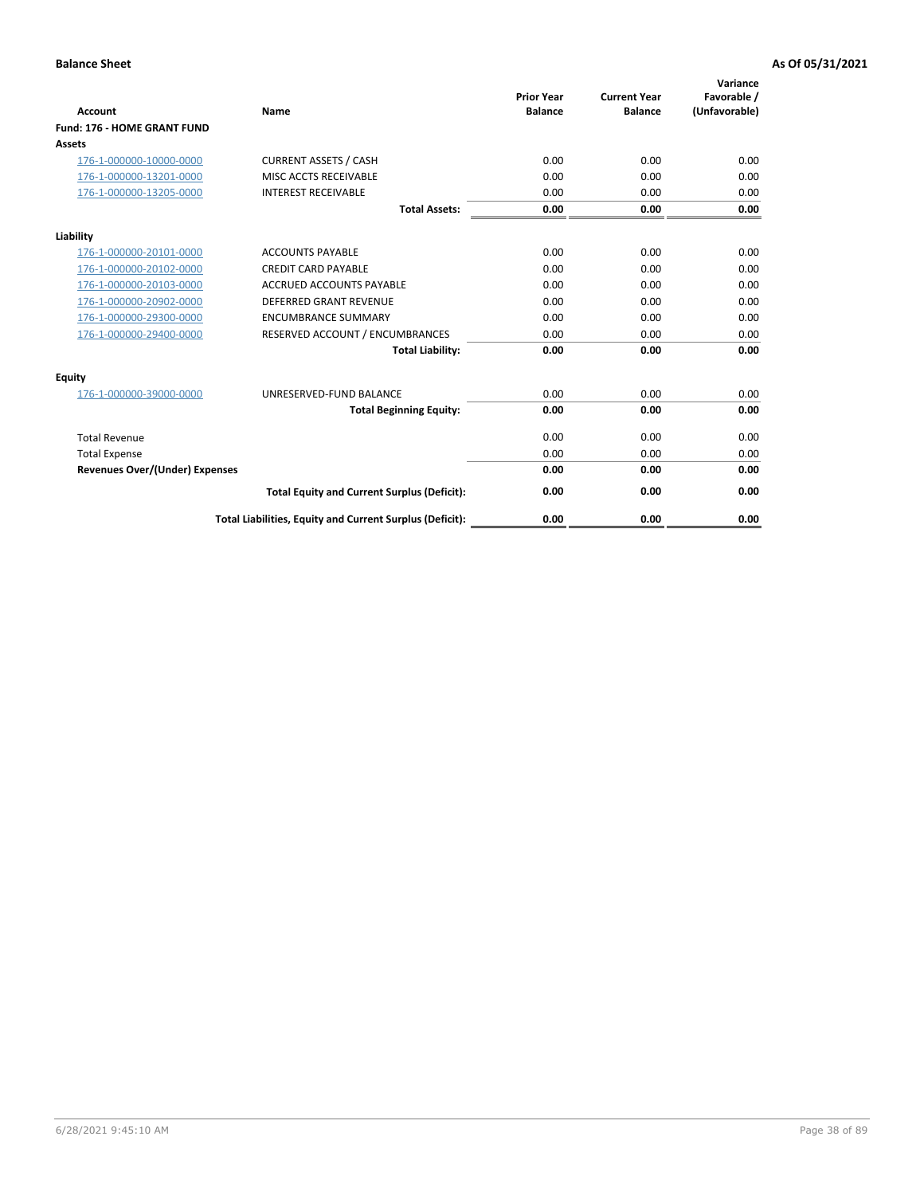| <b>Account</b>                        | Name                                                     | <b>Prior Year</b><br><b>Balance</b> | <b>Current Year</b><br><b>Balance</b> | Variance<br>Favorable /<br>(Unfavorable) |
|---------------------------------------|----------------------------------------------------------|-------------------------------------|---------------------------------------|------------------------------------------|
| Fund: 176 - HOME GRANT FUND           |                                                          |                                     |                                       |                                          |
| Assets                                |                                                          |                                     |                                       |                                          |
| 176-1-000000-10000-0000               | <b>CURRENT ASSETS / CASH</b>                             | 0.00                                | 0.00                                  | 0.00                                     |
| 176-1-000000-13201-0000               | MISC ACCTS RECEIVABLE                                    | 0.00                                | 0.00                                  | 0.00                                     |
| 176-1-000000-13205-0000               | <b>INTEREST RECEIVABLE</b>                               | 0.00                                | 0.00                                  | 0.00                                     |
|                                       | <b>Total Assets:</b>                                     | 0.00                                | 0.00                                  | 0.00                                     |
| Liability                             |                                                          |                                     |                                       |                                          |
| 176-1-000000-20101-0000               | <b>ACCOUNTS PAYABLE</b>                                  | 0.00                                | 0.00                                  | 0.00                                     |
| 176-1-000000-20102-0000               | <b>CREDIT CARD PAYABLE</b>                               | 0.00                                | 0.00                                  | 0.00                                     |
| 176-1-000000-20103-0000               | <b>ACCRUED ACCOUNTS PAYABLE</b>                          | 0.00                                | 0.00                                  | 0.00                                     |
| 176-1-000000-20902-0000               | <b>DEFERRED GRANT REVENUE</b>                            | 0.00                                | 0.00                                  | 0.00                                     |
| 176-1-000000-29300-0000               | <b>ENCUMBRANCE SUMMARY</b>                               | 0.00                                | 0.00                                  | 0.00                                     |
| 176-1-000000-29400-0000               | RESERVED ACCOUNT / ENCUMBRANCES                          | 0.00                                | 0.00                                  | 0.00                                     |
|                                       | <b>Total Liability:</b>                                  | 0.00                                | 0.00                                  | 0.00                                     |
| <b>Equity</b>                         |                                                          |                                     |                                       |                                          |
| 176-1-000000-39000-0000               | UNRESERVED-FUND BALANCE                                  | 0.00                                | 0.00                                  | 0.00                                     |
|                                       | <b>Total Beginning Equity:</b>                           | 0.00                                | 0.00                                  | 0.00                                     |
| <b>Total Revenue</b>                  |                                                          | 0.00                                | 0.00                                  | 0.00                                     |
| <b>Total Expense</b>                  |                                                          | 0.00                                | 0.00                                  | 0.00                                     |
| <b>Revenues Over/(Under) Expenses</b> |                                                          | 0.00                                | 0.00                                  | 0.00                                     |
|                                       | <b>Total Equity and Current Surplus (Deficit):</b>       | 0.00                                | 0.00                                  | 0.00                                     |
|                                       | Total Liabilities, Equity and Current Surplus (Deficit): | 0.00                                | 0.00                                  | 0.00                                     |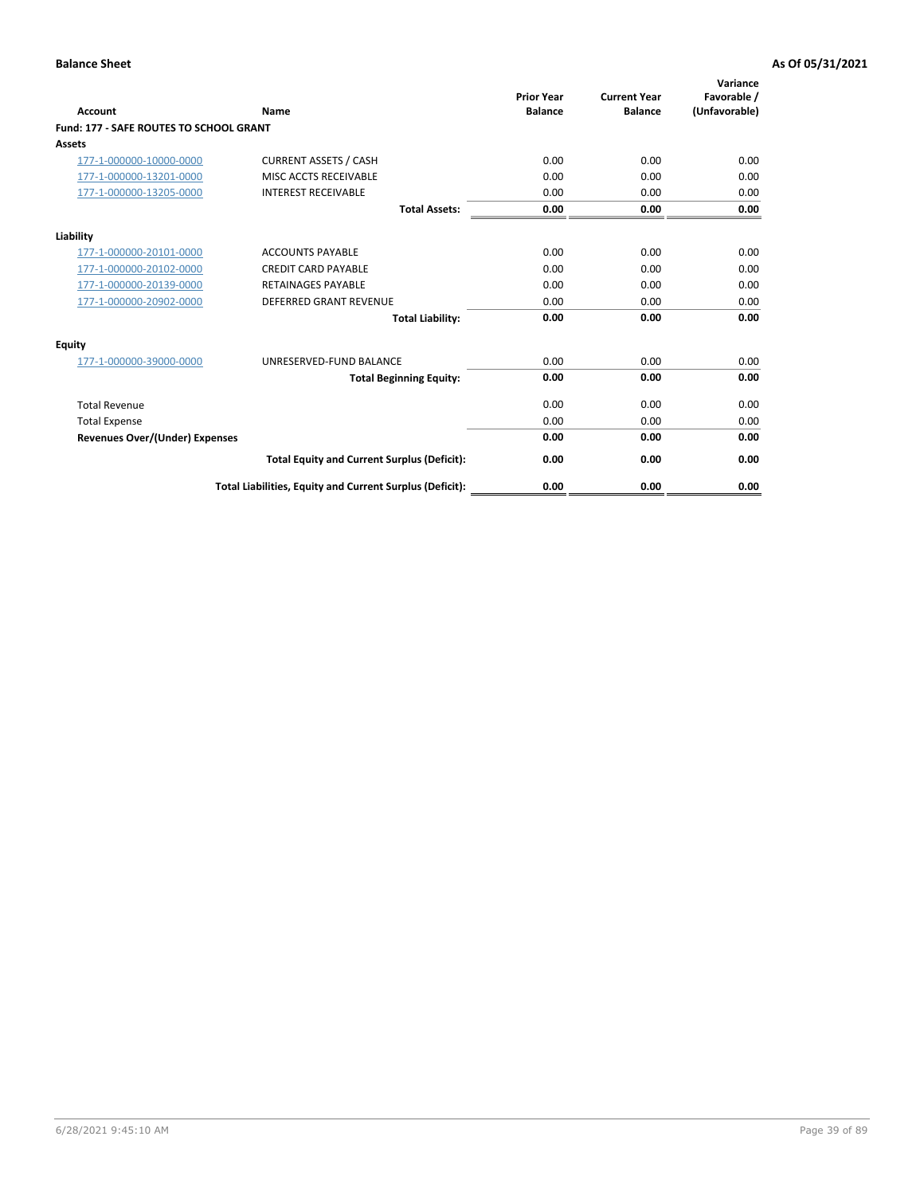| <b>Account</b>                          | Name                                                     | <b>Prior Year</b><br><b>Balance</b> | <b>Current Year</b><br><b>Balance</b> | Variance<br>Favorable /<br>(Unfavorable) |
|-----------------------------------------|----------------------------------------------------------|-------------------------------------|---------------------------------------|------------------------------------------|
| Fund: 177 - SAFE ROUTES TO SCHOOL GRANT |                                                          |                                     |                                       |                                          |
| <b>Assets</b>                           |                                                          |                                     |                                       |                                          |
| 177-1-000000-10000-0000                 | <b>CURRENT ASSETS / CASH</b>                             | 0.00                                | 0.00                                  | 0.00                                     |
| 177-1-000000-13201-0000                 | MISC ACCTS RECEIVABLE                                    | 0.00                                | 0.00                                  | 0.00                                     |
| 177-1-000000-13205-0000                 | <b>INTEREST RECEIVABLE</b>                               | 0.00                                | 0.00                                  | 0.00                                     |
|                                         | <b>Total Assets:</b>                                     | 0.00                                | 0.00                                  | 0.00                                     |
| Liability                               |                                                          |                                     |                                       |                                          |
| 177-1-000000-20101-0000                 | <b>ACCOUNTS PAYABLE</b>                                  | 0.00                                | 0.00                                  | 0.00                                     |
| 177-1-000000-20102-0000                 | <b>CREDIT CARD PAYABLE</b>                               | 0.00                                | 0.00                                  | 0.00                                     |
| 177-1-000000-20139-0000                 | <b>RETAINAGES PAYABLE</b>                                | 0.00                                | 0.00                                  | 0.00                                     |
| 177-1-000000-20902-0000                 | <b>DEFERRED GRANT REVENUE</b>                            | 0.00                                | 0.00                                  | 0.00                                     |
|                                         | <b>Total Liability:</b>                                  | 0.00                                | 0.00                                  | 0.00                                     |
| <b>Equity</b>                           |                                                          |                                     |                                       |                                          |
| 177-1-000000-39000-0000                 | UNRESERVED-FUND BALANCE                                  | 0.00                                | 0.00                                  | 0.00                                     |
|                                         | <b>Total Beginning Equity:</b>                           | 0.00                                | 0.00                                  | 0.00                                     |
| <b>Total Revenue</b>                    |                                                          | 0.00                                | 0.00                                  | 0.00                                     |
| <b>Total Expense</b>                    |                                                          | 0.00                                | 0.00                                  | 0.00                                     |
| <b>Revenues Over/(Under) Expenses</b>   |                                                          | 0.00                                | 0.00                                  | 0.00                                     |
|                                         | <b>Total Equity and Current Surplus (Deficit):</b>       | 0.00                                | 0.00                                  | 0.00                                     |
|                                         | Total Liabilities, Equity and Current Surplus (Deficit): | 0.00                                | 0.00                                  | 0.00                                     |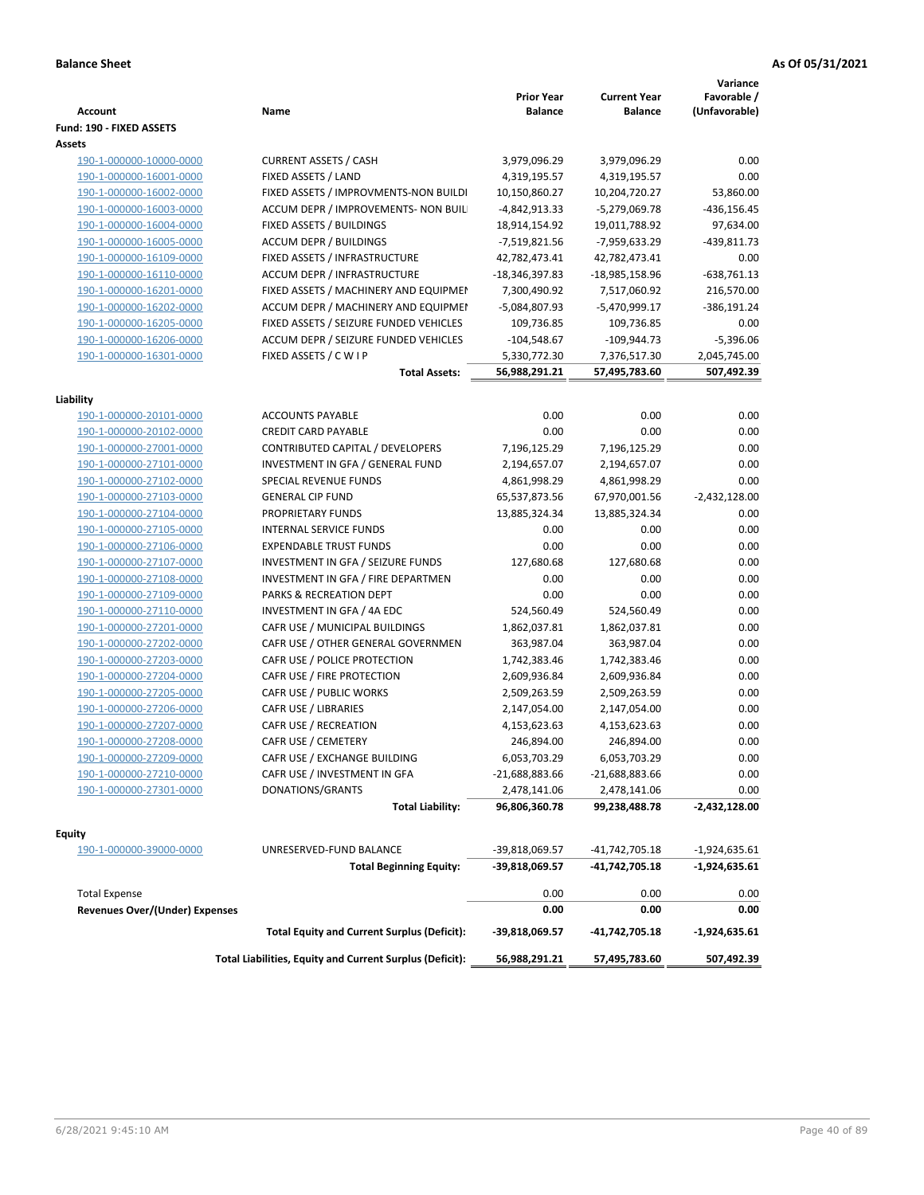| <b>Account</b>                 | Name                                                      | <b>Prior Year</b><br><b>Balance</b> | <b>Current Year</b><br><b>Balance</b> | Variance<br>Favorable /<br>(Unfavorable) |
|--------------------------------|-----------------------------------------------------------|-------------------------------------|---------------------------------------|------------------------------------------|
| Fund: 190 - FIXED ASSETS       |                                                           |                                     |                                       |                                          |
| Assets                         |                                                           |                                     |                                       |                                          |
| 190-1-000000-10000-0000        | <b>CURRENT ASSETS / CASH</b>                              | 3,979,096.29                        | 3,979,096.29                          | 0.00                                     |
| 190-1-000000-16001-0000        | FIXED ASSETS / LAND                                       | 4,319,195.57                        | 4,319,195.57                          | 0.00                                     |
| 190-1-000000-16002-0000        | FIXED ASSETS / IMPROVMENTS-NON BUILDI                     | 10,150,860.27                       | 10,204,720.27                         | 53,860.00                                |
| 190-1-000000-16003-0000        | ACCUM DEPR / IMPROVEMENTS- NON BUIL                       | -4,842,913.33                       | -5,279,069.78                         | $-436, 156.45$                           |
| 190-1-000000-16004-0000        | FIXED ASSETS / BUILDINGS                                  | 18,914,154.92                       | 19,011,788.92                         | 97,634.00                                |
| 190-1-000000-16005-0000        | <b>ACCUM DEPR / BUILDINGS</b>                             | -7,519,821.56                       | -7,959,633.29                         | -439,811.73                              |
| 190-1-000000-16109-0000        | FIXED ASSETS / INFRASTRUCTURE                             | 42,782,473.41                       | 42,782,473.41                         | 0.00                                     |
| 190-1-000000-16110-0000        | ACCUM DEPR / INFRASTRUCTURE                               | -18,346,397.83                      | -18,985,158.96                        | $-638,761.13$                            |
| 190-1-000000-16201-0000        | FIXED ASSETS / MACHINERY AND EQUIPMEN                     | 7,300,490.92                        | 7,517,060.92                          | 216,570.00                               |
| 190-1-000000-16202-0000        | ACCUM DEPR / MACHINERY AND EQUIPMEI                       | -5,084,807.93                       | -5,470,999.17                         | -386,191.24                              |
| 190-1-000000-16205-0000        | FIXED ASSETS / SEIZURE FUNDED VEHICLES                    | 109,736.85                          | 109,736.85                            | 0.00                                     |
| 190-1-000000-16206-0000        | ACCUM DEPR / SEIZURE FUNDED VEHICLES                      | $-104,548.67$                       | $-109,944.73$                         | $-5,396.06$                              |
| 190-1-000000-16301-0000        | FIXED ASSETS / C W I P                                    | 5,330,772.30                        | 7,376,517.30                          | 2,045,745.00                             |
|                                | <b>Total Assets:</b>                                      | 56,988,291.21                       | 57,495,783.60                         | 507,492.39                               |
|                                |                                                           |                                     |                                       |                                          |
| Liability                      |                                                           |                                     |                                       |                                          |
| 190-1-000000-20101-0000        | <b>ACCOUNTS PAYABLE</b>                                   | 0.00                                | 0.00                                  | 0.00                                     |
| 190-1-000000-20102-0000        | <b>CREDIT CARD PAYABLE</b>                                | 0.00                                | 0.00                                  | 0.00                                     |
| 190-1-000000-27001-0000        | CONTRIBUTED CAPITAL / DEVELOPERS                          | 7,196,125.29                        | 7,196,125.29                          | 0.00                                     |
| 190-1-000000-27101-0000        | INVESTMENT IN GFA / GENERAL FUND                          | 2,194,657.07                        | 2,194,657.07                          | 0.00                                     |
| 190-1-000000-27102-0000        | SPECIAL REVENUE FUNDS                                     | 4,861,998.29                        | 4,861,998.29                          | 0.00                                     |
| 190-1-000000-27103-0000        | <b>GENERAL CIP FUND</b>                                   | 65,537,873.56                       | 67,970,001.56                         | $-2,432,128.00$                          |
| 190-1-000000-27104-0000        | PROPRIETARY FUNDS                                         | 13,885,324.34                       | 13,885,324.34                         | 0.00                                     |
| 190-1-000000-27105-0000        | <b>INTERNAL SERVICE FUNDS</b>                             | 0.00                                | 0.00                                  | 0.00                                     |
| 190-1-000000-27106-0000        | <b>EXPENDABLE TRUST FUNDS</b>                             | 0.00                                | 0.00                                  | 0.00                                     |
| 190-1-000000-27107-0000        | INVESTMENT IN GFA / SEIZURE FUNDS                         | 127,680.68                          | 127,680.68                            | 0.00                                     |
| 190-1-000000-27108-0000        | INVESTMENT IN GFA / FIRE DEPARTMEN                        | 0.00                                | 0.00                                  | 0.00                                     |
| 190-1-000000-27109-0000        | PARKS & RECREATION DEPT                                   | 0.00                                | 0.00                                  | 0.00                                     |
| 190-1-000000-27110-0000        | INVESTMENT IN GFA / 4A EDC                                | 524,560.49                          | 524,560.49                            | 0.00                                     |
| 190-1-000000-27201-0000        | CAFR USE / MUNICIPAL BUILDINGS                            | 1,862,037.81                        | 1,862,037.81                          | 0.00                                     |
| 190-1-000000-27202-0000        | CAFR USE / OTHER GENERAL GOVERNMEN                        | 363,987.04                          | 363,987.04                            | 0.00                                     |
| 190-1-000000-27203-0000        | CAFR USE / POLICE PROTECTION                              | 1,742,383.46                        | 1,742,383.46                          | 0.00                                     |
| 190-1-000000-27204-0000        | CAFR USE / FIRE PROTECTION                                | 2,609,936.84                        | 2,609,936.84                          | 0.00                                     |
| 190-1-000000-27205-0000        | CAFR USE / PUBLIC WORKS                                   | 2,509,263.59                        | 2,509,263.59                          | 0.00                                     |
| 190-1-000000-27206-0000        | CAFR USE / LIBRARIES                                      | 2,147,054.00                        | 2,147,054.00                          | 0.00                                     |
| 190-1-000000-27207-0000        | CAFR USE / RECREATION                                     | 4,153,623.63                        | 4,153,623.63                          | 0.00                                     |
| 190-1-000000-27208-0000        | CAFR USE / CEMETERY                                       | 246,894.00                          | 246,894.00                            | 0.00                                     |
| 190-1-000000-27209-0000        | CAFR USE / EXCHANGE BUILDING                              | 6,053,703.29                        | 6,053,703.29                          | 0.00                                     |
| 190-1-000000-27210-0000        | CAFR USE / INVESTMENT IN GFA                              | $-21,688,883.66$                    | $-21,688,883.66$                      | 0.00                                     |
| 190-1-000000-27301-0000        | DONATIONS/GRANTS                                          | 2,478,141.06                        | 2,478,141.06                          | 0.00                                     |
|                                | <b>Total Liability:</b>                                   | 96,806,360.78                       | 99,238,488.78                         | -2,432,128.00                            |
|                                |                                                           |                                     |                                       |                                          |
| <b>Equity</b>                  |                                                           |                                     |                                       |                                          |
| 190-1-000000-39000-0000        | UNRESERVED-FUND BALANCE<br><b>Total Beginning Equity:</b> | -39,818,069.57<br>-39,818,069.57    | -41,742,705.18<br>-41,742,705.18      | $-1,924,635.61$<br>-1,924,635.61         |
|                                |                                                           |                                     |                                       |                                          |
| <b>Total Expense</b>           |                                                           | 0.00                                | 0.00                                  | 0.00                                     |
| Revenues Over/(Under) Expenses |                                                           | 0.00                                | 0.00                                  | 0.00                                     |
|                                | <b>Total Equity and Current Surplus (Deficit):</b>        | -39,818,069.57                      | -41,742,705.18                        | -1,924,635.61                            |
|                                | Total Liabilities, Equity and Current Surplus (Deficit):  | 56,988,291.21                       | 57,495,783.60                         | 507,492.39                               |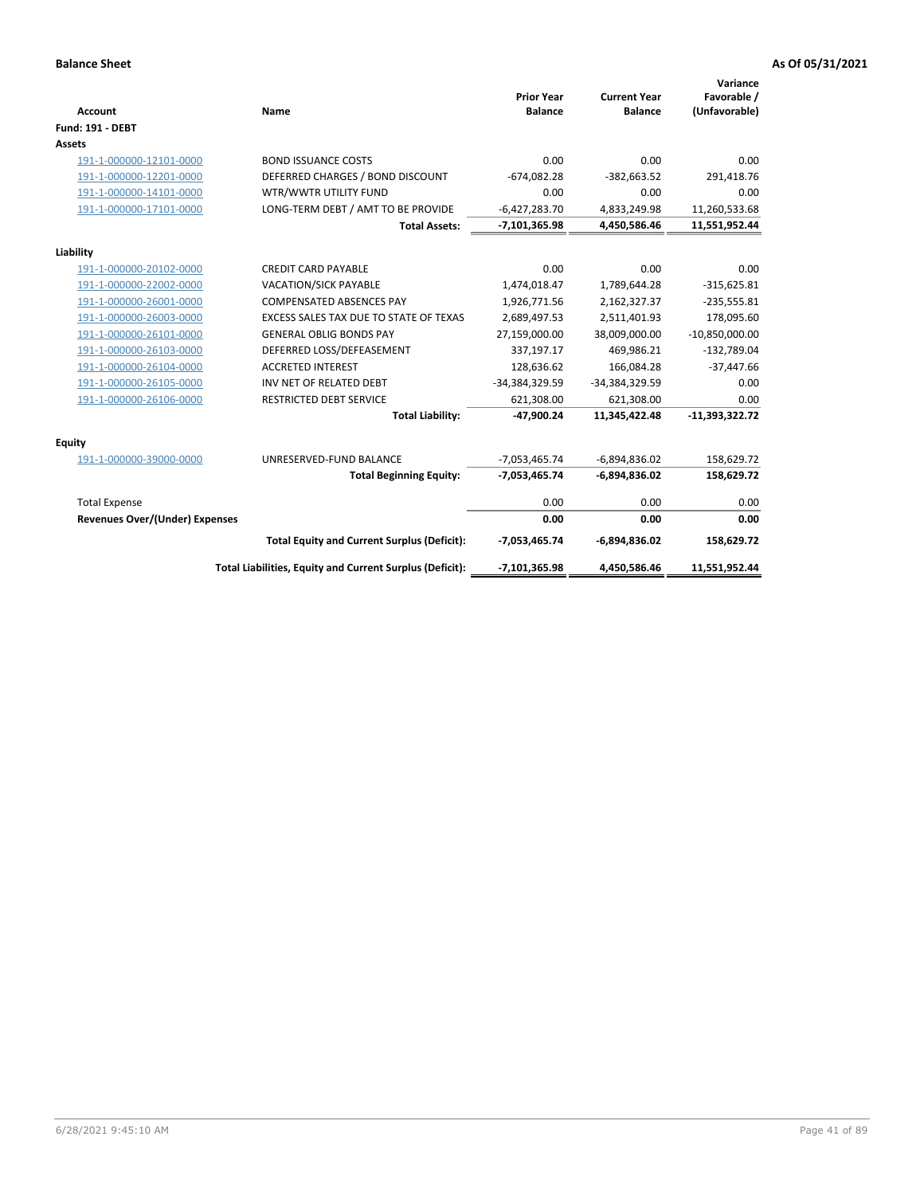| <b>Account</b>                        | Name                                                     | <b>Prior Year</b><br><b>Balance</b> | <b>Current Year</b><br><b>Balance</b> | Variance<br>Favorable /<br>(Unfavorable) |
|---------------------------------------|----------------------------------------------------------|-------------------------------------|---------------------------------------|------------------------------------------|
| Fund: 191 - DEBT                      |                                                          |                                     |                                       |                                          |
| Assets                                |                                                          |                                     |                                       |                                          |
| 191-1-000000-12101-0000               | <b>BOND ISSUANCE COSTS</b>                               | 0.00                                | 0.00                                  | 0.00                                     |
| 191-1-000000-12201-0000               | DEFERRED CHARGES / BOND DISCOUNT                         | $-674,082.28$                       | $-382,663.52$                         | 291,418.76                               |
| 191-1-000000-14101-0000               | WTR/WWTR UTILITY FUND                                    | 0.00                                | 0.00                                  | 0.00                                     |
| 191-1-000000-17101-0000               | LONG-TERM DEBT / AMT TO BE PROVIDE                       | $-6,427,283.70$                     | 4,833,249.98                          | 11,260,533.68                            |
|                                       | <b>Total Assets:</b>                                     | $-7,101,365.98$                     | 4,450,586.46                          | 11,551,952.44                            |
| Liability                             |                                                          |                                     |                                       |                                          |
| 191-1-000000-20102-0000               | <b>CREDIT CARD PAYABLE</b>                               | 0.00                                | 0.00                                  | 0.00                                     |
| 191-1-000000-22002-0000               | <b>VACATION/SICK PAYABLE</b>                             | 1,474,018.47                        | 1,789,644.28                          | $-315,625.81$                            |
| 191-1-000000-26001-0000               | <b>COMPENSATED ABSENCES PAY</b>                          | 1,926,771.56                        | 2,162,327.37                          | $-235,555.81$                            |
| 191-1-000000-26003-0000               | EXCESS SALES TAX DUE TO STATE OF TEXAS                   | 2,689,497.53                        | 2,511,401.93                          | 178,095.60                               |
| 191-1-000000-26101-0000               | <b>GENERAL OBLIG BONDS PAY</b>                           | 27,159,000.00                       | 38,009,000.00                         | $-10,850,000.00$                         |
| 191-1-000000-26103-0000               | DEFERRED LOSS/DEFEASEMENT                                | 337,197.17                          | 469,986.21                            | $-132,789.04$                            |
| 191-1-000000-26104-0000               | <b>ACCRETED INTEREST</b>                                 | 128,636.62                          | 166,084.28                            | $-37,447.66$                             |
| 191-1-000000-26105-0000               | INV NET OF RELATED DEBT                                  | -34,384,329.59                      | -34,384,329.59                        | 0.00                                     |
| 191-1-000000-26106-0000               | RESTRICTED DEBT SERVICE                                  | 621,308.00                          | 621,308.00                            | 0.00                                     |
|                                       | <b>Total Liability:</b>                                  | $-47,900.24$                        | 11,345,422.48                         | $-11,393,322.72$                         |
| Equity                                |                                                          |                                     |                                       |                                          |
| 191-1-000000-39000-0000               | UNRESERVED-FUND BALANCE                                  | $-7,053,465.74$                     | $-6,894,836.02$                       | 158,629.72                               |
|                                       | <b>Total Beginning Equity:</b>                           | $-7,053,465.74$                     | $-6,894,836.02$                       | 158,629.72                               |
| <b>Total Expense</b>                  |                                                          | 0.00                                | 0.00                                  | 0.00                                     |
| <b>Revenues Over/(Under) Expenses</b> |                                                          | 0.00                                | 0.00                                  | 0.00                                     |
|                                       | <b>Total Equity and Current Surplus (Deficit):</b>       | $-7,053,465.74$                     | $-6,894,836.02$                       | 158,629.72                               |
|                                       | Total Liabilities, Equity and Current Surplus (Deficit): | $-7,101,365.98$                     | 4,450,586.46                          | 11,551,952.44                            |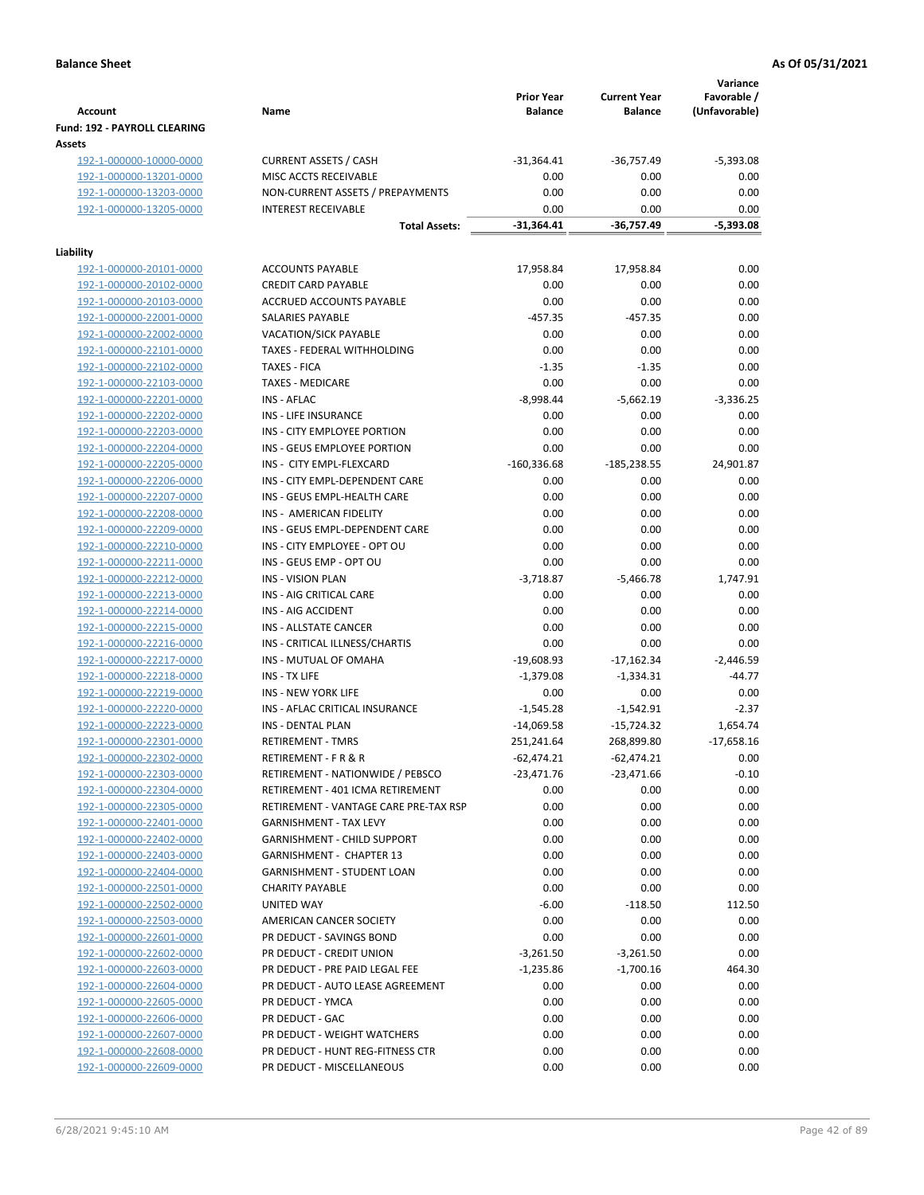|                                                    |                                                              | <b>Prior Year</b>           | <b>Current Year</b>         | Variance<br>Favorable / |
|----------------------------------------------------|--------------------------------------------------------------|-----------------------------|-----------------------------|-------------------------|
| <b>Account</b>                                     | Name                                                         | <b>Balance</b>              | <b>Balance</b>              | (Unfavorable)           |
| Fund: 192 - PAYROLL CLEARING                       |                                                              |                             |                             |                         |
| Assets                                             |                                                              |                             |                             |                         |
| 192-1-000000-10000-0000                            | <b>CURRENT ASSETS / CASH</b>                                 | $-31,364.41$                | -36,757.49                  | $-5,393.08$             |
| 192-1-000000-13201-0000                            | MISC ACCTS RECEIVABLE                                        | 0.00                        | 0.00                        | 0.00                    |
| 192-1-000000-13203-0000                            | NON-CURRENT ASSETS / PREPAYMENTS                             | 0.00                        | 0.00                        | 0.00                    |
| 192-1-000000-13205-0000                            | <b>INTEREST RECEIVABLE</b><br><b>Total Assets:</b>           | 0.00<br>$-31,364.41$        | 0.00<br>-36,757.49          | 0.00<br>-5,393.08       |
|                                                    |                                                              |                             |                             |                         |
| Liability                                          |                                                              |                             |                             |                         |
| 192-1-000000-20101-0000                            | <b>ACCOUNTS PAYABLE</b>                                      | 17,958.84                   | 17,958.84                   | 0.00                    |
| 192-1-000000-20102-0000                            | <b>CREDIT CARD PAYABLE</b>                                   | 0.00                        | 0.00                        | 0.00                    |
| 192-1-000000-20103-0000                            | ACCRUED ACCOUNTS PAYABLE                                     | 0.00                        | 0.00                        | 0.00                    |
| 192-1-000000-22001-0000                            | SALARIES PAYABLE                                             | $-457.35$                   | $-457.35$                   | 0.00                    |
| 192-1-000000-22002-0000                            | <b>VACATION/SICK PAYABLE</b>                                 | 0.00                        | 0.00                        | 0.00                    |
| 192-1-000000-22101-0000                            | TAXES - FEDERAL WITHHOLDING                                  | 0.00                        | 0.00                        | 0.00                    |
| 192-1-000000-22102-0000                            | <b>TAXES - FICA</b>                                          | $-1.35$                     | $-1.35$                     | 0.00                    |
| 192-1-000000-22103-0000<br>192-1-000000-22201-0000 | <b>TAXES - MEDICARE</b><br><b>INS - AFLAC</b>                | 0.00<br>$-8,998.44$         | 0.00<br>$-5,662.19$         | 0.00<br>$-3,336.25$     |
| 192-1-000000-22202-0000                            | <b>INS - LIFE INSURANCE</b>                                  | 0.00                        | 0.00                        | 0.00                    |
| 192-1-000000-22203-0000                            | INS - CITY EMPLOYEE PORTION                                  | 0.00                        | 0.00                        | 0.00                    |
| 192-1-000000-22204-0000                            | INS - GEUS EMPLOYEE PORTION                                  | 0.00                        | 0.00                        | 0.00                    |
| 192-1-000000-22205-0000                            | INS - CITY EMPL-FLEXCARD                                     | $-160,336.68$               | $-185,238.55$               | 24,901.87               |
| 192-1-000000-22206-0000                            | INS - CITY EMPL-DEPENDENT CARE                               | 0.00                        | 0.00                        | 0.00                    |
| 192-1-000000-22207-0000                            | INS - GEUS EMPL-HEALTH CARE                                  | 0.00                        | 0.00                        | 0.00                    |
| 192-1-000000-22208-0000                            | INS - AMERICAN FIDELITY                                      | 0.00                        | 0.00                        | 0.00                    |
| 192-1-000000-22209-0000                            | INS - GEUS EMPL-DEPENDENT CARE                               | 0.00                        | 0.00                        | 0.00                    |
| 192-1-000000-22210-0000                            | INS - CITY EMPLOYEE - OPT OU                                 | 0.00                        | 0.00                        | 0.00                    |
| 192-1-000000-22211-0000                            | INS - GEUS EMP - OPT OU                                      | 0.00                        | 0.00                        | 0.00                    |
| 192-1-000000-22212-0000                            | <b>INS - VISION PLAN</b>                                     | $-3,718.87$                 | $-5,466.78$                 | 1,747.91                |
| 192-1-000000-22213-0000                            | INS - AIG CRITICAL CARE                                      | 0.00                        | 0.00                        | 0.00                    |
| 192-1-000000-22214-0000                            | INS - AIG ACCIDENT                                           | 0.00                        | 0.00                        | 0.00                    |
| 192-1-000000-22215-0000                            | INS - ALLSTATE CANCER                                        | 0.00                        | 0.00                        | 0.00                    |
| 192-1-000000-22216-0000                            | INS - CRITICAL ILLNESS/CHARTIS                               | 0.00                        | 0.00                        | 0.00                    |
| 192-1-000000-22217-0000                            | INS - MUTUAL OF OMAHA                                        | $-19,608.93$                | $-17,162.34$                | $-2,446.59$             |
| 192-1-000000-22218-0000                            | INS - TX LIFE                                                | $-1,379.08$                 | $-1,334.31$                 | $-44.77$                |
| 192-1-000000-22219-0000                            | <b>INS - NEW YORK LIFE</b><br>INS - AFLAC CRITICAL INSURANCE | 0.00                        | 0.00                        | 0.00<br>$-2.37$         |
| 192-1-000000-22220-0000<br>192-1-000000-22223-0000 | INS - DENTAL PLAN                                            | $-1,545.28$<br>$-14,069.58$ | $-1,542.91$<br>$-15,724.32$ | 1,654.74                |
| 192-1-000000-22301-0000                            | <b>RETIREMENT - TMRS</b>                                     | 251,241.64                  | 268,899.80                  | $-17,658.16$            |
| 192-1-000000-22302-0000                            | RETIREMENT - F R & R                                         | -62,474.21                  | $-62,474.21$                | 0.00                    |
| 192-1-000000-22303-0000                            | RETIREMENT - NATIONWIDE / PEBSCO                             | $-23,471.76$                | $-23,471.66$                | $-0.10$                 |
| 192-1-000000-22304-0000                            | RETIREMENT - 401 ICMA RETIREMENT                             | 0.00                        | 0.00                        | 0.00                    |
| 192-1-000000-22305-0000                            | RETIREMENT - VANTAGE CARE PRE-TAX RSP                        | 0.00                        | 0.00                        | 0.00                    |
| 192-1-000000-22401-0000                            | <b>GARNISHMENT - TAX LEVY</b>                                | 0.00                        | 0.00                        | 0.00                    |
| 192-1-000000-22402-0000                            | <b>GARNISHMENT - CHILD SUPPORT</b>                           | 0.00                        | 0.00                        | 0.00                    |
| 192-1-000000-22403-0000                            | <b>GARNISHMENT - CHAPTER 13</b>                              | 0.00                        | 0.00                        | 0.00                    |
| 192-1-000000-22404-0000                            | <b>GARNISHMENT - STUDENT LOAN</b>                            | 0.00                        | 0.00                        | 0.00                    |
| 192-1-000000-22501-0000                            | <b>CHARITY PAYABLE</b>                                       | 0.00                        | 0.00                        | 0.00                    |
| 192-1-000000-22502-0000                            | UNITED WAY                                                   | $-6.00$                     | $-118.50$                   | 112.50                  |
| 192-1-000000-22503-0000                            | AMERICAN CANCER SOCIETY                                      | 0.00                        | 0.00                        | 0.00                    |
| 192-1-000000-22601-0000                            | PR DEDUCT - SAVINGS BOND                                     | 0.00                        | 0.00                        | 0.00                    |
| 192-1-000000-22602-0000                            | PR DEDUCT - CREDIT UNION                                     | $-3,261.50$                 | $-3,261.50$                 | 0.00                    |
| 192-1-000000-22603-0000                            | PR DEDUCT - PRE PAID LEGAL FEE                               | $-1,235.86$                 | $-1,700.16$                 | 464.30                  |
| 192-1-000000-22604-0000                            | PR DEDUCT - AUTO LEASE AGREEMENT                             | 0.00                        | 0.00                        | 0.00                    |
| 192-1-000000-22605-0000<br>192-1-000000-22606-0000 | PR DEDUCT - YMCA<br>PR DEDUCT - GAC                          | 0.00<br>0.00                | 0.00<br>0.00                | 0.00<br>0.00            |
| 192-1-000000-22607-0000                            | PR DEDUCT - WEIGHT WATCHERS                                  | 0.00                        | 0.00                        | 0.00                    |
| 192-1-000000-22608-0000                            | PR DEDUCT - HUNT REG-FITNESS CTR                             | 0.00                        | 0.00                        | 0.00                    |
| 192-1-000000-22609-0000                            | PR DEDUCT - MISCELLANEOUS                                    | 0.00                        | 0.00                        | 0.00                    |
|                                                    |                                                              |                             |                             |                         |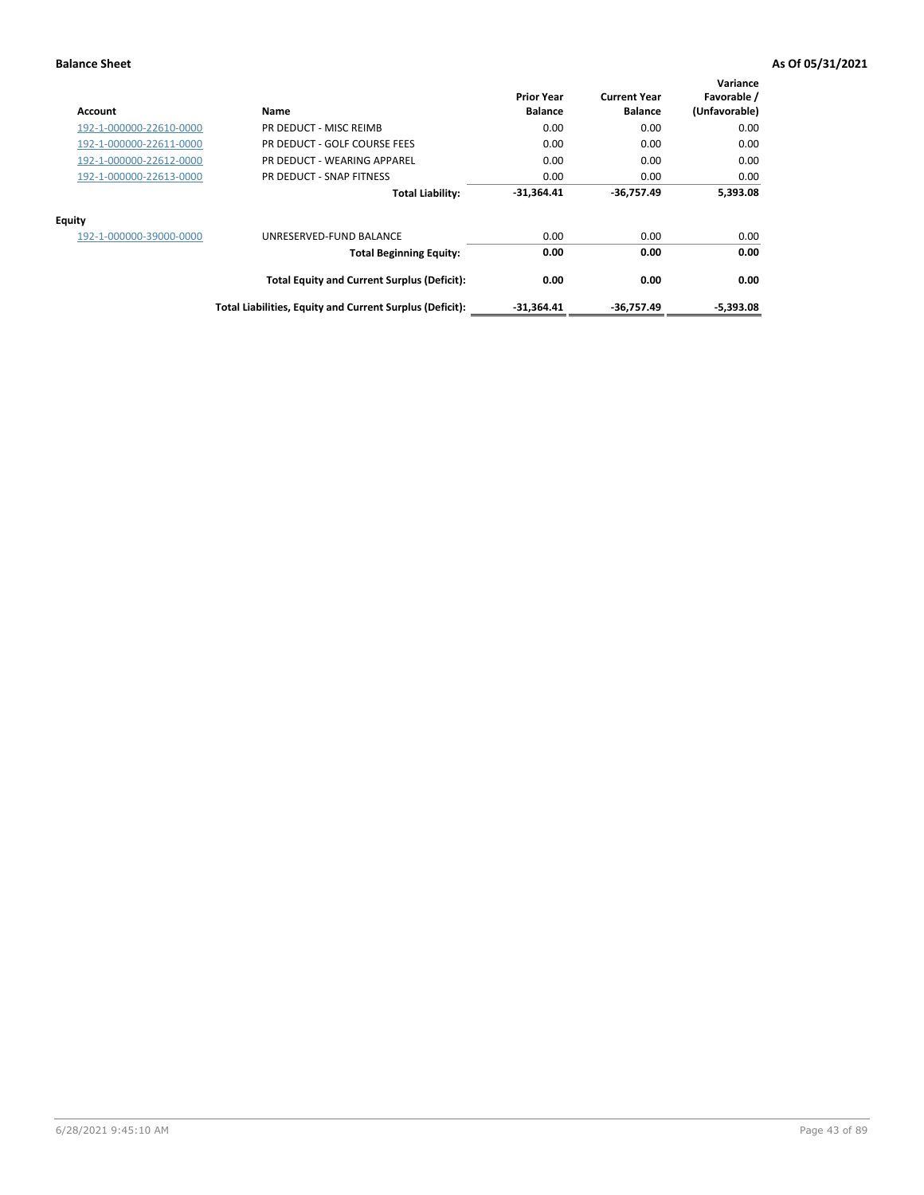| Account                 | Name                                                     | <b>Prior Year</b><br><b>Balance</b> | <b>Current Year</b><br><b>Balance</b> | Variance<br>Favorable /<br>(Unfavorable) |
|-------------------------|----------------------------------------------------------|-------------------------------------|---------------------------------------|------------------------------------------|
| 192-1-000000-22610-0000 | PR DEDUCT - MISC REIMB                                   | 0.00                                | 0.00                                  | 0.00                                     |
| 192-1-000000-22611-0000 | PR DEDUCT - GOLF COURSE FEES                             | 0.00                                | 0.00                                  | 0.00                                     |
| 192-1-000000-22612-0000 | PR DEDUCT - WEARING APPAREL                              | 0.00                                | 0.00                                  | 0.00                                     |
| 192-1-000000-22613-0000 | PR DEDUCT - SNAP FITNESS                                 | 0.00                                | 0.00                                  | 0.00                                     |
|                         | <b>Total Liability:</b>                                  | $-31,364.41$                        | -36,757.49                            | 5,393.08                                 |
| Equity                  |                                                          |                                     |                                       |                                          |
| 192-1-000000-39000-0000 | UNRESERVED-FUND BALANCE                                  | 0.00                                | 0.00                                  | 0.00                                     |
|                         | <b>Total Beginning Equity:</b>                           | 0.00                                | 0.00                                  | 0.00                                     |
|                         | <b>Total Equity and Current Surplus (Deficit):</b>       | 0.00                                | 0.00                                  | 0.00                                     |
|                         | Total Liabilities, Equity and Current Surplus (Deficit): | $-31,364.41$                        | -36,757.49                            | $-5,393.08$                              |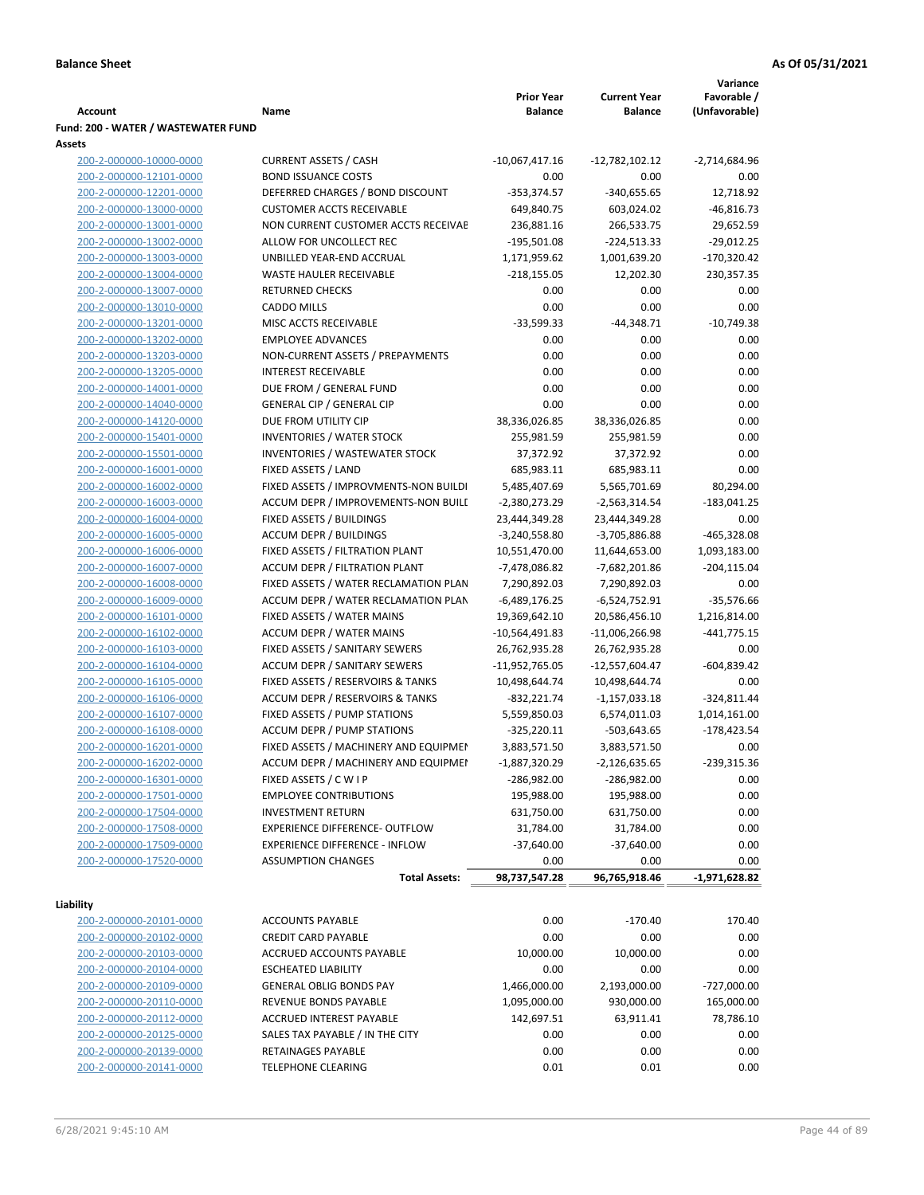|                                     |                                       |                   |                           | Variance        |
|-------------------------------------|---------------------------------------|-------------------|---------------------------|-----------------|
|                                     |                                       | <b>Prior Year</b> | <b>Current Year</b>       | Favorable /     |
| <b>Account</b>                      | Name                                  | <b>Balance</b>    | <b>Balance</b>            | (Unfavorable)   |
| Fund: 200 - WATER / WASTEWATER FUND |                                       |                   |                           |                 |
| Assets                              |                                       |                   |                           |                 |
| 200-2-000000-10000-0000             | <b>CURRENT ASSETS / CASH</b>          | $-10,067,417.16$  | -12,782,102.12            | -2,714,684.96   |
| 200-2-000000-12101-0000             | <b>BOND ISSUANCE COSTS</b>            | 0.00              | 0.00                      | 0.00            |
| 200-2-000000-12201-0000             | DEFERRED CHARGES / BOND DISCOUNT      | $-353,374.57$     | $-340,655.65$             | 12,718.92       |
| 200-2-000000-13000-0000             | <b>CUSTOMER ACCTS RECEIVABLE</b>      | 649,840.75        | 603,024.02                | $-46,816.73$    |
| 200-2-000000-13001-0000             | NON CURRENT CUSTOMER ACCTS RECEIVAE   | 236,881.16        | 266,533.75                | 29,652.59       |
| 200-2-000000-13002-0000             | ALLOW FOR UNCOLLECT REC               | $-195,501.08$     | $-224,513.33$             | $-29,012.25$    |
| 200-2-000000-13003-0000             | UNBILLED YEAR-END ACCRUAL             | 1,171,959.62      | 1,001,639.20              | $-170,320.42$   |
| 200-2-000000-13004-0000             | WASTE HAULER RECEIVABLE               | $-218,155.05$     | 12,202.30                 | 230,357.35      |
| 200-2-000000-13007-0000             | <b>RETURNED CHECKS</b>                | 0.00              | 0.00                      | 0.00            |
| 200-2-000000-13010-0000             | <b>CADDO MILLS</b>                    | 0.00              | 0.00                      | 0.00            |
| 200-2-000000-13201-0000             | MISC ACCTS RECEIVABLE                 | $-33,599.33$      | $-44,348.71$              | $-10,749.38$    |
| 200-2-000000-13202-0000             | <b>EMPLOYEE ADVANCES</b>              | 0.00              | 0.00                      | 0.00            |
| 200-2-000000-13203-0000             | NON-CURRENT ASSETS / PREPAYMENTS      | 0.00              | 0.00                      | 0.00            |
| 200-2-000000-13205-0000             | <b>INTEREST RECEIVABLE</b>            | 0.00              | 0.00                      | 0.00            |
| 200-2-000000-14001-0000             | DUE FROM / GENERAL FUND               | 0.00              | 0.00                      | 0.00            |
|                                     |                                       |                   |                           |                 |
| 200-2-000000-14040-0000             | <b>GENERAL CIP / GENERAL CIP</b>      | 0.00              | 0.00                      | 0.00            |
| 200-2-000000-14120-0000             | DUE FROM UTILITY CIP                  | 38,336,026.85     | 38,336,026.85             | 0.00            |
| 200-2-000000-15401-0000             | <b>INVENTORIES / WATER STOCK</b>      | 255,981.59        | 255,981.59                | 0.00            |
| 200-2-000000-15501-0000             | <b>INVENTORIES / WASTEWATER STOCK</b> | 37,372.92         | 37,372.92                 | 0.00            |
| 200-2-000000-16001-0000             | FIXED ASSETS / LAND                   | 685,983.11        | 685,983.11                | 0.00            |
| 200-2-000000-16002-0000             | FIXED ASSETS / IMPROVMENTS-NON BUILDI | 5,485,407.69      | 5,565,701.69              | 80,294.00       |
| 200-2-000000-16003-0000             | ACCUM DEPR / IMPROVEMENTS-NON BUILI   | $-2,380,273.29$   | -2,563,314.54             | $-183,041.25$   |
| 200-2-000000-16004-0000             | FIXED ASSETS / BUILDINGS              | 23,444,349.28     | 23,444,349.28             | 0.00            |
| 200-2-000000-16005-0000             | <b>ACCUM DEPR / BUILDINGS</b>         | $-3,240,558.80$   | -3,705,886.88             | -465,328.08     |
| 200-2-000000-16006-0000             | FIXED ASSETS / FILTRATION PLANT       | 10,551,470.00     | 11,644,653.00             | 1,093,183.00    |
| 200-2-000000-16007-0000             | ACCUM DEPR / FILTRATION PLANT         | -7,478,086.82     | -7,682,201.86             | $-204, 115.04$  |
| 200-2-000000-16008-0000             | FIXED ASSETS / WATER RECLAMATION PLAN | 7,290,892.03      | 7,290,892.03              | 0.00            |
| 200-2-000000-16009-0000             | ACCUM DEPR / WATER RECLAMATION PLAN   | $-6,489,176.25$   | $-6,524,752.91$           | $-35,576.66$    |
| 200-2-000000-16101-0000             | FIXED ASSETS / WATER MAINS            | 19,369,642.10     | 20,586,456.10             | 1,216,814.00    |
| 200-2-000000-16102-0000             | <b>ACCUM DEPR / WATER MAINS</b>       | -10,564,491.83    | $-11,006,266.98$          | $-441,775.15$   |
| 200-2-000000-16103-0000             | FIXED ASSETS / SANITARY SEWERS        | 26,762,935.28     | 26,762,935.28             | 0.00            |
| 200-2-000000-16104-0000             | <b>ACCUM DEPR / SANITARY SEWERS</b>   | -11,952,765.05    | -12,557,604.47            | $-604,839.42$   |
| 200-2-000000-16105-0000             | FIXED ASSETS / RESERVOIRS & TANKS     | 10,498,644.74     | 10,498,644.74             | 0.00            |
| 200-2-000000-16106-0000             | ACCUM DEPR / RESERVOIRS & TANKS       | $-832,221.74$     | $-1,157,033.18$           | $-324,811.44$   |
| 200-2-000000-16107-0000             | FIXED ASSETS / PUMP STATIONS          | 5,559,850.03      | 6,574,011.03              | 1,014,161.00    |
| 200-2-000000-16108-0000             | <b>ACCUM DEPR / PUMP STATIONS</b>     | $-325,220.11$     | $-503,643.65$             | $-178,423.54$   |
| 200-2-000000-16201-0000             | FIXED ASSETS / MACHINERY AND EQUIPMEN | 3,883,571.50      | 3,883,571.50              | 0.00            |
| 200-2-000000-16202-0000             | ACCUM DEPR / MACHINERY AND EQUIPMEI   | $-1,887,320.29$   | $-2,126,635.65$           | $-239,315.36$   |
| 200-2-000000-16301-0000             | FIXED ASSETS / C W I P                | $-286,982.00$     | -286,982.00               | 0.00            |
| 200-2-000000-17501-0000             | <b>EMPLOYEE CONTRIBUTIONS</b>         | 195,988.00        | 195,988.00                | 0.00            |
| 200-2-000000-17504-0000             | <b>INVESTMENT RETURN</b>              | 631,750.00        | 631,750.00                | 0.00            |
|                                     |                                       |                   |                           |                 |
| 200-2-000000-17508-0000             | EXPERIENCE DIFFERENCE- OUTFLOW        | 31,784.00         | 31,784.00<br>$-37,640.00$ | 0.00            |
| 200-2-000000-17509-0000             | <b>EXPERIENCE DIFFERENCE - INFLOW</b> | $-37,640.00$      |                           | 0.00            |
| 200-2-000000-17520-0000             | <b>ASSUMPTION CHANGES</b>             | 0.00              | 0.00                      | 0.00            |
|                                     | <b>Total Assets:</b>                  | 98,737,547.28     | 96,765,918.46             | $-1,971,628.82$ |
| Liability                           |                                       |                   |                           |                 |
| 200-2-000000-20101-0000             | <b>ACCOUNTS PAYABLE</b>               | 0.00              | $-170.40$                 | 170.40          |
| 200-2-000000-20102-0000             | <b>CREDIT CARD PAYABLE</b>            | 0.00              | 0.00                      | 0.00            |
|                                     |                                       |                   |                           |                 |
| 200-2-000000-20103-0000             | ACCRUED ACCOUNTS PAYABLE              | 10,000.00         | 10,000.00                 | 0.00            |
| 200-2-000000-20104-0000             | <b>ESCHEATED LIABILITY</b>            | 0.00              | 0.00                      | 0.00            |
| 200-2-000000-20109-0000             | <b>GENERAL OBLIG BONDS PAY</b>        | 1,466,000.00      | 2,193,000.00              | -727,000.00     |
| 200-2-000000-20110-0000             | REVENUE BONDS PAYABLE                 | 1,095,000.00      | 930,000.00                | 165,000.00      |
| 200-2-000000-20112-0000             | ACCRUED INTEREST PAYABLE              | 142,697.51        | 63,911.41                 | 78,786.10       |
| 200-2-000000-20125-0000             | SALES TAX PAYABLE / IN THE CITY       | 0.00              | 0.00                      | 0.00            |
| 200-2-000000-20139-0000             | RETAINAGES PAYABLE                    | 0.00              | 0.00                      | 0.00            |
| 200-2-000000-20141-0000             | <b>TELEPHONE CLEARING</b>             | 0.01              | 0.01                      | 0.00            |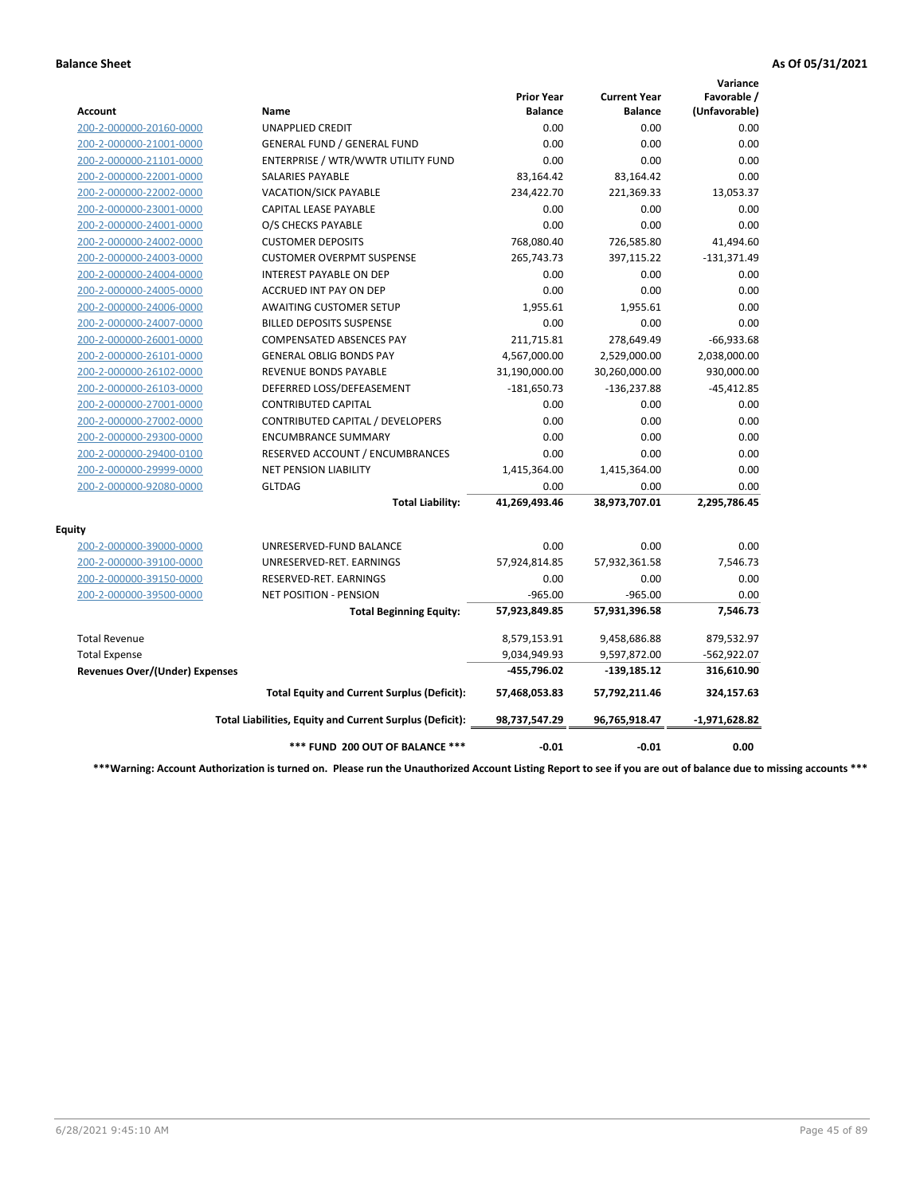|                                       |                                                          |                                     |                                       | Variance                     |
|---------------------------------------|----------------------------------------------------------|-------------------------------------|---------------------------------------|------------------------------|
| Account                               | <b>Name</b>                                              | <b>Prior Year</b><br><b>Balance</b> | <b>Current Year</b><br><b>Balance</b> | Favorable /<br>(Unfavorable) |
| 200-2-000000-20160-0000               | <b>UNAPPLIED CREDIT</b>                                  | 0.00                                | 0.00                                  | 0.00                         |
| 200-2-000000-21001-0000               | <b>GENERAL FUND / GENERAL FUND</b>                       | 0.00                                | 0.00                                  | 0.00                         |
| 200-2-000000-21101-0000               | ENTERPRISE / WTR/WWTR UTILITY FUND                       | 0.00                                | 0.00                                  | 0.00                         |
| 200-2-000000-22001-0000               | <b>SALARIES PAYABLE</b>                                  | 83,164.42                           | 83,164.42                             | 0.00                         |
| 200-2-000000-22002-0000               | <b>VACATION/SICK PAYABLE</b>                             | 234,422.70                          | 221,369.33                            | 13,053.37                    |
| 200-2-000000-23001-0000               | CAPITAL LEASE PAYABLE                                    | 0.00                                | 0.00                                  | 0.00                         |
| 200-2-000000-24001-0000               | O/S CHECKS PAYABLE                                       | 0.00                                | 0.00                                  | 0.00                         |
| 200-2-000000-24002-0000               | <b>CUSTOMER DEPOSITS</b>                                 | 768,080.40                          | 726,585.80                            | 41,494.60                    |
| 200-2-000000-24003-0000               | <b>CUSTOMER OVERPMT SUSPENSE</b>                         | 265,743.73                          | 397,115.22                            | $-131,371.49$                |
| 200-2-000000-24004-0000               | <b>INTEREST PAYABLE ON DEP</b>                           | 0.00                                | 0.00                                  | 0.00                         |
| 200-2-000000-24005-0000               | ACCRUED INT PAY ON DEP                                   | 0.00                                | 0.00                                  | 0.00                         |
| 200-2-000000-24006-0000               | AWAITING CUSTOMER SETUP                                  | 1,955.61                            | 1,955.61                              | 0.00                         |
| 200-2-000000-24007-0000               | <b>BILLED DEPOSITS SUSPENSE</b>                          | 0.00                                | 0.00                                  | 0.00                         |
| 200-2-000000-26001-0000               | <b>COMPENSATED ABSENCES PAY</b>                          | 211,715.81                          | 278,649.49                            | $-66,933.68$                 |
| 200-2-000000-26101-0000               | <b>GENERAL OBLIG BONDS PAY</b>                           | 4,567,000.00                        | 2,529,000.00                          | 2,038,000.00                 |
| 200-2-000000-26102-0000               | <b>REVENUE BONDS PAYABLE</b>                             | 31,190,000.00                       | 30,260,000.00                         | 930,000.00                   |
| 200-2-000000-26103-0000               | DEFERRED LOSS/DEFEASEMENT                                | $-181,650.73$                       | -136,237.88                           | $-45,412.85$                 |
| 200-2-000000-27001-0000               | <b>CONTRIBUTED CAPITAL</b>                               | 0.00                                | 0.00                                  | 0.00                         |
| 200-2-000000-27002-0000               | CONTRIBUTED CAPITAL / DEVELOPERS                         | 0.00                                | 0.00                                  | 0.00                         |
| 200-2-000000-29300-0000               | <b>ENCUMBRANCE SUMMARY</b>                               | 0.00                                | 0.00                                  | 0.00                         |
| 200-2-000000-29400-0100               | RESERVED ACCOUNT / ENCUMBRANCES                          | 0.00                                | 0.00                                  | 0.00                         |
| 200-2-000000-29999-0000               | <b>NET PENSION LIABILITY</b>                             | 1,415,364.00                        | 1,415,364.00                          | 0.00                         |
| 200-2-000000-92080-0000               | <b>GLTDAG</b>                                            | 0.00                                | 0.00                                  | 0.00                         |
|                                       | <b>Total Liability:</b>                                  | 41,269,493.46                       | 38,973,707.01                         | 2,295,786.45                 |
| <b>Equity</b>                         |                                                          |                                     |                                       |                              |
| 200-2-000000-39000-0000               | UNRESERVED-FUND BALANCE                                  | 0.00                                | 0.00                                  | 0.00                         |
| 200-2-000000-39100-0000               | UNRESERVED-RET. EARNINGS                                 | 57,924,814.85                       | 57,932,361.58                         | 7,546.73                     |
| 200-2-000000-39150-0000               | RESERVED-RET. EARNINGS                                   | 0.00                                | 0.00                                  | 0.00                         |
| 200-2-000000-39500-0000               | <b>NET POSITION - PENSION</b>                            | $-965.00$                           | $-965.00$                             | 0.00                         |
|                                       | <b>Total Beginning Equity:</b>                           | 57,923,849.85                       | 57,931,396.58                         | 7,546.73                     |
| <b>Total Revenue</b>                  |                                                          | 8,579,153.91                        | 9,458,686.88                          | 879,532.97                   |
| <b>Total Expense</b>                  |                                                          | 9,034,949.93                        | 9,597,872.00                          | $-562,922.07$                |
| <b>Revenues Over/(Under) Expenses</b> |                                                          | -455,796.02                         | $-139,185.12$                         | 316,610.90                   |
|                                       | <b>Total Equity and Current Surplus (Deficit):</b>       | 57,468,053.83                       | 57,792,211.46                         | 324,157.63                   |
|                                       | Total Liabilities, Equity and Current Surplus (Deficit): | 98,737,547.29                       | 96,765,918.47                         | $-1,971,628.82$              |
|                                       | *** FUND 200 OUT OF BALANCE ***                          | $-0.01$                             | $-0.01$                               | 0.00                         |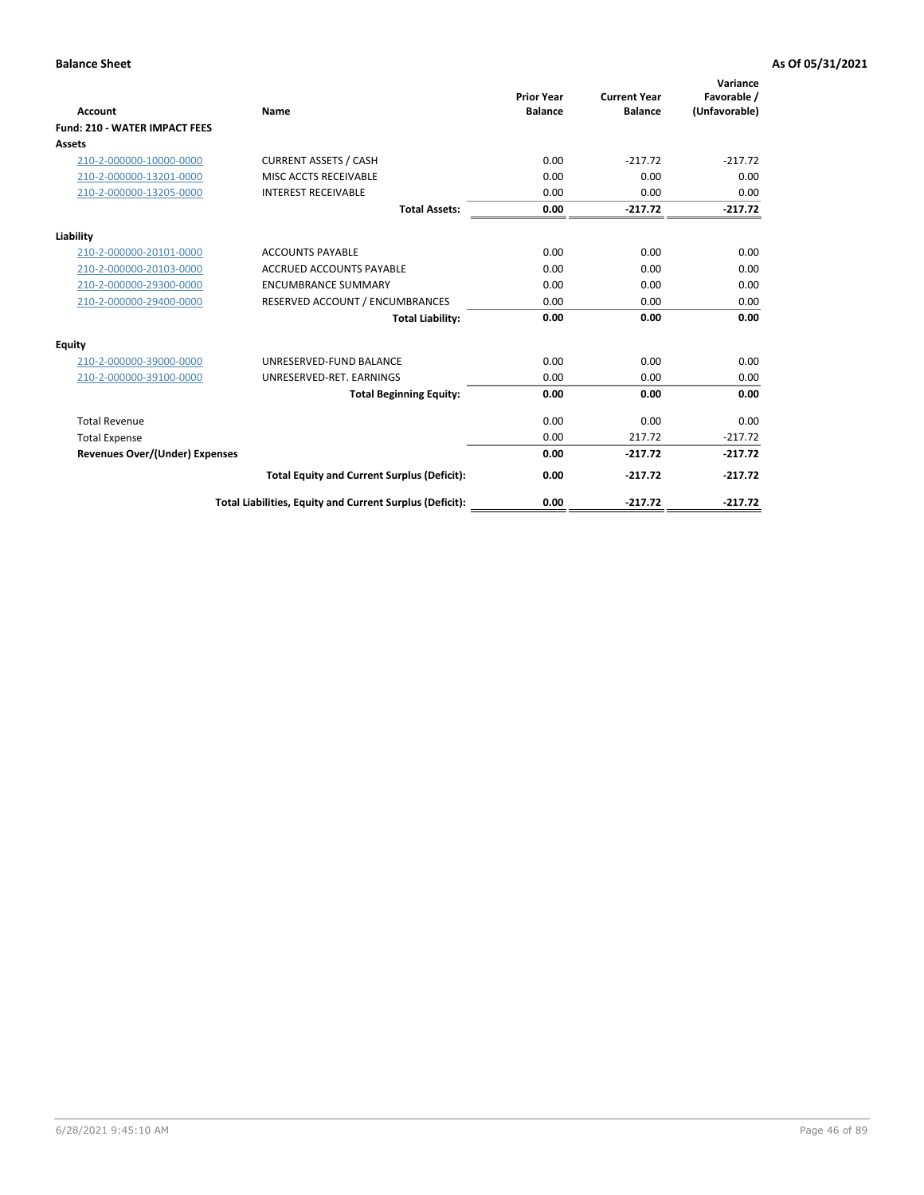| Account                               | Name                                                     | <b>Prior Year</b><br><b>Balance</b> | <b>Current Year</b><br><b>Balance</b> | Variance<br>Favorable /<br>(Unfavorable) |
|---------------------------------------|----------------------------------------------------------|-------------------------------------|---------------------------------------|------------------------------------------|
| <b>Fund: 210 - WATER IMPACT FEES</b>  |                                                          |                                     |                                       |                                          |
| <b>Assets</b>                         |                                                          |                                     |                                       |                                          |
| 210-2-000000-10000-0000               | <b>CURRENT ASSETS / CASH</b>                             | 0.00                                | $-217.72$                             | $-217.72$                                |
| 210-2-000000-13201-0000               | MISC ACCTS RECEIVABLE                                    | 0.00                                | 0.00                                  | 0.00                                     |
| 210-2-000000-13205-0000               | <b>INTEREST RECEIVABLE</b>                               | 0.00                                | 0.00                                  | 0.00                                     |
|                                       | <b>Total Assets:</b>                                     | 0.00                                | $-217.72$                             | $-217.72$                                |
| Liability                             |                                                          |                                     |                                       |                                          |
| 210-2-000000-20101-0000               | <b>ACCOUNTS PAYABLE</b>                                  | 0.00                                | 0.00                                  | 0.00                                     |
| 210-2-000000-20103-0000               | <b>ACCRUED ACCOUNTS PAYABLE</b>                          | 0.00                                | 0.00                                  | 0.00                                     |
| 210-2-000000-29300-0000               | <b>ENCUMBRANCE SUMMARY</b>                               | 0.00                                | 0.00                                  | 0.00                                     |
| 210-2-000000-29400-0000               | RESERVED ACCOUNT / ENCUMBRANCES                          | 0.00                                | 0.00                                  | 0.00                                     |
|                                       | <b>Total Liability:</b>                                  | 0.00                                | 0.00                                  | 0.00                                     |
| <b>Equity</b>                         |                                                          |                                     |                                       |                                          |
| 210-2-000000-39000-0000               | UNRESERVED-FUND BALANCE                                  | 0.00                                | 0.00                                  | 0.00                                     |
| 210-2-000000-39100-0000               | UNRESERVED-RET. EARNINGS                                 | 0.00                                | 0.00                                  | 0.00                                     |
|                                       | <b>Total Beginning Equity:</b>                           | 0.00                                | 0.00                                  | 0.00                                     |
| <b>Total Revenue</b>                  |                                                          | 0.00                                | 0.00                                  | 0.00                                     |
| <b>Total Expense</b>                  |                                                          | 0.00                                | 217.72                                | $-217.72$                                |
| <b>Revenues Over/(Under) Expenses</b> |                                                          | 0.00                                | $-217.72$                             | $-217.72$                                |
|                                       | <b>Total Equity and Current Surplus (Deficit):</b>       | 0.00                                | $-217.72$                             | $-217.72$                                |
|                                       | Total Liabilities, Equity and Current Surplus (Deficit): | 0.00                                | $-217.72$                             | $-217.72$                                |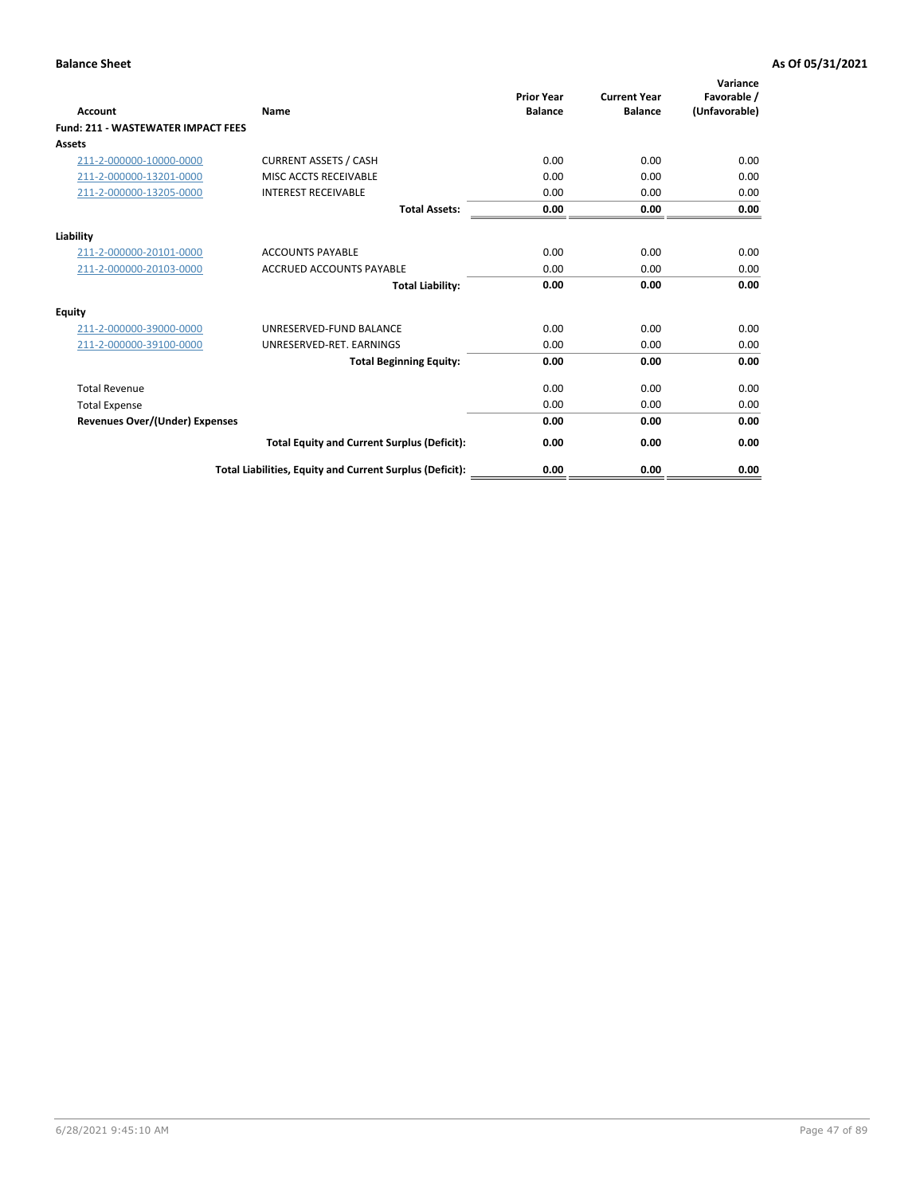| Account                                   | Name                                                     | <b>Prior Year</b><br><b>Balance</b> | <b>Current Year</b><br><b>Balance</b> | Variance<br>Favorable /<br>(Unfavorable) |
|-------------------------------------------|----------------------------------------------------------|-------------------------------------|---------------------------------------|------------------------------------------|
| <b>Fund: 211 - WASTEWATER IMPACT FEES</b> |                                                          |                                     |                                       |                                          |
| <b>Assets</b>                             |                                                          |                                     |                                       |                                          |
| 211-2-000000-10000-0000                   | <b>CURRENT ASSETS / CASH</b>                             | 0.00                                | 0.00                                  | 0.00                                     |
| 211-2-000000-13201-0000                   | MISC ACCTS RECEIVABLE                                    | 0.00                                | 0.00                                  | 0.00                                     |
| 211-2-000000-13205-0000                   | <b>INTEREST RECEIVABLE</b>                               | 0.00                                | 0.00                                  | 0.00                                     |
|                                           | <b>Total Assets:</b>                                     | 0.00                                | 0.00                                  | 0.00                                     |
| Liability                                 |                                                          |                                     |                                       |                                          |
| 211-2-000000-20101-0000                   | <b>ACCOUNTS PAYABLE</b>                                  | 0.00                                | 0.00                                  | 0.00                                     |
| 211-2-000000-20103-0000                   | <b>ACCRUED ACCOUNTS PAYABLE</b>                          | 0.00                                | 0.00                                  | 0.00                                     |
|                                           | <b>Total Liability:</b>                                  | 0.00                                | 0.00                                  | 0.00                                     |
| Equity                                    |                                                          |                                     |                                       |                                          |
| 211-2-000000-39000-0000                   | UNRESERVED-FUND BALANCE                                  | 0.00                                | 0.00                                  | 0.00                                     |
| 211-2-000000-39100-0000                   | UNRESERVED-RET. EARNINGS                                 | 0.00                                | 0.00                                  | 0.00                                     |
|                                           | <b>Total Beginning Equity:</b>                           | 0.00                                | 0.00                                  | 0.00                                     |
| <b>Total Revenue</b>                      |                                                          | 0.00                                | 0.00                                  | 0.00                                     |
| <b>Total Expense</b>                      |                                                          | 0.00                                | 0.00                                  | 0.00                                     |
| <b>Revenues Over/(Under) Expenses</b>     |                                                          | 0.00                                | 0.00                                  | 0.00                                     |
|                                           | <b>Total Equity and Current Surplus (Deficit):</b>       | 0.00                                | 0.00                                  | 0.00                                     |
|                                           | Total Liabilities, Equity and Current Surplus (Deficit): | 0.00                                | 0.00                                  | 0.00                                     |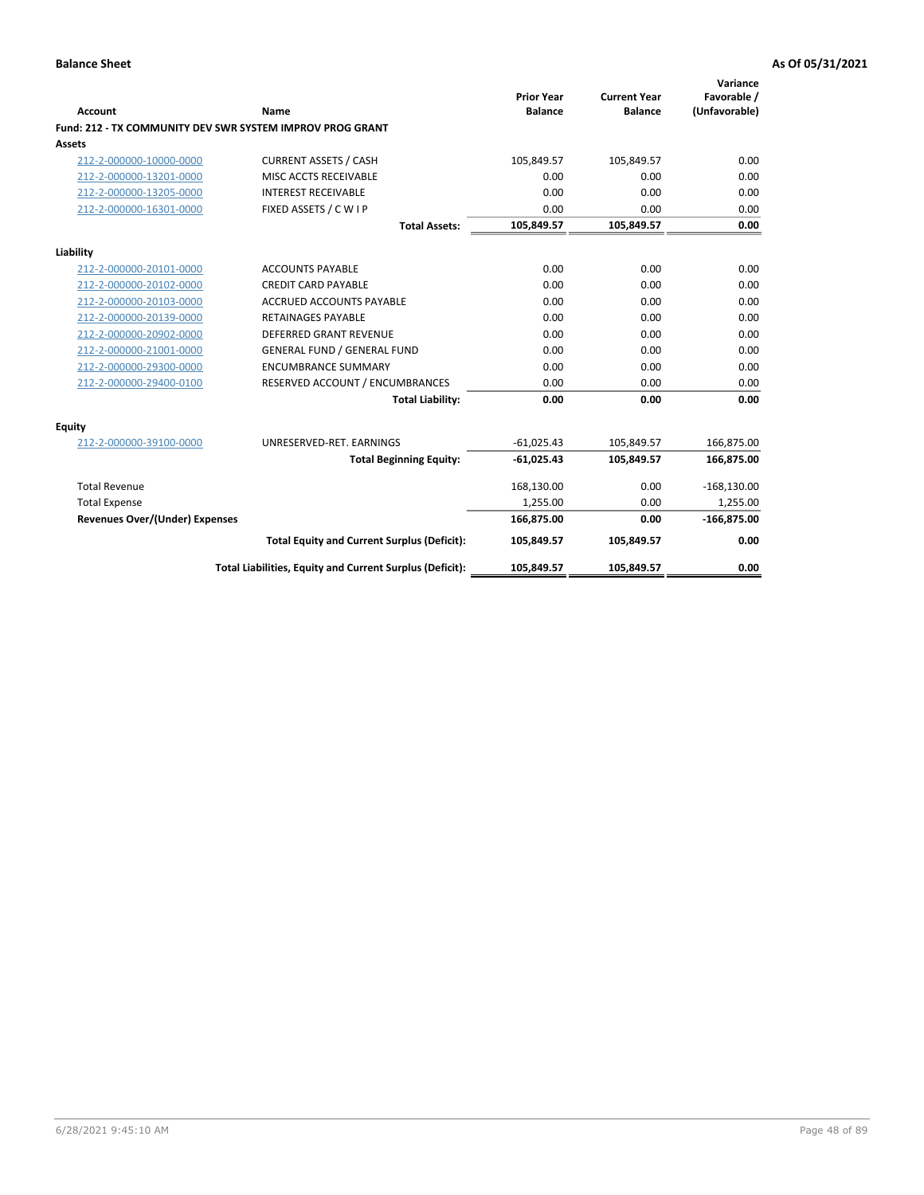|                                       |                                                           |                                     |                                       | Variance                     |
|---------------------------------------|-----------------------------------------------------------|-------------------------------------|---------------------------------------|------------------------------|
| <b>Account</b>                        | <b>Name</b>                                               | <b>Prior Year</b><br><b>Balance</b> | <b>Current Year</b><br><b>Balance</b> | Favorable /<br>(Unfavorable) |
|                                       | Fund: 212 - TX COMMUNITY DEV SWR SYSTEM IMPROV PROG GRANT |                                     |                                       |                              |
| <b>Assets</b>                         |                                                           |                                     |                                       |                              |
| 212-2-000000-10000-0000               | <b>CURRENT ASSETS / CASH</b>                              | 105,849.57                          | 105,849.57                            | 0.00                         |
| 212-2-000000-13201-0000               | MISC ACCTS RECEIVABLE                                     | 0.00                                | 0.00                                  | 0.00                         |
| 212-2-000000-13205-0000               | <b>INTEREST RECEIVABLE</b>                                | 0.00                                | 0.00                                  | 0.00                         |
| 212-2-000000-16301-0000               | FIXED ASSETS / C W I P                                    | 0.00                                | 0.00                                  | 0.00                         |
|                                       | <b>Total Assets:</b>                                      | 105,849.57                          | 105,849.57                            | 0.00                         |
| Liability                             |                                                           |                                     |                                       |                              |
| 212-2-000000-20101-0000               | <b>ACCOUNTS PAYABLE</b>                                   | 0.00                                | 0.00                                  | 0.00                         |
| 212-2-000000-20102-0000               | <b>CREDIT CARD PAYABLE</b>                                | 0.00                                | 0.00                                  | 0.00                         |
| 212-2-000000-20103-0000               | <b>ACCRUED ACCOUNTS PAYABLE</b>                           | 0.00                                | 0.00                                  | 0.00                         |
| 212-2-000000-20139-0000               | <b>RETAINAGES PAYABLE</b>                                 | 0.00                                | 0.00                                  | 0.00                         |
| 212-2-000000-20902-0000               | <b>DEFERRED GRANT REVENUE</b>                             | 0.00                                | 0.00                                  | 0.00                         |
| 212-2-000000-21001-0000               | <b>GENERAL FUND / GENERAL FUND</b>                        | 0.00                                | 0.00                                  | 0.00                         |
| 212-2-000000-29300-0000               | <b>ENCUMBRANCE SUMMARY</b>                                | 0.00                                | 0.00                                  | 0.00                         |
| 212-2-000000-29400-0100               | RESERVED ACCOUNT / ENCUMBRANCES                           | 0.00                                | 0.00                                  | 0.00                         |
|                                       | <b>Total Liability:</b>                                   | 0.00                                | 0.00                                  | 0.00                         |
| Equity                                |                                                           |                                     |                                       |                              |
| 212-2-000000-39100-0000               | UNRESERVED-RET. EARNINGS                                  | $-61.025.43$                        | 105,849.57                            | 166,875.00                   |
|                                       | <b>Total Beginning Equity:</b>                            | $-61,025.43$                        | 105,849.57                            | 166,875.00                   |
| <b>Total Revenue</b>                  |                                                           | 168,130.00                          | 0.00                                  | $-168,130.00$                |
| <b>Total Expense</b>                  |                                                           | 1,255.00                            | 0.00                                  | 1,255.00                     |
| <b>Revenues Over/(Under) Expenses</b> |                                                           | 166,875.00                          | 0.00                                  | $-166,875.00$                |
|                                       | <b>Total Equity and Current Surplus (Deficit):</b>        | 105,849.57                          | 105,849.57                            | 0.00                         |
|                                       | Total Liabilities, Equity and Current Surplus (Deficit):  | 105,849.57                          | 105,849.57                            | 0.00                         |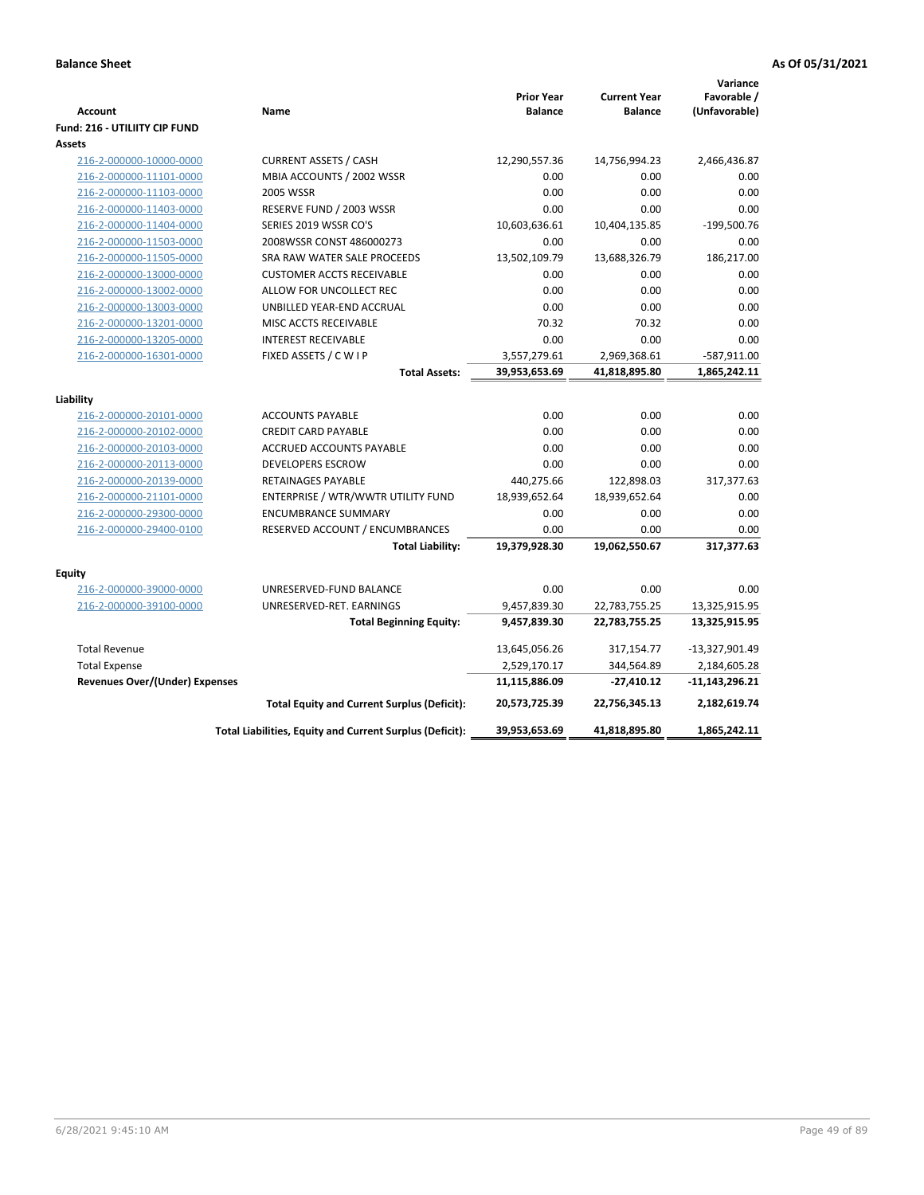| <b>Account</b><br>Fund: 216 - UTILIITY CIP FUND    | Name                                                     | <b>Prior Year</b><br><b>Balance</b> | <b>Current Year</b><br><b>Balance</b> | Variance<br>Favorable /<br>(Unfavorable) |
|----------------------------------------------------|----------------------------------------------------------|-------------------------------------|---------------------------------------|------------------------------------------|
| <b>Assets</b>                                      |                                                          |                                     |                                       |                                          |
| 216-2-000000-10000-0000                            | <b>CURRENT ASSETS / CASH</b>                             | 12,290,557.36                       | 14,756,994.23                         | 2,466,436.87                             |
| 216-2-000000-11101-0000                            | MBIA ACCOUNTS / 2002 WSSR                                | 0.00                                | 0.00                                  | 0.00                                     |
| 216-2-000000-11103-0000                            | 2005 WSSR                                                | 0.00                                | 0.00                                  | 0.00                                     |
| 216-2-000000-11403-0000                            | RESERVE FUND / 2003 WSSR                                 | 0.00                                | 0.00                                  | 0.00                                     |
| 216-2-000000-11404-0000                            | SERIES 2019 WSSR CO'S                                    | 10,603,636.61                       | 10,404,135.85                         | $-199,500.76$                            |
| 216-2-000000-11503-0000                            | 2008WSSR CONST 486000273                                 | 0.00                                | 0.00                                  | 0.00                                     |
| 216-2-000000-11505-0000                            | SRA RAW WATER SALE PROCEEDS                              | 13,502,109.79                       | 13,688,326.79                         | 186,217.00                               |
| 216-2-000000-13000-0000                            | <b>CUSTOMER ACCTS RECEIVABLE</b>                         | 0.00                                | 0.00                                  | 0.00                                     |
| 216-2-000000-13002-0000                            | ALLOW FOR UNCOLLECT REC                                  | 0.00                                | 0.00                                  | 0.00                                     |
| 216-2-000000-13003-0000                            | UNBILLED YEAR-END ACCRUAL                                | 0.00                                | 0.00                                  | 0.00                                     |
| 216-2-000000-13201-0000                            | MISC ACCTS RECEIVABLE                                    | 70.32                               | 70.32                                 | 0.00                                     |
| 216-2-000000-13205-0000                            | <b>INTEREST RECEIVABLE</b>                               | 0.00                                | 0.00                                  | 0.00                                     |
| 216-2-000000-16301-0000                            | FIXED ASSETS / C W I P                                   | 3,557,279.61                        | 2,969,368.61                          | $-587,911.00$                            |
|                                                    | <b>Total Assets:</b>                                     | 39,953,653.69                       | 41,818,895.80                         | 1,865,242.11                             |
|                                                    |                                                          |                                     |                                       |                                          |
| Liability                                          |                                                          | 0.00                                | 0.00                                  |                                          |
| 216-2-000000-20101-0000                            | <b>ACCOUNTS PAYABLE</b>                                  |                                     |                                       | 0.00<br>0.00                             |
| 216-2-000000-20102-0000                            | <b>CREDIT CARD PAYABLE</b><br>ACCRUED ACCOUNTS PAYABLE   | 0.00<br>0.00                        | 0.00<br>0.00                          | 0.00                                     |
| 216-2-000000-20103-0000<br>216-2-000000-20113-0000 | <b>DEVELOPERS ESCROW</b>                                 | 0.00                                | 0.00                                  | 0.00                                     |
| 216-2-000000-20139-0000                            | <b>RETAINAGES PAYABLE</b>                                | 440,275.66                          | 122,898.03                            | 317,377.63                               |
| 216-2-000000-21101-0000                            | ENTERPRISE / WTR/WWTR UTILITY FUND                       | 18,939,652.64                       | 18,939,652.64                         | 0.00                                     |
| 216-2-000000-29300-0000                            | <b>ENCUMBRANCE SUMMARY</b>                               | 0.00                                | 0.00                                  | 0.00                                     |
| 216-2-000000-29400-0100                            | RESERVED ACCOUNT / ENCUMBRANCES                          | 0.00                                | 0.00                                  | 0.00                                     |
|                                                    | <b>Total Liability:</b>                                  | 19,379,928.30                       | 19,062,550.67                         | 317,377.63                               |
|                                                    |                                                          |                                     |                                       |                                          |
| <b>Equity</b>                                      |                                                          |                                     |                                       |                                          |
| 216-2-000000-39000-0000                            | UNRESERVED-FUND BALANCE                                  | 0.00                                | 0.00                                  | 0.00                                     |
| 216-2-000000-39100-0000                            | UNRESERVED-RET. EARNINGS                                 | 9,457,839.30                        | 22,783,755.25                         | 13,325,915.95                            |
|                                                    | <b>Total Beginning Equity:</b>                           | 9,457,839.30                        | 22,783,755.25                         | 13,325,915.95                            |
| <b>Total Revenue</b>                               |                                                          | 13,645,056.26                       | 317,154.77                            | -13,327,901.49                           |
| <b>Total Expense</b>                               |                                                          | 2,529,170.17                        | 344,564.89                            | 2,184,605.28                             |
| <b>Revenues Over/(Under) Expenses</b>              |                                                          | 11,115,886.09                       | $-27,410.12$                          | $-11,143,296.21$                         |
|                                                    | <b>Total Equity and Current Surplus (Deficit):</b>       | 20,573,725.39                       | 22,756,345.13                         | 2,182,619.74                             |
|                                                    | Total Liabilities, Equity and Current Surplus (Deficit): | 39,953,653.69                       | 41,818,895.80                         | 1,865,242.11                             |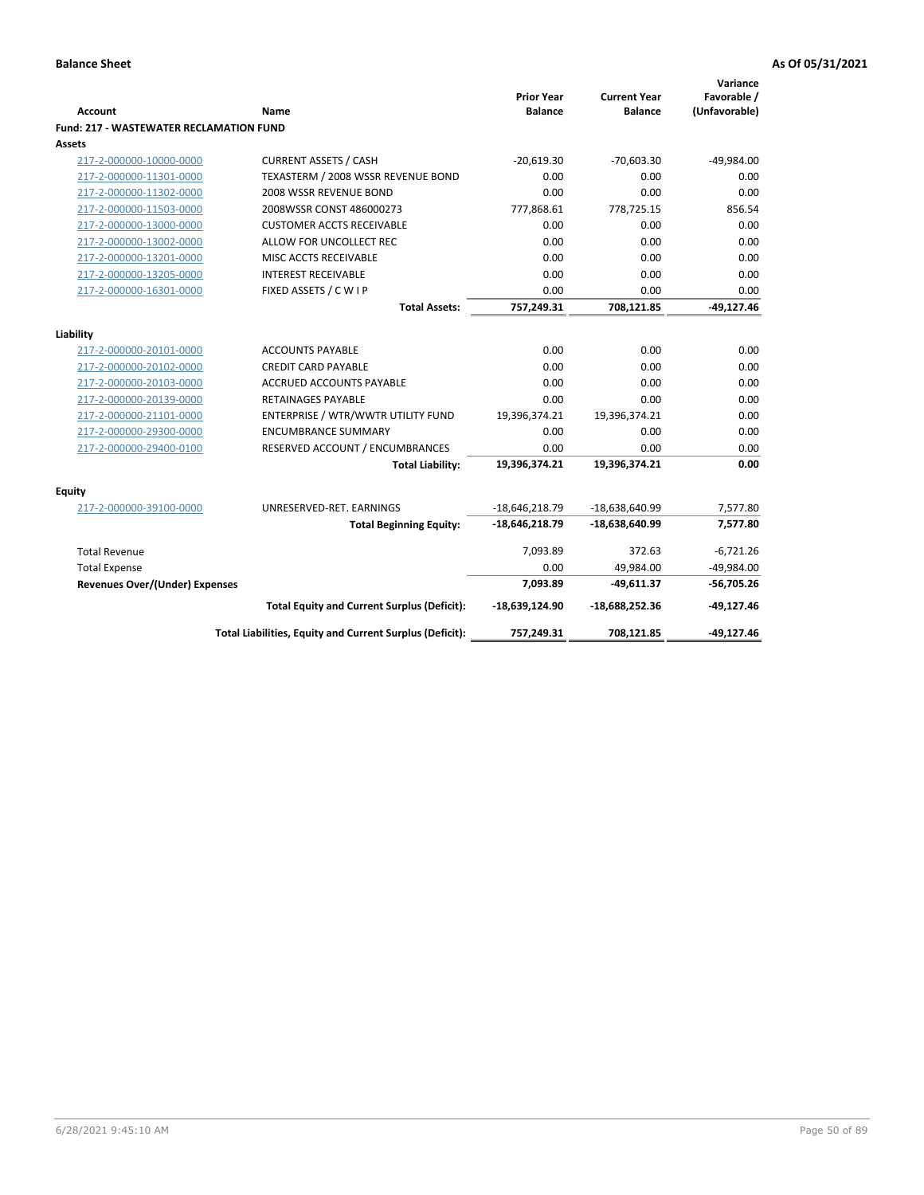| <b>Account</b>                                 | <b>Name</b>                                              | <b>Prior Year</b><br><b>Balance</b> | <b>Current Year</b><br><b>Balance</b> | Variance<br>Favorable /<br>(Unfavorable) |
|------------------------------------------------|----------------------------------------------------------|-------------------------------------|---------------------------------------|------------------------------------------|
| <b>Fund: 217 - WASTEWATER RECLAMATION FUND</b> |                                                          |                                     |                                       |                                          |
| Assets                                         |                                                          |                                     |                                       |                                          |
| 217-2-000000-10000-0000                        | <b>CURRENT ASSETS / CASH</b>                             | $-20,619.30$                        | $-70,603.30$                          | $-49,984.00$                             |
| 217-2-000000-11301-0000                        | TEXASTERM / 2008 WSSR REVENUE BOND                       | 0.00                                | 0.00                                  | 0.00                                     |
| 217-2-000000-11302-0000                        | 2008 WSSR REVENUE BOND                                   | 0.00                                | 0.00                                  | 0.00                                     |
| 217-2-000000-11503-0000                        | 2008WSSR CONST 486000273                                 | 777,868.61                          | 778,725.15                            | 856.54                                   |
| 217-2-000000-13000-0000                        | <b>CUSTOMER ACCTS RECEIVABLE</b>                         | 0.00                                | 0.00                                  | 0.00                                     |
| 217-2-000000-13002-0000                        | ALLOW FOR UNCOLLECT REC                                  | 0.00                                | 0.00                                  | 0.00                                     |
| 217-2-000000-13201-0000                        | MISC ACCTS RECEIVABLE                                    | 0.00                                | 0.00                                  | 0.00                                     |
| 217-2-000000-13205-0000                        | <b>INTEREST RECEIVABLE</b>                               | 0.00                                | 0.00                                  | 0.00                                     |
| 217-2-000000-16301-0000                        | FIXED ASSETS / C W I P                                   | 0.00                                | 0.00                                  | 0.00                                     |
|                                                | <b>Total Assets:</b>                                     | 757,249.31                          | 708,121.85                            | $-49,127.46$                             |
| Liability                                      |                                                          |                                     |                                       |                                          |
| 217-2-000000-20101-0000                        | <b>ACCOUNTS PAYABLE</b>                                  | 0.00                                | 0.00                                  | 0.00                                     |
| 217-2-000000-20102-0000                        | <b>CREDIT CARD PAYABLE</b>                               | 0.00                                | 0.00                                  | 0.00                                     |
| 217-2-000000-20103-0000                        | <b>ACCRUED ACCOUNTS PAYABLE</b>                          | 0.00                                | 0.00                                  | 0.00                                     |
| 217-2-000000-20139-0000                        | <b>RETAINAGES PAYABLE</b>                                | 0.00                                | 0.00                                  | 0.00                                     |
| 217-2-000000-21101-0000                        | ENTERPRISE / WTR/WWTR UTILITY FUND                       | 19,396,374.21                       | 19,396,374.21                         | 0.00                                     |
| 217-2-000000-29300-0000                        | <b>ENCUMBRANCE SUMMARY</b>                               | 0.00                                | 0.00                                  | 0.00                                     |
| 217-2-000000-29400-0100                        | RESERVED ACCOUNT / ENCUMBRANCES                          | 0.00                                | 0.00                                  | 0.00                                     |
|                                                | <b>Total Liability:</b>                                  | 19,396,374.21                       | 19,396,374.21                         | 0.00                                     |
|                                                |                                                          |                                     |                                       |                                          |
| <b>Equity</b>                                  |                                                          |                                     |                                       |                                          |
| 217-2-000000-39100-0000                        | UNRESERVED-RET. EARNINGS                                 | $-18,646,218.79$                    | -18,638,640.99                        | 7,577.80                                 |
|                                                | <b>Total Beginning Equity:</b>                           | $-18,646,218.79$                    | $-18,638,640.99$                      | 7,577.80                                 |
| <b>Total Revenue</b>                           |                                                          | 7,093.89                            | 372.63                                | $-6,721.26$                              |
| <b>Total Expense</b>                           |                                                          | 0.00                                | 49,984.00                             | $-49,984.00$                             |
| Revenues Over/(Under) Expenses                 |                                                          | 7,093.89                            | $-49,611.37$                          | $-56,705.26$                             |
|                                                | <b>Total Equity and Current Surplus (Deficit):</b>       | $-18,639,124.90$                    | $-18,688,252.36$                      | $-49,127.46$                             |
|                                                | Total Liabilities, Equity and Current Surplus (Deficit): | 757,249.31                          | 708,121.85                            | $-49,127.46$                             |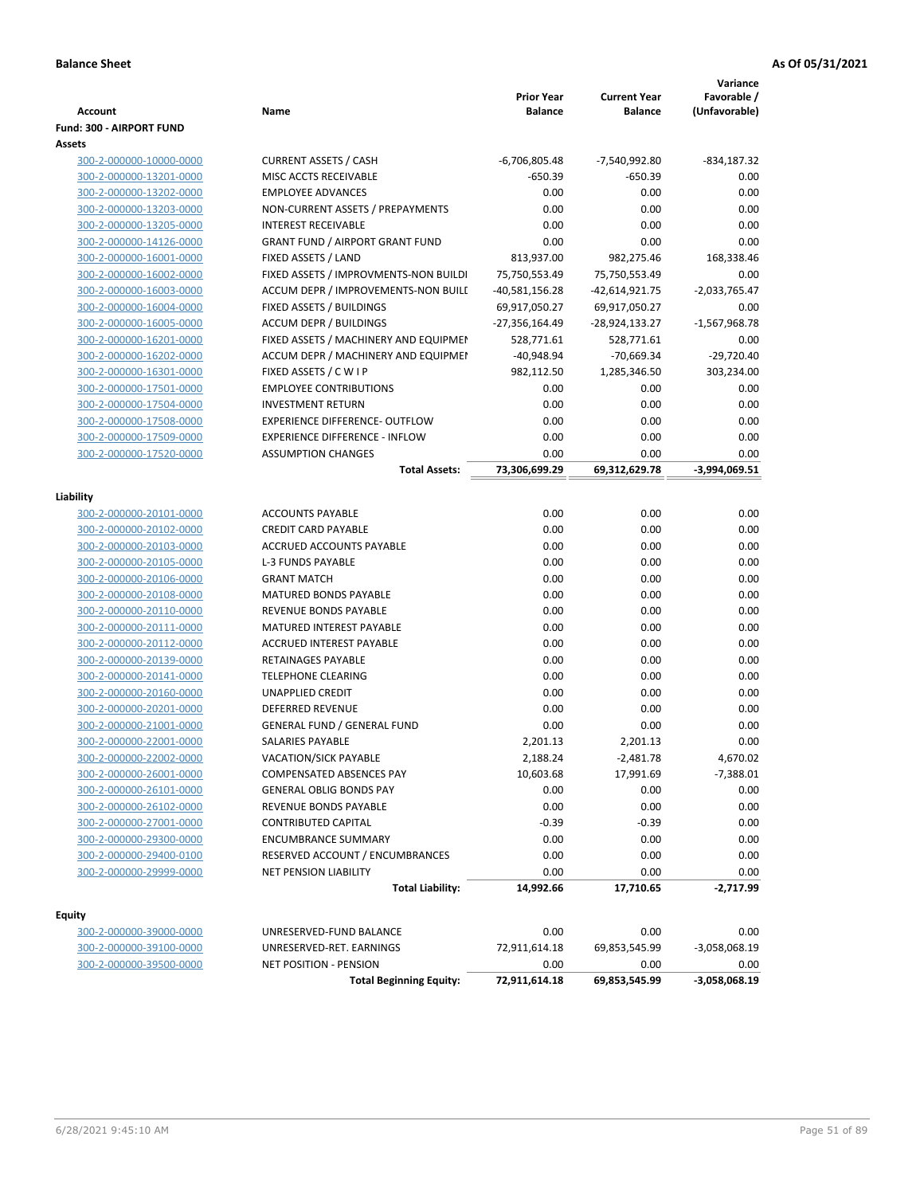|                                                           |                                                         |                   |                     | Variance        |
|-----------------------------------------------------------|---------------------------------------------------------|-------------------|---------------------|-----------------|
|                                                           |                                                         | <b>Prior Year</b> | <b>Current Year</b> | Favorable /     |
| <b>Account</b>                                            | Name                                                    | <b>Balance</b>    | <b>Balance</b>      | (Unfavorable)   |
| Fund: 300 - AIRPORT FUND                                  |                                                         |                   |                     |                 |
| Assets                                                    |                                                         |                   |                     |                 |
| 300-2-000000-10000-0000                                   | <b>CURRENT ASSETS / CASH</b>                            | $-6,706,805.48$   | -7,540,992.80       | $-834, 187.32$  |
| 300-2-000000-13201-0000                                   | MISC ACCTS RECEIVABLE                                   | $-650.39$         | -650.39             | 0.00            |
| 300-2-000000-13202-0000                                   | <b>EMPLOYEE ADVANCES</b>                                | 0.00              | 0.00                | 0.00            |
| 300-2-000000-13203-0000                                   | NON-CURRENT ASSETS / PREPAYMENTS                        | 0.00              | 0.00                | 0.00            |
| 300-2-000000-13205-0000                                   | <b>INTEREST RECEIVABLE</b>                              | 0.00              | 0.00                | 0.00            |
| 300-2-000000-14126-0000                                   | <b>GRANT FUND / AIRPORT GRANT FUND</b>                  | 0.00              | 0.00                | 0.00            |
| 300-2-000000-16001-0000                                   | FIXED ASSETS / LAND                                     | 813,937.00        | 982,275.46          | 168,338.46      |
| 300-2-000000-16002-0000                                   | FIXED ASSETS / IMPROVMENTS-NON BUILDI                   | 75,750,553.49     | 75,750,553.49       | 0.00            |
| 300-2-000000-16003-0000                                   | ACCUM DEPR / IMPROVEMENTS-NON BUILI                     | $-40,581,156.28$  | -42,614,921.75      | $-2,033,765.47$ |
| 300-2-000000-16004-0000                                   | FIXED ASSETS / BUILDINGS                                | 69,917,050.27     | 69,917,050.27       | 0.00            |
| 300-2-000000-16005-0000                                   | <b>ACCUM DEPR / BUILDINGS</b>                           | -27,356,164.49    | -28,924,133.27      | $-1,567,968.78$ |
| 300-2-000000-16201-0000                                   | FIXED ASSETS / MACHINERY AND EQUIPMEN                   | 528,771.61        | 528,771.61          | 0.00            |
| 300-2-000000-16202-0000                                   | ACCUM DEPR / MACHINERY AND EQUIPMEI                     | $-40,948.94$      | $-70,669.34$        | $-29,720.40$    |
| 300-2-000000-16301-0000                                   | FIXED ASSETS / C W I P                                  | 982,112.50        | 1,285,346.50        | 303,234.00      |
| 300-2-000000-17501-0000                                   | <b>EMPLOYEE CONTRIBUTIONS</b>                           | 0.00              | 0.00                | 0.00            |
| 300-2-000000-17504-0000                                   | <b>INVESTMENT RETURN</b>                                | 0.00              | 0.00                | 0.00            |
| 300-2-000000-17508-0000                                   | <b>EXPERIENCE DIFFERENCE- OUTFLOW</b>                   | 0.00              | 0.00                | 0.00            |
| 300-2-000000-17509-0000                                   | <b>EXPERIENCE DIFFERENCE - INFLOW</b>                   | 0.00              | 0.00                | 0.00            |
| 300-2-000000-17520-0000                                   | <b>ASSUMPTION CHANGES</b>                               | 0.00              | 0.00                | 0.00            |
|                                                           | <b>Total Assets:</b>                                    | 73,306,699.29     | 69,312,629.78       | $-3,994,069.51$ |
|                                                           |                                                         |                   |                     |                 |
| Liability                                                 |                                                         | 0.00              | 0.00                | 0.00            |
| 300-2-000000-20101-0000                                   | <b>ACCOUNTS PAYABLE</b><br><b>CREDIT CARD PAYABLE</b>   | 0.00              |                     |                 |
| 300-2-000000-20102-0000                                   | ACCRUED ACCOUNTS PAYABLE                                | 0.00              | 0.00<br>0.00        | 0.00            |
| 300-2-000000-20103-0000                                   |                                                         |                   |                     | 0.00<br>0.00    |
| 300-2-000000-20105-0000                                   | <b>L-3 FUNDS PAYABLE</b><br><b>GRANT MATCH</b>          | 0.00<br>0.00      | 0.00<br>0.00        | 0.00            |
| 300-2-000000-20106-0000                                   |                                                         |                   | 0.00                | 0.00            |
| 300-2-000000-20108-0000                                   | <b>MATURED BONDS PAYABLE</b>                            | 0.00              |                     |                 |
| 300-2-000000-20110-0000                                   | REVENUE BONDS PAYABLE                                   | 0.00              | 0.00                | 0.00            |
| 300-2-000000-20111-0000                                   | MATURED INTEREST PAYABLE                                | 0.00              | 0.00                | 0.00            |
| 300-2-000000-20112-0000                                   | ACCRUED INTEREST PAYABLE<br>RETAINAGES PAYABLE          | 0.00<br>0.00      | 0.00<br>0.00        | 0.00<br>0.00    |
| 300-2-000000-20139-0000                                   | <b>TELEPHONE CLEARING</b>                               | 0.00              | 0.00                | 0.00            |
| 300-2-000000-20141-0000                                   | <b>UNAPPLIED CREDIT</b>                                 | 0.00              | 0.00                | 0.00            |
| 300-2-000000-20160-0000<br>300-2-000000-20201-0000        | <b>DEFERRED REVENUE</b>                                 | 0.00              | 0.00                | 0.00            |
| 300-2-000000-21001-0000                                   | <b>GENERAL FUND / GENERAL FUND</b>                      | 0.00              | 0.00                | 0.00            |
|                                                           | SALARIES PAYABLE                                        | 2,201.13          | 2,201.13            | 0.00            |
| <u>300-2-000000-22001-0000</u><br>300-2-000000-22002-0000 | <b>VACATION/SICK PAYABLE</b>                            | 2,188.24          | $-2,481.78$         | 4,670.02        |
| 300-2-000000-26001-0000                                   | COMPENSATED ABSENCES PAY                                | 10,603.68         |                     |                 |
|                                                           |                                                         |                   | 17,991.69           | $-7,388.01$     |
| 300-2-000000-26101-0000<br>300-2-000000-26102-0000        | <b>GENERAL OBLIG BONDS PAY</b><br>REVENUE BONDS PAYABLE | 0.00              | 0.00                | 0.00<br>0.00    |
| 300-2-000000-27001-0000                                   | CONTRIBUTED CAPITAL                                     | 0.00<br>$-0.39$   | 0.00<br>$-0.39$     | 0.00            |
|                                                           | <b>ENCUMBRANCE SUMMARY</b>                              | 0.00              | 0.00                | 0.00            |
| 300-2-000000-29300-0000<br>300-2-000000-29400-0100        | RESERVED ACCOUNT / ENCUMBRANCES                         | 0.00              | 0.00                | 0.00            |
| 300-2-000000-29999-0000                                   | <b>NET PENSION LIABILITY</b>                            | 0.00              | 0.00                | 0.00            |
|                                                           |                                                         |                   |                     |                 |
|                                                           | <b>Total Liability:</b>                                 | 14,992.66         | 17,710.65           | $-2,717.99$     |
| <b>Equity</b>                                             |                                                         |                   |                     |                 |
| 300-2-000000-39000-0000                                   | UNRESERVED-FUND BALANCE                                 | 0.00              | 0.00                | 0.00            |
| 300-2-000000-39100-0000                                   | UNRESERVED-RET. EARNINGS                                | 72,911,614.18     | 69,853,545.99       | -3,058,068.19   |
| 300-2-000000-39500-0000                                   | <b>NET POSITION - PENSION</b>                           | 0.00              | 0.00                | 0.00            |
|                                                           | <b>Total Beginning Equity:</b>                          | 72,911,614.18     | 69,853,545.99       | $-3,058,068.19$ |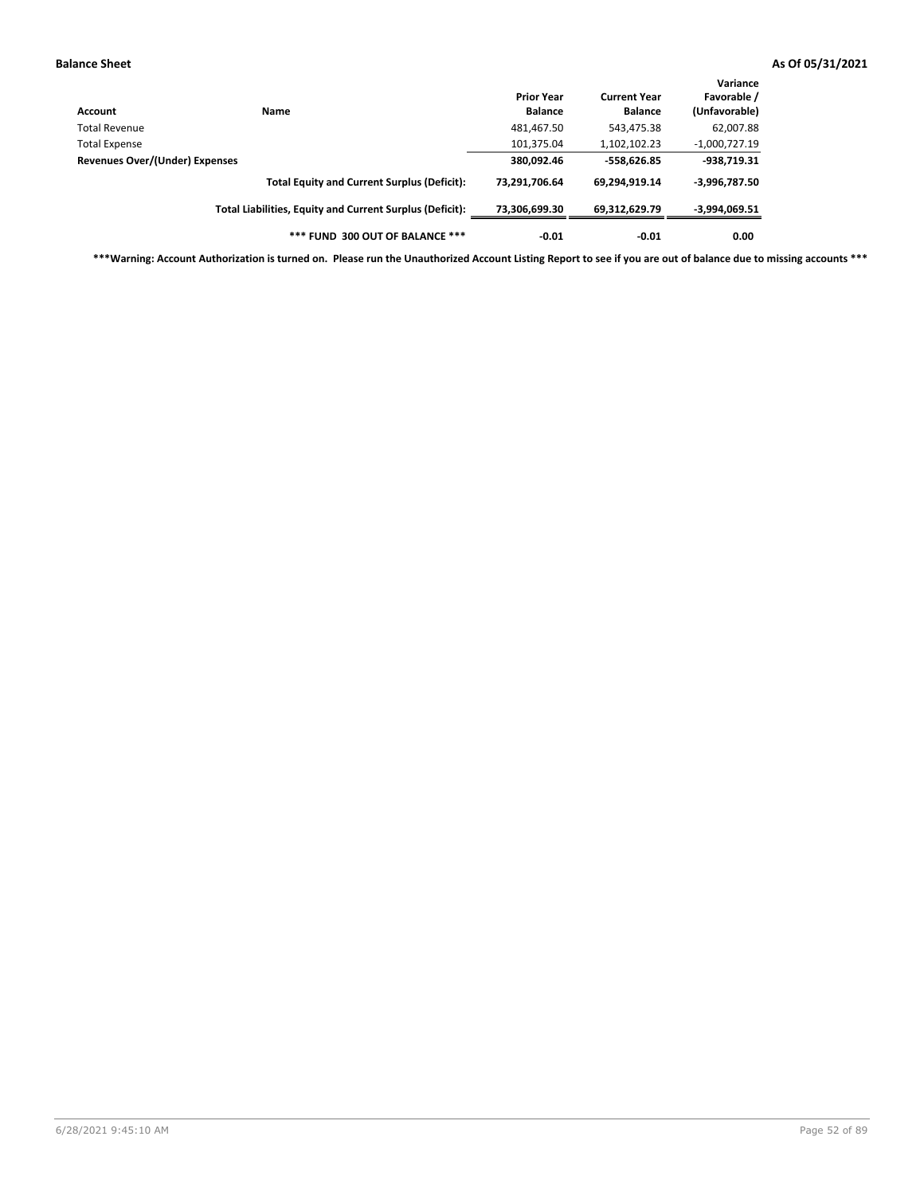| Account                        | Name                                                     | <b>Prior Year</b><br><b>Balance</b> | <b>Current Year</b><br><b>Balance</b> | Variance<br>Favorable /<br>(Unfavorable) |
|--------------------------------|----------------------------------------------------------|-------------------------------------|---------------------------------------|------------------------------------------|
| <b>Total Revenue</b>           |                                                          | 481,467.50                          | 543,475.38                            | 62,007.88                                |
| <b>Total Expense</b>           |                                                          | 101,375.04                          | 1,102,102.23                          | $-1,000,727.19$                          |
| Revenues Over/(Under) Expenses |                                                          | 380,092.46                          | $-558,626.85$                         | $-938,719.31$                            |
|                                | <b>Total Equity and Current Surplus (Deficit):</b>       | 73,291,706.64                       | 69,294,919.14                         | $-3,996,787.50$                          |
|                                | Total Liabilities, Equity and Current Surplus (Deficit): | 73,306,699.30                       | 69,312,629.79                         | -3,994,069.51                            |
|                                | *** FUND 300 OUT OF BALANCE ***                          | $-0.01$                             | $-0.01$                               | 0.00                                     |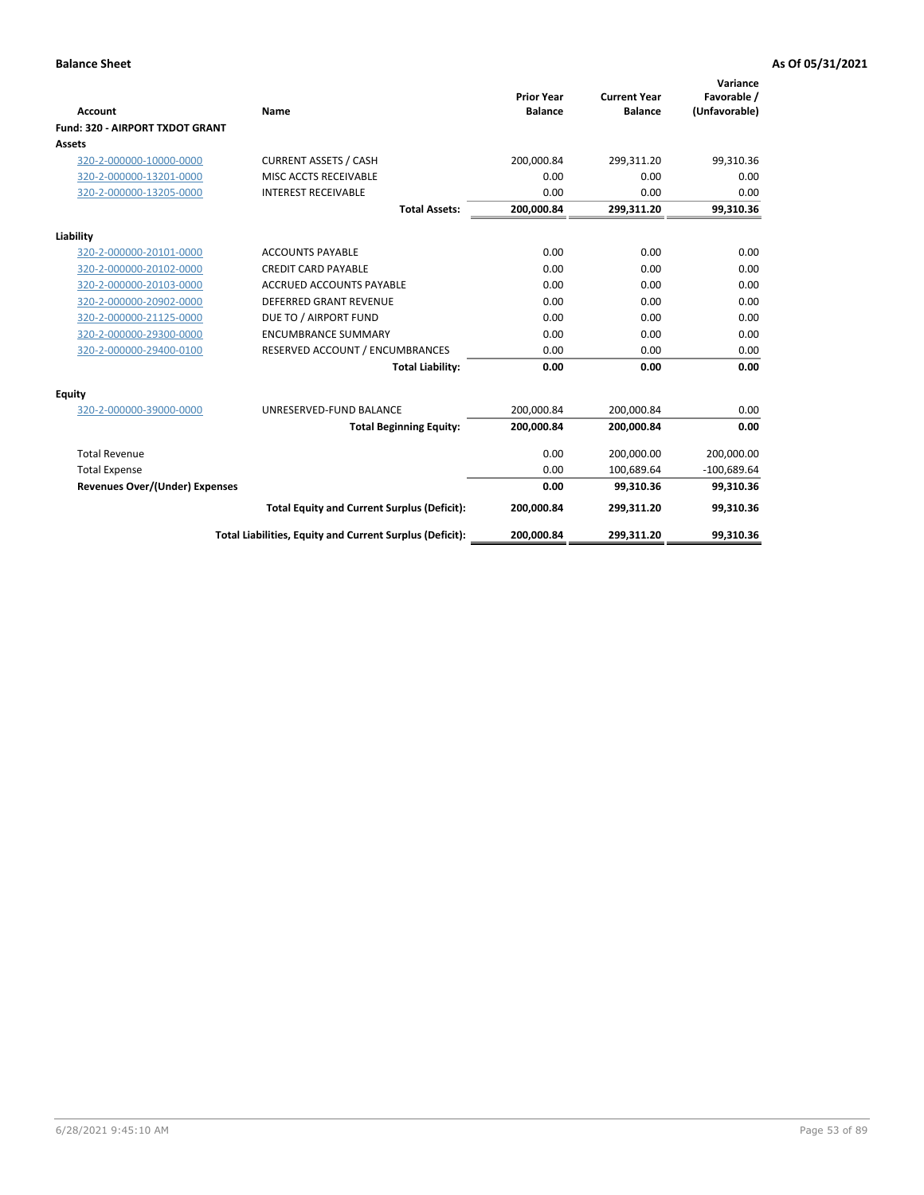|                                 |                                                          |                                     |                                       | Variance                     |
|---------------------------------|----------------------------------------------------------|-------------------------------------|---------------------------------------|------------------------------|
| Account                         | Name                                                     | <b>Prior Year</b><br><b>Balance</b> | <b>Current Year</b><br><b>Balance</b> | Favorable /<br>(Unfavorable) |
| Fund: 320 - AIRPORT TXDOT GRANT |                                                          |                                     |                                       |                              |
| Assets                          |                                                          |                                     |                                       |                              |
| 320-2-000000-10000-0000         | <b>CURRENT ASSETS / CASH</b>                             | 200,000.84                          | 299,311.20                            | 99,310.36                    |
| 320-2-000000-13201-0000         | MISC ACCTS RECEIVABLE                                    | 0.00                                | 0.00                                  | 0.00                         |
| 320-2-000000-13205-0000         | <b>INTEREST RECEIVABLE</b>                               | 0.00                                | 0.00                                  | 0.00                         |
|                                 | <b>Total Assets:</b>                                     | 200,000.84                          | 299,311.20                            | 99,310.36                    |
| Liability                       |                                                          |                                     |                                       |                              |
| 320-2-000000-20101-0000         | <b>ACCOUNTS PAYABLE</b>                                  | 0.00                                | 0.00                                  | 0.00                         |
| 320-2-000000-20102-0000         | <b>CREDIT CARD PAYABLE</b>                               | 0.00                                | 0.00                                  | 0.00                         |
| 320-2-000000-20103-0000         | <b>ACCRUED ACCOUNTS PAYABLE</b>                          | 0.00                                | 0.00                                  | 0.00                         |
| 320-2-000000-20902-0000         | <b>DEFERRED GRANT REVENUE</b>                            | 0.00                                | 0.00                                  | 0.00                         |
| 320-2-000000-21125-0000         | DUE TO / AIRPORT FUND                                    | 0.00                                | 0.00                                  | 0.00                         |
| 320-2-000000-29300-0000         | <b>ENCUMBRANCE SUMMARY</b>                               | 0.00                                | 0.00                                  | 0.00                         |
| 320-2-000000-29400-0100         | RESERVED ACCOUNT / ENCUMBRANCES                          | 0.00                                | 0.00                                  | 0.00                         |
|                                 | <b>Total Liability:</b>                                  | 0.00                                | 0.00                                  | 0.00                         |
| <b>Equity</b>                   |                                                          |                                     |                                       |                              |
| 320-2-000000-39000-0000         | UNRESERVED-FUND BALANCE                                  | 200,000.84                          | 200,000.84                            | 0.00                         |
|                                 | <b>Total Beginning Equity:</b>                           | 200,000.84                          | 200,000.84                            | 0.00                         |
| <b>Total Revenue</b>            |                                                          | 0.00                                | 200.000.00                            | 200,000.00                   |
| <b>Total Expense</b>            |                                                          | 0.00                                | 100,689.64                            | $-100,689.64$                |
| Revenues Over/(Under) Expenses  |                                                          | 0.00                                | 99.310.36                             | 99,310.36                    |
|                                 | <b>Total Equity and Current Surplus (Deficit):</b>       | 200,000.84                          | 299,311.20                            | 99,310.36                    |
|                                 | Total Liabilities, Equity and Current Surplus (Deficit): | 200,000.84                          | 299,311.20                            | 99,310.36                    |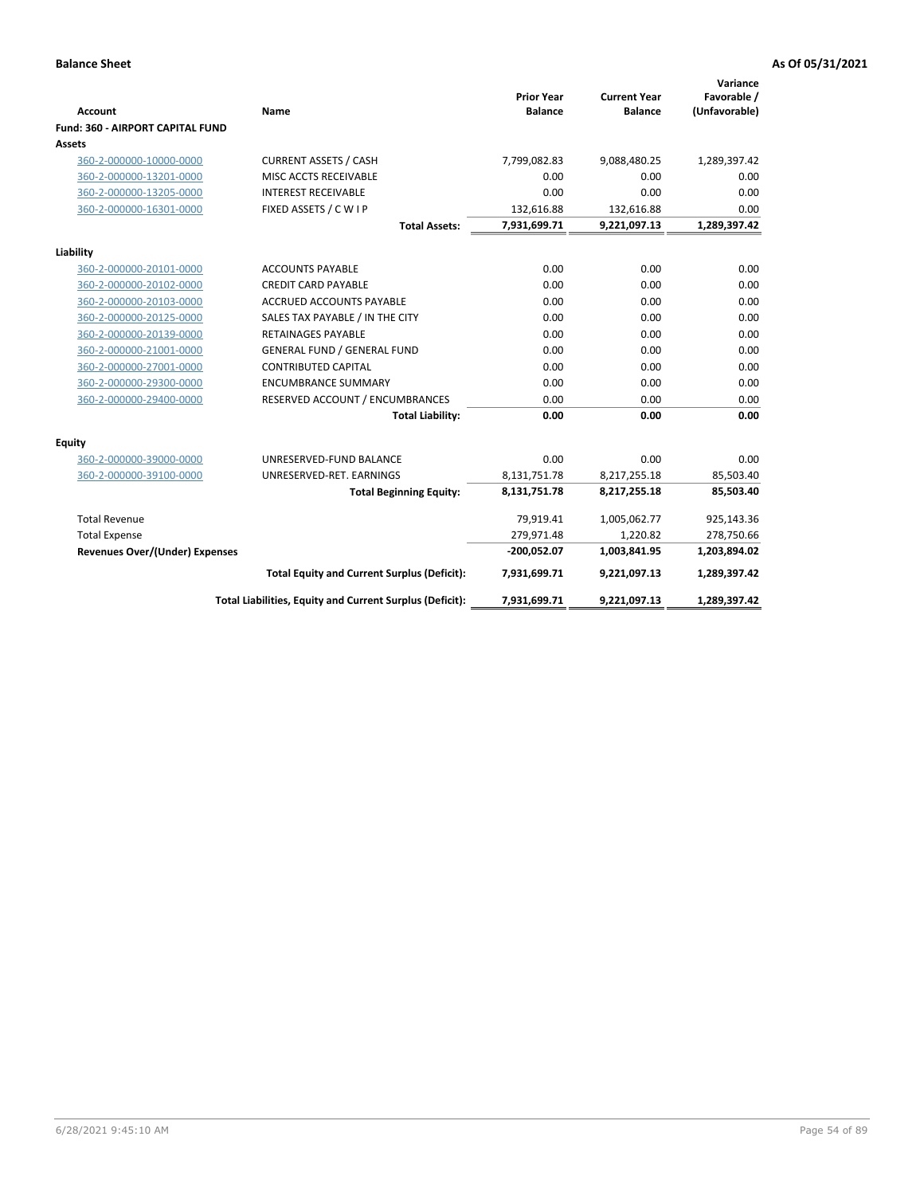|                                         |                                                          |                                     |                                       | Variance                     |
|-----------------------------------------|----------------------------------------------------------|-------------------------------------|---------------------------------------|------------------------------|
| Account                                 | <b>Name</b>                                              | <b>Prior Year</b><br><b>Balance</b> | <b>Current Year</b><br><b>Balance</b> | Favorable /<br>(Unfavorable) |
| <b>Fund: 360 - AIRPORT CAPITAL FUND</b> |                                                          |                                     |                                       |                              |
| Assets                                  |                                                          |                                     |                                       |                              |
| 360-2-000000-10000-0000                 | <b>CURRENT ASSETS / CASH</b>                             | 7,799,082.83                        | 9,088,480.25                          | 1,289,397.42                 |
| 360-2-000000-13201-0000                 | MISC ACCTS RECEIVABLE                                    | 0.00                                | 0.00                                  | 0.00                         |
| 360-2-000000-13205-0000                 | <b>INTEREST RECEIVABLE</b>                               | 0.00                                | 0.00                                  | 0.00                         |
| 360-2-000000-16301-0000                 | FIXED ASSETS / C W I P                                   | 132,616.88                          | 132,616.88                            | 0.00                         |
|                                         | <b>Total Assets:</b>                                     | 7,931,699.71                        | 9,221,097.13                          | 1,289,397.42                 |
| Liability                               |                                                          |                                     |                                       |                              |
| 360-2-000000-20101-0000                 | <b>ACCOUNTS PAYABLE</b>                                  | 0.00                                | 0.00                                  | 0.00                         |
| 360-2-000000-20102-0000                 | <b>CREDIT CARD PAYABLE</b>                               | 0.00                                | 0.00                                  | 0.00                         |
| 360-2-000000-20103-0000                 | ACCRUED ACCOUNTS PAYABLE                                 | 0.00                                | 0.00                                  | 0.00                         |
| 360-2-000000-20125-0000                 | SALES TAX PAYABLE / IN THE CITY                          | 0.00                                | 0.00                                  | 0.00                         |
| 360-2-000000-20139-0000                 | RETAINAGES PAYABLE                                       | 0.00                                | 0.00                                  | 0.00                         |
| 360-2-000000-21001-0000                 | <b>GENERAL FUND / GENERAL FUND</b>                       | 0.00                                | 0.00                                  | 0.00                         |
| 360-2-000000-27001-0000                 | <b>CONTRIBUTED CAPITAL</b>                               | 0.00                                | 0.00                                  | 0.00                         |
| 360-2-000000-29300-0000                 | <b>ENCUMBRANCE SUMMARY</b>                               | 0.00                                | 0.00                                  | 0.00                         |
| 360-2-000000-29400-0000                 | RESERVED ACCOUNT / ENCUMBRANCES                          | 0.00                                | 0.00                                  | 0.00                         |
|                                         | <b>Total Liability:</b>                                  | 0.00                                | 0.00                                  | 0.00                         |
| Equity                                  |                                                          |                                     |                                       |                              |
| 360-2-000000-39000-0000                 | UNRESERVED-FUND BALANCE                                  | 0.00                                | 0.00                                  | 0.00                         |
| 360-2-000000-39100-0000                 | UNRESERVED-RET. EARNINGS                                 | 8,131,751.78                        | 8,217,255.18                          | 85,503.40                    |
|                                         | <b>Total Beginning Equity:</b>                           | 8,131,751.78                        | 8,217,255.18                          | 85,503.40                    |
| <b>Total Revenue</b>                    |                                                          | 79,919.41                           | 1,005,062.77                          | 925,143.36                   |
| <b>Total Expense</b>                    |                                                          | 279,971.48                          | 1,220.82                              | 278,750.66                   |
| <b>Revenues Over/(Under) Expenses</b>   |                                                          | $-200,052.07$                       | 1,003,841.95                          | 1,203,894.02                 |
|                                         | <b>Total Equity and Current Surplus (Deficit):</b>       | 7,931,699.71                        | 9,221,097.13                          | 1,289,397.42                 |
|                                         | Total Liabilities, Equity and Current Surplus (Deficit): | 7,931,699.71                        | 9,221,097.13                          | 1,289,397.42                 |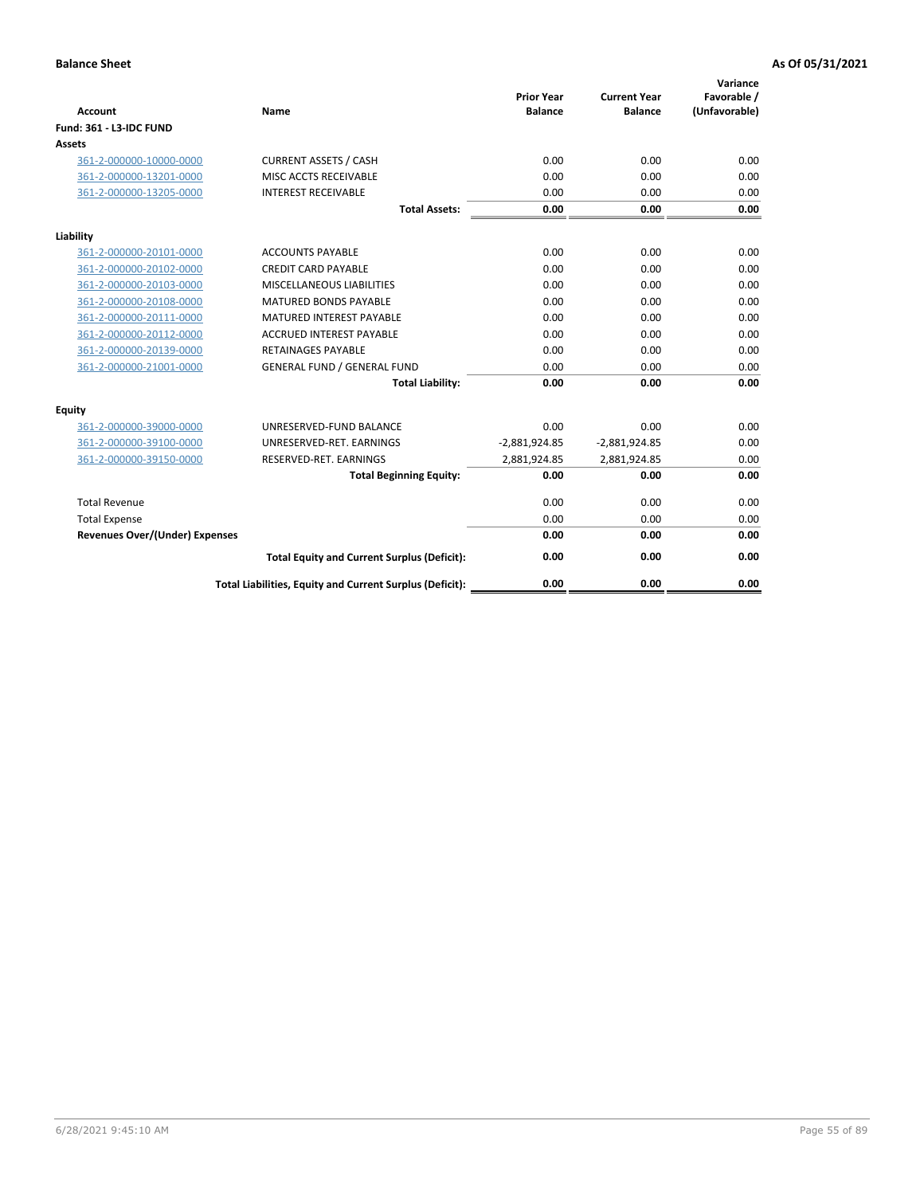| <b>Account</b>                        | Name                                                     | <b>Prior Year</b><br><b>Balance</b> | <b>Current Year</b><br><b>Balance</b> | Variance<br>Favorable /<br>(Unfavorable) |
|---------------------------------------|----------------------------------------------------------|-------------------------------------|---------------------------------------|------------------------------------------|
| Fund: 361 - L3-IDC FUND               |                                                          |                                     |                                       |                                          |
| <b>Assets</b>                         |                                                          |                                     |                                       |                                          |
| 361-2-000000-10000-0000               | <b>CURRENT ASSETS / CASH</b>                             | 0.00                                | 0.00                                  | 0.00                                     |
| 361-2-000000-13201-0000               | MISC ACCTS RECEIVABLE                                    | 0.00                                | 0.00                                  | 0.00                                     |
| 361-2-000000-13205-0000               | <b>INTEREST RECEIVABLE</b>                               | 0.00                                | 0.00                                  | 0.00                                     |
|                                       | <b>Total Assets:</b>                                     | 0.00                                | 0.00                                  | 0.00                                     |
| Liability                             |                                                          |                                     |                                       |                                          |
| 361-2-000000-20101-0000               | <b>ACCOUNTS PAYABLE</b>                                  | 0.00                                | 0.00                                  | 0.00                                     |
| 361-2-000000-20102-0000               | <b>CREDIT CARD PAYABLE</b>                               | 0.00                                | 0.00                                  | 0.00                                     |
| 361-2-000000-20103-0000               | MISCELLANEOUS LIABILITIES                                | 0.00                                | 0.00                                  | 0.00                                     |
| 361-2-000000-20108-0000               | <b>MATURED BONDS PAYABLE</b>                             | 0.00                                | 0.00                                  | 0.00                                     |
| 361-2-000000-20111-0000               | <b>MATURED INTEREST PAYABLE</b>                          | 0.00                                | 0.00                                  | 0.00                                     |
| 361-2-000000-20112-0000               | <b>ACCRUED INTEREST PAYABLE</b>                          | 0.00                                | 0.00                                  | 0.00                                     |
| 361-2-000000-20139-0000               | <b>RETAINAGES PAYABLE</b>                                | 0.00                                | 0.00                                  | 0.00                                     |
| 361-2-000000-21001-0000               | <b>GENERAL FUND / GENERAL FUND</b>                       | 0.00                                | 0.00                                  | 0.00                                     |
|                                       | <b>Total Liability:</b>                                  | 0.00                                | 0.00                                  | 0.00                                     |
| Equity                                |                                                          |                                     |                                       |                                          |
| 361-2-000000-39000-0000               | UNRESERVED-FUND BALANCE                                  | 0.00                                | 0.00                                  | 0.00                                     |
| 361-2-000000-39100-0000               | UNRESERVED-RET. EARNINGS                                 | $-2,881,924.85$                     | $-2,881,924.85$                       | 0.00                                     |
| 361-2-000000-39150-0000               | RESERVED-RET. EARNINGS                                   | 2,881,924.85                        | 2,881,924.85                          | 0.00                                     |
|                                       | <b>Total Beginning Equity:</b>                           | 0.00                                | 0.00                                  | 0.00                                     |
| <b>Total Revenue</b>                  |                                                          | 0.00                                | 0.00                                  | 0.00                                     |
| <b>Total Expense</b>                  |                                                          | 0.00                                | 0.00                                  | 0.00                                     |
| <b>Revenues Over/(Under) Expenses</b> |                                                          | 0.00                                | 0.00                                  | 0.00                                     |
|                                       | <b>Total Equity and Current Surplus (Deficit):</b>       | 0.00                                | 0.00                                  | 0.00                                     |
|                                       | Total Liabilities, Equity and Current Surplus (Deficit): | 0.00                                | 0.00                                  | 0.00                                     |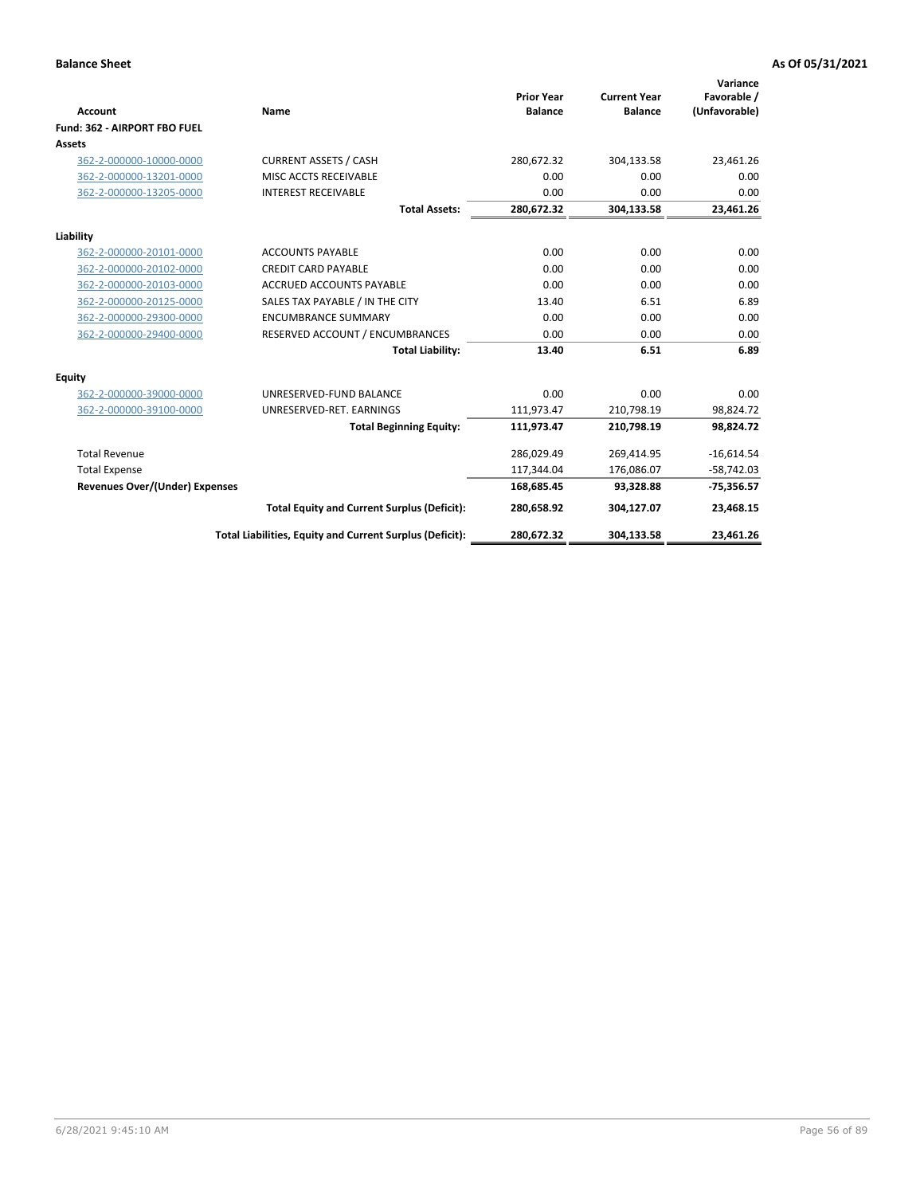|                                       |                                                          |                                     |                                       | Variance                     |
|---------------------------------------|----------------------------------------------------------|-------------------------------------|---------------------------------------|------------------------------|
| <b>Account</b>                        | Name                                                     | <b>Prior Year</b><br><b>Balance</b> | <b>Current Year</b><br><b>Balance</b> | Favorable /<br>(Unfavorable) |
| Fund: 362 - AIRPORT FBO FUEL          |                                                          |                                     |                                       |                              |
| Assets                                |                                                          |                                     |                                       |                              |
| 362-2-000000-10000-0000               | <b>CURRENT ASSETS / CASH</b>                             | 280,672.32                          | 304,133.58                            | 23,461.26                    |
| 362-2-000000-13201-0000               | MISC ACCTS RECEIVABLE                                    | 0.00                                | 0.00                                  | 0.00                         |
| 362-2-000000-13205-0000               | <b>INTEREST RECEIVABLE</b>                               | 0.00                                | 0.00                                  | 0.00                         |
|                                       | <b>Total Assets:</b>                                     | 280,672.32                          | 304,133.58                            | 23,461.26                    |
| Liability                             |                                                          |                                     |                                       |                              |
| 362-2-000000-20101-0000               | <b>ACCOUNTS PAYABLE</b>                                  | 0.00                                | 0.00                                  | 0.00                         |
| 362-2-000000-20102-0000               | <b>CREDIT CARD PAYABLE</b>                               | 0.00                                | 0.00                                  | 0.00                         |
| 362-2-000000-20103-0000               | <b>ACCRUED ACCOUNTS PAYABLE</b>                          | 0.00                                | 0.00                                  | 0.00                         |
| 362-2-000000-20125-0000               | SALES TAX PAYABLE / IN THE CITY                          | 13.40                               | 6.51                                  | 6.89                         |
| 362-2-000000-29300-0000               | <b>ENCUMBRANCE SUMMARY</b>                               | 0.00                                | 0.00                                  | 0.00                         |
| 362-2-000000-29400-0000               | RESERVED ACCOUNT / ENCUMBRANCES                          | 0.00                                | 0.00                                  | 0.00                         |
|                                       | <b>Total Liability:</b>                                  | 13.40                               | 6.51                                  | 6.89                         |
| <b>Equity</b>                         |                                                          |                                     |                                       |                              |
| 362-2-000000-39000-0000               | UNRESERVED-FUND BALANCE                                  | 0.00                                | 0.00                                  | 0.00                         |
| 362-2-000000-39100-0000               | UNRESERVED-RET. EARNINGS                                 | 111,973.47                          | 210,798.19                            | 98,824.72                    |
|                                       | <b>Total Beginning Equity:</b>                           | 111,973.47                          | 210,798.19                            | 98,824.72                    |
| <b>Total Revenue</b>                  |                                                          | 286,029.49                          | 269,414.95                            | $-16,614.54$                 |
| <b>Total Expense</b>                  |                                                          | 117,344.04                          | 176,086.07                            | $-58,742.03$                 |
| <b>Revenues Over/(Under) Expenses</b> |                                                          | 168,685.45                          | 93,328.88                             | $-75,356.57$                 |
|                                       | <b>Total Equity and Current Surplus (Deficit):</b>       | 280,658.92                          | 304,127.07                            | 23,468.15                    |
|                                       | Total Liabilities, Equity and Current Surplus (Deficit): | 280,672.32                          | 304,133.58                            | 23,461.26                    |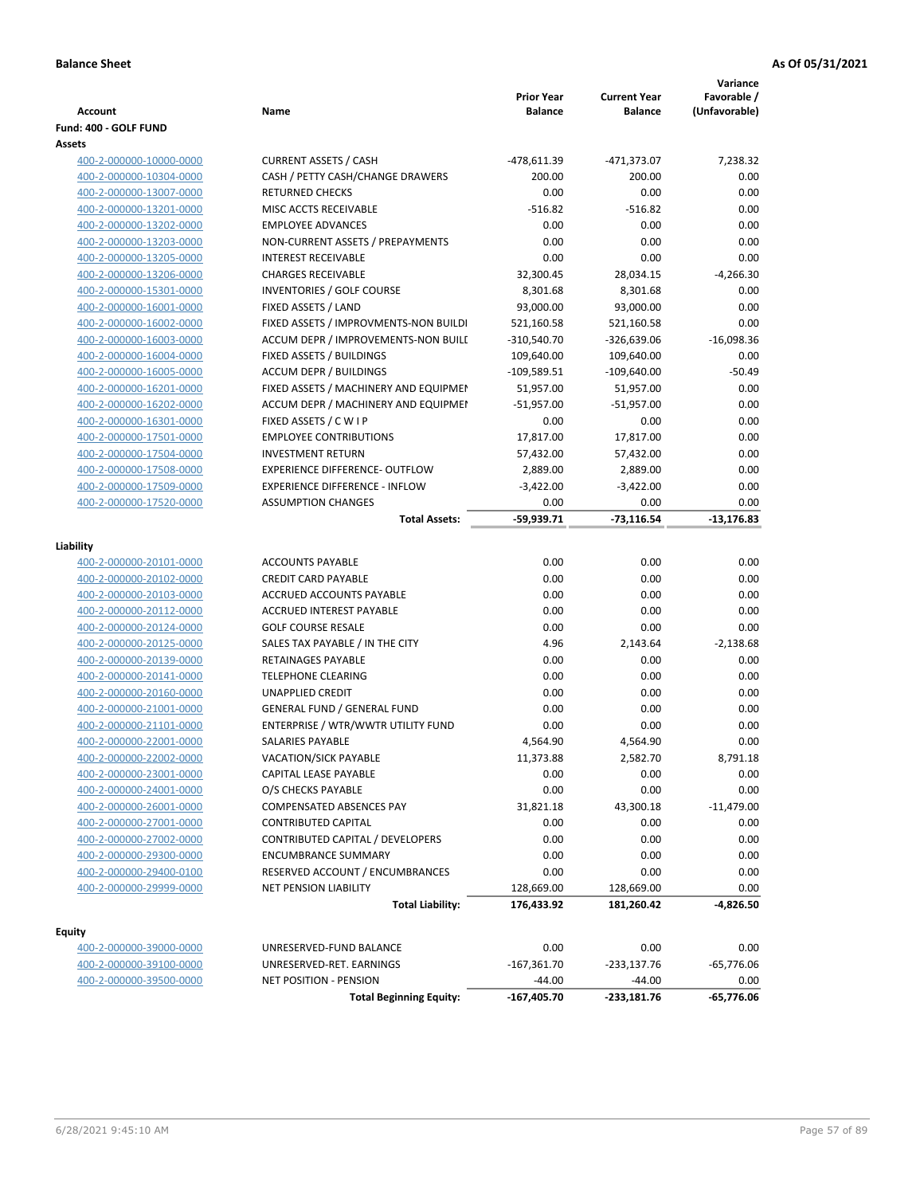| Account                         | Name                                  | <b>Prior Year</b><br><b>Balance</b> | <b>Current Year</b><br><b>Balance</b> | Variance<br>Favorable /<br>(Unfavorable) |
|---------------------------------|---------------------------------------|-------------------------------------|---------------------------------------|------------------------------------------|
|                                 |                                       |                                     |                                       |                                          |
| Fund: 400 - GOLF FUND<br>Assets |                                       |                                     |                                       |                                          |
| 400-2-000000-10000-0000         | <b>CURRENT ASSETS / CASH</b>          | -478,611.39                         | -471,373.07                           | 7,238.32                                 |
| 400-2-000000-10304-0000         | CASH / PETTY CASH/CHANGE DRAWERS      | 200.00                              | 200.00                                | 0.00                                     |
| 400-2-000000-13007-0000         | <b>RETURNED CHECKS</b>                | 0.00                                | 0.00                                  | 0.00                                     |
| 400-2-000000-13201-0000         | MISC ACCTS RECEIVABLE                 | $-516.82$                           | $-516.82$                             | 0.00                                     |
| 400-2-000000-13202-0000         | <b>EMPLOYEE ADVANCES</b>              | 0.00                                | 0.00                                  | 0.00                                     |
| 400-2-000000-13203-0000         | NON-CURRENT ASSETS / PREPAYMENTS      | 0.00                                | 0.00                                  | 0.00                                     |
| 400-2-000000-13205-0000         | <b>INTEREST RECEIVABLE</b>            | 0.00                                | 0.00                                  | 0.00                                     |
| 400-2-000000-13206-0000         | <b>CHARGES RECEIVABLE</b>             | 32,300.45                           | 28,034.15                             | $-4,266.30$                              |
| 400-2-000000-15301-0000         | <b>INVENTORIES / GOLF COURSE</b>      | 8,301.68                            | 8,301.68                              | 0.00                                     |
| 400-2-000000-16001-0000         | FIXED ASSETS / LAND                   | 93,000.00                           | 93,000.00                             | 0.00                                     |
| 400-2-000000-16002-0000         | FIXED ASSETS / IMPROVMENTS-NON BUILDI | 521,160.58                          | 521,160.58                            | 0.00                                     |
| 400-2-000000-16003-0000         | ACCUM DEPR / IMPROVEMENTS-NON BUILI   | -310,540.70                         | -326,639.06                           | $-16,098.36$                             |
| 400-2-000000-16004-0000         | FIXED ASSETS / BUILDINGS              | 109,640.00                          | 109,640.00                            | 0.00                                     |
| 400-2-000000-16005-0000         | <b>ACCUM DEPR / BUILDINGS</b>         | $-109,589.51$                       | $-109,640.00$                         | $-50.49$                                 |
| 400-2-000000-16201-0000         | FIXED ASSETS / MACHINERY AND EQUIPMEN | 51,957.00                           | 51,957.00                             | 0.00                                     |
| 400-2-000000-16202-0000         | ACCUM DEPR / MACHINERY AND EQUIPMEI   | $-51,957.00$                        | $-51,957.00$                          | 0.00                                     |
| 400-2-000000-16301-0000         | FIXED ASSETS / C W I P                | 0.00                                | 0.00                                  | 0.00                                     |
| 400-2-000000-17501-0000         | <b>EMPLOYEE CONTRIBUTIONS</b>         | 17,817.00                           | 17,817.00                             | 0.00                                     |
| 400-2-000000-17504-0000         | <b>INVESTMENT RETURN</b>              | 57,432.00                           | 57,432.00                             | 0.00                                     |
| 400-2-000000-17508-0000         | <b>EXPERIENCE DIFFERENCE- OUTFLOW</b> | 2,889.00                            | 2,889.00                              | 0.00                                     |
| 400-2-000000-17509-0000         | <b>EXPERIENCE DIFFERENCE - INFLOW</b> | $-3,422.00$                         | $-3,422.00$                           | 0.00                                     |
| 400-2-000000-17520-0000         | <b>ASSUMPTION CHANGES</b>             | 0.00                                | 0.00                                  | 0.00                                     |
|                                 | <b>Total Assets:</b>                  | $-59,939.71$                        | $-73,116.54$                          | $-13,176.83$                             |
|                                 |                                       |                                     |                                       |                                          |
| Liability                       |                                       |                                     |                                       |                                          |
| 400-2-000000-20101-0000         | <b>ACCOUNTS PAYABLE</b>               | 0.00                                | 0.00                                  | 0.00                                     |
| 400-2-000000-20102-0000         | <b>CREDIT CARD PAYABLE</b>            | 0.00                                | 0.00                                  | 0.00                                     |
| 400-2-000000-20103-0000         | ACCRUED ACCOUNTS PAYABLE              | 0.00                                | 0.00                                  | 0.00                                     |
| 400-2-000000-20112-0000         | <b>ACCRUED INTEREST PAYABLE</b>       | 0.00                                | 0.00                                  | 0.00                                     |
| 400-2-000000-20124-0000         | <b>GOLF COURSE RESALE</b>             | 0.00                                | 0.00                                  | 0.00                                     |
| 400-2-000000-20125-0000         | SALES TAX PAYABLE / IN THE CITY       | 4.96                                | 2,143.64                              | $-2,138.68$                              |
| 400-2-000000-20139-0000         | RETAINAGES PAYABLE                    | 0.00                                | 0.00                                  | 0.00                                     |
| 400-2-000000-20141-0000         | <b>TELEPHONE CLEARING</b>             | 0.00                                | 0.00                                  | 0.00                                     |
| 400-2-000000-20160-0000         | <b>UNAPPLIED CREDIT</b>               | 0.00                                | 0.00                                  | 0.00                                     |
| 400-2-000000-21001-0000         | <b>GENERAL FUND / GENERAL FUND</b>    | 0.00                                | 0.00                                  | 0.00                                     |
| 400-2-000000-21101-0000         | ENTERPRISE / WTR/WWTR UTILITY FUND    | 0.00                                | 0.00                                  | 0.00                                     |
| 400-2-000000-22001-0000         | SALARIES PAYABLE                      | 4,564.90                            | 4.564.90                              | 0.00                                     |
| 400-2-000000-22002-0000         | VACATION/SICK PAYABLE                 | 11,373.88                           | 2,582.70                              | 8,791.18                                 |
| 400-2-000000-23001-0000         | CAPITAL LEASE PAYABLE                 | 0.00                                | 0.00                                  | 0.00                                     |
| 400-2-000000-24001-0000         | O/S CHECKS PAYABLE                    | 0.00                                | 0.00                                  | 0.00                                     |
| 400-2-000000-26001-0000         | COMPENSATED ABSENCES PAY              | 31,821.18                           | 43,300.18                             | $-11,479.00$                             |
| 400-2-000000-27001-0000         | <b>CONTRIBUTED CAPITAL</b>            | 0.00                                | 0.00                                  | 0.00                                     |
| 400-2-000000-27002-0000         | CONTRIBUTED CAPITAL / DEVELOPERS      | 0.00                                | 0.00                                  | 0.00                                     |
| 400-2-000000-29300-0000         | <b>ENCUMBRANCE SUMMARY</b>            | 0.00                                | 0.00                                  | 0.00                                     |
| 400-2-000000-29400-0100         | RESERVED ACCOUNT / ENCUMBRANCES       | 0.00                                | 0.00                                  | 0.00                                     |
| 400-2-000000-29999-0000         | NET PENSION LIABILITY                 | 128,669.00                          | 128,669.00                            | 0.00<br>$-4,826.50$                      |
|                                 | <b>Total Liability:</b>               | 176,433.92                          | 181,260.42                            |                                          |
| <b>Equity</b>                   |                                       |                                     |                                       |                                          |
| 400-2-000000-39000-0000         | UNRESERVED-FUND BALANCE               | 0.00                                | 0.00                                  | 0.00                                     |
| 400-2-000000-39100-0000         | UNRESERVED-RET. EARNINGS              | $-167,361.70$                       | $-233,137.76$                         | $-65,776.06$                             |
| 400-2-000000-39500-0000         | <b>NET POSITION - PENSION</b>         | $-44.00$                            | $-44.00$                              | 0.00                                     |
|                                 | <b>Total Beginning Equity:</b>        | $-167,405.70$                       | -233,181.76                           | -65,776.06                               |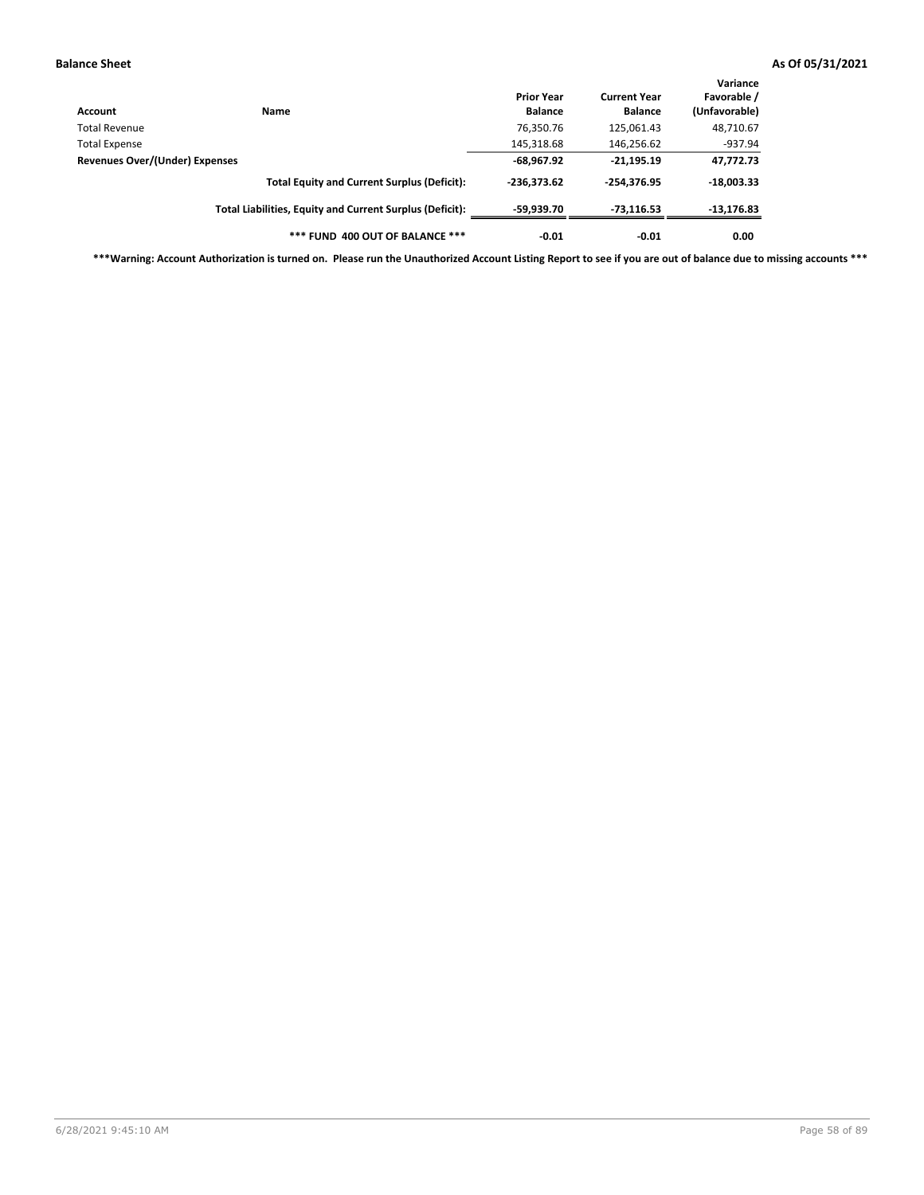| Account                        | Name                                                     | <b>Prior Year</b><br><b>Balance</b> | <b>Current Year</b><br><b>Balance</b> | Variance<br>Favorable /<br>(Unfavorable) |
|--------------------------------|----------------------------------------------------------|-------------------------------------|---------------------------------------|------------------------------------------|
| <b>Total Revenue</b>           |                                                          | 76,350.76                           | 125,061.43                            | 48,710.67                                |
| <b>Total Expense</b>           |                                                          | 145,318.68                          | 146,256.62                            | $-937.94$                                |
| Revenues Over/(Under) Expenses |                                                          | $-68,967.92$                        | $-21,195.19$                          | 47,772.73                                |
|                                | <b>Total Equity and Current Surplus (Deficit):</b>       | $-236.373.62$                       | -254.376.95                           | $-18,003.33$                             |
|                                | Total Liabilities, Equity and Current Surplus (Deficit): | -59.939.70                          | $-73,116.53$                          | $-13,176.83$                             |
|                                | *** FUND 400 OUT OF BALANCE ***                          | $-0.01$                             | $-0.01$                               | 0.00                                     |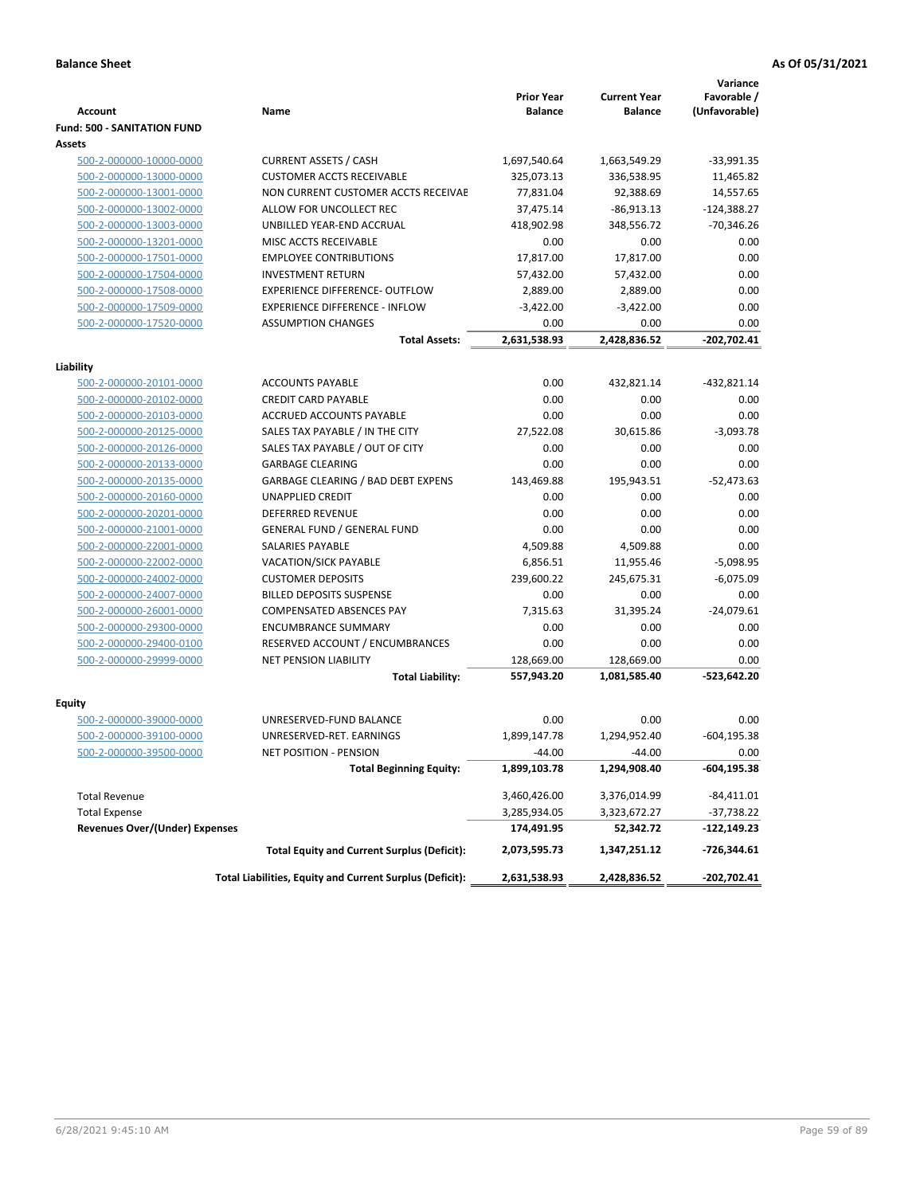|                                    |                                                          |                                     |                                       | Variance                     |
|------------------------------------|----------------------------------------------------------|-------------------------------------|---------------------------------------|------------------------------|
| Account                            | Name                                                     | <b>Prior Year</b><br><b>Balance</b> | <b>Current Year</b><br><b>Balance</b> | Favorable /<br>(Unfavorable) |
| <b>Fund: 500 - SANITATION FUND</b> |                                                          |                                     |                                       |                              |
| Assets                             |                                                          |                                     |                                       |                              |
| 500-2-000000-10000-0000            | <b>CURRENT ASSETS / CASH</b>                             | 1,697,540.64                        | 1,663,549.29                          | $-33,991.35$                 |
| 500-2-000000-13000-0000            | <b>CUSTOMER ACCTS RECEIVABLE</b>                         | 325,073.13                          | 336,538.95                            | 11,465.82                    |
| 500-2-000000-13001-0000            | NON CURRENT CUSTOMER ACCTS RECEIVAE                      | 77,831.04                           | 92,388.69                             | 14,557.65                    |
| 500-2-000000-13002-0000            | ALLOW FOR UNCOLLECT REC                                  | 37,475.14                           | $-86,913.13$                          | $-124,388.27$                |
| 500-2-000000-13003-0000            | UNBILLED YEAR-END ACCRUAL                                | 418,902.98                          | 348,556.72                            | $-70,346.26$                 |
| 500-2-000000-13201-0000            | MISC ACCTS RECEIVABLE                                    | 0.00                                | 0.00                                  | 0.00                         |
| 500-2-000000-17501-0000            | <b>EMPLOYEE CONTRIBUTIONS</b>                            | 17,817.00                           | 17,817.00                             | 0.00                         |
| 500-2-000000-17504-0000            | <b>INVESTMENT RETURN</b>                                 | 57,432.00                           | 57,432.00                             | 0.00                         |
| 500-2-000000-17508-0000            | <b>EXPERIENCE DIFFERENCE- OUTFLOW</b>                    | 2,889.00                            | 2,889.00                              | 0.00                         |
| 500-2-000000-17509-0000            | <b>EXPERIENCE DIFFERENCE - INFLOW</b>                    | $-3,422.00$                         | $-3,422.00$                           | 0.00                         |
| 500-2-000000-17520-0000            | <b>ASSUMPTION CHANGES</b>                                | 0.00                                | 0.00                                  | 0.00                         |
|                                    | <b>Total Assets:</b>                                     | 2,631,538.93                        | 2,428,836.52                          | -202,702.41                  |
|                                    |                                                          |                                     |                                       |                              |
| Liability                          |                                                          |                                     |                                       |                              |
| 500-2-000000-20101-0000            | <b>ACCOUNTS PAYABLE</b>                                  | 0.00                                | 432,821.14                            | -432,821.14                  |
| 500-2-000000-20102-0000            | <b>CREDIT CARD PAYABLE</b>                               | 0.00                                | 0.00                                  | 0.00                         |
| 500-2-000000-20103-0000            | ACCRUED ACCOUNTS PAYABLE                                 | 0.00                                | 0.00                                  | 0.00                         |
| 500-2-000000-20125-0000            | SALES TAX PAYABLE / IN THE CITY                          | 27,522.08                           | 30,615.86                             | $-3,093.78$                  |
| 500-2-000000-20126-0000            | SALES TAX PAYABLE / OUT OF CITY                          | 0.00                                | 0.00                                  | 0.00                         |
| 500-2-000000-20133-0000            | <b>GARBAGE CLEARING</b>                                  | 0.00                                | 0.00                                  | 0.00                         |
| 500-2-000000-20135-0000            | <b>GARBAGE CLEARING / BAD DEBT EXPENS</b>                | 143,469.88                          | 195,943.51                            | $-52,473.63$                 |
| 500-2-000000-20160-0000            | UNAPPLIED CREDIT                                         | 0.00                                | 0.00                                  | 0.00                         |
| 500-2-000000-20201-0000            | <b>DEFERRED REVENUE</b>                                  | 0.00                                | 0.00                                  | 0.00                         |
| 500-2-000000-21001-0000            | <b>GENERAL FUND / GENERAL FUND</b>                       | 0.00                                | 0.00                                  | 0.00                         |
| 500-2-000000-22001-0000            | SALARIES PAYABLE                                         | 4,509.88                            | 4,509.88                              | 0.00                         |
| 500-2-000000-22002-0000            | <b>VACATION/SICK PAYABLE</b>                             | 6,856.51                            | 11,955.46                             | $-5,098.95$                  |
| 500-2-000000-24002-0000            | <b>CUSTOMER DEPOSITS</b>                                 | 239,600.22                          | 245,675.31                            | $-6,075.09$                  |
| 500-2-000000-24007-0000            | <b>BILLED DEPOSITS SUSPENSE</b>                          | 0.00                                | 0.00                                  | 0.00                         |
| 500-2-000000-26001-0000            | <b>COMPENSATED ABSENCES PAY</b>                          | 7,315.63                            | 31,395.24                             | $-24,079.61$                 |
| 500-2-000000-29300-0000            | <b>ENCUMBRANCE SUMMARY</b>                               | 0.00                                | 0.00                                  | 0.00                         |
| 500-2-000000-29400-0100            | RESERVED ACCOUNT / ENCUMBRANCES                          | 0.00                                | 0.00                                  | 0.00                         |
| 500-2-000000-29999-0000            | <b>NET PENSION LIABILITY</b>                             | 128,669.00                          | 128,669.00                            | 0.00                         |
|                                    | <b>Total Liability:</b>                                  | 557,943.20                          | 1,081,585.40                          | -523,642.20                  |
| <b>Equity</b>                      |                                                          |                                     |                                       |                              |
| 500-2-000000-39000-0000            | UNRESERVED-FUND BALANCE                                  | 0.00                                | 0.00                                  | 0.00                         |
| 500-2-000000-39100-0000            | UNRESERVED-RET. EARNINGS                                 | 1,899,147.78                        | 1,294,952.40                          | $-604, 195.38$               |
| <u>500-2-000000-39500-0000</u>     | NET POSITION - PENSION                                   | $-44.00$                            | $-44.00$                              | 0.00                         |
|                                    | <b>Total Beginning Equity:</b>                           | 1,899,103.78                        | 1,294,908.40                          | -604,195.38                  |
|                                    |                                                          |                                     |                                       |                              |
| <b>Total Revenue</b>               |                                                          | 3,460,426.00                        | 3,376,014.99                          | $-84,411.01$                 |
| <b>Total Expense</b>               |                                                          | 3,285,934.05                        | 3,323,672.27                          | -37,738.22                   |
| Revenues Over/(Under) Expenses     |                                                          | 174,491.95                          | 52,342.72                             | -122,149.23                  |
|                                    | <b>Total Equity and Current Surplus (Deficit):</b>       | 2,073,595.73                        | 1,347,251.12                          | -726,344.61                  |
|                                    | Total Liabilities, Equity and Current Surplus (Deficit): | 2,631,538.93                        | 2,428,836.52                          | -202,702.41                  |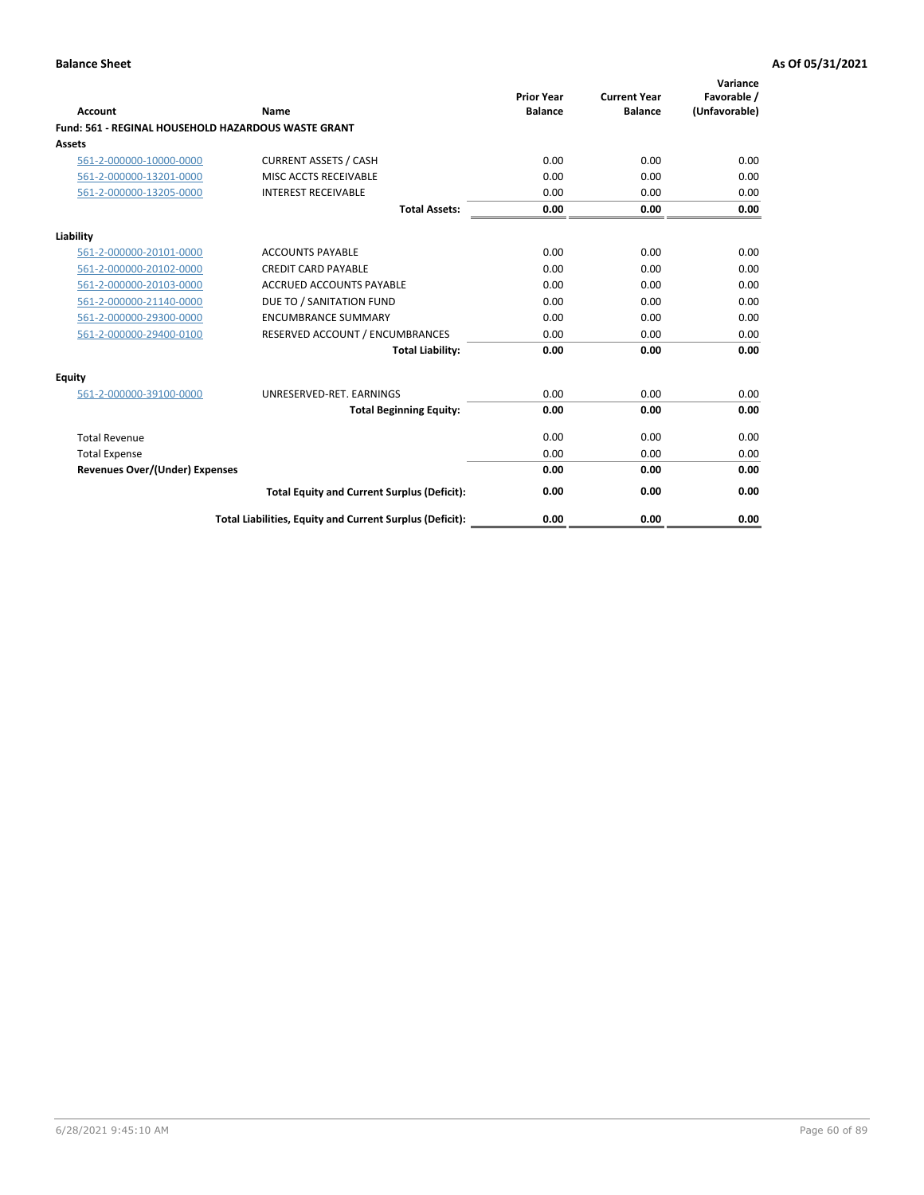| Account                                             | Name                                                     | <b>Prior Year</b><br><b>Balance</b> | <b>Current Year</b><br><b>Balance</b> | Variance<br>Favorable /<br>(Unfavorable) |
|-----------------------------------------------------|----------------------------------------------------------|-------------------------------------|---------------------------------------|------------------------------------------|
| Fund: 561 - REGINAL HOUSEHOLD HAZARDOUS WASTE GRANT |                                                          |                                     |                                       |                                          |
| Assets                                              |                                                          |                                     |                                       |                                          |
| 561-2-000000-10000-0000                             | <b>CURRENT ASSETS / CASH</b>                             | 0.00                                | 0.00                                  | 0.00                                     |
| 561-2-000000-13201-0000                             | MISC ACCTS RECEIVABLE                                    | 0.00                                | 0.00                                  | 0.00                                     |
| 561-2-000000-13205-0000                             | <b>INTEREST RECEIVABLE</b>                               | 0.00                                | 0.00                                  | 0.00                                     |
|                                                     | <b>Total Assets:</b>                                     | 0.00                                | 0.00                                  | 0.00                                     |
| Liability                                           |                                                          |                                     |                                       |                                          |
| 561-2-000000-20101-0000                             | <b>ACCOUNTS PAYABLE</b>                                  | 0.00                                | 0.00                                  | 0.00                                     |
| 561-2-000000-20102-0000                             | <b>CREDIT CARD PAYABLE</b>                               | 0.00                                | 0.00                                  | 0.00                                     |
| 561-2-000000-20103-0000                             | <b>ACCRUED ACCOUNTS PAYABLE</b>                          | 0.00                                | 0.00                                  | 0.00                                     |
| 561-2-000000-21140-0000                             | DUE TO / SANITATION FUND                                 | 0.00                                | 0.00                                  | 0.00                                     |
| 561-2-000000-29300-0000                             | <b>ENCUMBRANCE SUMMARY</b>                               | 0.00                                | 0.00                                  | 0.00                                     |
| 561-2-000000-29400-0100                             | RESERVED ACCOUNT / ENCUMBRANCES                          | 0.00                                | 0.00                                  | 0.00                                     |
|                                                     | <b>Total Liability:</b>                                  | 0.00                                | 0.00                                  | 0.00                                     |
| <b>Equity</b>                                       |                                                          |                                     |                                       |                                          |
| 561-2-000000-39100-0000                             | UNRESERVED-RET. EARNINGS                                 | 0.00                                | 0.00                                  | 0.00                                     |
|                                                     | <b>Total Beginning Equity:</b>                           | 0.00                                | 0.00                                  | 0.00                                     |
| <b>Total Revenue</b>                                |                                                          | 0.00                                | 0.00                                  | 0.00                                     |
| <b>Total Expense</b>                                |                                                          | 0.00                                | 0.00                                  | 0.00                                     |
| <b>Revenues Over/(Under) Expenses</b>               |                                                          | 0.00                                | 0.00                                  | 0.00                                     |
|                                                     | <b>Total Equity and Current Surplus (Deficit):</b>       | 0.00                                | 0.00                                  | 0.00                                     |
|                                                     | Total Liabilities, Equity and Current Surplus (Deficit): | 0.00                                | 0.00                                  | 0.00                                     |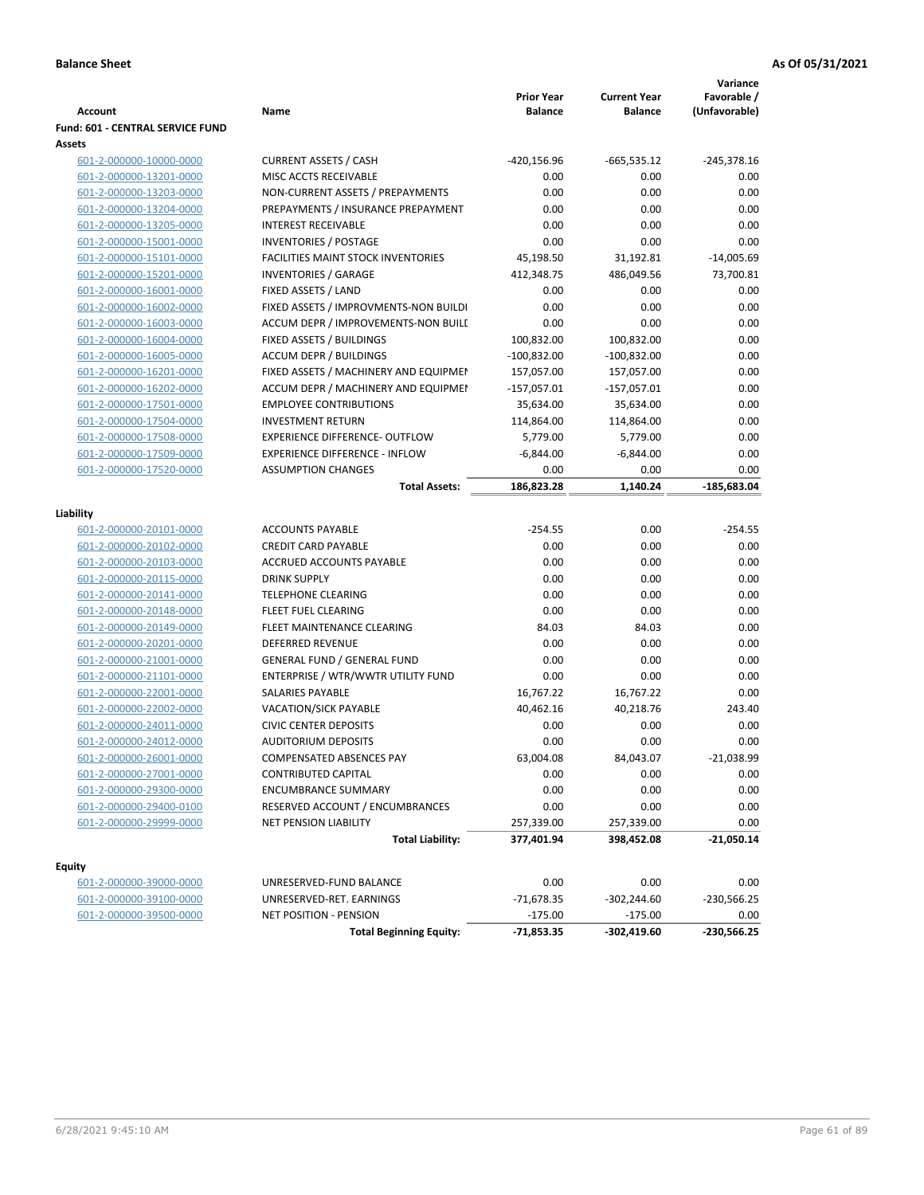| <b>Account</b>                                     | Name                                                     | <b>Prior Year</b><br><b>Balance</b> | <b>Current Year</b><br><b>Balance</b> | Variance<br>Favorable /<br>(Unfavorable) |
|----------------------------------------------------|----------------------------------------------------------|-------------------------------------|---------------------------------------|------------------------------------------|
| <b>Fund: 601 - CENTRAL SERVICE FUND</b>            |                                                          |                                     |                                       |                                          |
| Assets                                             |                                                          |                                     |                                       |                                          |
| 601-2-000000-10000-0000                            | <b>CURRENT ASSETS / CASH</b>                             | $-420, 156.96$                      | $-665,535.12$                         | $-245,378.16$                            |
| 601-2-000000-13201-0000                            | MISC ACCTS RECEIVABLE                                    | 0.00                                | 0.00                                  | 0.00                                     |
| 601-2-000000-13203-0000                            | NON-CURRENT ASSETS / PREPAYMENTS                         | 0.00                                | 0.00                                  | 0.00                                     |
| 601-2-000000-13204-0000                            | PREPAYMENTS / INSURANCE PREPAYMENT                       | 0.00                                | 0.00                                  | 0.00                                     |
| 601-2-000000-13205-0000                            | <b>INTEREST RECEIVABLE</b>                               | 0.00                                | 0.00                                  | 0.00                                     |
| 601-2-000000-15001-0000                            | <b>INVENTORIES / POSTAGE</b>                             | 0.00                                | 0.00                                  | 0.00                                     |
| 601-2-000000-15101-0000                            | <b>FACILITIES MAINT STOCK INVENTORIES</b>                | 45,198.50                           | 31,192.81                             | $-14,005.69$                             |
| 601-2-000000-15201-0000                            | <b>INVENTORIES / GARAGE</b>                              | 412,348.75                          | 486,049.56                            | 73,700.81                                |
| 601-2-000000-16001-0000                            | FIXED ASSETS / LAND                                      | 0.00                                | 0.00                                  | 0.00                                     |
| 601-2-000000-16002-0000                            | FIXED ASSETS / IMPROVMENTS-NON BUILDI                    | 0.00                                | 0.00                                  | 0.00                                     |
| 601-2-000000-16003-0000                            | ACCUM DEPR / IMPROVEMENTS-NON BUILI                      | 0.00                                | 0.00                                  | 0.00                                     |
| 601-2-000000-16004-0000                            | FIXED ASSETS / BUILDINGS                                 | 100,832.00                          | 100,832.00                            | 0.00                                     |
| 601-2-000000-16005-0000                            | <b>ACCUM DEPR / BUILDINGS</b>                            | $-100,832.00$                       | $-100,832.00$                         | 0.00                                     |
| 601-2-000000-16201-0000                            | FIXED ASSETS / MACHINERY AND EQUIPMEN                    | 157,057.00                          | 157,057.00                            | 0.00                                     |
| 601-2-000000-16202-0000                            | ACCUM DEPR / MACHINERY AND EQUIPMEI                      | $-157,057.01$                       | $-157,057.01$                         | 0.00                                     |
| 601-2-000000-17501-0000                            | <b>EMPLOYEE CONTRIBUTIONS</b>                            | 35,634.00                           | 35,634.00                             | 0.00                                     |
| 601-2-000000-17504-0000                            | <b>INVESTMENT RETURN</b>                                 | 114,864.00                          | 114,864.00                            | 0.00                                     |
| 601-2-000000-17508-0000                            | <b>EXPERIENCE DIFFERENCE- OUTFLOW</b>                    | 5,779.00                            | 5,779.00                              | 0.00                                     |
| 601-2-000000-17509-0000                            | <b>EXPERIENCE DIFFERENCE - INFLOW</b>                    | $-6,844.00$                         | $-6,844.00$                           | 0.00                                     |
| 601-2-000000-17520-0000                            | <b>ASSUMPTION CHANGES</b>                                | 0.00                                | 0.00                                  | 0.00                                     |
|                                                    | <b>Total Assets:</b>                                     | 186,823.28                          | 1,140.24                              | $-185,683.04$                            |
|                                                    |                                                          |                                     |                                       |                                          |
| Liability                                          |                                                          |                                     |                                       |                                          |
| 601-2-000000-20101-0000                            | <b>ACCOUNTS PAYABLE</b>                                  | $-254.55$                           | 0.00                                  | $-254.55$                                |
| 601-2-000000-20102-0000                            | <b>CREDIT CARD PAYABLE</b>                               | 0.00                                | 0.00                                  | 0.00                                     |
| 601-2-000000-20103-0000                            | ACCRUED ACCOUNTS PAYABLE                                 | 0.00                                | 0.00                                  | 0.00                                     |
| 601-2-000000-20115-0000                            | <b>DRINK SUPPLY</b>                                      | 0.00                                | 0.00                                  | 0.00                                     |
| 601-2-000000-20141-0000                            | <b>TELEPHONE CLEARING</b>                                | 0.00                                | 0.00                                  | 0.00                                     |
| 601-2-000000-20148-0000                            | <b>FLEET FUEL CLEARING</b>                               | 0.00                                | 0.00                                  | 0.00                                     |
| 601-2-000000-20149-0000                            | FLEET MAINTENANCE CLEARING                               | 84.03                               | 84.03                                 | 0.00                                     |
| 601-2-000000-20201-0000                            | <b>DEFERRED REVENUE</b>                                  | 0.00                                | 0.00                                  | 0.00                                     |
| 601-2-000000-21001-0000                            | <b>GENERAL FUND / GENERAL FUND</b>                       | 0.00                                | 0.00                                  | 0.00                                     |
| 601-2-000000-21101-0000                            | ENTERPRISE / WTR/WWTR UTILITY FUND                       | 0.00                                | 0.00                                  | 0.00                                     |
| 601-2-000000-22001-0000                            | SALARIES PAYABLE                                         | 16,767.22                           | 16,767.22                             | 0.00                                     |
| 601-2-000000-22002-0000                            | <b>VACATION/SICK PAYABLE</b>                             | 40,462.16                           | 40,218.76                             | 243.40                                   |
| 601-2-000000-24011-0000                            | <b>CIVIC CENTER DEPOSITS</b>                             | 0.00                                | 0.00                                  | 0.00                                     |
| 601-2-000000-24012-0000                            | <b>AUDITORIUM DEPOSITS</b>                               | 0.00                                | 0.00                                  | 0.00                                     |
| 601-2-000000-26001-0000                            | <b>COMPENSATED ABSENCES PAY</b>                          | 63,004.08                           | 84,043.07                             | $-21,038.99$                             |
| 601-2-000000-27001-0000                            | CONTRIBUTED CAPITAL                                      | 0.00                                | 0.00                                  | 0.00                                     |
| 601-2-000000-29300-0000                            | <b>ENCUMBRANCE SUMMARY</b>                               | 0.00                                | 0.00                                  | 0.00                                     |
| 601-2-000000-29400-0100                            | RESERVED ACCOUNT / ENCUMBRANCES                          | 0.00                                | 0.00                                  | 0.00                                     |
| 601-2-000000-29999-0000                            | NET PENSION LIABILITY                                    | 257,339.00                          | 257,339.00                            | 0.00                                     |
|                                                    | <b>Total Liability:</b>                                  | 377,401.94                          | 398,452.08                            | $-21,050.14$                             |
|                                                    |                                                          |                                     |                                       |                                          |
| <b>Equity</b>                                      |                                                          | 0.00                                | 0.00                                  | 0.00                                     |
| 601-2-000000-39000-0000                            | UNRESERVED-FUND BALANCE                                  |                                     |                                       |                                          |
| 601-2-000000-39100-0000<br>601-2-000000-39500-0000 | UNRESERVED-RET. EARNINGS                                 | -71,678.35                          | $-302,244.60$                         | -230,566.25                              |
|                                                    | NET POSITION - PENSION<br><b>Total Beginning Equity:</b> | $-175.00$<br>$-71,853.35$           | $-175.00$<br>$-302,419.60$            | 0.00<br>$-230,566.25$                    |
|                                                    |                                                          |                                     |                                       |                                          |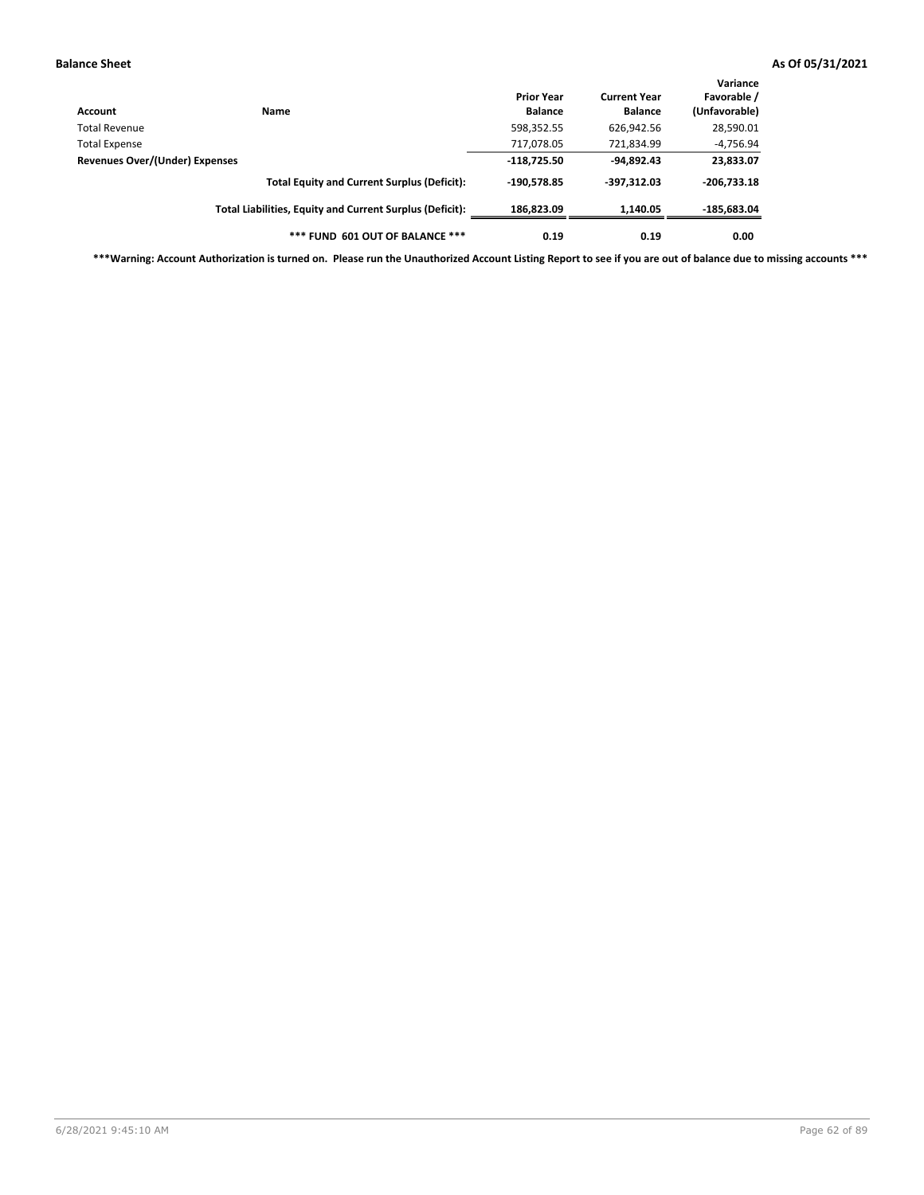| Account                        | Name                                                     | <b>Prior Year</b><br><b>Balance</b> | <b>Current Year</b><br><b>Balance</b> | Variance<br>Favorable /<br>(Unfavorable) |
|--------------------------------|----------------------------------------------------------|-------------------------------------|---------------------------------------|------------------------------------------|
| Total Revenue                  |                                                          | 598,352.55                          | 626,942.56                            | 28,590.01                                |
| Total Expense                  |                                                          | 717,078.05                          | 721,834.99                            | $-4,756.94$                              |
| Revenues Over/(Under) Expenses |                                                          | $-118.725.50$                       | $-94,892.43$                          | 23,833.07                                |
|                                | <b>Total Equity and Current Surplus (Deficit):</b>       | -190.578.85                         | $-397,312.03$                         | $-206.733.18$                            |
|                                | Total Liabilities, Equity and Current Surplus (Deficit): | 186.823.09                          | 1,140.05                              | $-185,683.04$                            |
|                                | *** FUND 601 OUT OF BALANCE ***                          | 0.19                                | 0.19                                  | 0.00                                     |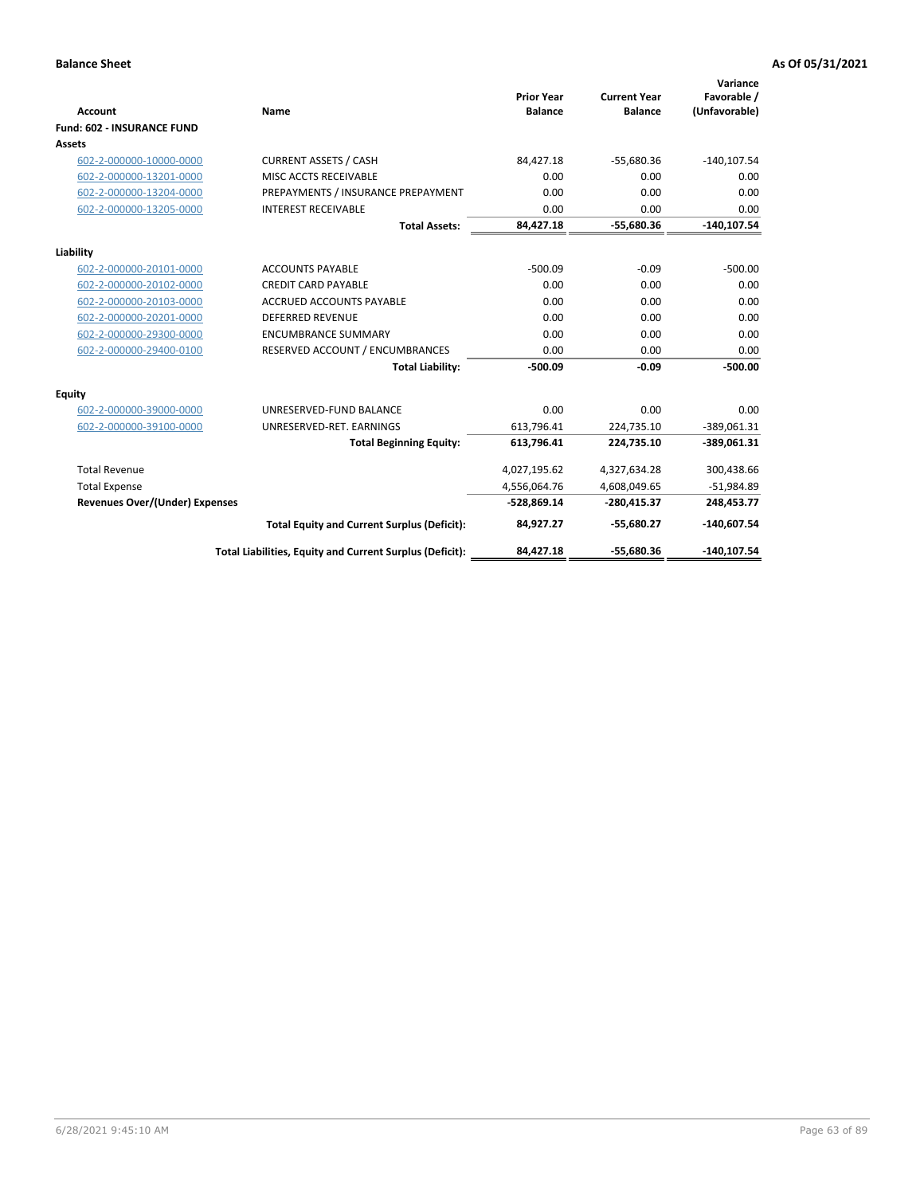|                                       |                                                          |                                     |                                       | Variance                     |
|---------------------------------------|----------------------------------------------------------|-------------------------------------|---------------------------------------|------------------------------|
| <b>Account</b>                        | Name                                                     | <b>Prior Year</b><br><b>Balance</b> | <b>Current Year</b><br><b>Balance</b> | Favorable /<br>(Unfavorable) |
| <b>Fund: 602 - INSURANCE FUND</b>     |                                                          |                                     |                                       |                              |
| Assets                                |                                                          |                                     |                                       |                              |
| 602-2-000000-10000-0000               | <b>CURRENT ASSETS / CASH</b>                             | 84,427.18                           | $-55,680.36$                          | $-140, 107.54$               |
| 602-2-000000-13201-0000               | MISC ACCTS RECEIVABLE                                    | 0.00                                | 0.00                                  | 0.00                         |
| 602-2-000000-13204-0000               | PREPAYMENTS / INSURANCE PREPAYMENT                       | 0.00                                | 0.00                                  | 0.00                         |
| 602-2-000000-13205-0000               | <b>INTEREST RECEIVABLE</b>                               | 0.00                                | 0.00                                  | 0.00                         |
|                                       | <b>Total Assets:</b>                                     | 84,427.18                           | $-55,680.36$                          | $-140, 107.54$               |
| Liability                             |                                                          |                                     |                                       |                              |
| 602-2-000000-20101-0000               | <b>ACCOUNTS PAYABLE</b>                                  | $-500.09$                           | $-0.09$                               | $-500.00$                    |
| 602-2-000000-20102-0000               | <b>CREDIT CARD PAYABLE</b>                               | 0.00                                | 0.00                                  | 0.00                         |
| 602-2-000000-20103-0000               | <b>ACCRUED ACCOUNTS PAYABLE</b>                          | 0.00                                | 0.00                                  | 0.00                         |
| 602-2-000000-20201-0000               | <b>DEFERRED REVENUE</b>                                  | 0.00                                | 0.00                                  | 0.00                         |
| 602-2-000000-29300-0000               | <b>ENCUMBRANCE SUMMARY</b>                               | 0.00                                | 0.00                                  | 0.00                         |
| 602-2-000000-29400-0100               | RESERVED ACCOUNT / ENCUMBRANCES                          | 0.00                                | 0.00                                  | 0.00                         |
|                                       | <b>Total Liability:</b>                                  | $-500.09$                           | $-0.09$                               | $-500.00$                    |
| Equity                                |                                                          |                                     |                                       |                              |
| 602-2-000000-39000-0000               | UNRESERVED-FUND BALANCE                                  | 0.00                                | 0.00                                  | 0.00                         |
| 602-2-000000-39100-0000               | UNRESERVED-RET. EARNINGS                                 | 613,796.41                          | 224,735.10                            | $-389,061.31$                |
|                                       | <b>Total Beginning Equity:</b>                           | 613,796.41                          | 224,735.10                            | -389,061.31                  |
| <b>Total Revenue</b>                  |                                                          | 4,027,195.62                        | 4,327,634.28                          | 300,438.66                   |
| <b>Total Expense</b>                  |                                                          | 4,556,064.76                        | 4,608,049.65                          | $-51,984.89$                 |
| <b>Revenues Over/(Under) Expenses</b> |                                                          | $-528,869.14$                       | -280.415.37                           | 248,453.77                   |
|                                       | <b>Total Equity and Current Surplus (Deficit):</b>       | 84,927.27                           | $-55.680.27$                          | $-140,607.54$                |
|                                       | Total Liabilities, Equity and Current Surplus (Deficit): | 84,427.18                           | $-55,680.36$                          | $-140, 107.54$               |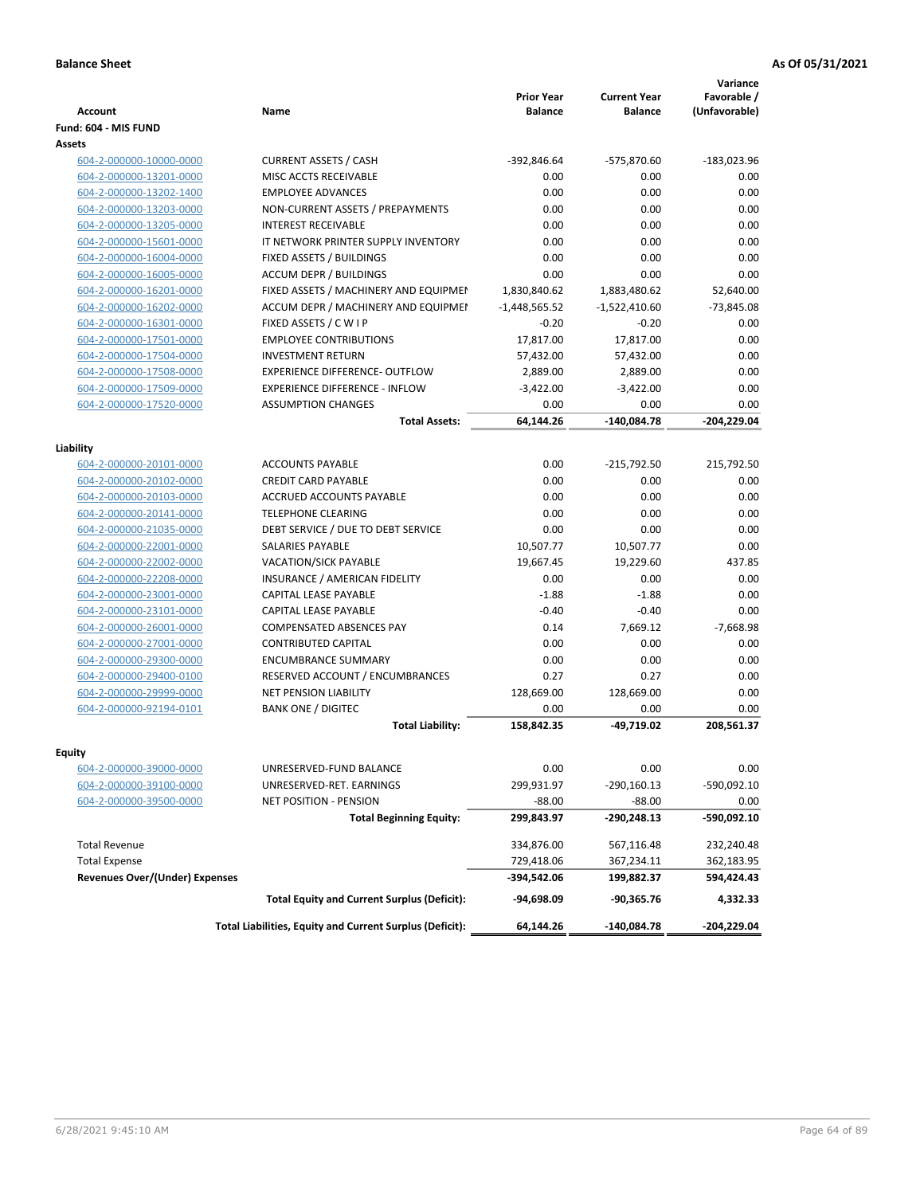| Fund: 604 - MIS FUND<br>Assets<br>604-2-000000-10000-0000<br><b>CURRENT ASSETS / CASH</b><br>-392,846.64<br>-575,870.60<br>$-183,023.96$<br>604-2-000000-13201-0000<br>MISC ACCTS RECEIVABLE<br>0.00<br>0.00<br>0.00<br><b>EMPLOYEE ADVANCES</b><br>0.00<br>0.00<br>0.00<br>604-2-000000-13202-1400<br>0.00<br>604-2-000000-13203-0000<br>NON-CURRENT ASSETS / PREPAYMENTS<br>0.00<br>0.00<br>0.00<br><b>INTEREST RECEIVABLE</b><br>0.00<br>0.00<br>604-2-000000-13205-0000<br>604-2-000000-15601-0000<br>IT NETWORK PRINTER SUPPLY INVENTORY<br>0.00<br>0.00<br>0.00<br>0.00<br>604-2-000000-16004-0000<br>FIXED ASSETS / BUILDINGS<br>0.00<br>0.00<br><b>ACCUM DEPR / BUILDINGS</b><br>0.00<br>0.00<br>604-2-000000-16005-0000<br>0.00<br>FIXED ASSETS / MACHINERY AND EQUIPMEN<br>1,830,840.62<br>1,883,480.62<br>52,640.00<br>604-2-000000-16201-0000<br>ACCUM DEPR / MACHINERY AND EQUIPMEI<br>$-1,448,565.52$<br>$-1,522,410.60$<br>$-73,845.08$<br>604-2-000000-16202-0000<br>604-2-000000-16301-0000<br>FIXED ASSETS / C W I P<br>$-0.20$<br>$-0.20$<br>0.00<br>604-2-000000-17501-0000<br><b>EMPLOYEE CONTRIBUTIONS</b><br>17,817.00<br>17,817.00<br>0.00<br>604-2-000000-17504-0000<br><b>INVESTMENT RETURN</b><br>57,432.00<br>57,432.00<br>0.00<br>604-2-000000-17508-0000<br><b>EXPERIENCE DIFFERENCE- OUTFLOW</b><br>2,889.00<br>2,889.00<br>0.00<br><b>EXPERIENCE DIFFERENCE - INFLOW</b><br>$-3,422.00$<br>$-3,422.00$<br>0.00<br>604-2-000000-17509-0000<br>604-2-000000-17520-0000<br><b>ASSUMPTION CHANGES</b><br>0.00<br>0.00<br>0.00<br>64.144.26<br>$-140,084.78$<br><b>Total Assets:</b><br>$-204.229.04$<br>Liability<br>0.00<br>215,792.50<br>604-2-000000-20101-0000<br><b>ACCOUNTS PAYABLE</b><br>-215,792.50<br><b>CREDIT CARD PAYABLE</b><br>0.00<br>0.00<br>604-2-000000-20102-0000<br>0.00<br><b>ACCRUED ACCOUNTS PAYABLE</b><br>0.00<br>0.00<br>0.00<br>604-2-000000-20103-0000<br>604-2-000000-20141-0000<br><b>TELEPHONE CLEARING</b><br>0.00<br>0.00<br>0.00<br>0.00<br>0.00<br>604-2-000000-21035-0000<br>DEBT SERVICE / DUE TO DEBT SERVICE<br>0.00<br><b>SALARIES PAYABLE</b><br>10,507.77<br>0.00<br>604-2-000000-22001-0000<br>10,507.77<br>604-2-000000-22002-0000<br><b>VACATION/SICK PAYABLE</b><br>19,667.45<br>19,229.60<br>437.85<br>INSURANCE / AMERICAN FIDELITY<br>0.00<br>0.00<br>0.00<br>604-2-000000-22208-0000<br>604-2-000000-23001-0000<br>CAPITAL LEASE PAYABLE<br>$-1.88$<br>0.00<br>$-1.88$<br>604-2-000000-23101-0000<br>CAPITAL LEASE PAYABLE<br>$-0.40$<br>$-0.40$<br>0.00<br>$-7,668.98$<br>604-2-000000-26001-0000<br><b>COMPENSATED ABSENCES PAY</b><br>0.14<br>7,669.12<br><b>CONTRIBUTED CAPITAL</b><br>0.00<br>0.00<br>0.00<br>604-2-000000-27001-0000<br><b>ENCUMBRANCE SUMMARY</b><br>0.00<br>0.00<br>0.00<br>604-2-000000-29300-0000<br>0.27<br>604-2-000000-29400-0100<br>RESERVED ACCOUNT / ENCUMBRANCES<br>0.27<br>0.00<br>604-2-000000-29999-0000<br>128,669.00<br>128,669.00<br>0.00<br><b>NET PENSION LIABILITY</b><br><b>BANK ONE / DIGITEC</b><br>604-2-000000-92194-0101<br>0.00<br>0.00<br>0.00<br><b>Total Liability:</b><br>158,842.35<br>-49,719.02<br>208,561.37<br>Equity<br>0.00<br>604-2-000000-39000-0000<br>UNRESERVED-FUND BALANCE<br>0.00<br>0.00<br>299,931.97<br>$-290,160.13$<br>604-2-000000-39100-0000<br>UNRESERVED-RET. EARNINGS<br>-590,092.10<br>604-2-000000-39500-0000<br>$-88.00$<br>$-88.00$<br>NET POSITION - PENSION<br>0.00<br><b>Total Beginning Equity:</b><br>-290,248.13<br>-590,092.10<br>299,843.97<br><b>Total Revenue</b><br>334,876.00<br>567,116.48<br>232,240.48<br>729,418.06<br><b>Total Expense</b><br>367,234.11<br>362,183.95<br>-394,542.06<br><b>Revenues Over/(Under) Expenses</b><br>199,882.37<br>594,424.43<br><b>Total Equity and Current Surplus (Deficit):</b><br>-94,698.09<br>-90,365.76<br>4,332.33<br>Total Liabilities, Equity and Current Surplus (Deficit):<br>64,144.26<br>-140,084.78<br>-204,229.04 | <b>Account</b> | Name | <b>Prior Year</b><br><b>Balance</b> | <b>Current Year</b><br><b>Balance</b> | Variance<br>Favorable /<br>(Unfavorable) |
|---------------------------------------------------------------------------------------------------------------------------------------------------------------------------------------------------------------------------------------------------------------------------------------------------------------------------------------------------------------------------------------------------------------------------------------------------------------------------------------------------------------------------------------------------------------------------------------------------------------------------------------------------------------------------------------------------------------------------------------------------------------------------------------------------------------------------------------------------------------------------------------------------------------------------------------------------------------------------------------------------------------------------------------------------------------------------------------------------------------------------------------------------------------------------------------------------------------------------------------------------------------------------------------------------------------------------------------------------------------------------------------------------------------------------------------------------------------------------------------------------------------------------------------------------------------------------------------------------------------------------------------------------------------------------------------------------------------------------------------------------------------------------------------------------------------------------------------------------------------------------------------------------------------------------------------------------------------------------------------------------------------------------------------------------------------------------------------------------------------------------------------------------------------------------------------------------------------------------------------------------------------------------------------------------------------------------------------------------------------------------------------------------------------------------------------------------------------------------------------------------------------------------------------------------------------------------------------------------------------------------------------------------------------------------------------------------------------------------------------------------------------------------------------------------------------------------------------------------------------------------------------------------------------------------------------------------------------------------------------------------------------------------------------------------------------------------------------------------------------------------------------------------------------------------------------------------------------------------------------------------------------------------------------------------------------------------------------------------------------------------------------------------------------------------------------------------------------------------------------------------------------------------------------------------------------------------------------------------------------------------------------------------------------------------------------------------------------------------------------------------------------------------------------------------------------------------------------------------------------------------------------------------------------------------------------------------|----------------|------|-------------------------------------|---------------------------------------|------------------------------------------|
|                                                                                                                                                                                                                                                                                                                                                                                                                                                                                                                                                                                                                                                                                                                                                                                                                                                                                                                                                                                                                                                                                                                                                                                                                                                                                                                                                                                                                                                                                                                                                                                                                                                                                                                                                                                                                                                                                                                                                                                                                                                                                                                                                                                                                                                                                                                                                                                                                                                                                                                                                                                                                                                                                                                                                                                                                                                                                                                                                                                                                                                                                                                                                                                                                                                                                                                                                                                                                                                                                                                                                                                                                                                                                                                                                                                                                                                                                                                                                   |                |      |                                     |                                       |                                          |
|                                                                                                                                                                                                                                                                                                                                                                                                                                                                                                                                                                                                                                                                                                                                                                                                                                                                                                                                                                                                                                                                                                                                                                                                                                                                                                                                                                                                                                                                                                                                                                                                                                                                                                                                                                                                                                                                                                                                                                                                                                                                                                                                                                                                                                                                                                                                                                                                                                                                                                                                                                                                                                                                                                                                                                                                                                                                                                                                                                                                                                                                                                                                                                                                                                                                                                                                                                                                                                                                                                                                                                                                                                                                                                                                                                                                                                                                                                                                                   |                |      |                                     |                                       |                                          |
|                                                                                                                                                                                                                                                                                                                                                                                                                                                                                                                                                                                                                                                                                                                                                                                                                                                                                                                                                                                                                                                                                                                                                                                                                                                                                                                                                                                                                                                                                                                                                                                                                                                                                                                                                                                                                                                                                                                                                                                                                                                                                                                                                                                                                                                                                                                                                                                                                                                                                                                                                                                                                                                                                                                                                                                                                                                                                                                                                                                                                                                                                                                                                                                                                                                                                                                                                                                                                                                                                                                                                                                                                                                                                                                                                                                                                                                                                                                                                   |                |      |                                     |                                       |                                          |
|                                                                                                                                                                                                                                                                                                                                                                                                                                                                                                                                                                                                                                                                                                                                                                                                                                                                                                                                                                                                                                                                                                                                                                                                                                                                                                                                                                                                                                                                                                                                                                                                                                                                                                                                                                                                                                                                                                                                                                                                                                                                                                                                                                                                                                                                                                                                                                                                                                                                                                                                                                                                                                                                                                                                                                                                                                                                                                                                                                                                                                                                                                                                                                                                                                                                                                                                                                                                                                                                                                                                                                                                                                                                                                                                                                                                                                                                                                                                                   |                |      |                                     |                                       |                                          |
|                                                                                                                                                                                                                                                                                                                                                                                                                                                                                                                                                                                                                                                                                                                                                                                                                                                                                                                                                                                                                                                                                                                                                                                                                                                                                                                                                                                                                                                                                                                                                                                                                                                                                                                                                                                                                                                                                                                                                                                                                                                                                                                                                                                                                                                                                                                                                                                                                                                                                                                                                                                                                                                                                                                                                                                                                                                                                                                                                                                                                                                                                                                                                                                                                                                                                                                                                                                                                                                                                                                                                                                                                                                                                                                                                                                                                                                                                                                                                   |                |      |                                     |                                       |                                          |
|                                                                                                                                                                                                                                                                                                                                                                                                                                                                                                                                                                                                                                                                                                                                                                                                                                                                                                                                                                                                                                                                                                                                                                                                                                                                                                                                                                                                                                                                                                                                                                                                                                                                                                                                                                                                                                                                                                                                                                                                                                                                                                                                                                                                                                                                                                                                                                                                                                                                                                                                                                                                                                                                                                                                                                                                                                                                                                                                                                                                                                                                                                                                                                                                                                                                                                                                                                                                                                                                                                                                                                                                                                                                                                                                                                                                                                                                                                                                                   |                |      |                                     |                                       |                                          |
|                                                                                                                                                                                                                                                                                                                                                                                                                                                                                                                                                                                                                                                                                                                                                                                                                                                                                                                                                                                                                                                                                                                                                                                                                                                                                                                                                                                                                                                                                                                                                                                                                                                                                                                                                                                                                                                                                                                                                                                                                                                                                                                                                                                                                                                                                                                                                                                                                                                                                                                                                                                                                                                                                                                                                                                                                                                                                                                                                                                                                                                                                                                                                                                                                                                                                                                                                                                                                                                                                                                                                                                                                                                                                                                                                                                                                                                                                                                                                   |                |      |                                     |                                       |                                          |
|                                                                                                                                                                                                                                                                                                                                                                                                                                                                                                                                                                                                                                                                                                                                                                                                                                                                                                                                                                                                                                                                                                                                                                                                                                                                                                                                                                                                                                                                                                                                                                                                                                                                                                                                                                                                                                                                                                                                                                                                                                                                                                                                                                                                                                                                                                                                                                                                                                                                                                                                                                                                                                                                                                                                                                                                                                                                                                                                                                                                                                                                                                                                                                                                                                                                                                                                                                                                                                                                                                                                                                                                                                                                                                                                                                                                                                                                                                                                                   |                |      |                                     |                                       |                                          |
|                                                                                                                                                                                                                                                                                                                                                                                                                                                                                                                                                                                                                                                                                                                                                                                                                                                                                                                                                                                                                                                                                                                                                                                                                                                                                                                                                                                                                                                                                                                                                                                                                                                                                                                                                                                                                                                                                                                                                                                                                                                                                                                                                                                                                                                                                                                                                                                                                                                                                                                                                                                                                                                                                                                                                                                                                                                                                                                                                                                                                                                                                                                                                                                                                                                                                                                                                                                                                                                                                                                                                                                                                                                                                                                                                                                                                                                                                                                                                   |                |      |                                     |                                       |                                          |
|                                                                                                                                                                                                                                                                                                                                                                                                                                                                                                                                                                                                                                                                                                                                                                                                                                                                                                                                                                                                                                                                                                                                                                                                                                                                                                                                                                                                                                                                                                                                                                                                                                                                                                                                                                                                                                                                                                                                                                                                                                                                                                                                                                                                                                                                                                                                                                                                                                                                                                                                                                                                                                                                                                                                                                                                                                                                                                                                                                                                                                                                                                                                                                                                                                                                                                                                                                                                                                                                                                                                                                                                                                                                                                                                                                                                                                                                                                                                                   |                |      |                                     |                                       |                                          |
|                                                                                                                                                                                                                                                                                                                                                                                                                                                                                                                                                                                                                                                                                                                                                                                                                                                                                                                                                                                                                                                                                                                                                                                                                                                                                                                                                                                                                                                                                                                                                                                                                                                                                                                                                                                                                                                                                                                                                                                                                                                                                                                                                                                                                                                                                                                                                                                                                                                                                                                                                                                                                                                                                                                                                                                                                                                                                                                                                                                                                                                                                                                                                                                                                                                                                                                                                                                                                                                                                                                                                                                                                                                                                                                                                                                                                                                                                                                                                   |                |      |                                     |                                       |                                          |
|                                                                                                                                                                                                                                                                                                                                                                                                                                                                                                                                                                                                                                                                                                                                                                                                                                                                                                                                                                                                                                                                                                                                                                                                                                                                                                                                                                                                                                                                                                                                                                                                                                                                                                                                                                                                                                                                                                                                                                                                                                                                                                                                                                                                                                                                                                                                                                                                                                                                                                                                                                                                                                                                                                                                                                                                                                                                                                                                                                                                                                                                                                                                                                                                                                                                                                                                                                                                                                                                                                                                                                                                                                                                                                                                                                                                                                                                                                                                                   |                |      |                                     |                                       |                                          |
|                                                                                                                                                                                                                                                                                                                                                                                                                                                                                                                                                                                                                                                                                                                                                                                                                                                                                                                                                                                                                                                                                                                                                                                                                                                                                                                                                                                                                                                                                                                                                                                                                                                                                                                                                                                                                                                                                                                                                                                                                                                                                                                                                                                                                                                                                                                                                                                                                                                                                                                                                                                                                                                                                                                                                                                                                                                                                                                                                                                                                                                                                                                                                                                                                                                                                                                                                                                                                                                                                                                                                                                                                                                                                                                                                                                                                                                                                                                                                   |                |      |                                     |                                       |                                          |
|                                                                                                                                                                                                                                                                                                                                                                                                                                                                                                                                                                                                                                                                                                                                                                                                                                                                                                                                                                                                                                                                                                                                                                                                                                                                                                                                                                                                                                                                                                                                                                                                                                                                                                                                                                                                                                                                                                                                                                                                                                                                                                                                                                                                                                                                                                                                                                                                                                                                                                                                                                                                                                                                                                                                                                                                                                                                                                                                                                                                                                                                                                                                                                                                                                                                                                                                                                                                                                                                                                                                                                                                                                                                                                                                                                                                                                                                                                                                                   |                |      |                                     |                                       |                                          |
|                                                                                                                                                                                                                                                                                                                                                                                                                                                                                                                                                                                                                                                                                                                                                                                                                                                                                                                                                                                                                                                                                                                                                                                                                                                                                                                                                                                                                                                                                                                                                                                                                                                                                                                                                                                                                                                                                                                                                                                                                                                                                                                                                                                                                                                                                                                                                                                                                                                                                                                                                                                                                                                                                                                                                                                                                                                                                                                                                                                                                                                                                                                                                                                                                                                                                                                                                                                                                                                                                                                                                                                                                                                                                                                                                                                                                                                                                                                                                   |                |      |                                     |                                       |                                          |
|                                                                                                                                                                                                                                                                                                                                                                                                                                                                                                                                                                                                                                                                                                                                                                                                                                                                                                                                                                                                                                                                                                                                                                                                                                                                                                                                                                                                                                                                                                                                                                                                                                                                                                                                                                                                                                                                                                                                                                                                                                                                                                                                                                                                                                                                                                                                                                                                                                                                                                                                                                                                                                                                                                                                                                                                                                                                                                                                                                                                                                                                                                                                                                                                                                                                                                                                                                                                                                                                                                                                                                                                                                                                                                                                                                                                                                                                                                                                                   |                |      |                                     |                                       |                                          |
|                                                                                                                                                                                                                                                                                                                                                                                                                                                                                                                                                                                                                                                                                                                                                                                                                                                                                                                                                                                                                                                                                                                                                                                                                                                                                                                                                                                                                                                                                                                                                                                                                                                                                                                                                                                                                                                                                                                                                                                                                                                                                                                                                                                                                                                                                                                                                                                                                                                                                                                                                                                                                                                                                                                                                                                                                                                                                                                                                                                                                                                                                                                                                                                                                                                                                                                                                                                                                                                                                                                                                                                                                                                                                                                                                                                                                                                                                                                                                   |                |      |                                     |                                       |                                          |
|                                                                                                                                                                                                                                                                                                                                                                                                                                                                                                                                                                                                                                                                                                                                                                                                                                                                                                                                                                                                                                                                                                                                                                                                                                                                                                                                                                                                                                                                                                                                                                                                                                                                                                                                                                                                                                                                                                                                                                                                                                                                                                                                                                                                                                                                                                                                                                                                                                                                                                                                                                                                                                                                                                                                                                                                                                                                                                                                                                                                                                                                                                                                                                                                                                                                                                                                                                                                                                                                                                                                                                                                                                                                                                                                                                                                                                                                                                                                                   |                |      |                                     |                                       |                                          |
|                                                                                                                                                                                                                                                                                                                                                                                                                                                                                                                                                                                                                                                                                                                                                                                                                                                                                                                                                                                                                                                                                                                                                                                                                                                                                                                                                                                                                                                                                                                                                                                                                                                                                                                                                                                                                                                                                                                                                                                                                                                                                                                                                                                                                                                                                                                                                                                                                                                                                                                                                                                                                                                                                                                                                                                                                                                                                                                                                                                                                                                                                                                                                                                                                                                                                                                                                                                                                                                                                                                                                                                                                                                                                                                                                                                                                                                                                                                                                   |                |      |                                     |                                       |                                          |
|                                                                                                                                                                                                                                                                                                                                                                                                                                                                                                                                                                                                                                                                                                                                                                                                                                                                                                                                                                                                                                                                                                                                                                                                                                                                                                                                                                                                                                                                                                                                                                                                                                                                                                                                                                                                                                                                                                                                                                                                                                                                                                                                                                                                                                                                                                                                                                                                                                                                                                                                                                                                                                                                                                                                                                                                                                                                                                                                                                                                                                                                                                                                                                                                                                                                                                                                                                                                                                                                                                                                                                                                                                                                                                                                                                                                                                                                                                                                                   |                |      |                                     |                                       |                                          |
|                                                                                                                                                                                                                                                                                                                                                                                                                                                                                                                                                                                                                                                                                                                                                                                                                                                                                                                                                                                                                                                                                                                                                                                                                                                                                                                                                                                                                                                                                                                                                                                                                                                                                                                                                                                                                                                                                                                                                                                                                                                                                                                                                                                                                                                                                                                                                                                                                                                                                                                                                                                                                                                                                                                                                                                                                                                                                                                                                                                                                                                                                                                                                                                                                                                                                                                                                                                                                                                                                                                                                                                                                                                                                                                                                                                                                                                                                                                                                   |                |      |                                     |                                       |                                          |
|                                                                                                                                                                                                                                                                                                                                                                                                                                                                                                                                                                                                                                                                                                                                                                                                                                                                                                                                                                                                                                                                                                                                                                                                                                                                                                                                                                                                                                                                                                                                                                                                                                                                                                                                                                                                                                                                                                                                                                                                                                                                                                                                                                                                                                                                                                                                                                                                                                                                                                                                                                                                                                                                                                                                                                                                                                                                                                                                                                                                                                                                                                                                                                                                                                                                                                                                                                                                                                                                                                                                                                                                                                                                                                                                                                                                                                                                                                                                                   |                |      |                                     |                                       |                                          |
|                                                                                                                                                                                                                                                                                                                                                                                                                                                                                                                                                                                                                                                                                                                                                                                                                                                                                                                                                                                                                                                                                                                                                                                                                                                                                                                                                                                                                                                                                                                                                                                                                                                                                                                                                                                                                                                                                                                                                                                                                                                                                                                                                                                                                                                                                                                                                                                                                                                                                                                                                                                                                                                                                                                                                                                                                                                                                                                                                                                                                                                                                                                                                                                                                                                                                                                                                                                                                                                                                                                                                                                                                                                                                                                                                                                                                                                                                                                                                   |                |      |                                     |                                       |                                          |
|                                                                                                                                                                                                                                                                                                                                                                                                                                                                                                                                                                                                                                                                                                                                                                                                                                                                                                                                                                                                                                                                                                                                                                                                                                                                                                                                                                                                                                                                                                                                                                                                                                                                                                                                                                                                                                                                                                                                                                                                                                                                                                                                                                                                                                                                                                                                                                                                                                                                                                                                                                                                                                                                                                                                                                                                                                                                                                                                                                                                                                                                                                                                                                                                                                                                                                                                                                                                                                                                                                                                                                                                                                                                                                                                                                                                                                                                                                                                                   |                |      |                                     |                                       |                                          |
|                                                                                                                                                                                                                                                                                                                                                                                                                                                                                                                                                                                                                                                                                                                                                                                                                                                                                                                                                                                                                                                                                                                                                                                                                                                                                                                                                                                                                                                                                                                                                                                                                                                                                                                                                                                                                                                                                                                                                                                                                                                                                                                                                                                                                                                                                                                                                                                                                                                                                                                                                                                                                                                                                                                                                                                                                                                                                                                                                                                                                                                                                                                                                                                                                                                                                                                                                                                                                                                                                                                                                                                                                                                                                                                                                                                                                                                                                                                                                   |                |      |                                     |                                       |                                          |
|                                                                                                                                                                                                                                                                                                                                                                                                                                                                                                                                                                                                                                                                                                                                                                                                                                                                                                                                                                                                                                                                                                                                                                                                                                                                                                                                                                                                                                                                                                                                                                                                                                                                                                                                                                                                                                                                                                                                                                                                                                                                                                                                                                                                                                                                                                                                                                                                                                                                                                                                                                                                                                                                                                                                                                                                                                                                                                                                                                                                                                                                                                                                                                                                                                                                                                                                                                                                                                                                                                                                                                                                                                                                                                                                                                                                                                                                                                                                                   |                |      |                                     |                                       |                                          |
|                                                                                                                                                                                                                                                                                                                                                                                                                                                                                                                                                                                                                                                                                                                                                                                                                                                                                                                                                                                                                                                                                                                                                                                                                                                                                                                                                                                                                                                                                                                                                                                                                                                                                                                                                                                                                                                                                                                                                                                                                                                                                                                                                                                                                                                                                                                                                                                                                                                                                                                                                                                                                                                                                                                                                                                                                                                                                                                                                                                                                                                                                                                                                                                                                                                                                                                                                                                                                                                                                                                                                                                                                                                                                                                                                                                                                                                                                                                                                   |                |      |                                     |                                       |                                          |
|                                                                                                                                                                                                                                                                                                                                                                                                                                                                                                                                                                                                                                                                                                                                                                                                                                                                                                                                                                                                                                                                                                                                                                                                                                                                                                                                                                                                                                                                                                                                                                                                                                                                                                                                                                                                                                                                                                                                                                                                                                                                                                                                                                                                                                                                                                                                                                                                                                                                                                                                                                                                                                                                                                                                                                                                                                                                                                                                                                                                                                                                                                                                                                                                                                                                                                                                                                                                                                                                                                                                                                                                                                                                                                                                                                                                                                                                                                                                                   |                |      |                                     |                                       |                                          |
|                                                                                                                                                                                                                                                                                                                                                                                                                                                                                                                                                                                                                                                                                                                                                                                                                                                                                                                                                                                                                                                                                                                                                                                                                                                                                                                                                                                                                                                                                                                                                                                                                                                                                                                                                                                                                                                                                                                                                                                                                                                                                                                                                                                                                                                                                                                                                                                                                                                                                                                                                                                                                                                                                                                                                                                                                                                                                                                                                                                                                                                                                                                                                                                                                                                                                                                                                                                                                                                                                                                                                                                                                                                                                                                                                                                                                                                                                                                                                   |                |      |                                     |                                       |                                          |
|                                                                                                                                                                                                                                                                                                                                                                                                                                                                                                                                                                                                                                                                                                                                                                                                                                                                                                                                                                                                                                                                                                                                                                                                                                                                                                                                                                                                                                                                                                                                                                                                                                                                                                                                                                                                                                                                                                                                                                                                                                                                                                                                                                                                                                                                                                                                                                                                                                                                                                                                                                                                                                                                                                                                                                                                                                                                                                                                                                                                                                                                                                                                                                                                                                                                                                                                                                                                                                                                                                                                                                                                                                                                                                                                                                                                                                                                                                                                                   |                |      |                                     |                                       |                                          |
|                                                                                                                                                                                                                                                                                                                                                                                                                                                                                                                                                                                                                                                                                                                                                                                                                                                                                                                                                                                                                                                                                                                                                                                                                                                                                                                                                                                                                                                                                                                                                                                                                                                                                                                                                                                                                                                                                                                                                                                                                                                                                                                                                                                                                                                                                                                                                                                                                                                                                                                                                                                                                                                                                                                                                                                                                                                                                                                                                                                                                                                                                                                                                                                                                                                                                                                                                                                                                                                                                                                                                                                                                                                                                                                                                                                                                                                                                                                                                   |                |      |                                     |                                       |                                          |
|                                                                                                                                                                                                                                                                                                                                                                                                                                                                                                                                                                                                                                                                                                                                                                                                                                                                                                                                                                                                                                                                                                                                                                                                                                                                                                                                                                                                                                                                                                                                                                                                                                                                                                                                                                                                                                                                                                                                                                                                                                                                                                                                                                                                                                                                                                                                                                                                                                                                                                                                                                                                                                                                                                                                                                                                                                                                                                                                                                                                                                                                                                                                                                                                                                                                                                                                                                                                                                                                                                                                                                                                                                                                                                                                                                                                                                                                                                                                                   |                |      |                                     |                                       |                                          |
|                                                                                                                                                                                                                                                                                                                                                                                                                                                                                                                                                                                                                                                                                                                                                                                                                                                                                                                                                                                                                                                                                                                                                                                                                                                                                                                                                                                                                                                                                                                                                                                                                                                                                                                                                                                                                                                                                                                                                                                                                                                                                                                                                                                                                                                                                                                                                                                                                                                                                                                                                                                                                                                                                                                                                                                                                                                                                                                                                                                                                                                                                                                                                                                                                                                                                                                                                                                                                                                                                                                                                                                                                                                                                                                                                                                                                                                                                                                                                   |                |      |                                     |                                       |                                          |
|                                                                                                                                                                                                                                                                                                                                                                                                                                                                                                                                                                                                                                                                                                                                                                                                                                                                                                                                                                                                                                                                                                                                                                                                                                                                                                                                                                                                                                                                                                                                                                                                                                                                                                                                                                                                                                                                                                                                                                                                                                                                                                                                                                                                                                                                                                                                                                                                                                                                                                                                                                                                                                                                                                                                                                                                                                                                                                                                                                                                                                                                                                                                                                                                                                                                                                                                                                                                                                                                                                                                                                                                                                                                                                                                                                                                                                                                                                                                                   |                |      |                                     |                                       |                                          |
|                                                                                                                                                                                                                                                                                                                                                                                                                                                                                                                                                                                                                                                                                                                                                                                                                                                                                                                                                                                                                                                                                                                                                                                                                                                                                                                                                                                                                                                                                                                                                                                                                                                                                                                                                                                                                                                                                                                                                                                                                                                                                                                                                                                                                                                                                                                                                                                                                                                                                                                                                                                                                                                                                                                                                                                                                                                                                                                                                                                                                                                                                                                                                                                                                                                                                                                                                                                                                                                                                                                                                                                                                                                                                                                                                                                                                                                                                                                                                   |                |      |                                     |                                       |                                          |
|                                                                                                                                                                                                                                                                                                                                                                                                                                                                                                                                                                                                                                                                                                                                                                                                                                                                                                                                                                                                                                                                                                                                                                                                                                                                                                                                                                                                                                                                                                                                                                                                                                                                                                                                                                                                                                                                                                                                                                                                                                                                                                                                                                                                                                                                                                                                                                                                                                                                                                                                                                                                                                                                                                                                                                                                                                                                                                                                                                                                                                                                                                                                                                                                                                                                                                                                                                                                                                                                                                                                                                                                                                                                                                                                                                                                                                                                                                                                                   |                |      |                                     |                                       |                                          |
|                                                                                                                                                                                                                                                                                                                                                                                                                                                                                                                                                                                                                                                                                                                                                                                                                                                                                                                                                                                                                                                                                                                                                                                                                                                                                                                                                                                                                                                                                                                                                                                                                                                                                                                                                                                                                                                                                                                                                                                                                                                                                                                                                                                                                                                                                                                                                                                                                                                                                                                                                                                                                                                                                                                                                                                                                                                                                                                                                                                                                                                                                                                                                                                                                                                                                                                                                                                                                                                                                                                                                                                                                                                                                                                                                                                                                                                                                                                                                   |                |      |                                     |                                       |                                          |
|                                                                                                                                                                                                                                                                                                                                                                                                                                                                                                                                                                                                                                                                                                                                                                                                                                                                                                                                                                                                                                                                                                                                                                                                                                                                                                                                                                                                                                                                                                                                                                                                                                                                                                                                                                                                                                                                                                                                                                                                                                                                                                                                                                                                                                                                                                                                                                                                                                                                                                                                                                                                                                                                                                                                                                                                                                                                                                                                                                                                                                                                                                                                                                                                                                                                                                                                                                                                                                                                                                                                                                                                                                                                                                                                                                                                                                                                                                                                                   |                |      |                                     |                                       |                                          |
|                                                                                                                                                                                                                                                                                                                                                                                                                                                                                                                                                                                                                                                                                                                                                                                                                                                                                                                                                                                                                                                                                                                                                                                                                                                                                                                                                                                                                                                                                                                                                                                                                                                                                                                                                                                                                                                                                                                                                                                                                                                                                                                                                                                                                                                                                                                                                                                                                                                                                                                                                                                                                                                                                                                                                                                                                                                                                                                                                                                                                                                                                                                                                                                                                                                                                                                                                                                                                                                                                                                                                                                                                                                                                                                                                                                                                                                                                                                                                   |                |      |                                     |                                       |                                          |
|                                                                                                                                                                                                                                                                                                                                                                                                                                                                                                                                                                                                                                                                                                                                                                                                                                                                                                                                                                                                                                                                                                                                                                                                                                                                                                                                                                                                                                                                                                                                                                                                                                                                                                                                                                                                                                                                                                                                                                                                                                                                                                                                                                                                                                                                                                                                                                                                                                                                                                                                                                                                                                                                                                                                                                                                                                                                                                                                                                                                                                                                                                                                                                                                                                                                                                                                                                                                                                                                                                                                                                                                                                                                                                                                                                                                                                                                                                                                                   |                |      |                                     |                                       |                                          |
|                                                                                                                                                                                                                                                                                                                                                                                                                                                                                                                                                                                                                                                                                                                                                                                                                                                                                                                                                                                                                                                                                                                                                                                                                                                                                                                                                                                                                                                                                                                                                                                                                                                                                                                                                                                                                                                                                                                                                                                                                                                                                                                                                                                                                                                                                                                                                                                                                                                                                                                                                                                                                                                                                                                                                                                                                                                                                                                                                                                                                                                                                                                                                                                                                                                                                                                                                                                                                                                                                                                                                                                                                                                                                                                                                                                                                                                                                                                                                   |                |      |                                     |                                       |                                          |
|                                                                                                                                                                                                                                                                                                                                                                                                                                                                                                                                                                                                                                                                                                                                                                                                                                                                                                                                                                                                                                                                                                                                                                                                                                                                                                                                                                                                                                                                                                                                                                                                                                                                                                                                                                                                                                                                                                                                                                                                                                                                                                                                                                                                                                                                                                                                                                                                                                                                                                                                                                                                                                                                                                                                                                                                                                                                                                                                                                                                                                                                                                                                                                                                                                                                                                                                                                                                                                                                                                                                                                                                                                                                                                                                                                                                                                                                                                                                                   |                |      |                                     |                                       |                                          |
|                                                                                                                                                                                                                                                                                                                                                                                                                                                                                                                                                                                                                                                                                                                                                                                                                                                                                                                                                                                                                                                                                                                                                                                                                                                                                                                                                                                                                                                                                                                                                                                                                                                                                                                                                                                                                                                                                                                                                                                                                                                                                                                                                                                                                                                                                                                                                                                                                                                                                                                                                                                                                                                                                                                                                                                                                                                                                                                                                                                                                                                                                                                                                                                                                                                                                                                                                                                                                                                                                                                                                                                                                                                                                                                                                                                                                                                                                                                                                   |                |      |                                     |                                       |                                          |
|                                                                                                                                                                                                                                                                                                                                                                                                                                                                                                                                                                                                                                                                                                                                                                                                                                                                                                                                                                                                                                                                                                                                                                                                                                                                                                                                                                                                                                                                                                                                                                                                                                                                                                                                                                                                                                                                                                                                                                                                                                                                                                                                                                                                                                                                                                                                                                                                                                                                                                                                                                                                                                                                                                                                                                                                                                                                                                                                                                                                                                                                                                                                                                                                                                                                                                                                                                                                                                                                                                                                                                                                                                                                                                                                                                                                                                                                                                                                                   |                |      |                                     |                                       |                                          |
|                                                                                                                                                                                                                                                                                                                                                                                                                                                                                                                                                                                                                                                                                                                                                                                                                                                                                                                                                                                                                                                                                                                                                                                                                                                                                                                                                                                                                                                                                                                                                                                                                                                                                                                                                                                                                                                                                                                                                                                                                                                                                                                                                                                                                                                                                                                                                                                                                                                                                                                                                                                                                                                                                                                                                                                                                                                                                                                                                                                                                                                                                                                                                                                                                                                                                                                                                                                                                                                                                                                                                                                                                                                                                                                                                                                                                                                                                                                                                   |                |      |                                     |                                       |                                          |
|                                                                                                                                                                                                                                                                                                                                                                                                                                                                                                                                                                                                                                                                                                                                                                                                                                                                                                                                                                                                                                                                                                                                                                                                                                                                                                                                                                                                                                                                                                                                                                                                                                                                                                                                                                                                                                                                                                                                                                                                                                                                                                                                                                                                                                                                                                                                                                                                                                                                                                                                                                                                                                                                                                                                                                                                                                                                                                                                                                                                                                                                                                                                                                                                                                                                                                                                                                                                                                                                                                                                                                                                                                                                                                                                                                                                                                                                                                                                                   |                |      |                                     |                                       |                                          |
|                                                                                                                                                                                                                                                                                                                                                                                                                                                                                                                                                                                                                                                                                                                                                                                                                                                                                                                                                                                                                                                                                                                                                                                                                                                                                                                                                                                                                                                                                                                                                                                                                                                                                                                                                                                                                                                                                                                                                                                                                                                                                                                                                                                                                                                                                                                                                                                                                                                                                                                                                                                                                                                                                                                                                                                                                                                                                                                                                                                                                                                                                                                                                                                                                                                                                                                                                                                                                                                                                                                                                                                                                                                                                                                                                                                                                                                                                                                                                   |                |      |                                     |                                       |                                          |
|                                                                                                                                                                                                                                                                                                                                                                                                                                                                                                                                                                                                                                                                                                                                                                                                                                                                                                                                                                                                                                                                                                                                                                                                                                                                                                                                                                                                                                                                                                                                                                                                                                                                                                                                                                                                                                                                                                                                                                                                                                                                                                                                                                                                                                                                                                                                                                                                                                                                                                                                                                                                                                                                                                                                                                                                                                                                                                                                                                                                                                                                                                                                                                                                                                                                                                                                                                                                                                                                                                                                                                                                                                                                                                                                                                                                                                                                                                                                                   |                |      |                                     |                                       |                                          |
|                                                                                                                                                                                                                                                                                                                                                                                                                                                                                                                                                                                                                                                                                                                                                                                                                                                                                                                                                                                                                                                                                                                                                                                                                                                                                                                                                                                                                                                                                                                                                                                                                                                                                                                                                                                                                                                                                                                                                                                                                                                                                                                                                                                                                                                                                                                                                                                                                                                                                                                                                                                                                                                                                                                                                                                                                                                                                                                                                                                                                                                                                                                                                                                                                                                                                                                                                                                                                                                                                                                                                                                                                                                                                                                                                                                                                                                                                                                                                   |                |      |                                     |                                       |                                          |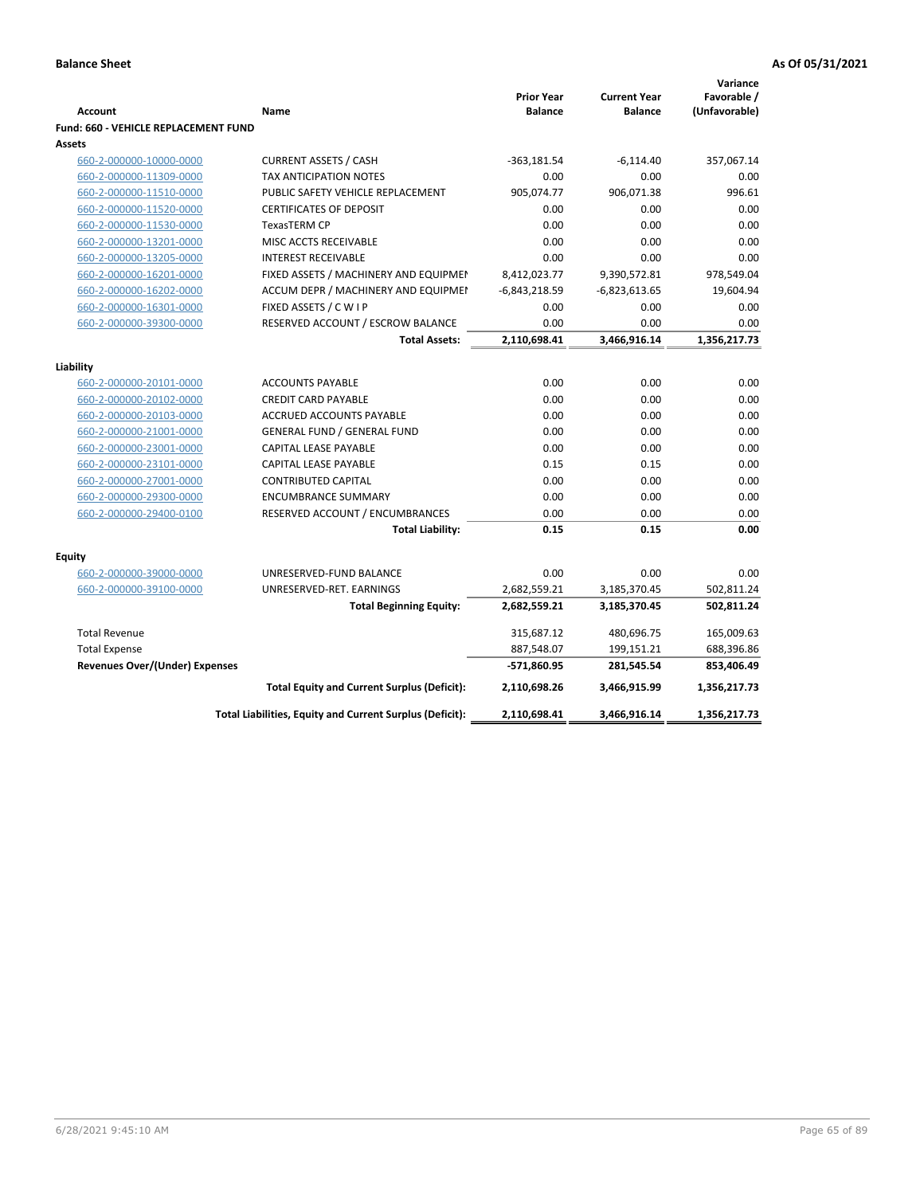|                                             |                                                          |                                     |                                       | Variance                     |
|---------------------------------------------|----------------------------------------------------------|-------------------------------------|---------------------------------------|------------------------------|
| <b>Account</b>                              | Name                                                     | <b>Prior Year</b><br><b>Balance</b> | <b>Current Year</b><br><b>Balance</b> | Favorable /<br>(Unfavorable) |
| <b>Fund: 660 - VEHICLE REPLACEMENT FUND</b> |                                                          |                                     |                                       |                              |
| Assets                                      |                                                          |                                     |                                       |                              |
| 660-2-000000-10000-0000                     | <b>CURRENT ASSETS / CASH</b>                             | $-363,181.54$                       | $-6,114.40$                           | 357,067.14                   |
| 660-2-000000-11309-0000                     | TAX ANTICIPATION NOTES                                   | 0.00                                | 0.00                                  | 0.00                         |
| 660-2-000000-11510-0000                     | PUBLIC SAFETY VEHICLE REPLACEMENT                        | 905,074.77                          | 906,071.38                            | 996.61                       |
| 660-2-000000-11520-0000                     | <b>CERTIFICATES OF DEPOSIT</b>                           | 0.00                                | 0.00                                  | 0.00                         |
| 660-2-000000-11530-0000                     | <b>TexasTERM CP</b>                                      | 0.00                                | 0.00                                  | 0.00                         |
| 660-2-000000-13201-0000                     | MISC ACCTS RECEIVABLE                                    | 0.00                                | 0.00                                  | 0.00                         |
| 660-2-000000-13205-0000                     | <b>INTEREST RECEIVABLE</b>                               | 0.00                                | 0.00                                  | 0.00                         |
| 660-2-000000-16201-0000                     | FIXED ASSETS / MACHINERY AND EQUIPMEN                    | 8,412,023.77                        | 9,390,572.81                          | 978,549.04                   |
| 660-2-000000-16202-0000                     | ACCUM DEPR / MACHINERY AND EQUIPMEI                      | $-6,843,218.59$                     | $-6,823,613.65$                       | 19,604.94                    |
| 660-2-000000-16301-0000                     | FIXED ASSETS / C W I P                                   | 0.00                                | 0.00                                  | 0.00                         |
| 660-2-000000-39300-0000                     | RESERVED ACCOUNT / ESCROW BALANCE                        | 0.00                                | 0.00                                  | 0.00                         |
|                                             | <b>Total Assets:</b>                                     | 2,110,698.41                        | 3,466,916.14                          | 1,356,217.73                 |
|                                             |                                                          |                                     |                                       |                              |
| Liability                                   |                                                          |                                     |                                       |                              |
| 660-2-000000-20101-0000                     | <b>ACCOUNTS PAYABLE</b>                                  | 0.00                                | 0.00                                  | 0.00                         |
| 660-2-000000-20102-0000                     | <b>CREDIT CARD PAYABLE</b>                               | 0.00                                | 0.00                                  | 0.00                         |
| 660-2-000000-20103-0000                     | ACCRUED ACCOUNTS PAYABLE                                 | 0.00                                | 0.00                                  | 0.00                         |
| 660-2-000000-21001-0000                     | <b>GENERAL FUND / GENERAL FUND</b>                       | 0.00                                | 0.00                                  | 0.00                         |
| 660-2-000000-23001-0000                     | CAPITAL LEASE PAYABLE                                    | 0.00                                | 0.00                                  | 0.00                         |
| 660-2-000000-23101-0000                     | <b>CAPITAL LEASE PAYABLE</b>                             | 0.15                                | 0.15                                  | 0.00                         |
| 660-2-000000-27001-0000                     | <b>CONTRIBUTED CAPITAL</b>                               | 0.00                                | 0.00                                  | 0.00                         |
| 660-2-000000-29300-0000                     | <b>ENCUMBRANCE SUMMARY</b>                               | 0.00                                | 0.00                                  | 0.00                         |
| 660-2-000000-29400-0100                     | RESERVED ACCOUNT / ENCUMBRANCES                          | 0.00                                | 0.00                                  | 0.00                         |
|                                             | <b>Total Liability:</b>                                  | 0.15                                | 0.15                                  | 0.00                         |
| <b>Equity</b>                               |                                                          |                                     |                                       |                              |
| 660-2-000000-39000-0000                     | UNRESERVED-FUND BALANCE                                  | 0.00                                | 0.00                                  | 0.00                         |
| 660-2-000000-39100-0000                     | UNRESERVED-RET. EARNINGS                                 | 2,682,559.21                        | 3,185,370.45                          | 502,811.24                   |
|                                             | <b>Total Beginning Equity:</b>                           | 2,682,559.21                        | 3,185,370.45                          | 502,811.24                   |
| <b>Total Revenue</b>                        |                                                          | 315,687.12                          | 480,696.75                            | 165,009.63                   |
| <b>Total Expense</b>                        |                                                          | 887,548.07                          | 199,151.21                            | 688,396.86                   |
| <b>Revenues Over/(Under) Expenses</b>       |                                                          | -571,860.95                         | 281,545.54                            | 853,406.49                   |
|                                             | <b>Total Equity and Current Surplus (Deficit):</b>       | 2,110,698.26                        | 3,466,915.99                          | 1,356,217.73                 |
|                                             | Total Liabilities, Equity and Current Surplus (Deficit): | 2,110,698.41                        | 3,466,916.14                          | 1,356,217.73                 |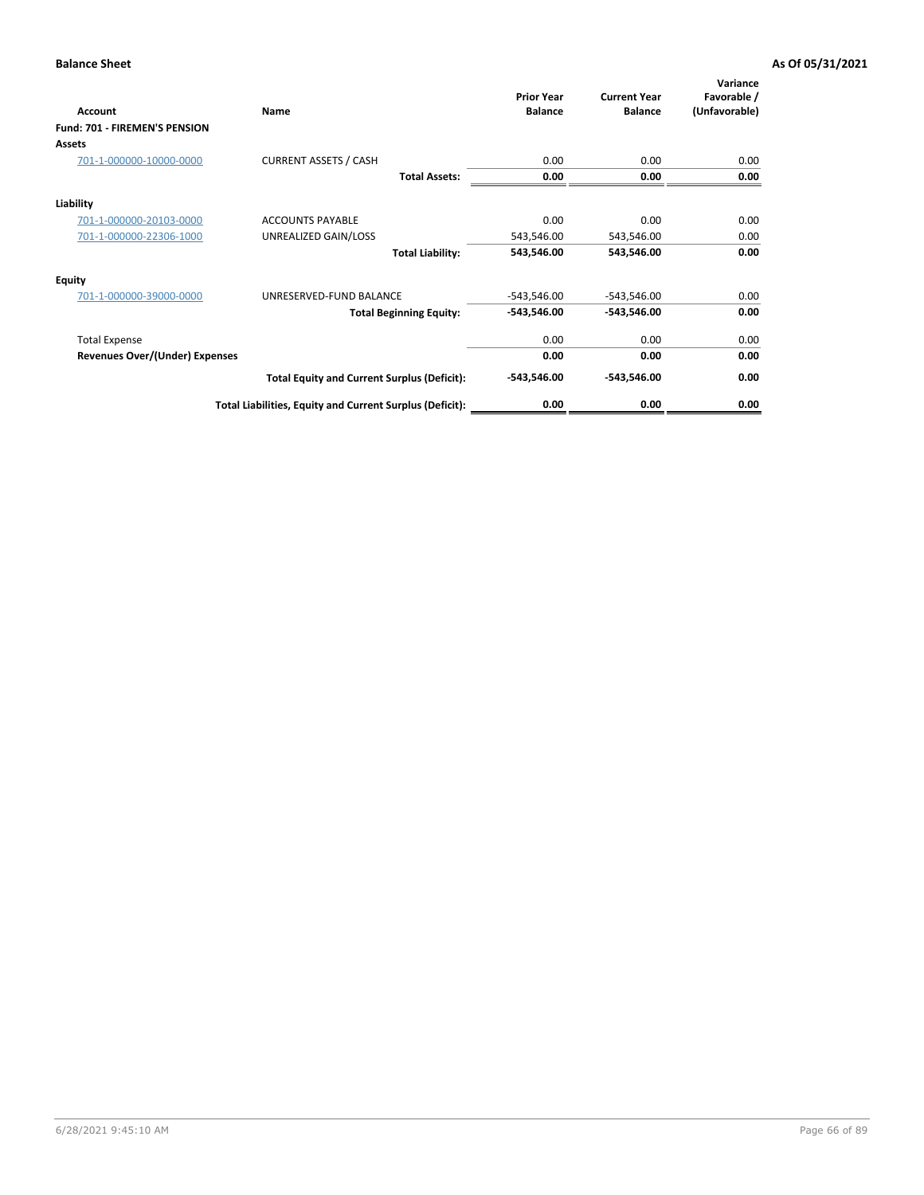| Account                              | Name                                                     | <b>Prior Year</b><br><b>Balance</b> | <b>Current Year</b><br><b>Balance</b> | Variance<br>Favorable /<br>(Unfavorable) |
|--------------------------------------|----------------------------------------------------------|-------------------------------------|---------------------------------------|------------------------------------------|
| <b>Fund: 701 - FIREMEN'S PENSION</b> |                                                          |                                     |                                       |                                          |
| <b>Assets</b>                        |                                                          |                                     |                                       |                                          |
| 701-1-000000-10000-0000              | <b>CURRENT ASSETS / CASH</b>                             | 0.00                                | 0.00                                  | 0.00                                     |
|                                      | <b>Total Assets:</b>                                     | 0.00                                | 0.00                                  | 0.00                                     |
| Liability                            |                                                          |                                     |                                       |                                          |
| 701-1-000000-20103-0000              | <b>ACCOUNTS PAYABLE</b>                                  | 0.00                                | 0.00                                  | 0.00                                     |
| 701-1-000000-22306-1000              | UNREALIZED GAIN/LOSS                                     | 543,546.00                          | 543,546.00                            | 0.00                                     |
|                                      | <b>Total Liability:</b>                                  | 543,546.00                          | 543,546.00                            | 0.00                                     |
| <b>Equity</b>                        |                                                          |                                     |                                       |                                          |
| 701-1-000000-39000-0000              | UNRESERVED-FUND BALANCE                                  | $-543,546.00$                       | $-543,546.00$                         | 0.00                                     |
|                                      | <b>Total Beginning Equity:</b>                           | $-543,546.00$                       | -543,546.00                           | 0.00                                     |
| <b>Total Expense</b>                 |                                                          | 0.00                                | 0.00                                  | 0.00                                     |
| Revenues Over/(Under) Expenses       |                                                          | 0.00                                | 0.00                                  | 0.00                                     |
|                                      | <b>Total Equity and Current Surplus (Deficit):</b>       | $-543,546.00$                       | -543,546.00                           | 0.00                                     |
|                                      | Total Liabilities, Equity and Current Surplus (Deficit): | 0.00                                | 0.00                                  | 0.00                                     |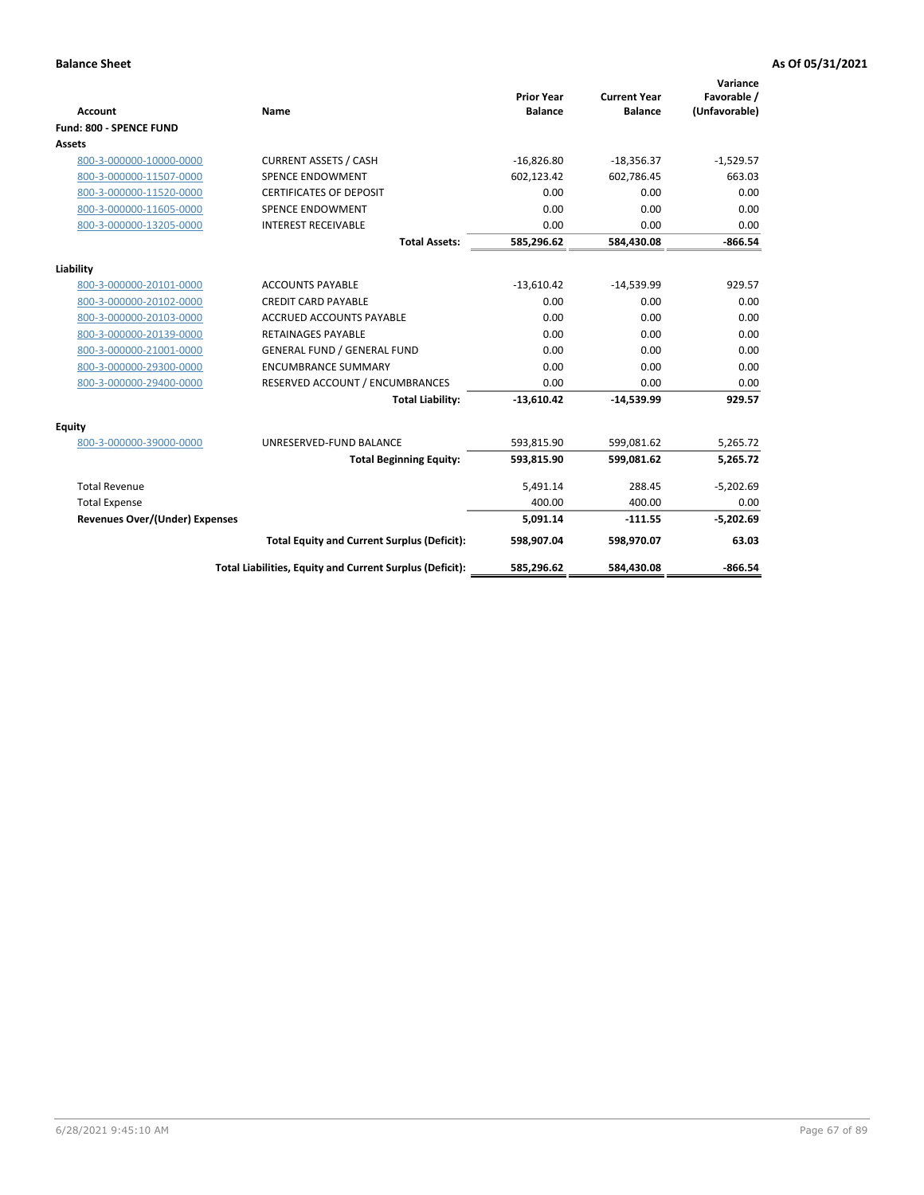|                                       |                                                          |                                     |                                       | Variance      |
|---------------------------------------|----------------------------------------------------------|-------------------------------------|---------------------------------------|---------------|
| <b>Account</b>                        | <b>Name</b>                                              | <b>Prior Year</b><br><b>Balance</b> | <b>Current Year</b><br><b>Balance</b> | Favorable /   |
|                                       |                                                          |                                     |                                       | (Unfavorable) |
| Fund: 800 - SPENCE FUND               |                                                          |                                     |                                       |               |
| Assets                                |                                                          |                                     |                                       |               |
| 800-3-000000-10000-0000               | <b>CURRENT ASSETS / CASH</b>                             | $-16,826.80$                        | $-18,356.37$                          | $-1,529.57$   |
| 800-3-000000-11507-0000               | <b>SPENCE ENDOWMENT</b>                                  | 602,123.42                          | 602,786.45                            | 663.03        |
| 800-3-000000-11520-0000               | <b>CERTIFICATES OF DEPOSIT</b>                           | 0.00                                | 0.00                                  | 0.00          |
| 800-3-000000-11605-0000               | <b>SPENCE ENDOWMENT</b>                                  | 0.00                                | 0.00                                  | 0.00          |
| 800-3-000000-13205-0000               | <b>INTEREST RECEIVABLE</b>                               | 0.00                                | 0.00                                  | 0.00          |
|                                       | <b>Total Assets:</b>                                     | 585,296.62                          | 584,430.08                            | $-866.54$     |
| Liability                             |                                                          |                                     |                                       |               |
| 800-3-000000-20101-0000               | <b>ACCOUNTS PAYABLE</b>                                  | $-13,610.42$                        | $-14,539.99$                          | 929.57        |
| 800-3-000000-20102-0000               | <b>CREDIT CARD PAYABLE</b>                               | 0.00                                | 0.00                                  | 0.00          |
| 800-3-000000-20103-0000               | <b>ACCRUED ACCOUNTS PAYABLE</b>                          | 0.00                                | 0.00                                  | 0.00          |
| 800-3-000000-20139-0000               | <b>RETAINAGES PAYABLE</b>                                | 0.00                                | 0.00                                  | 0.00          |
| 800-3-000000-21001-0000               | <b>GENERAL FUND / GENERAL FUND</b>                       | 0.00                                | 0.00                                  | 0.00          |
| 800-3-000000-29300-0000               | <b>ENCUMBRANCE SUMMARY</b>                               | 0.00                                | 0.00                                  | 0.00          |
| 800-3-000000-29400-0000               | RESERVED ACCOUNT / ENCUMBRANCES                          | 0.00                                | 0.00                                  | 0.00          |
|                                       | <b>Total Liability:</b>                                  | $-13,610.42$                        | $-14.539.99$                          | 929.57        |
| <b>Equity</b>                         |                                                          |                                     |                                       |               |
| 800-3-000000-39000-0000               | UNRESERVED-FUND BALANCE                                  | 593,815.90                          | 599,081.62                            | 5,265.72      |
|                                       | <b>Total Beginning Equity:</b>                           | 593,815.90                          | 599,081.62                            | 5.265.72      |
| <b>Total Revenue</b>                  |                                                          | 5,491.14                            | 288.45                                | $-5,202.69$   |
| <b>Total Expense</b>                  |                                                          | 400.00                              | 400.00                                | 0.00          |
| <b>Revenues Over/(Under) Expenses</b> |                                                          | 5.091.14                            | $-111.55$                             | $-5,202.69$   |
|                                       | <b>Total Equity and Current Surplus (Deficit):</b>       | 598,907.04                          | 598,970.07                            | 63.03         |
|                                       | Total Liabilities, Equity and Current Surplus (Deficit): | 585,296.62                          | 584,430.08                            | $-866.54$     |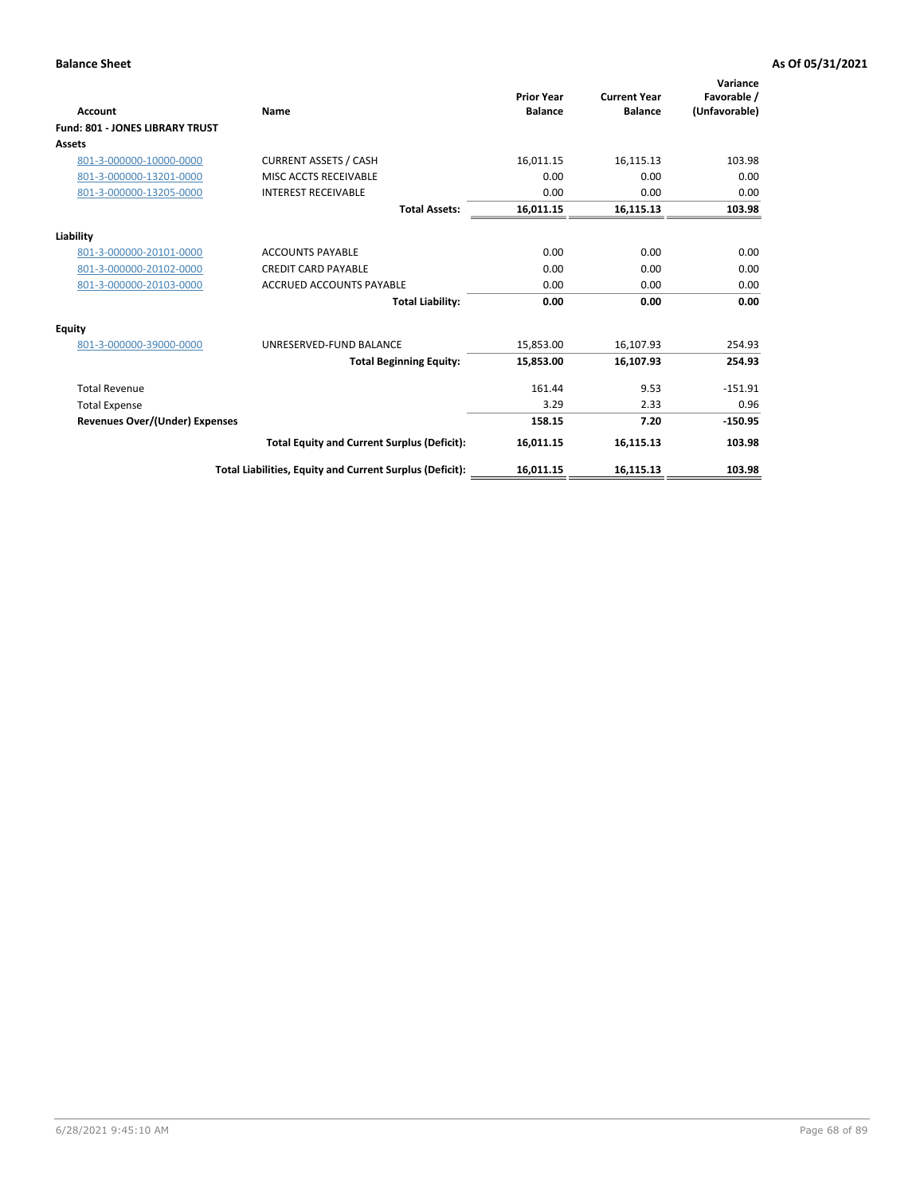| <b>Account</b>                         | Name                                                     | <b>Prior Year</b><br><b>Balance</b> | <b>Current Year</b><br><b>Balance</b> | Variance<br>Favorable /<br>(Unfavorable) |
|----------------------------------------|----------------------------------------------------------|-------------------------------------|---------------------------------------|------------------------------------------|
| <b>Fund: 801 - JONES LIBRARY TRUST</b> |                                                          |                                     |                                       |                                          |
| <b>Assets</b>                          |                                                          |                                     |                                       |                                          |
| 801-3-000000-10000-0000                | <b>CURRENT ASSETS / CASH</b>                             | 16,011.15                           | 16,115.13                             | 103.98                                   |
| 801-3-000000-13201-0000                | MISC ACCTS RECEIVABLE                                    | 0.00                                | 0.00                                  | 0.00                                     |
| 801-3-000000-13205-0000                | <b>INTEREST RECEIVABLE</b>                               | 0.00                                | 0.00                                  | 0.00                                     |
|                                        | <b>Total Assets:</b>                                     | 16,011.15                           | 16,115.13                             | 103.98                                   |
| Liability                              |                                                          |                                     |                                       |                                          |
| 801-3-000000-20101-0000                | <b>ACCOUNTS PAYABLE</b>                                  | 0.00                                | 0.00                                  | 0.00                                     |
| 801-3-000000-20102-0000                | <b>CREDIT CARD PAYABLE</b>                               | 0.00                                | 0.00                                  | 0.00                                     |
| 801-3-000000-20103-0000                | <b>ACCRUED ACCOUNTS PAYABLE</b>                          | 0.00                                | 0.00                                  | 0.00                                     |
|                                        | <b>Total Liability:</b>                                  | 0.00                                | 0.00                                  | 0.00                                     |
| <b>Equity</b>                          |                                                          |                                     |                                       |                                          |
| 801-3-000000-39000-0000                | UNRESERVED-FUND BALANCE                                  | 15,853.00                           | 16,107.93                             | 254.93                                   |
|                                        | <b>Total Beginning Equity:</b>                           | 15,853.00                           | 16,107.93                             | 254.93                                   |
| <b>Total Revenue</b>                   |                                                          | 161.44                              | 9.53                                  | $-151.91$                                |
| <b>Total Expense</b>                   |                                                          | 3.29                                | 2.33                                  | 0.96                                     |
| <b>Revenues Over/(Under) Expenses</b>  |                                                          | 158.15                              | 7.20                                  | $-150.95$                                |
|                                        | <b>Total Equity and Current Surplus (Deficit):</b>       | 16,011.15                           | 16,115.13                             | 103.98                                   |
|                                        | Total Liabilities, Equity and Current Surplus (Deficit): | 16,011.15                           | 16,115.13                             | 103.98                                   |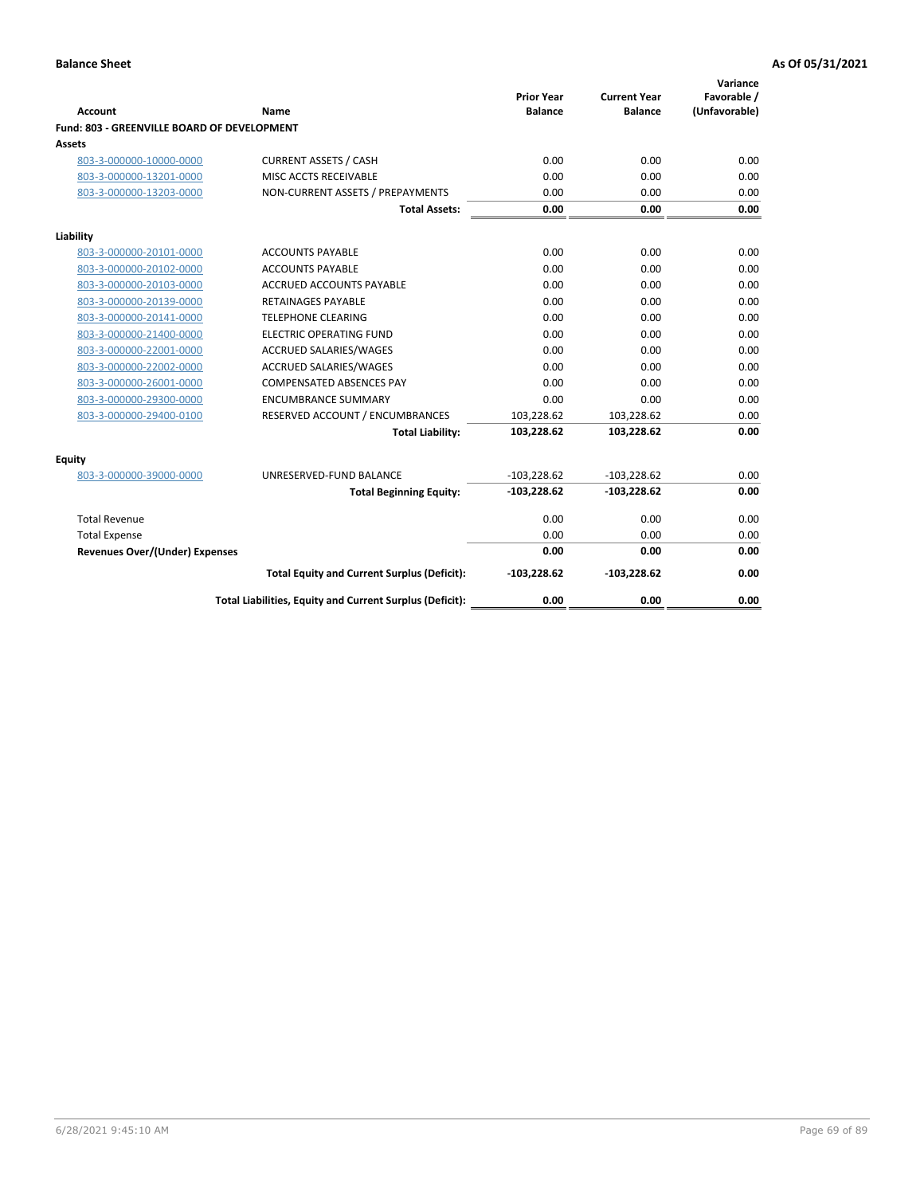| <b>Account</b>                              | Name                                                     | <b>Prior Year</b><br><b>Balance</b> | <b>Current Year</b><br><b>Balance</b> | Variance<br>Favorable /<br>(Unfavorable) |
|---------------------------------------------|----------------------------------------------------------|-------------------------------------|---------------------------------------|------------------------------------------|
| Fund: 803 - GREENVILLE BOARD OF DEVELOPMENT |                                                          |                                     |                                       |                                          |
| Assets                                      |                                                          |                                     |                                       |                                          |
| 803-3-000000-10000-0000                     | <b>CURRENT ASSETS / CASH</b>                             | 0.00                                | 0.00                                  | 0.00                                     |
| 803-3-000000-13201-0000                     | MISC ACCTS RECEIVABLE                                    | 0.00                                | 0.00                                  | 0.00                                     |
| 803-3-000000-13203-0000                     | NON-CURRENT ASSETS / PREPAYMENTS                         | 0.00                                | 0.00                                  | 0.00                                     |
|                                             | <b>Total Assets:</b>                                     | 0.00                                | 0.00                                  | 0.00                                     |
| Liability                                   |                                                          |                                     |                                       |                                          |
| 803-3-000000-20101-0000                     | <b>ACCOUNTS PAYABLE</b>                                  | 0.00                                | 0.00                                  | 0.00                                     |
| 803-3-000000-20102-0000                     | <b>ACCOUNTS PAYABLE</b>                                  | 0.00                                | 0.00                                  | 0.00                                     |
| 803-3-000000-20103-0000                     | ACCRUED ACCOUNTS PAYABLE                                 | 0.00                                | 0.00                                  | 0.00                                     |
| 803-3-000000-20139-0000                     | <b>RETAINAGES PAYABLE</b>                                | 0.00                                | 0.00                                  | 0.00                                     |
| 803-3-000000-20141-0000                     | <b>TELEPHONE CLEARING</b>                                | 0.00                                | 0.00                                  | 0.00                                     |
| 803-3-000000-21400-0000                     | <b>ELECTRIC OPERATING FUND</b>                           | 0.00                                | 0.00                                  | 0.00                                     |
| 803-3-000000-22001-0000                     | <b>ACCRUED SALARIES/WAGES</b>                            | 0.00                                | 0.00                                  | 0.00                                     |
| 803-3-000000-22002-0000                     | <b>ACCRUED SALARIES/WAGES</b>                            | 0.00                                | 0.00                                  | 0.00                                     |
| 803-3-000000-26001-0000                     | <b>COMPENSATED ABSENCES PAY</b>                          | 0.00                                | 0.00                                  | 0.00                                     |
| 803-3-000000-29300-0000                     | <b>ENCUMBRANCE SUMMARY</b>                               | 0.00                                | 0.00                                  | 0.00                                     |
| 803-3-000000-29400-0100                     | RESERVED ACCOUNT / ENCUMBRANCES                          | 103,228.62                          | 103,228.62                            | 0.00                                     |
|                                             | <b>Total Liability:</b>                                  | 103,228.62                          | 103,228.62                            | 0.00                                     |
| Equity                                      |                                                          |                                     |                                       |                                          |
| 803-3-000000-39000-0000                     | UNRESERVED-FUND BALANCE                                  | $-103,228.62$                       | $-103,228.62$                         | 0.00                                     |
|                                             | <b>Total Beginning Equity:</b>                           | $-103,228.62$                       | $-103,228.62$                         | 0.00                                     |
| <b>Total Revenue</b>                        |                                                          | 0.00                                | 0.00                                  | 0.00                                     |
| <b>Total Expense</b>                        |                                                          | 0.00                                | 0.00                                  | 0.00                                     |
| Revenues Over/(Under) Expenses              |                                                          | 0.00                                | 0.00                                  | 0.00                                     |
|                                             | <b>Total Equity and Current Surplus (Deficit):</b>       | $-103,228.62$                       | $-103,228.62$                         | 0.00                                     |
|                                             | Total Liabilities, Equity and Current Surplus (Deficit): | 0.00                                | 0.00                                  | 0.00                                     |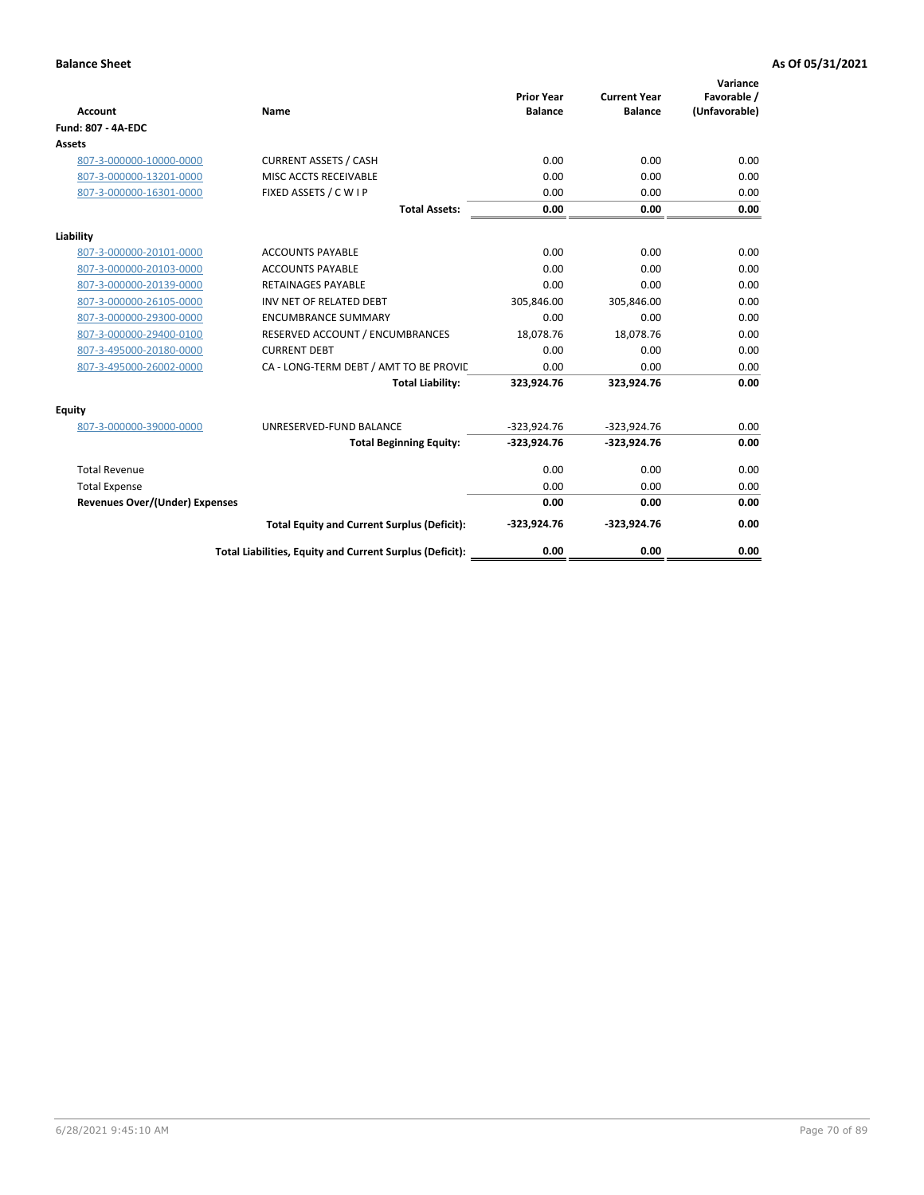| <b>Account</b>                        | Name                                                     | <b>Prior Year</b><br><b>Balance</b> | <b>Current Year</b><br><b>Balance</b> | Variance<br>Favorable /<br>(Unfavorable) |
|---------------------------------------|----------------------------------------------------------|-------------------------------------|---------------------------------------|------------------------------------------|
| <b>Fund: 807 - 4A-EDC</b>             |                                                          |                                     |                                       |                                          |
| <b>Assets</b>                         |                                                          |                                     |                                       |                                          |
| 807-3-000000-10000-0000               | <b>CURRENT ASSETS / CASH</b>                             | 0.00                                | 0.00                                  | 0.00                                     |
| 807-3-000000-13201-0000               | MISC ACCTS RECEIVABLE                                    | 0.00                                | 0.00                                  | 0.00                                     |
| 807-3-000000-16301-0000               | FIXED ASSETS / C W I P                                   | 0.00                                | 0.00                                  | 0.00                                     |
|                                       | <b>Total Assets:</b>                                     | 0.00                                | 0.00                                  | 0.00                                     |
| Liability                             |                                                          |                                     |                                       |                                          |
| 807-3-000000-20101-0000               | <b>ACCOUNTS PAYABLE</b>                                  | 0.00                                | 0.00                                  | 0.00                                     |
| 807-3-000000-20103-0000               | <b>ACCOUNTS PAYABLE</b>                                  | 0.00                                | 0.00                                  | 0.00                                     |
| 807-3-000000-20139-0000               | <b>RETAINAGES PAYABLE</b>                                | 0.00                                | 0.00                                  | 0.00                                     |
| 807-3-000000-26105-0000               | INV NET OF RELATED DEBT                                  | 305,846.00                          | 305,846.00                            | 0.00                                     |
| 807-3-000000-29300-0000               | <b>ENCUMBRANCE SUMMARY</b>                               | 0.00                                | 0.00                                  | 0.00                                     |
| 807-3-000000-29400-0100               | RESERVED ACCOUNT / ENCUMBRANCES                          | 18,078.76                           | 18,078.76                             | 0.00                                     |
| 807-3-495000-20180-0000               | <b>CURRENT DEBT</b>                                      | 0.00                                | 0.00                                  | 0.00                                     |
| 807-3-495000-26002-0000               | CA - LONG-TERM DEBT / AMT TO BE PROVIL                   | 0.00                                | 0.00                                  | 0.00                                     |
|                                       | <b>Total Liability:</b>                                  | 323,924.76                          | 323,924.76                            | 0.00                                     |
| Equity                                |                                                          |                                     |                                       |                                          |
| 807-3-000000-39000-0000               | UNRESERVED-FUND BALANCE                                  | $-323,924.76$                       | $-323,924.76$                         | 0.00                                     |
|                                       | <b>Total Beginning Equity:</b>                           | $-323,924.76$                       | $-323,924.76$                         | 0.00                                     |
| <b>Total Revenue</b>                  |                                                          | 0.00                                | 0.00                                  | 0.00                                     |
| <b>Total Expense</b>                  |                                                          | 0.00                                | 0.00                                  | 0.00                                     |
| <b>Revenues Over/(Under) Expenses</b> |                                                          | 0.00                                | 0.00                                  | 0.00                                     |
|                                       | <b>Total Equity and Current Surplus (Deficit):</b>       | $-323,924.76$                       | $-323,924.76$                         | 0.00                                     |
|                                       | Total Liabilities, Equity and Current Surplus (Deficit): | 0.00                                | 0.00                                  | 0.00                                     |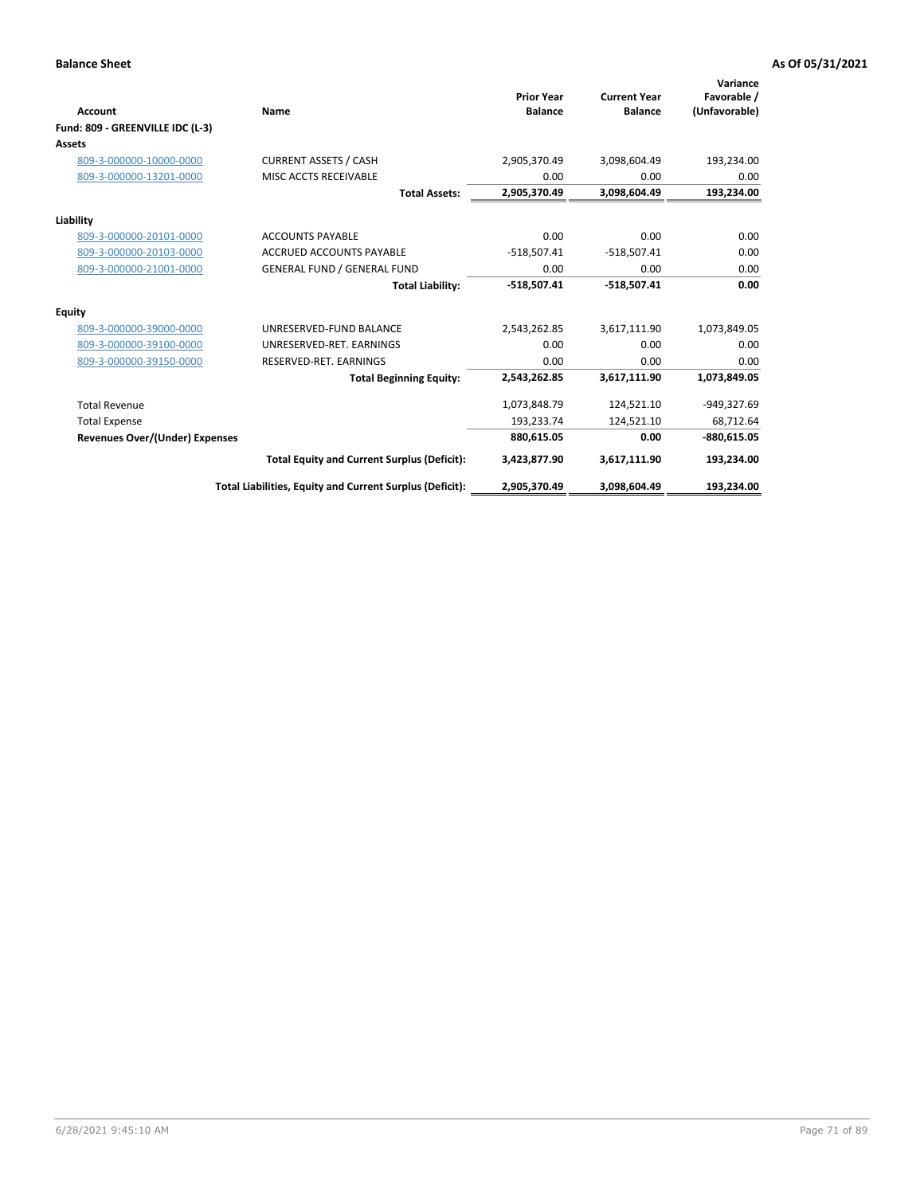|                                       |                                                          | <b>Prior Year</b> | <b>Current Year</b> | Variance<br>Favorable / |
|---------------------------------------|----------------------------------------------------------|-------------------|---------------------|-------------------------|
| Account                               | Name                                                     | <b>Balance</b>    | <b>Balance</b>      | (Unfavorable)           |
| Fund: 809 - GREENVILLE IDC (L-3)      |                                                          |                   |                     |                         |
| Assets                                |                                                          |                   |                     |                         |
| 809-3-000000-10000-0000               | <b>CURRENT ASSETS / CASH</b>                             | 2,905,370.49      | 3,098,604.49        | 193,234.00              |
| 809-3-000000-13201-0000               | MISC ACCTS RECEIVABLE                                    | 0.00              | 0.00                | 0.00                    |
|                                       | <b>Total Assets:</b>                                     | 2,905,370.49      | 3,098,604.49        | 193,234.00              |
| Liability                             |                                                          |                   |                     |                         |
| 809-3-000000-20101-0000               | <b>ACCOUNTS PAYABLE</b>                                  | 0.00              | 0.00                | 0.00                    |
| 809-3-000000-20103-0000               | <b>ACCRUED ACCOUNTS PAYABLE</b>                          | $-518,507.41$     | $-518,507.41$       | 0.00                    |
| 809-3-000000-21001-0000               | <b>GENERAL FUND / GENERAL FUND</b>                       | 0.00              | 0.00                | 0.00                    |
|                                       | <b>Total Liability:</b>                                  | $-518,507.41$     | $-518,507.41$       | 0.00                    |
| Equity                                |                                                          |                   |                     |                         |
| 809-3-000000-39000-0000               | UNRESERVED-FUND BALANCE                                  | 2,543,262.85      | 3,617,111.90        | 1,073,849.05            |
| 809-3-000000-39100-0000               | UNRESERVED-RET. EARNINGS                                 | 0.00              | 0.00                | 0.00                    |
| 809-3-000000-39150-0000               | RESERVED-RET. EARNINGS                                   | 0.00              | 0.00                | 0.00                    |
|                                       | <b>Total Beginning Equity:</b>                           | 2,543,262.85      | 3,617,111.90        | 1,073,849.05            |
| <b>Total Revenue</b>                  |                                                          | 1,073,848.79      | 124,521.10          | -949,327.69             |
| <b>Total Expense</b>                  |                                                          | 193,233.74        | 124,521.10          | 68,712.64               |
| <b>Revenues Over/(Under) Expenses</b> |                                                          | 880,615.05        | 0.00                | $-880,615.05$           |
|                                       | <b>Total Equity and Current Surplus (Deficit):</b>       | 3,423,877.90      | 3,617,111.90        | 193,234.00              |
|                                       | Total Liabilities, Equity and Current Surplus (Deficit): | 2,905,370.49      | 3,098,604.49        | 193.234.00              |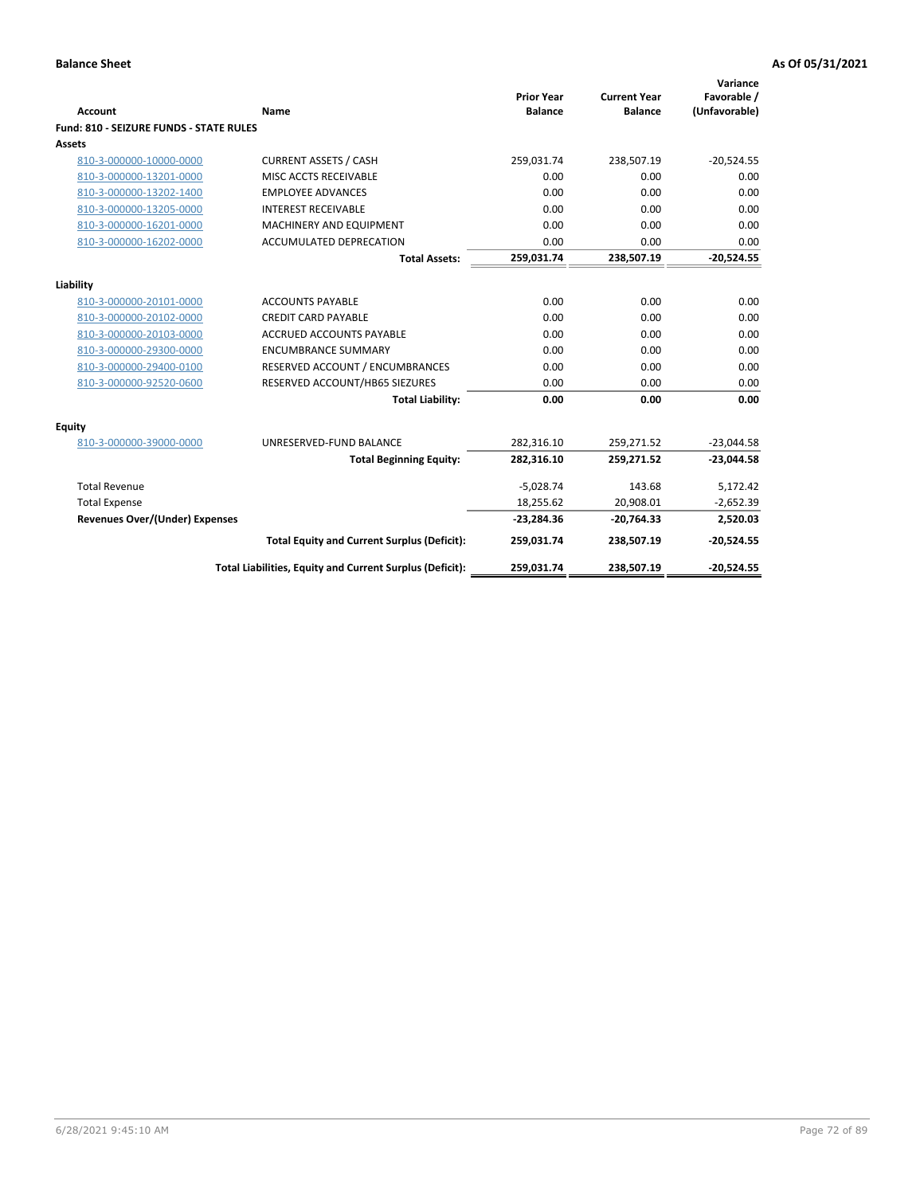| <b>Account</b>                          | Name                                                     | <b>Prior Year</b><br><b>Balance</b> | <b>Current Year</b><br><b>Balance</b> | Variance<br>Favorable /<br>(Unfavorable) |
|-----------------------------------------|----------------------------------------------------------|-------------------------------------|---------------------------------------|------------------------------------------|
| Fund: 810 - SEIZURE FUNDS - STATE RULES |                                                          |                                     |                                       |                                          |
| Assets                                  |                                                          |                                     |                                       |                                          |
| 810-3-000000-10000-0000                 | <b>CURRENT ASSETS / CASH</b>                             | 259,031.74                          | 238,507.19                            | $-20,524.55$                             |
| 810-3-000000-13201-0000                 | MISC ACCTS RECEIVABLE                                    | 0.00                                | 0.00                                  | 0.00                                     |
| 810-3-000000-13202-1400                 | <b>EMPLOYEE ADVANCES</b>                                 | 0.00                                | 0.00                                  | 0.00                                     |
| 810-3-000000-13205-0000                 | <b>INTEREST RECEIVABLE</b>                               | 0.00                                | 0.00                                  | 0.00                                     |
| 810-3-000000-16201-0000                 | MACHINERY AND EQUIPMENT                                  | 0.00                                | 0.00                                  | 0.00                                     |
| 810-3-000000-16202-0000                 | ACCUMULATED DEPRECATION                                  | 0.00                                | 0.00                                  | 0.00                                     |
|                                         | <b>Total Assets:</b>                                     | 259,031.74                          | 238,507.19                            | $-20,524.55$                             |
|                                         |                                                          |                                     |                                       |                                          |
| Liability                               |                                                          |                                     |                                       |                                          |
| 810-3-000000-20101-0000                 | <b>ACCOUNTS PAYABLE</b>                                  | 0.00                                | 0.00                                  | 0.00                                     |
| 810-3-000000-20102-0000                 | <b>CREDIT CARD PAYABLE</b>                               | 0.00                                | 0.00                                  | 0.00                                     |
| 810-3-000000-20103-0000                 | <b>ACCRUED ACCOUNTS PAYABLE</b>                          | 0.00                                | 0.00                                  | 0.00                                     |
| 810-3-000000-29300-0000                 | <b>ENCUMBRANCE SUMMARY</b>                               | 0.00                                | 0.00                                  | 0.00                                     |
| 810-3-000000-29400-0100                 | RESERVED ACCOUNT / ENCUMBRANCES                          | 0.00                                | 0.00                                  | 0.00                                     |
| 810-3-000000-92520-0600                 | RESERVED ACCOUNT/HB65 SIEZURES                           | 0.00                                | 0.00                                  | 0.00                                     |
|                                         | <b>Total Liability:</b>                                  | 0.00                                | 0.00                                  | 0.00                                     |
| <b>Equity</b>                           |                                                          |                                     |                                       |                                          |
| 810-3-000000-39000-0000                 | UNRESERVED-FUND BALANCE                                  | 282,316.10                          | 259,271.52                            | $-23,044.58$                             |
|                                         | <b>Total Beginning Equity:</b>                           | 282,316.10                          | 259,271.52                            | $-23,044.58$                             |
| <b>Total Revenue</b>                    |                                                          | $-5,028.74$                         | 143.68                                | 5,172.42                                 |
| <b>Total Expense</b>                    |                                                          | 18,255.62                           | 20,908.01                             | $-2,652.39$                              |
| <b>Revenues Over/(Under) Expenses</b>   |                                                          | $-23,284.36$                        | $-20,764.33$                          | 2,520.03                                 |
|                                         | <b>Total Equity and Current Surplus (Deficit):</b>       | 259,031.74                          | 238,507.19                            | $-20,524.55$                             |
|                                         | Total Liabilities, Equity and Current Surplus (Deficit): | 259,031.74                          | 238,507.19                            | $-20,524.55$                             |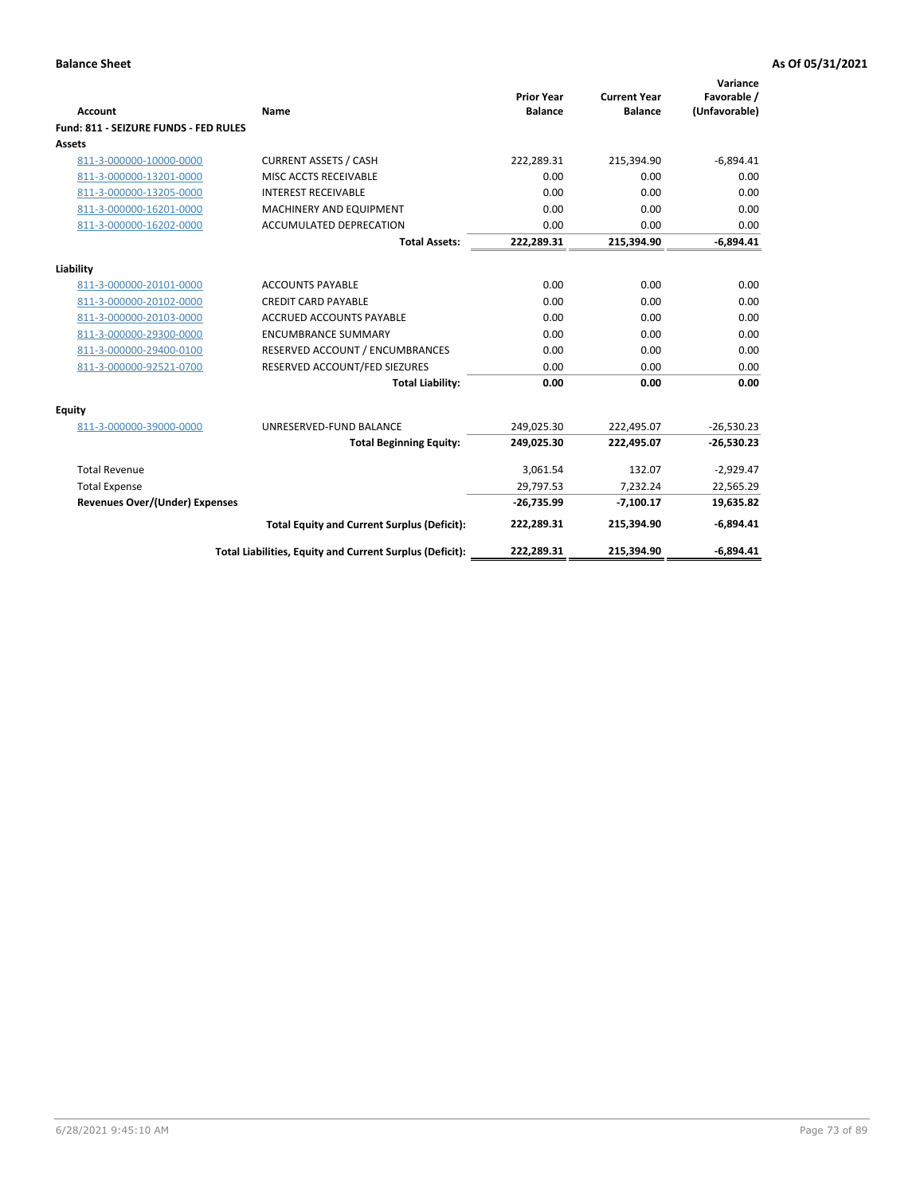| Account                               | Name                                                     | <b>Prior Year</b><br><b>Balance</b> | <b>Current Year</b><br><b>Balance</b> | Variance<br>Favorable /<br>(Unfavorable) |
|---------------------------------------|----------------------------------------------------------|-------------------------------------|---------------------------------------|------------------------------------------|
| Fund: 811 - SEIZURE FUNDS - FED RULES |                                                          |                                     |                                       |                                          |
| <b>Assets</b>                         |                                                          |                                     |                                       |                                          |
| 811-3-000000-10000-0000               | <b>CURRENT ASSETS / CASH</b>                             | 222,289.31                          | 215,394.90                            | $-6,894.41$                              |
| 811-3-000000-13201-0000               | MISC ACCTS RECEIVABLE                                    | 0.00                                | 0.00                                  | 0.00                                     |
| 811-3-000000-13205-0000               | <b>INTEREST RECEIVABLE</b>                               | 0.00                                | 0.00                                  | 0.00                                     |
| 811-3-000000-16201-0000               | <b>MACHINERY AND EQUIPMENT</b>                           | 0.00                                | 0.00                                  | 0.00                                     |
| 811-3-000000-16202-0000               | ACCUMULATED DEPRECATION                                  | 0.00                                | 0.00                                  | 0.00                                     |
|                                       | <b>Total Assets:</b>                                     | 222,289.31                          | 215,394.90                            | $-6,894.41$                              |
| Liability                             |                                                          |                                     |                                       |                                          |
| 811-3-000000-20101-0000               | <b>ACCOUNTS PAYABLE</b>                                  | 0.00                                | 0.00                                  | 0.00                                     |
| 811-3-000000-20102-0000               | <b>CREDIT CARD PAYABLE</b>                               | 0.00                                | 0.00                                  | 0.00                                     |
| 811-3-000000-20103-0000               | <b>ACCRUED ACCOUNTS PAYABLE</b>                          | 0.00                                | 0.00                                  | 0.00                                     |
| 811-3-000000-29300-0000               | <b>ENCUMBRANCE SUMMARY</b>                               | 0.00                                | 0.00                                  | 0.00                                     |
| 811-3-000000-29400-0100               | RESERVED ACCOUNT / ENCUMBRANCES                          | 0.00                                | 0.00                                  | 0.00                                     |
| 811-3-000000-92521-0700               | RESERVED ACCOUNT/FED SIEZURES                            | 0.00                                | 0.00                                  | 0.00                                     |
|                                       | <b>Total Liability:</b>                                  | 0.00                                | 0.00                                  | 0.00                                     |
|                                       |                                                          |                                     |                                       |                                          |
| Equity                                |                                                          |                                     |                                       |                                          |
| 811-3-000000-39000-0000               | UNRESERVED-FUND BALANCE                                  | 249,025.30                          | 222,495.07                            | $-26,530.23$                             |
|                                       | <b>Total Beginning Equity:</b>                           | 249,025.30                          | 222,495.07                            | $-26,530.23$                             |
| <b>Total Revenue</b>                  |                                                          | 3,061.54                            | 132.07                                | $-2,929.47$                              |
| <b>Total Expense</b>                  |                                                          | 29,797.53                           | 7,232.24                              | 22,565.29                                |
| <b>Revenues Over/(Under) Expenses</b> |                                                          | $-26,735.99$                        | $-7,100.17$                           | 19,635.82                                |
|                                       | <b>Total Equity and Current Surplus (Deficit):</b>       | 222,289.31                          | 215,394.90                            | $-6,894.41$                              |
|                                       | Total Liabilities, Equity and Current Surplus (Deficit): | 222,289.31                          | 215.394.90                            | $-6.894.41$                              |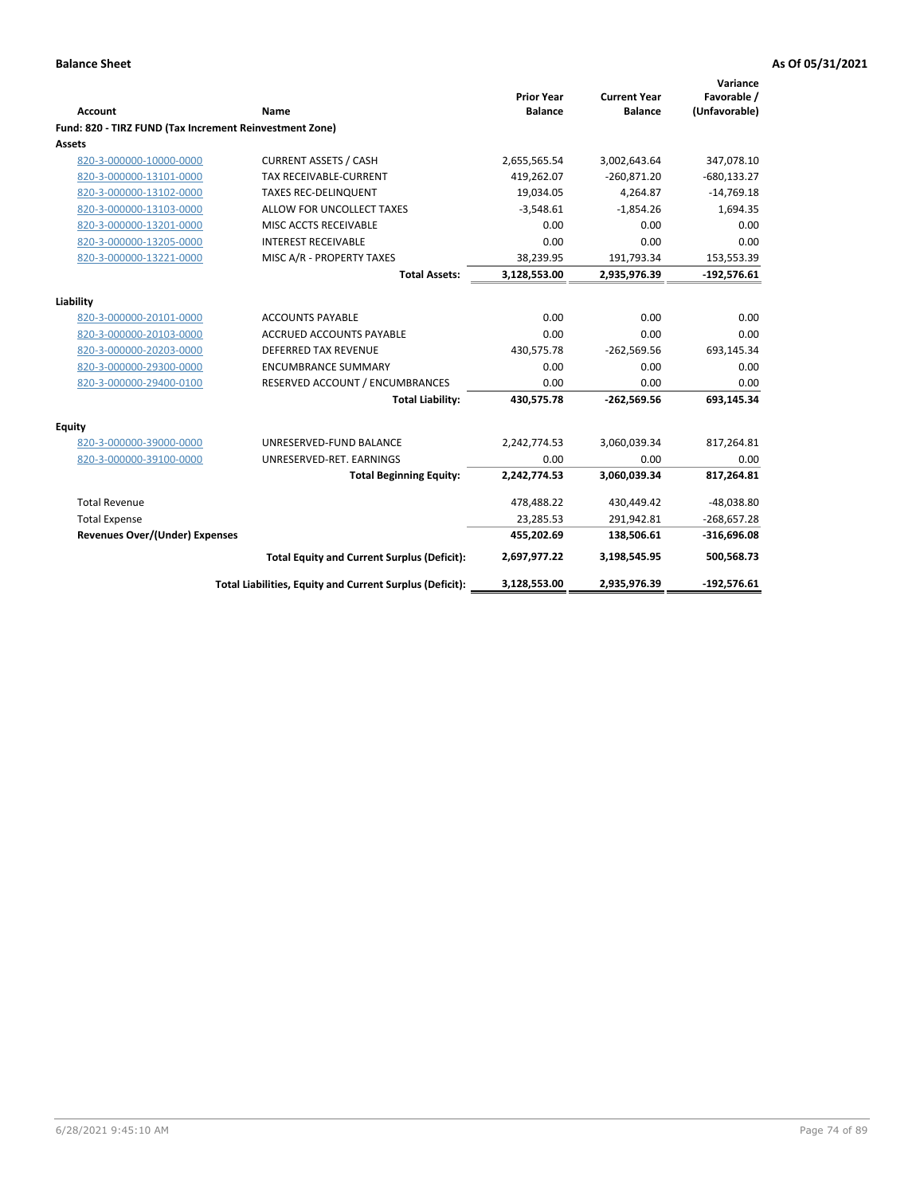|                                                         |                                                          | <b>Prior Year</b> | <b>Current Year</b> | Variance<br>Favorable / |
|---------------------------------------------------------|----------------------------------------------------------|-------------------|---------------------|-------------------------|
| <b>Account</b>                                          | Name                                                     | <b>Balance</b>    | <b>Balance</b>      | (Unfavorable)           |
| Fund: 820 - TIRZ FUND (Tax Increment Reinvestment Zone) |                                                          |                   |                     |                         |
| Assets                                                  |                                                          |                   |                     |                         |
| 820-3-000000-10000-0000                                 | <b>CURRENT ASSETS / CASH</b>                             | 2,655,565.54      | 3,002,643.64        | 347,078.10              |
| 820-3-000000-13101-0000                                 | TAX RECEIVABLE-CURRENT                                   | 419,262.07        | $-260,871.20$       | $-680, 133.27$          |
| 820-3-000000-13102-0000                                 | <b>TAXES REC-DELINQUENT</b>                              | 19,034.05         | 4,264.87            | $-14,769.18$            |
| 820-3-000000-13103-0000                                 | ALLOW FOR UNCOLLECT TAXES                                | $-3,548.61$       | $-1,854.26$         | 1,694.35                |
| 820-3-000000-13201-0000                                 | MISC ACCTS RECEIVABLE                                    | 0.00              | 0.00                | 0.00                    |
| 820-3-000000-13205-0000                                 | <b>INTEREST RECEIVABLE</b>                               | 0.00              | 0.00                | 0.00                    |
| 820-3-000000-13221-0000                                 | MISC A/R - PROPERTY TAXES                                | 38,239.95         | 191,793.34          | 153,553.39              |
|                                                         | <b>Total Assets:</b>                                     | 3,128,553.00      | 2,935,976.39        | $-192,576.61$           |
| Liability                                               |                                                          |                   |                     |                         |
| 820-3-000000-20101-0000                                 | <b>ACCOUNTS PAYABLE</b>                                  | 0.00              | 0.00                | 0.00                    |
| 820-3-000000-20103-0000                                 | <b>ACCRUED ACCOUNTS PAYABLE</b>                          | 0.00              | 0.00                | 0.00                    |
| 820-3-000000-20203-0000                                 | <b>DEFERRED TAX REVENUE</b>                              | 430,575.78        | $-262,569.56$       | 693,145.34              |
| 820-3-000000-29300-0000                                 | <b>ENCUMBRANCE SUMMARY</b>                               | 0.00              | 0.00                | 0.00                    |
| 820-3-000000-29400-0100                                 | RESERVED ACCOUNT / ENCUMBRANCES                          | 0.00              | 0.00                | 0.00                    |
|                                                         | <b>Total Liability:</b>                                  | 430,575.78        | $-262,569.56$       | 693,145.34              |
| <b>Equity</b>                                           |                                                          |                   |                     |                         |
| 820-3-000000-39000-0000                                 | UNRESERVED-FUND BALANCE                                  | 2,242,774.53      | 3,060,039.34        | 817,264.81              |
| 820-3-000000-39100-0000                                 | UNRESERVED-RET. EARNINGS                                 | 0.00              | 0.00                | 0.00                    |
|                                                         | <b>Total Beginning Equity:</b>                           | 2,242,774.53      | 3,060,039.34        | 817,264.81              |
| <b>Total Revenue</b>                                    |                                                          | 478,488.22        | 430,449.42          | $-48,038.80$            |
| <b>Total Expense</b>                                    |                                                          | 23,285.53         | 291,942.81          | $-268,657.28$           |
| <b>Revenues Over/(Under) Expenses</b>                   |                                                          | 455,202.69        | 138,506.61          | $-316,696.08$           |
|                                                         | <b>Total Equity and Current Surplus (Deficit):</b>       | 2,697,977.22      | 3,198,545.95        | 500,568.73              |
|                                                         | Total Liabilities, Equity and Current Surplus (Deficit): | 3,128,553.00      | 2,935,976.39        | $-192,576.61$           |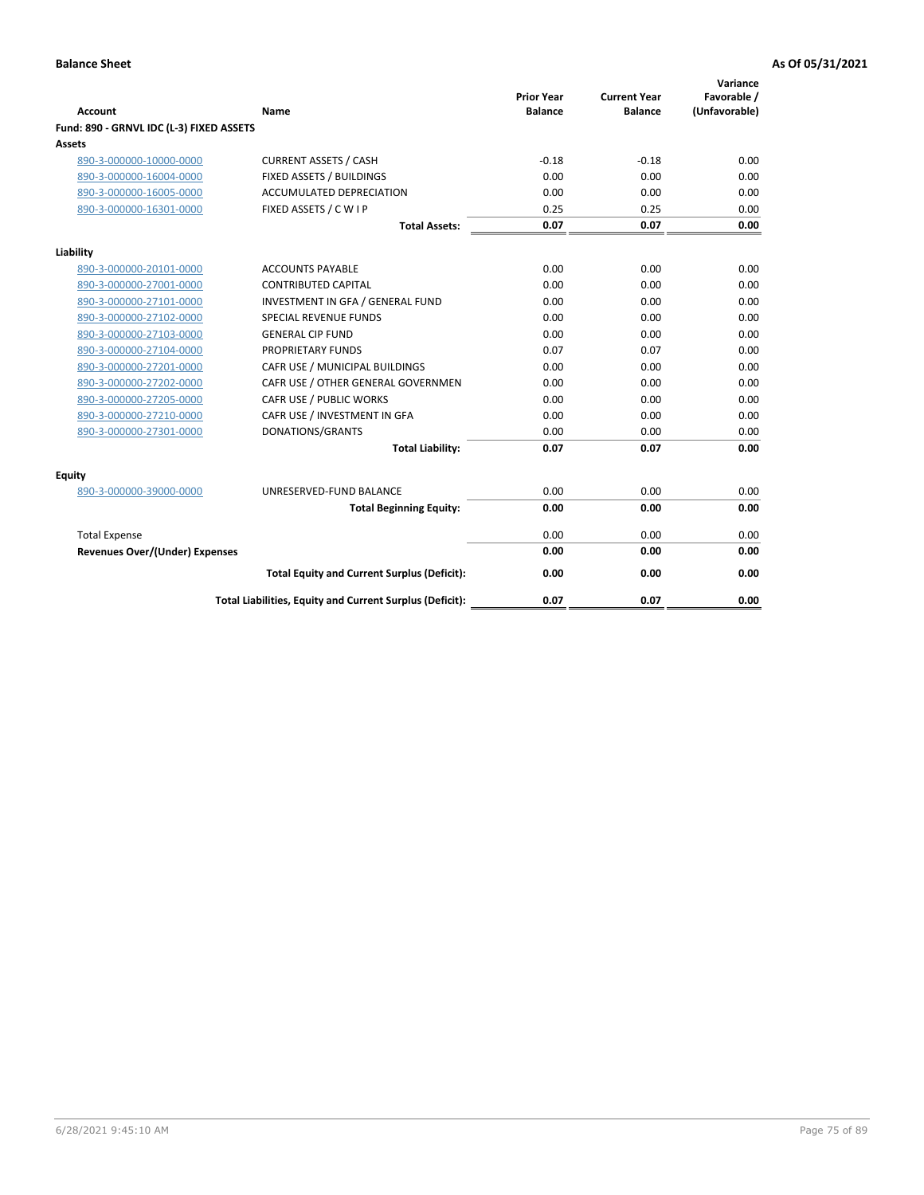| <b>Account</b>                           | Name                                                     | <b>Prior Year</b><br><b>Balance</b> | <b>Current Year</b><br><b>Balance</b> | Variance<br>Favorable /<br>(Unfavorable) |
|------------------------------------------|----------------------------------------------------------|-------------------------------------|---------------------------------------|------------------------------------------|
| Fund: 890 - GRNVL IDC (L-3) FIXED ASSETS |                                                          |                                     |                                       |                                          |
| <b>Assets</b>                            |                                                          |                                     |                                       |                                          |
| 890-3-000000-10000-0000                  | <b>CURRENT ASSETS / CASH</b>                             | $-0.18$                             | $-0.18$                               | 0.00                                     |
| 890-3-000000-16004-0000                  | FIXED ASSETS / BUILDINGS                                 | 0.00                                | 0.00                                  | 0.00                                     |
| 890-3-000000-16005-0000                  | ACCUMULATED DEPRECIATION                                 | 0.00                                | 0.00                                  | 0.00                                     |
| 890-3-000000-16301-0000                  | FIXED ASSETS / C W I P                                   | 0.25                                | 0.25                                  | 0.00                                     |
|                                          | <b>Total Assets:</b>                                     | 0.07                                | 0.07                                  | 0.00                                     |
| Liability                                |                                                          |                                     |                                       |                                          |
| 890-3-000000-20101-0000                  | <b>ACCOUNTS PAYABLE</b>                                  | 0.00                                | 0.00                                  | 0.00                                     |
| 890-3-000000-27001-0000                  | <b>CONTRIBUTED CAPITAL</b>                               | 0.00                                | 0.00                                  | 0.00                                     |
| 890-3-000000-27101-0000                  | INVESTMENT IN GFA / GENERAL FUND                         | 0.00                                | 0.00                                  | 0.00                                     |
| 890-3-000000-27102-0000                  | <b>SPECIAL REVENUE FUNDS</b>                             | 0.00                                | 0.00                                  | 0.00                                     |
| 890-3-000000-27103-0000                  | <b>GENERAL CIP FUND</b>                                  | 0.00                                | 0.00                                  | 0.00                                     |
| 890-3-000000-27104-0000                  | PROPRIETARY FUNDS                                        | 0.07                                | 0.07                                  | 0.00                                     |
| 890-3-000000-27201-0000                  | CAFR USE / MUNICIPAL BUILDINGS                           | 0.00                                | 0.00                                  | 0.00                                     |
| 890-3-000000-27202-0000                  | CAFR USE / OTHER GENERAL GOVERNMEN                       | 0.00                                | 0.00                                  | 0.00                                     |
| 890-3-000000-27205-0000                  | CAFR USE / PUBLIC WORKS                                  | 0.00                                | 0.00                                  | 0.00                                     |
| 890-3-000000-27210-0000                  | CAFR USE / INVESTMENT IN GFA                             | 0.00                                | 0.00                                  | 0.00                                     |
| 890-3-000000-27301-0000                  | DONATIONS/GRANTS                                         | 0.00                                | 0.00                                  | 0.00                                     |
|                                          | <b>Total Liability:</b>                                  | 0.07                                | 0.07                                  | 0.00                                     |
| Equity                                   |                                                          |                                     |                                       |                                          |
| 890-3-000000-39000-0000                  | UNRESERVED-FUND BALANCE                                  | 0.00                                | 0.00                                  | 0.00                                     |
|                                          | <b>Total Beginning Equity:</b>                           | 0.00                                | 0.00                                  | 0.00                                     |
| <b>Total Expense</b>                     |                                                          | 0.00                                | 0.00                                  | 0.00                                     |
| <b>Revenues Over/(Under) Expenses</b>    |                                                          | 0.00                                | 0.00                                  | 0.00                                     |
|                                          |                                                          |                                     |                                       |                                          |
|                                          | <b>Total Equity and Current Surplus (Deficit):</b>       | 0.00                                | 0.00                                  | 0.00                                     |
|                                          | Total Liabilities, Equity and Current Surplus (Deficit): | 0.07                                | 0.07                                  | 0.00                                     |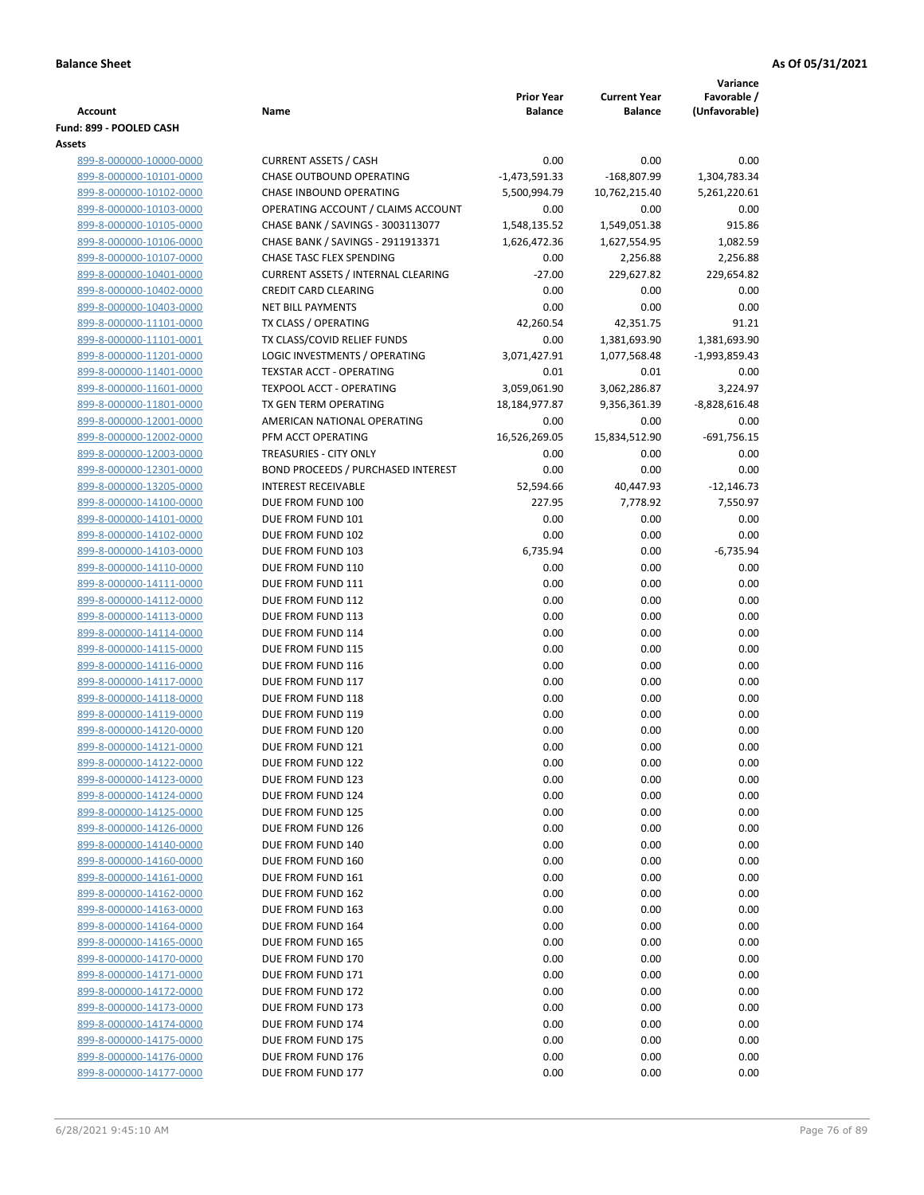|                                                    |                                                                  |                                     |                                       | Variance                     |
|----------------------------------------------------|------------------------------------------------------------------|-------------------------------------|---------------------------------------|------------------------------|
| Account                                            | Name                                                             | <b>Prior Year</b><br><b>Balance</b> | <b>Current Year</b><br><b>Balance</b> | Favorable /<br>(Unfavorable) |
| Fund: 899 - POOLED CASH                            |                                                                  |                                     |                                       |                              |
| Assets                                             |                                                                  |                                     |                                       |                              |
| 899-8-000000-10000-0000                            | <b>CURRENT ASSETS / CASH</b>                                     | 0.00                                | 0.00                                  | 0.00                         |
| 899-8-000000-10101-0000                            | <b>CHASE OUTBOUND OPERATING</b>                                  | $-1,473,591.33$                     | -168,807.99                           | 1,304,783.34                 |
| 899-8-000000-10102-0000                            | CHASE INBOUND OPERATING                                          | 5,500,994.79                        | 10,762,215.40                         | 5,261,220.61                 |
| 899-8-000000-10103-0000                            | OPERATING ACCOUNT / CLAIMS ACCOUNT                               | 0.00                                | 0.00                                  | 0.00                         |
| 899-8-000000-10105-0000                            | CHASE BANK / SAVINGS - 3003113077                                | 1,548,135.52                        | 1,549,051.38                          | 915.86                       |
| 899-8-000000-10106-0000                            | CHASE BANK / SAVINGS - 2911913371                                | 1,626,472.36                        | 1,627,554.95                          | 1,082.59                     |
| 899-8-000000-10107-0000                            | <b>CHASE TASC FLEX SPENDING</b>                                  | 0.00                                | 2,256.88                              | 2,256.88                     |
| 899-8-000000-10401-0000                            | <b>CURRENT ASSETS / INTERNAL CLEARING</b>                        | $-27.00$                            | 229,627.82                            | 229,654.82                   |
| 899-8-000000-10402-0000                            | <b>CREDIT CARD CLEARING</b>                                      | 0.00                                | 0.00                                  | 0.00                         |
| 899-8-000000-10403-0000                            | <b>NET BILL PAYMENTS</b>                                         | 0.00                                | 0.00                                  | 0.00                         |
| 899-8-000000-11101-0000                            | TX CLASS / OPERATING                                             | 42,260.54                           | 42,351.75                             | 91.21                        |
| 899-8-000000-11101-0001                            | TX CLASS/COVID RELIEF FUNDS                                      | 0.00                                | 1,381,693.90                          | 1,381,693.90                 |
| 899-8-000000-11201-0000<br>899-8-000000-11401-0000 | LOGIC INVESTMENTS / OPERATING<br><b>TEXSTAR ACCT - OPERATING</b> | 3,071,427.91<br>0.01                | 1,077,568.48<br>0.01                  | $-1,993,859.43$<br>0.00      |
| 899-8-000000-11601-0000                            | <b>TEXPOOL ACCT - OPERATING</b>                                  | 3,059,061.90                        | 3,062,286.87                          | 3,224.97                     |
| 899-8-000000-11801-0000                            | TX GEN TERM OPERATING                                            | 18,184,977.87                       | 9,356,361.39                          | $-8,828,616.48$              |
| 899-8-000000-12001-0000                            | AMERICAN NATIONAL OPERATING                                      | 0.00                                | 0.00                                  | 0.00                         |
| 899-8-000000-12002-0000                            | PFM ACCT OPERATING                                               | 16,526,269.05                       | 15,834,512.90                         | $-691,756.15$                |
| 899-8-000000-12003-0000                            | TREASURIES - CITY ONLY                                           | 0.00                                | 0.00                                  | 0.00                         |
| 899-8-000000-12301-0000                            | <b>BOND PROCEEDS / PURCHASED INTEREST</b>                        | 0.00                                | 0.00                                  | 0.00                         |
| 899-8-000000-13205-0000                            | <b>INTEREST RECEIVABLE</b>                                       | 52,594.66                           | 40,447.93                             | $-12,146.73$                 |
| 899-8-000000-14100-0000                            | DUE FROM FUND 100                                                | 227.95                              | 7,778.92                              | 7,550.97                     |
| 899-8-000000-14101-0000                            | DUE FROM FUND 101                                                | 0.00                                | 0.00                                  | 0.00                         |
| 899-8-000000-14102-0000                            | DUE FROM FUND 102                                                | 0.00                                | 0.00                                  | 0.00                         |
| 899-8-000000-14103-0000                            | DUE FROM FUND 103                                                | 6,735.94                            | 0.00                                  | $-6,735.94$                  |
| 899-8-000000-14110-0000                            | DUE FROM FUND 110                                                | 0.00                                | 0.00                                  | 0.00                         |
| 899-8-000000-14111-0000                            | DUE FROM FUND 111                                                | 0.00                                | 0.00                                  | 0.00                         |
| 899-8-000000-14112-0000                            | DUE FROM FUND 112                                                | 0.00                                | 0.00                                  | 0.00                         |
| 899-8-000000-14113-0000                            | DUE FROM FUND 113                                                | 0.00                                | 0.00                                  | 0.00                         |
| 899-8-000000-14114-0000                            | DUE FROM FUND 114                                                | 0.00                                | 0.00                                  | 0.00                         |
| 899-8-000000-14115-0000                            | DUE FROM FUND 115                                                | 0.00                                | 0.00                                  | 0.00                         |
| 899-8-000000-14116-0000                            | DUE FROM FUND 116<br>DUE FROM FUND 117                           | 0.00                                | 0.00<br>0.00                          | 0.00<br>0.00                 |
| 899-8-000000-14117-0000<br>899-8-000000-14118-0000 | DUE FROM FUND 118                                                | 0.00<br>0.00                        | 0.00                                  | 0.00                         |
| 899-8-000000-14119-0000                            | DUE FROM FUND 119                                                | 0.00                                | 0.00                                  | 0.00                         |
| 899-8-000000-14120-0000                            | DUE FROM FUND 120                                                | 0.00                                | 0.00                                  | 0.00                         |
| 899-8-000000-14121-0000                            | DUE FROM FUND 121                                                | 0.00                                | 0.00                                  | 0.00                         |
| 899-8-000000-14122-0000                            | DUE FROM FUND 122                                                | 0.00                                | 0.00                                  | 0.00                         |
| 899-8-000000-14123-0000                            | DUE FROM FUND 123                                                | 0.00                                | 0.00                                  | 0.00                         |
| 899-8-000000-14124-0000                            | DUE FROM FUND 124                                                | 0.00                                | 0.00                                  | 0.00                         |
| 899-8-000000-14125-0000                            | DUE FROM FUND 125                                                | 0.00                                | 0.00                                  | 0.00                         |
| 899-8-000000-14126-0000                            | DUE FROM FUND 126                                                | 0.00                                | 0.00                                  | 0.00                         |
| 899-8-000000-14140-0000                            | DUE FROM FUND 140                                                | 0.00                                | 0.00                                  | 0.00                         |
| 899-8-000000-14160-0000                            | DUE FROM FUND 160                                                | 0.00                                | 0.00                                  | 0.00                         |
| 899-8-000000-14161-0000                            | DUE FROM FUND 161                                                | 0.00                                | 0.00                                  | 0.00                         |
| 899-8-000000-14162-0000                            | DUE FROM FUND 162                                                | 0.00                                | 0.00                                  | 0.00                         |
| 899-8-000000-14163-0000                            | DUE FROM FUND 163                                                | 0.00                                | 0.00                                  | 0.00                         |
| 899-8-000000-14164-0000                            | DUE FROM FUND 164                                                | 0.00                                | 0.00                                  | 0.00                         |
| 899-8-000000-14165-0000                            | DUE FROM FUND 165                                                | 0.00                                | 0.00                                  | 0.00                         |
| 899-8-000000-14170-0000                            | DUE FROM FUND 170                                                | 0.00                                | 0.00                                  | 0.00                         |
| 899-8-000000-14171-0000                            | DUE FROM FUND 171<br>DUE FROM FUND 172                           | 0.00<br>0.00                        | 0.00<br>0.00                          | 0.00<br>0.00                 |
| 899-8-000000-14172-0000<br>899-8-000000-14173-0000 | DUE FROM FUND 173                                                | 0.00                                | 0.00                                  | 0.00                         |
| 899-8-000000-14174-0000                            | DUE FROM FUND 174                                                | 0.00                                | 0.00                                  | 0.00                         |
| 899-8-000000-14175-0000                            | DUE FROM FUND 175                                                | 0.00                                | 0.00                                  | 0.00                         |
| 899-8-000000-14176-0000                            | DUE FROM FUND 176                                                | 0.00                                | 0.00                                  | 0.00                         |
| 899-8-000000-14177-0000                            | DUE FROM FUND 177                                                | 0.00                                | 0.00                                  | 0.00                         |
|                                                    |                                                                  |                                     |                                       |                              |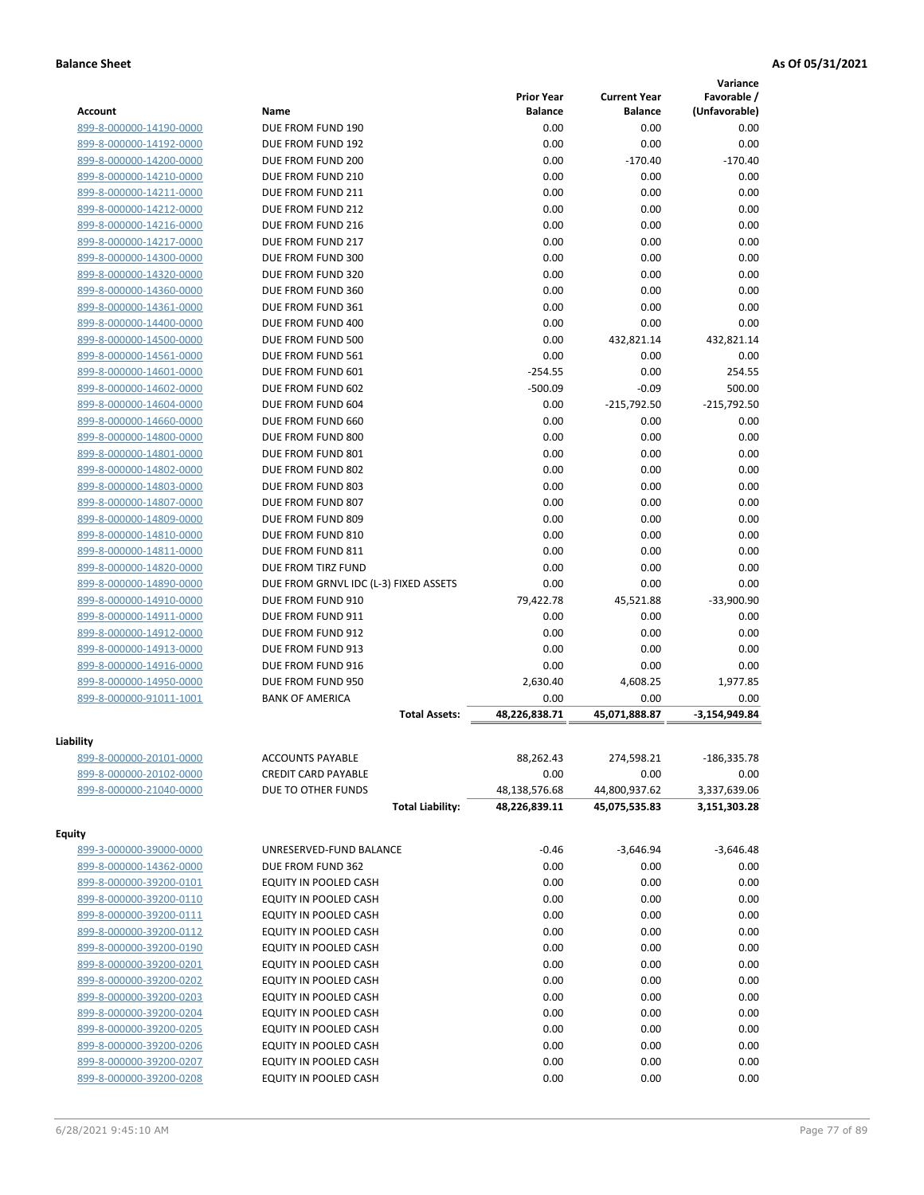|                                                    |                                        |                   |                       | Variance        |
|----------------------------------------------------|----------------------------------------|-------------------|-----------------------|-----------------|
|                                                    |                                        | <b>Prior Year</b> | <b>Current Year</b>   | Favorable /     |
| <b>Account</b>                                     | Name                                   | <b>Balance</b>    | <b>Balance</b>        | (Unfavorable)   |
| 899-8-000000-14190-0000                            | DUE FROM FUND 190                      | 0.00              | 0.00                  | 0.00            |
| 899-8-000000-14192-0000                            | DUE FROM FUND 192                      | 0.00              | 0.00                  | 0.00            |
| 899-8-000000-14200-0000                            | DUE FROM FUND 200                      | 0.00              | $-170.40$             | $-170.40$       |
| 899-8-000000-14210-0000                            | DUE FROM FUND 210                      | 0.00              | 0.00                  | 0.00            |
| 899-8-000000-14211-0000                            | DUE FROM FUND 211                      | 0.00              | 0.00                  | 0.00            |
| 899-8-000000-14212-0000                            | DUE FROM FUND 212                      | 0.00              | 0.00                  | 0.00            |
| 899-8-000000-14216-0000                            | DUE FROM FUND 216                      | 0.00              | 0.00                  | 0.00            |
| 899-8-000000-14217-0000                            | DUE FROM FUND 217                      | 0.00              | 0.00                  | 0.00            |
| 899-8-000000-14300-0000                            | DUE FROM FUND 300<br>DUE FROM FUND 320 | 0.00              | 0.00                  | 0.00            |
| 899-8-000000-14320-0000                            |                                        | 0.00              | 0.00                  | 0.00            |
| 899-8-000000-14360-0000<br>899-8-000000-14361-0000 | DUE FROM FUND 360<br>DUE FROM FUND 361 | 0.00<br>0.00      | 0.00<br>0.00          | 0.00<br>0.00    |
|                                                    | DUE FROM FUND 400                      | 0.00              | 0.00                  | 0.00            |
| 899-8-000000-14400-0000                            |                                        |                   |                       |                 |
| 899-8-000000-14500-0000                            | DUE FROM FUND 500                      | 0.00              | 432,821.14            | 432,821.14      |
| 899-8-000000-14561-0000                            | DUE FROM FUND 561                      | 0.00<br>$-254.55$ | 0.00                  | 0.00<br>254.55  |
| 899-8-000000-14601-0000<br>899-8-000000-14602-0000 | DUE FROM FUND 601<br>DUE FROM FUND 602 | $-500.09$         | 0.00<br>$-0.09$       | 500.00          |
|                                                    | DUE FROM FUND 604                      | 0.00              |                       | $-215,792.50$   |
| 899-8-000000-14604-0000                            | DUE FROM FUND 660                      | 0.00              | $-215,792.50$<br>0.00 | 0.00            |
| 899-8-000000-14660-0000<br>899-8-000000-14800-0000 | DUE FROM FUND 800                      | 0.00              |                       | 0.00            |
|                                                    | DUE FROM FUND 801                      | 0.00              | 0.00<br>0.00          | 0.00            |
| 899-8-000000-14801-0000<br>899-8-000000-14802-0000 | DUE FROM FUND 802                      | 0.00              | 0.00                  | 0.00            |
| 899-8-000000-14803-0000                            | DUE FROM FUND 803                      | 0.00              | 0.00                  | 0.00            |
| 899-8-000000-14807-0000                            | DUE FROM FUND 807                      | 0.00              | 0.00                  | 0.00            |
| 899-8-000000-14809-0000                            | DUE FROM FUND 809                      | 0.00              | 0.00                  | 0.00            |
| 899-8-000000-14810-0000                            | DUE FROM FUND 810                      | 0.00              | 0.00                  | 0.00            |
| 899-8-000000-14811-0000                            | DUE FROM FUND 811                      | 0.00              | 0.00                  | 0.00            |
| 899-8-000000-14820-0000                            | DUE FROM TIRZ FUND                     | 0.00              | 0.00                  | 0.00            |
| 899-8-000000-14890-0000                            | DUE FROM GRNVL IDC (L-3) FIXED ASSETS  | 0.00              | 0.00                  | 0.00            |
| 899-8-000000-14910-0000                            | DUE FROM FUND 910                      | 79,422.78         | 45,521.88             | $-33,900.90$    |
| 899-8-000000-14911-0000                            | DUE FROM FUND 911                      | 0.00              | 0.00                  | 0.00            |
| 899-8-000000-14912-0000                            | DUE FROM FUND 912                      | 0.00              | 0.00                  | 0.00            |
| 899-8-000000-14913-0000                            | DUE FROM FUND 913                      | 0.00              | 0.00                  | 0.00            |
| 899-8-000000-14916-0000                            | DUE FROM FUND 916                      | 0.00              | 0.00                  | 0.00            |
| 899-8-000000-14950-0000                            | DUE FROM FUND 950                      | 2,630.40          | 4,608.25              | 1,977.85        |
| 899-8-000000-91011-1001                            | <b>BANK OF AMERICA</b>                 | 0.00              | 0.00                  | 0.00            |
|                                                    | <b>Total Assets:</b>                   | 48,226,838.71     | 45.071.888.87         | $-3,154,949.84$ |
|                                                    |                                        |                   |                       |                 |
| Liability                                          |                                        |                   |                       |                 |
| 899-8-000000-20101-0000                            | <b>ACCOUNTS PAYABLE</b>                | 88,262.43         | 274,598.21            | $-186,335.78$   |
| 899-8-000000-20102-0000                            | <b>CREDIT CARD PAYABLE</b>             | 0.00              | 0.00                  | 0.00            |
| 899-8-000000-21040-0000                            | DUE TO OTHER FUNDS                     | 48,138,576.68     | 44,800,937.62         | 3,337,639.06    |
|                                                    | <b>Total Liability:</b>                | 48,226,839.11     | 45,075,535.83         | 3,151,303.28    |
| <b>Equity</b>                                      |                                        |                   |                       |                 |
| 899-3-000000-39000-0000                            | UNRESERVED-FUND BALANCE                | $-0.46$           | $-3,646.94$           | $-3,646.48$     |
| 899-8-000000-14362-0000                            | DUE FROM FUND 362                      | 0.00              | 0.00                  | 0.00            |
| 899-8-000000-39200-0101                            | EQUITY IN POOLED CASH                  | 0.00              | 0.00                  | 0.00            |
| 899-8-000000-39200-0110                            | EQUITY IN POOLED CASH                  | 0.00              | 0.00                  | 0.00            |
| 899-8-000000-39200-0111                            | EQUITY IN POOLED CASH                  | 0.00              | 0.00                  | 0.00            |
| 899-8-000000-39200-0112                            | EQUITY IN POOLED CASH                  | 0.00              | 0.00                  | 0.00            |
| 899-8-000000-39200-0190                            | EQUITY IN POOLED CASH                  | 0.00              | 0.00                  | 0.00            |
| 899-8-000000-39200-0201                            | EQUITY IN POOLED CASH                  | 0.00              | 0.00                  | 0.00            |
| 899-8-000000-39200-0202                            | EQUITY IN POOLED CASH                  | 0.00              | 0.00                  | 0.00            |
| 899-8-000000-39200-0203                            | EQUITY IN POOLED CASH                  | 0.00              | 0.00                  | 0.00            |
| 899-8-000000-39200-0204                            | EQUITY IN POOLED CASH                  | 0.00              | 0.00                  | 0.00            |
| 899-8-000000-39200-0205                            | EQUITY IN POOLED CASH                  | 0.00              | 0.00                  | 0.00            |
| 899-8-000000-39200-0206                            | EQUITY IN POOLED CASH                  | 0.00              | 0.00                  | 0.00            |
| 899-8-000000-39200-0207                            | EQUITY IN POOLED CASH                  | 0.00              | 0.00                  | 0.00            |
| 899-8-000000-39200-0208                            | EQUITY IN POOLED CASH                  | 0.00              | 0.00                  | 0.00            |
|                                                    |                                        |                   |                       |                 |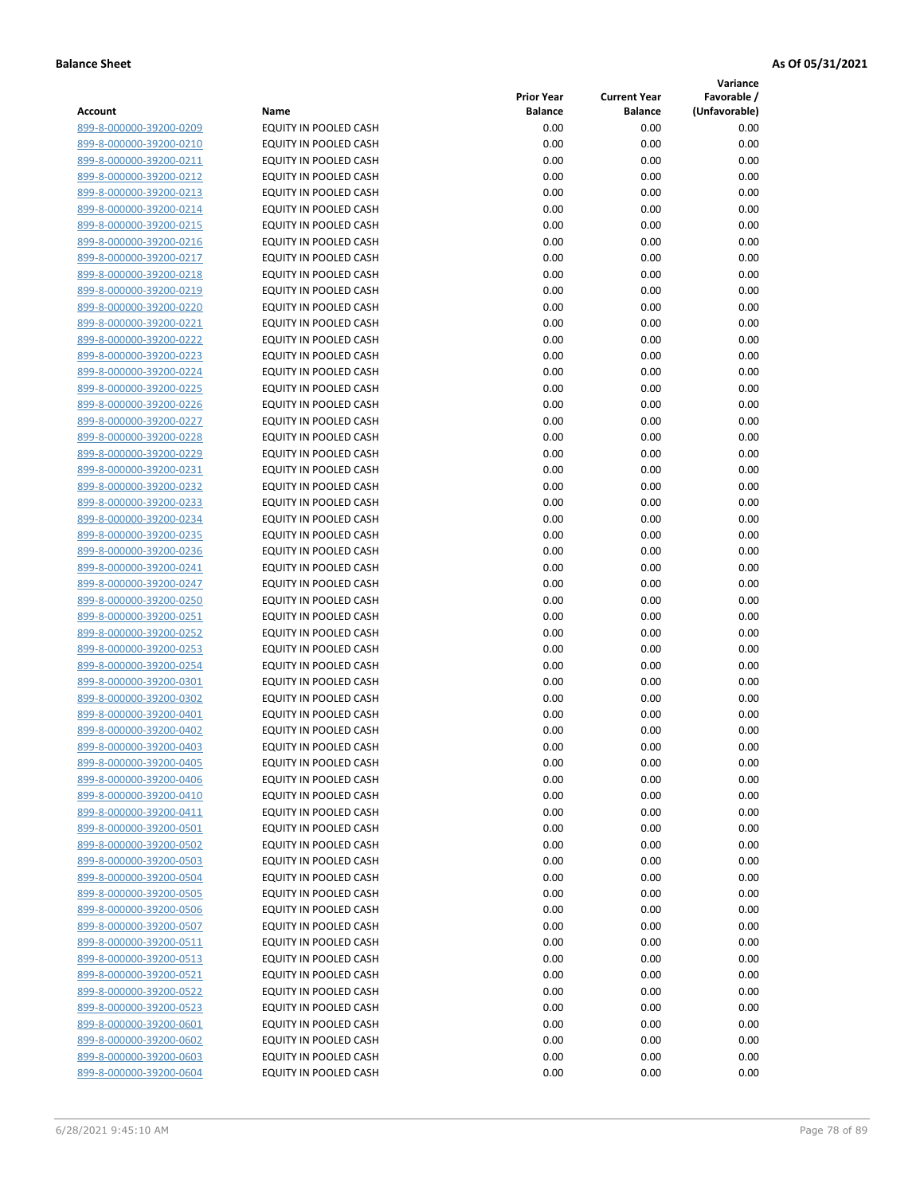**Variance**

| Name                         | <b>Prior Year</b><br><b>Balance</b>                                                                                                                                                                                                                                                                                                                                                                                                                                                                                                       | <b>Current Year</b><br><b>Balance</b>                                                                                                                                                | Favorable /<br>(Unfavorable)                                                                                                                                                         |
|------------------------------|-------------------------------------------------------------------------------------------------------------------------------------------------------------------------------------------------------------------------------------------------------------------------------------------------------------------------------------------------------------------------------------------------------------------------------------------------------------------------------------------------------------------------------------------|--------------------------------------------------------------------------------------------------------------------------------------------------------------------------------------|--------------------------------------------------------------------------------------------------------------------------------------------------------------------------------------|
| EQUITY IN POOLED CASH        | 0.00                                                                                                                                                                                                                                                                                                                                                                                                                                                                                                                                      | 0.00                                                                                                                                                                                 | 0.00                                                                                                                                                                                 |
| EQUITY IN POOLED CASH        | 0.00                                                                                                                                                                                                                                                                                                                                                                                                                                                                                                                                      | 0.00                                                                                                                                                                                 | 0.00                                                                                                                                                                                 |
| EQUITY IN POOLED CASH        | 0.00                                                                                                                                                                                                                                                                                                                                                                                                                                                                                                                                      | 0.00                                                                                                                                                                                 | 0.00                                                                                                                                                                                 |
| EQUITY IN POOLED CASH        | 0.00                                                                                                                                                                                                                                                                                                                                                                                                                                                                                                                                      | 0.00                                                                                                                                                                                 | 0.00                                                                                                                                                                                 |
| <b>EQUITY IN POOLED CASH</b> | 0.00                                                                                                                                                                                                                                                                                                                                                                                                                                                                                                                                      | 0.00                                                                                                                                                                                 | 0.00                                                                                                                                                                                 |
| EQUITY IN POOLED CASH        | 0.00                                                                                                                                                                                                                                                                                                                                                                                                                                                                                                                                      | 0.00                                                                                                                                                                                 | 0.00                                                                                                                                                                                 |
| EQUITY IN POOLED CASH        | 0.00                                                                                                                                                                                                                                                                                                                                                                                                                                                                                                                                      | 0.00                                                                                                                                                                                 | 0.00                                                                                                                                                                                 |
| EQUITY IN POOLED CASH        | 0.00                                                                                                                                                                                                                                                                                                                                                                                                                                                                                                                                      | 0.00                                                                                                                                                                                 | 0.00                                                                                                                                                                                 |
| EQUITY IN POOLED CASH        | 0.00                                                                                                                                                                                                                                                                                                                                                                                                                                                                                                                                      | 0.00                                                                                                                                                                                 | 0.00                                                                                                                                                                                 |
| EQUITY IN POOLED CASH        | 0.00                                                                                                                                                                                                                                                                                                                                                                                                                                                                                                                                      | 0.00                                                                                                                                                                                 | 0.00                                                                                                                                                                                 |
| <b>EQUITY IN POOLED CASH</b> | 0.00                                                                                                                                                                                                                                                                                                                                                                                                                                                                                                                                      | 0.00                                                                                                                                                                                 | 0.00                                                                                                                                                                                 |
| EQUITY IN POOLED CASH        | 0.00                                                                                                                                                                                                                                                                                                                                                                                                                                                                                                                                      | 0.00                                                                                                                                                                                 | 0.00                                                                                                                                                                                 |
| EQUITY IN POOLED CASH        | 0.00                                                                                                                                                                                                                                                                                                                                                                                                                                                                                                                                      | 0.00                                                                                                                                                                                 | 0.00                                                                                                                                                                                 |
| EQUITY IN POOLED CASH        | 0.00                                                                                                                                                                                                                                                                                                                                                                                                                                                                                                                                      | 0.00                                                                                                                                                                                 | 0.00                                                                                                                                                                                 |
|                              |                                                                                                                                                                                                                                                                                                                                                                                                                                                                                                                                           |                                                                                                                                                                                      | 0.00                                                                                                                                                                                 |
|                              |                                                                                                                                                                                                                                                                                                                                                                                                                                                                                                                                           |                                                                                                                                                                                      | 0.00                                                                                                                                                                                 |
|                              |                                                                                                                                                                                                                                                                                                                                                                                                                                                                                                                                           |                                                                                                                                                                                      | 0.00                                                                                                                                                                                 |
|                              |                                                                                                                                                                                                                                                                                                                                                                                                                                                                                                                                           |                                                                                                                                                                                      | 0.00                                                                                                                                                                                 |
|                              |                                                                                                                                                                                                                                                                                                                                                                                                                                                                                                                                           |                                                                                                                                                                                      | 0.00                                                                                                                                                                                 |
|                              |                                                                                                                                                                                                                                                                                                                                                                                                                                                                                                                                           |                                                                                                                                                                                      | 0.00                                                                                                                                                                                 |
|                              |                                                                                                                                                                                                                                                                                                                                                                                                                                                                                                                                           |                                                                                                                                                                                      | 0.00                                                                                                                                                                                 |
|                              |                                                                                                                                                                                                                                                                                                                                                                                                                                                                                                                                           |                                                                                                                                                                                      | 0.00                                                                                                                                                                                 |
|                              |                                                                                                                                                                                                                                                                                                                                                                                                                                                                                                                                           |                                                                                                                                                                                      | 0.00                                                                                                                                                                                 |
|                              |                                                                                                                                                                                                                                                                                                                                                                                                                                                                                                                                           |                                                                                                                                                                                      | 0.00<br>0.00                                                                                                                                                                         |
|                              |                                                                                                                                                                                                                                                                                                                                                                                                                                                                                                                                           |                                                                                                                                                                                      | 0.00                                                                                                                                                                                 |
|                              |                                                                                                                                                                                                                                                                                                                                                                                                                                                                                                                                           |                                                                                                                                                                                      | 0.00                                                                                                                                                                                 |
|                              |                                                                                                                                                                                                                                                                                                                                                                                                                                                                                                                                           |                                                                                                                                                                                      | 0.00                                                                                                                                                                                 |
|                              |                                                                                                                                                                                                                                                                                                                                                                                                                                                                                                                                           |                                                                                                                                                                                      | 0.00                                                                                                                                                                                 |
|                              |                                                                                                                                                                                                                                                                                                                                                                                                                                                                                                                                           |                                                                                                                                                                                      | 0.00                                                                                                                                                                                 |
|                              |                                                                                                                                                                                                                                                                                                                                                                                                                                                                                                                                           |                                                                                                                                                                                      | 0.00                                                                                                                                                                                 |
|                              |                                                                                                                                                                                                                                                                                                                                                                                                                                                                                                                                           |                                                                                                                                                                                      | 0.00                                                                                                                                                                                 |
| EQUITY IN POOLED CASH        |                                                                                                                                                                                                                                                                                                                                                                                                                                                                                                                                           |                                                                                                                                                                                      | 0.00                                                                                                                                                                                 |
| EQUITY IN POOLED CASH        | 0.00                                                                                                                                                                                                                                                                                                                                                                                                                                                                                                                                      | 0.00                                                                                                                                                                                 | 0.00                                                                                                                                                                                 |
| EQUITY IN POOLED CASH        | 0.00                                                                                                                                                                                                                                                                                                                                                                                                                                                                                                                                      | 0.00                                                                                                                                                                                 | 0.00                                                                                                                                                                                 |
| EQUITY IN POOLED CASH        | 0.00                                                                                                                                                                                                                                                                                                                                                                                                                                                                                                                                      | 0.00                                                                                                                                                                                 | 0.00                                                                                                                                                                                 |
| EQUITY IN POOLED CASH        | 0.00                                                                                                                                                                                                                                                                                                                                                                                                                                                                                                                                      | 0.00                                                                                                                                                                                 | 0.00                                                                                                                                                                                 |
| <b>EQUITY IN POOLED CASH</b> | 0.00                                                                                                                                                                                                                                                                                                                                                                                                                                                                                                                                      | 0.00                                                                                                                                                                                 | 0.00                                                                                                                                                                                 |
| EQUITY IN POOLED CASH        | 0.00                                                                                                                                                                                                                                                                                                                                                                                                                                                                                                                                      | 0.00                                                                                                                                                                                 | 0.00                                                                                                                                                                                 |
| EQUITY IN POOLED CASH        | 0.00                                                                                                                                                                                                                                                                                                                                                                                                                                                                                                                                      | 0.00                                                                                                                                                                                 | 0.00                                                                                                                                                                                 |
| EQUITY IN POOLED CASH        | 0.00                                                                                                                                                                                                                                                                                                                                                                                                                                                                                                                                      | 0.00                                                                                                                                                                                 | 0.00                                                                                                                                                                                 |
| EQUITY IN POOLED CASH        | 0.00                                                                                                                                                                                                                                                                                                                                                                                                                                                                                                                                      | 0.00                                                                                                                                                                                 | 0.00                                                                                                                                                                                 |
| EQUITY IN POOLED CASH        | 0.00                                                                                                                                                                                                                                                                                                                                                                                                                                                                                                                                      | 0.00                                                                                                                                                                                 | 0.00                                                                                                                                                                                 |
| EQUITY IN POOLED CASH        | 0.00                                                                                                                                                                                                                                                                                                                                                                                                                                                                                                                                      | 0.00                                                                                                                                                                                 | 0.00                                                                                                                                                                                 |
| EQUITY IN POOLED CASH        | 0.00                                                                                                                                                                                                                                                                                                                                                                                                                                                                                                                                      | 0.00                                                                                                                                                                                 | 0.00                                                                                                                                                                                 |
| EQUITY IN POOLED CASH        | 0.00                                                                                                                                                                                                                                                                                                                                                                                                                                                                                                                                      | 0.00                                                                                                                                                                                 | 0.00                                                                                                                                                                                 |
| EQUITY IN POOLED CASH        | 0.00                                                                                                                                                                                                                                                                                                                                                                                                                                                                                                                                      | 0.00                                                                                                                                                                                 | 0.00                                                                                                                                                                                 |
| EQUITY IN POOLED CASH        | 0.00                                                                                                                                                                                                                                                                                                                                                                                                                                                                                                                                      | 0.00                                                                                                                                                                                 | 0.00                                                                                                                                                                                 |
| EQUITY IN POOLED CASH        | 0.00                                                                                                                                                                                                                                                                                                                                                                                                                                                                                                                                      | 0.00                                                                                                                                                                                 | 0.00                                                                                                                                                                                 |
| EQUITY IN POOLED CASH        | 0.00                                                                                                                                                                                                                                                                                                                                                                                                                                                                                                                                      | 0.00                                                                                                                                                                                 | 0.00                                                                                                                                                                                 |
| EQUITY IN POOLED CASH        | 0.00                                                                                                                                                                                                                                                                                                                                                                                                                                                                                                                                      | 0.00                                                                                                                                                                                 | 0.00                                                                                                                                                                                 |
| EQUITY IN POOLED CASH        |                                                                                                                                                                                                                                                                                                                                                                                                                                                                                                                                           |                                                                                                                                                                                      | 0.00                                                                                                                                                                                 |
| EQUITY IN POOLED CASH        | 0.00                                                                                                                                                                                                                                                                                                                                                                                                                                                                                                                                      | 0.00                                                                                                                                                                                 | 0.00                                                                                                                                                                                 |
| EQUITY IN POOLED CASH        | 0.00                                                                                                                                                                                                                                                                                                                                                                                                                                                                                                                                      | 0.00                                                                                                                                                                                 | 0.00                                                                                                                                                                                 |
| EQUITY IN POOLED CASH        | 0.00                                                                                                                                                                                                                                                                                                                                                                                                                                                                                                                                      | 0.00                                                                                                                                                                                 | 0.00                                                                                                                                                                                 |
| EQUITY IN POOLED CASH        | 0.00                                                                                                                                                                                                                                                                                                                                                                                                                                                                                                                                      | 0.00                                                                                                                                                                                 | 0.00                                                                                                                                                                                 |
|                              |                                                                                                                                                                                                                                                                                                                                                                                                                                                                                                                                           |                                                                                                                                                                                      | 0.00                                                                                                                                                                                 |
|                              |                                                                                                                                                                                                                                                                                                                                                                                                                                                                                                                                           |                                                                                                                                                                                      | 0.00                                                                                                                                                                                 |
|                              |                                                                                                                                                                                                                                                                                                                                                                                                                                                                                                                                           |                                                                                                                                                                                      | 0.00                                                                                                                                                                                 |
|                              | EQUITY IN POOLED CASH<br>EQUITY IN POOLED CASH<br>EQUITY IN POOLED CASH<br>EQUITY IN POOLED CASH<br>EQUITY IN POOLED CASH<br>EQUITY IN POOLED CASH<br>EQUITY IN POOLED CASH<br>EQUITY IN POOLED CASH<br>EQUITY IN POOLED CASH<br>EQUITY IN POOLED CASH<br>EQUITY IN POOLED CASH<br>EQUITY IN POOLED CASH<br>EQUITY IN POOLED CASH<br>EQUITY IN POOLED CASH<br>EQUITY IN POOLED CASH<br>EQUITY IN POOLED CASH<br>EQUITY IN POOLED CASH<br>EQUITY IN POOLED CASH<br>EQUITY IN POOLED CASH<br>EQUITY IN POOLED CASH<br>EQUITY IN POOLED CASH | 0.00<br>0.00<br>0.00<br>0.00<br>0.00<br>0.00<br>0.00<br>0.00<br>0.00<br>0.00<br>0.00<br>0.00<br>0.00<br>0.00<br>0.00<br>0.00<br>0.00<br>0.00<br>0.00<br>0.00<br>0.00<br>0.00<br>0.00 | 0.00<br>0.00<br>0.00<br>0.00<br>0.00<br>0.00<br>0.00<br>0.00<br>0.00<br>0.00<br>0.00<br>0.00<br>0.00<br>0.00<br>0.00<br>0.00<br>0.00<br>0.00<br>0.00<br>0.00<br>0.00<br>0.00<br>0.00 |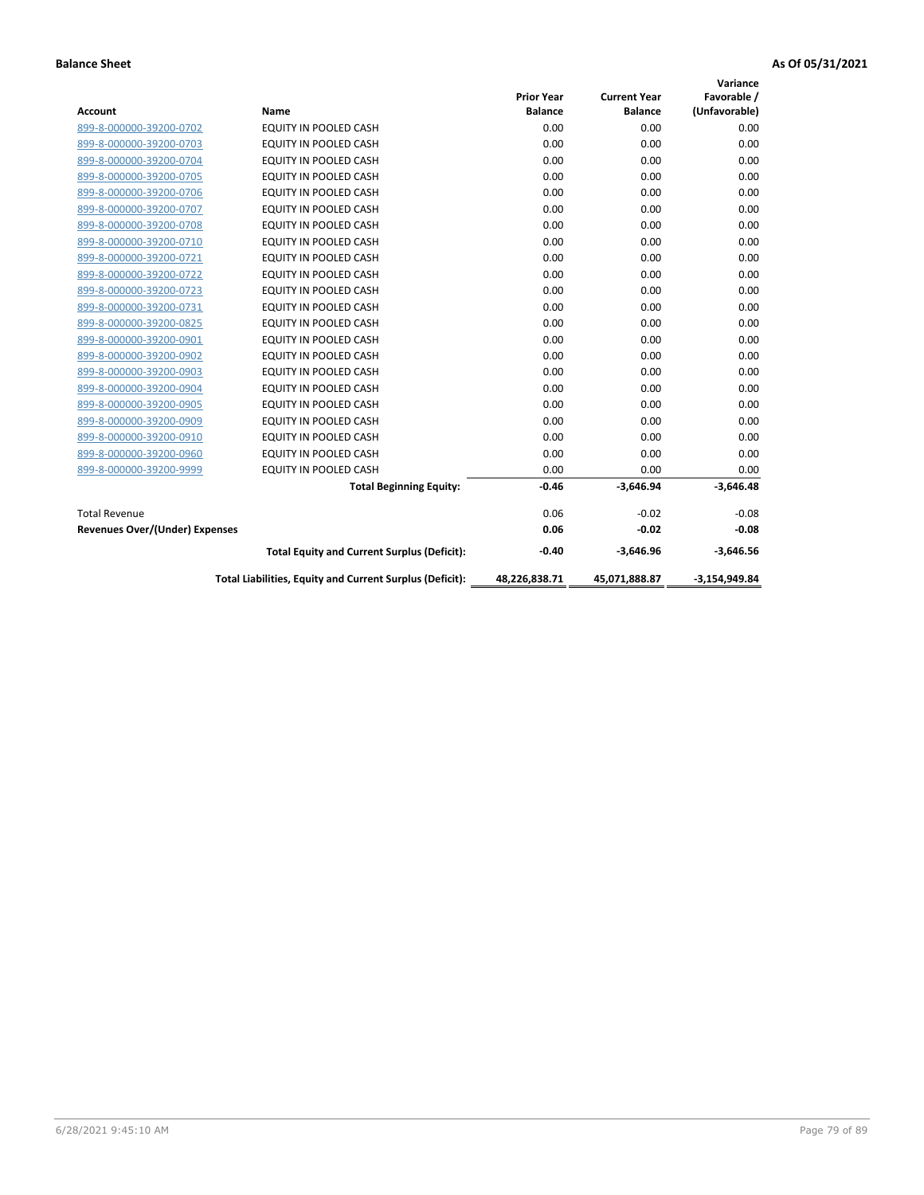|                                       |                                                          |                   |                     | Variance        |
|---------------------------------------|----------------------------------------------------------|-------------------|---------------------|-----------------|
|                                       |                                                          | <b>Prior Year</b> | <b>Current Year</b> | Favorable /     |
| <b>Account</b>                        | Name                                                     | <b>Balance</b>    | <b>Balance</b>      | (Unfavorable)   |
| 899-8-000000-39200-0702               | <b>EQUITY IN POOLED CASH</b>                             | 0.00              | 0.00                | 0.00            |
| 899-8-000000-39200-0703               | EQUITY IN POOLED CASH                                    | 0.00              | 0.00                | 0.00            |
| 899-8-000000-39200-0704               | <b>EQUITY IN POOLED CASH</b>                             | 0.00              | 0.00                | 0.00            |
| 899-8-000000-39200-0705               | <b>EQUITY IN POOLED CASH</b>                             | 0.00              | 0.00                | 0.00            |
| 899-8-000000-39200-0706               | <b>EQUITY IN POOLED CASH</b>                             | 0.00              | 0.00                | 0.00            |
| 899-8-000000-39200-0707               | <b>EQUITY IN POOLED CASH</b>                             | 0.00              | 0.00                | 0.00            |
| 899-8-000000-39200-0708               | EQUITY IN POOLED CASH                                    | 0.00              | 0.00                | 0.00            |
| 899-8-000000-39200-0710               | <b>EQUITY IN POOLED CASH</b>                             | 0.00              | 0.00                | 0.00            |
| 899-8-000000-39200-0721               | <b>EQUITY IN POOLED CASH</b>                             | 0.00              | 0.00                | 0.00            |
| 899-8-000000-39200-0722               | <b>EQUITY IN POOLED CASH</b>                             | 0.00              | 0.00                | 0.00            |
| 899-8-000000-39200-0723               | <b>EQUITY IN POOLED CASH</b>                             | 0.00              | 0.00                | 0.00            |
| 899-8-000000-39200-0731               | EQUITY IN POOLED CASH                                    | 0.00              | 0.00                | 0.00            |
| 899-8-000000-39200-0825               | EQUITY IN POOLED CASH                                    | 0.00              | 0.00                | 0.00            |
| 899-8-000000-39200-0901               | <b>EQUITY IN POOLED CASH</b>                             | 0.00              | 0.00                | 0.00            |
| 899-8-000000-39200-0902               | <b>EQUITY IN POOLED CASH</b>                             | 0.00              | 0.00                | 0.00            |
| 899-8-000000-39200-0903               | <b>EQUITY IN POOLED CASH</b>                             | 0.00              | 0.00                | 0.00            |
| 899-8-000000-39200-0904               | EQUITY IN POOLED CASH                                    | 0.00              | 0.00                | 0.00            |
| 899-8-000000-39200-0905               | <b>EQUITY IN POOLED CASH</b>                             | 0.00              | 0.00                | 0.00            |
| 899-8-000000-39200-0909               | EQUITY IN POOLED CASH                                    | 0.00              | 0.00                | 0.00            |
| 899-8-000000-39200-0910               | <b>EQUITY IN POOLED CASH</b>                             | 0.00              | 0.00                | 0.00            |
| 899-8-000000-39200-0960               | EQUITY IN POOLED CASH                                    | 0.00              | 0.00                | 0.00            |
| 899-8-000000-39200-9999               | EQUITY IN POOLED CASH                                    | 0.00              | 0.00                | 0.00            |
|                                       | <b>Total Beginning Equity:</b>                           | $-0.46$           | $-3,646.94$         | $-3,646.48$     |
| <b>Total Revenue</b>                  |                                                          | 0.06              | $-0.02$             | $-0.08$         |
| <b>Revenues Over/(Under) Expenses</b> |                                                          | 0.06              | $-0.02$             | $-0.08$         |
|                                       | <b>Total Equity and Current Surplus (Deficit):</b>       | $-0.40$           | $-3,646.96$         | $-3,646.56$     |
|                                       | Total Liabilities, Equity and Current Surplus (Deficit): | 48,226,838.71     | 45,071,888.87       | $-3,154,949.84$ |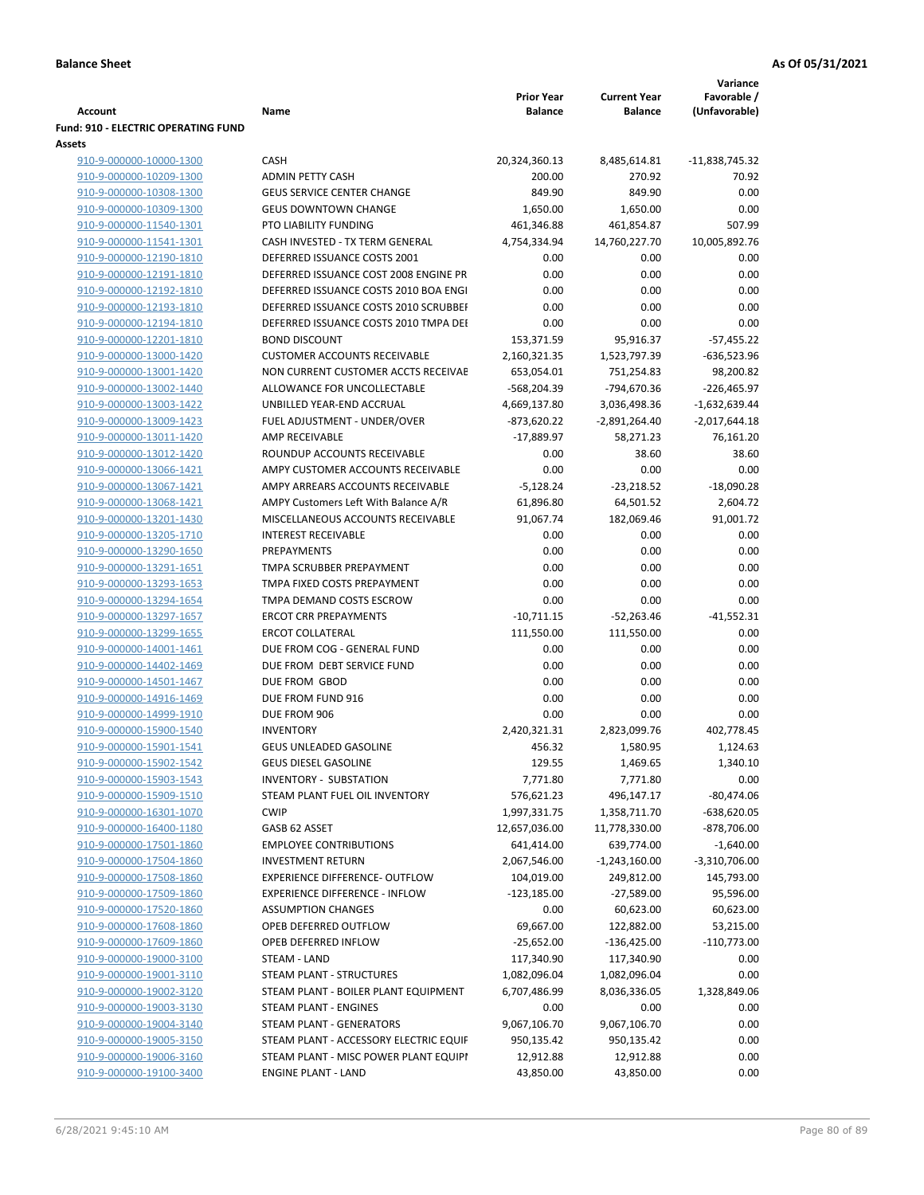|                                            |                                        |                   |                     | Variance        |
|--------------------------------------------|----------------------------------------|-------------------|---------------------|-----------------|
|                                            |                                        | <b>Prior Year</b> | <b>Current Year</b> | Favorable /     |
| Account                                    | Name                                   | <b>Balance</b>    | <b>Balance</b>      | (Unfavorable)   |
| <b>Fund: 910 - ELECTRIC OPERATING FUND</b> |                                        |                   |                     |                 |
| <b>Assets</b>                              |                                        |                   |                     |                 |
| 910-9-000000-10000-1300                    | <b>CASH</b>                            | 20,324,360.13     | 8,485,614.81        | -11,838,745.32  |
| 910-9-000000-10209-1300                    | <b>ADMIN PETTY CASH</b>                | 200.00            | 270.92              | 70.92           |
| 910-9-000000-10308-1300                    | <b>GEUS SERVICE CENTER CHANGE</b>      | 849.90            | 849.90              | 0.00            |
| 910-9-000000-10309-1300                    | <b>GEUS DOWNTOWN CHANGE</b>            | 1,650.00          | 1,650.00            | 0.00            |
| 910-9-000000-11540-1301                    | PTO LIABILITY FUNDING                  | 461,346.88        | 461,854.87          | 507.99          |
| 910-9-000000-11541-1301                    | CASH INVESTED - TX TERM GENERAL        | 4,754,334.94      | 14,760,227.70       | 10,005,892.76   |
| 910-9-000000-12190-1810                    | DEFERRED ISSUANCE COSTS 2001           | 0.00              | 0.00                | 0.00            |
| 910-9-000000-12191-1810                    | DEFERRED ISSUANCE COST 2008 ENGINE PR  | 0.00              | 0.00                | 0.00            |
| 910-9-000000-12192-1810                    | DEFERRED ISSUANCE COSTS 2010 BOA ENGI  | 0.00              | 0.00                | 0.00            |
| 910-9-000000-12193-1810                    | DEFERRED ISSUANCE COSTS 2010 SCRUBBEI  | 0.00              | 0.00                | 0.00            |
| 910-9-000000-12194-1810                    | DEFERRED ISSUANCE COSTS 2010 TMPA DEI  | 0.00              | 0.00                | 0.00            |
| 910-9-000000-12201-1810                    | <b>BOND DISCOUNT</b>                   | 153,371.59        | 95,916.37           | $-57,455.22$    |
| 910-9-000000-13000-1420                    | <b>CUSTOMER ACCOUNTS RECEIVABLE</b>    | 2,160,321.35      | 1,523,797.39        | -636,523.96     |
| 910-9-000000-13001-1420                    | NON CURRENT CUSTOMER ACCTS RECEIVAE    | 653,054.01        | 751,254.83          | 98,200.82       |
| 910-9-000000-13002-1440                    | ALLOWANCE FOR UNCOLLECTABLE            | -568,204.39       | -794,670.36         | $-226,465.97$   |
| 910-9-000000-13003-1422                    | UNBILLED YEAR-END ACCRUAL              | 4,669,137.80      | 3,036,498.36        | $-1,632,639.44$ |
| 910-9-000000-13009-1423                    | FUEL ADJUSTMENT - UNDER/OVER           | $-873,620.22$     | $-2,891,264.40$     |                 |
|                                            |                                        | $-17,889.97$      |                     | $-2,017,644.18$ |
| 910-9-000000-13011-1420                    | AMP RECEIVABLE                         |                   | 58,271.23           | 76,161.20       |
| 910-9-000000-13012-1420                    | ROUNDUP ACCOUNTS RECEIVABLE            | 0.00              | 38.60               | 38.60           |
| 910-9-000000-13066-1421                    | AMPY CUSTOMER ACCOUNTS RECEIVABLE      | 0.00              | 0.00                | 0.00            |
| 910-9-000000-13067-1421                    | AMPY ARREARS ACCOUNTS RECEIVABLE       | $-5,128.24$       | $-23,218.52$        | $-18,090.28$    |
| 910-9-000000-13068-1421                    | AMPY Customers Left With Balance A/R   | 61,896.80         | 64,501.52           | 2,604.72        |
| 910-9-000000-13201-1430                    | MISCELLANEOUS ACCOUNTS RECEIVABLE      | 91,067.74         | 182,069.46          | 91,001.72       |
| 910-9-000000-13205-1710                    | <b>INTEREST RECEIVABLE</b>             | 0.00              | 0.00                | 0.00            |
| 910-9-000000-13290-1650                    | PREPAYMENTS                            | 0.00              | 0.00                | 0.00            |
| 910-9-000000-13291-1651                    | TMPA SCRUBBER PREPAYMENT               | 0.00              | 0.00                | 0.00            |
| 910-9-000000-13293-1653                    | TMPA FIXED COSTS PREPAYMENT            | 0.00              | 0.00                | 0.00            |
| 910-9-000000-13294-1654                    | TMPA DEMAND COSTS ESCROW               | 0.00              | 0.00                | 0.00            |
| 910-9-000000-13297-1657                    | <b>ERCOT CRR PREPAYMENTS</b>           | $-10,711.15$      | $-52,263.46$        | $-41,552.31$    |
| 910-9-000000-13299-1655                    | <b>ERCOT COLLATERAL</b>                | 111,550.00        | 111,550.00          | 0.00            |
| 910-9-000000-14001-1461                    | DUE FROM COG - GENERAL FUND            | 0.00              | 0.00                | 0.00            |
| 910-9-000000-14402-1469                    | DUE FROM DEBT SERVICE FUND             | 0.00              | 0.00                | 0.00            |
| 910-9-000000-14501-1467                    | DUE FROM GBOD                          | 0.00              | 0.00                | 0.00            |
| 910-9-000000-14916-1469                    | DUE FROM FUND 916                      | 0.00              | 0.00                | 0.00            |
| 910-9-000000-14999-1910                    | DUE FROM 906                           | 0.00              | 0.00                | 0.00            |
| 910-9-000000-15900-1540                    | <b>INVENTORY</b>                       | 2,420,321.31      | 2,823,099.76        | 402,778.45      |
| 910-9-000000-15901-1541                    | <b>GEUS UNLEADED GASOLINE</b>          | 456.32            | 1,580.95            | 1,124.63        |
| 910-9-000000-15902-1542                    | <b>GEUS DIESEL GASOLINE</b>            | 129.55            | 1,469.65            | 1,340.10        |
| 910-9-000000-15903-1543                    | <b>INVENTORY - SUBSTATION</b>          | 7,771.80          | 7,771.80            | 0.00            |
| 910-9-000000-15909-1510                    | STEAM PLANT FUEL OIL INVENTORY         | 576,621.23        | 496,147.17          | $-80,474.06$    |
| 910-9-000000-16301-1070                    | <b>CWIP</b>                            | 1,997,331.75      | 1,358,711.70        | $-638,620.05$   |
| 910-9-000000-16400-1180                    | GASB 62 ASSET                          | 12,657,036.00     | 11,778,330.00       | -878,706.00     |
| 910-9-000000-17501-1860                    | <b>EMPLOYEE CONTRIBUTIONS</b>          | 641,414.00        | 639,774.00          | $-1,640.00$     |
| 910-9-000000-17504-1860                    | <b>INVESTMENT RETURN</b>               | 2,067,546.00      | $-1,243,160.00$     | $-3,310,706.00$ |
| 910-9-000000-17508-1860                    | <b>EXPERIENCE DIFFERENCE- OUTFLOW</b>  | 104,019.00        | 249,812.00          | 145,793.00      |
| 910-9-000000-17509-1860                    | <b>EXPERIENCE DIFFERENCE - INFLOW</b>  | $-123,185.00$     | $-27,589.00$        | 95,596.00       |
| 910-9-000000-17520-1860                    | <b>ASSUMPTION CHANGES</b>              | 0.00              | 60,623.00           | 60,623.00       |
| 910-9-000000-17608-1860                    | OPEB DEFERRED OUTFLOW                  | 69,667.00         | 122,882.00          | 53,215.00       |
| 910-9-000000-17609-1860                    | OPEB DEFERRED INFLOW                   | $-25,652.00$      | $-136,425.00$       | $-110,773.00$   |
|                                            | STEAM - LAND                           | 117,340.90        |                     | 0.00            |
| 910-9-000000-19000-3100                    |                                        |                   | 117,340.90          | 0.00            |
| 910-9-000000-19001-3110                    | STEAM PLANT - STRUCTURES               | 1,082,096.04      | 1,082,096.04        |                 |
| 910-9-000000-19002-3120                    | STEAM PLANT - BOILER PLANT EQUIPMENT   | 6,707,486.99      | 8,036,336.05        | 1,328,849.06    |
| 910-9-000000-19003-3130                    | STEAM PLANT - ENGINES                  | 0.00              | 0.00                | 0.00            |
| 910-9-000000-19004-3140                    | STEAM PLANT - GENERATORS               | 9,067,106.70      | 9,067,106.70        | 0.00            |
| 910-9-000000-19005-3150                    | STEAM PLANT - ACCESSORY ELECTRIC EQUIF | 950,135.42        | 950,135.42          | 0.00            |
| 910-9-000000-19006-3160                    | STEAM PLANT - MISC POWER PLANT EQUIPI  | 12,912.88         | 12,912.88           | 0.00            |
| 910-9-000000-19100-3400                    | <b>ENGINE PLANT - LAND</b>             | 43,850.00         | 43,850.00           | 0.00            |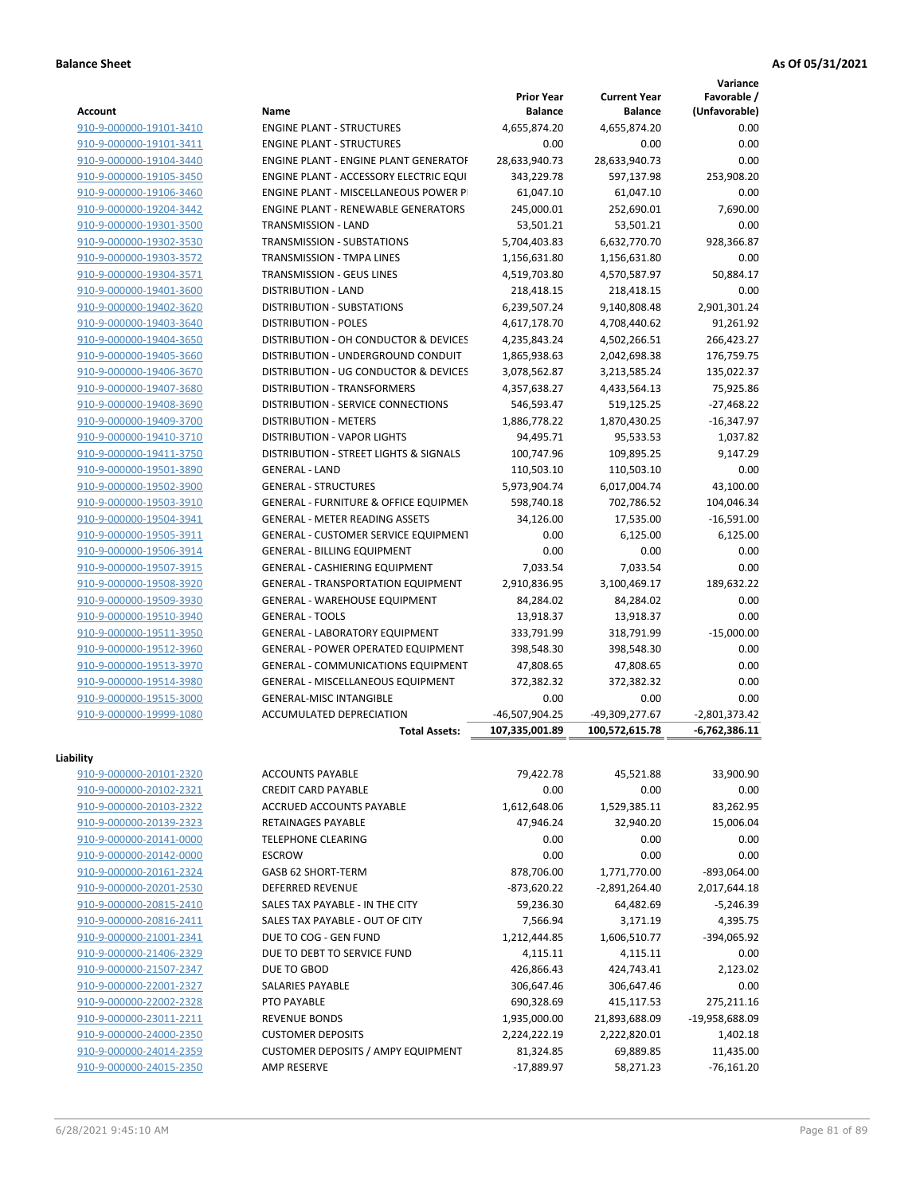|                         |                                                  |                                     |                                       | Variance                     |
|-------------------------|--------------------------------------------------|-------------------------------------|---------------------------------------|------------------------------|
| Account                 | Name                                             | <b>Prior Year</b><br><b>Balance</b> | <b>Current Year</b><br><b>Balance</b> | Favorable /<br>(Unfavorable) |
| 910-9-000000-19101-3410 | <b>ENGINE PLANT - STRUCTURES</b>                 | 4,655,874.20                        | 4,655,874.20                          | 0.00                         |
| 910-9-000000-19101-3411 | <b>ENGINE PLANT - STRUCTURES</b>                 | 0.00                                | 0.00                                  | 0.00                         |
| 910-9-000000-19104-3440 | <b>ENGINE PLANT - ENGINE PLANT GENERATOF</b>     | 28,633,940.73                       | 28,633,940.73                         | 0.00                         |
| 910-9-000000-19105-3450 | ENGINE PLANT - ACCESSORY ELECTRIC EQUI           | 343,229.78                          | 597,137.98                            | 253,908.20                   |
| 910-9-000000-19106-3460 | ENGINE PLANT - MISCELLANEOUS POWER P             | 61,047.10                           | 61,047.10                             | 0.00                         |
| 910-9-000000-19204-3442 | <b>ENGINE PLANT - RENEWABLE GENERATORS</b>       | 245,000.01                          | 252,690.01                            | 7,690.00                     |
| 910-9-000000-19301-3500 | TRANSMISSION - LAND                              | 53,501.21                           | 53,501.21                             | 0.00                         |
| 910-9-000000-19302-3530 | TRANSMISSION - SUBSTATIONS                       | 5,704,403.83                        | 6,632,770.70                          | 928,366.87                   |
| 910-9-000000-19303-3572 | <b>TRANSMISSION - TMPA LINES</b>                 | 1,156,631.80                        | 1,156,631.80                          | 0.00                         |
| 910-9-000000-19304-3571 | <b>TRANSMISSION - GEUS LINES</b>                 | 4,519,703.80                        | 4,570,587.97                          | 50,884.17                    |
| 910-9-000000-19401-3600 | <b>DISTRIBUTION - LAND</b>                       | 218,418.15                          | 218,418.15                            | 0.00                         |
| 910-9-000000-19402-3620 | DISTRIBUTION - SUBSTATIONS                       | 6,239,507.24                        | 9,140,808.48                          | 2,901,301.24                 |
| 910-9-000000-19403-3640 | <b>DISTRIBUTION - POLES</b>                      | 4,617,178.70                        | 4,708,440.62                          | 91,261.92                    |
| 910-9-000000-19404-3650 | DISTRIBUTION - OH CONDUCTOR & DEVICES            | 4,235,843.24                        | 4,502,266.51                          | 266,423.27                   |
| 910-9-000000-19405-3660 | DISTRIBUTION - UNDERGROUND CONDUIT               | 1,865,938.63                        | 2,042,698.38                          | 176,759.75                   |
| 910-9-000000-19406-3670 | DISTRIBUTION - UG CONDUCTOR & DEVICES            | 3,078,562.87                        | 3,213,585.24                          | 135,022.37                   |
| 910-9-000000-19407-3680 | <b>DISTRIBUTION - TRANSFORMERS</b>               | 4,357,638.27                        | 4,433,564.13                          | 75,925.86                    |
| 910-9-000000-19408-3690 | <b>DISTRIBUTION - SERVICE CONNECTIONS</b>        | 546,593.47                          | 519,125.25                            | $-27,468.22$                 |
| 910-9-000000-19409-3700 | <b>DISTRIBUTION - METERS</b>                     | 1,886,778.22                        | 1,870,430.25                          | $-16,347.97$                 |
| 910-9-000000-19410-3710 | <b>DISTRIBUTION - VAPOR LIGHTS</b>               | 94,495.71                           | 95,533.53                             | 1,037.82                     |
| 910-9-000000-19411-3750 | DISTRIBUTION - STREET LIGHTS & SIGNALS           | 100,747.96                          | 109,895.25                            | 9,147.29                     |
| 910-9-000000-19501-3890 | <b>GENERAL - LAND</b>                            | 110,503.10                          | 110,503.10                            | 0.00                         |
| 910-9-000000-19502-3900 | <b>GENERAL - STRUCTURES</b>                      | 5,973,904.74                        | 6,017,004.74                          | 43,100.00                    |
| 910-9-000000-19503-3910 | <b>GENERAL - FURNITURE &amp; OFFICE EQUIPMEN</b> | 598,740.18                          | 702,786.52                            | 104,046.34                   |
| 910-9-000000-19504-3941 | <b>GENERAL - METER READING ASSETS</b>            | 34,126.00                           | 17,535.00                             | $-16,591.00$                 |
| 910-9-000000-19505-3911 | <b>GENERAL - CUSTOMER SERVICE EQUIPMENT</b>      | 0.00                                | 6,125.00                              | 6,125.00                     |
| 910-9-000000-19506-3914 | <b>GENERAL - BILLING EQUIPMENT</b>               | 0.00                                | 0.00                                  | 0.00                         |
| 910-9-000000-19507-3915 | <b>GENERAL - CASHIERING EQUIPMENT</b>            | 7,033.54                            | 7,033.54                              | 0.00                         |
| 910-9-000000-19508-3920 | <b>GENERAL - TRANSPORTATION EQUIPMENT</b>        | 2,910,836.95                        | 3,100,469.17                          | 189,632.22                   |
| 910-9-000000-19509-3930 | <b>GENERAL - WAREHOUSE EQUIPMENT</b>             | 84,284.02                           | 84,284.02                             | 0.00                         |
| 910-9-000000-19510-3940 | <b>GENERAL - TOOLS</b>                           | 13,918.37                           | 13,918.37                             | 0.00                         |
| 910-9-000000-19511-3950 | <b>GENERAL - LABORATORY EQUIPMENT</b>            | 333,791.99                          | 318,791.99                            | $-15,000.00$                 |
| 910-9-000000-19512-3960 | <b>GENERAL - POWER OPERATED EQUIPMENT</b>        | 398,548.30                          | 398,548.30                            | 0.00                         |
| 910-9-000000-19513-3970 | <b>GENERAL - COMMUNICATIONS EQUIPMENT</b>        | 47,808.65                           | 47,808.65                             | 0.00                         |
| 910-9-000000-19514-3980 | <b>GENERAL - MISCELLANEOUS EQUIPMENT</b>         | 372,382.32                          | 372,382.32                            | 0.00                         |
| 910-9-000000-19515-3000 | <b>GENERAL-MISC INTANGIBLE</b>                   | 0.00                                | 0.00                                  | 0.00                         |
| 910-9-000000-19999-1080 | ACCUMULATED DEPRECIATION                         | -46,507,904.25                      | -49,309,277.67                        | $-2,801,373.42$              |
|                         | <b>Total Assets:</b>                             | 107,335,001.89                      | 100,572,615.78                        | $-6,762,386.11$              |
| Liability               |                                                  |                                     |                                       |                              |
| 910-9-000000-20101-2320 | <b>ACCOUNTS PAYABLE</b>                          | 79,422.78                           | 45,521.88                             | 33,900.90                    |
| 910-9-000000-20102-2321 | <b>CREDIT CARD PAYABLE</b>                       | 0.00                                | 0.00                                  | 0.00                         |
| 910-9-000000-20103-2322 | ACCRUED ACCOUNTS PAYABLE                         | 1,612,648.06                        | 1,529,385.11                          | 83,262.95                    |
| 910-9-000000-20139-2323 | <b>RETAINAGES PAYABLE</b>                        | 47,946.24                           | 32,940.20                             | 15,006.04                    |
| 910-9-000000-20141-0000 | <b>TELEPHONE CLEARING</b>                        | 0.00                                | 0.00                                  | 0.00                         |
| 910-9-000000-20142-0000 | <b>ESCROW</b>                                    | 0.00                                | 0.00                                  | 0.00                         |
| 910-9-000000-20161-2324 | GASB 62 SHORT-TERM                               | 878,706.00                          | 1,771,770.00                          | $-893,064.00$                |
| 910-9-000000-20201-2530 | <b>DEFERRED REVENUE</b>                          | -873,620.22                         | $-2,891,264.40$                       | 2,017,644.18                 |
| 910-9-000000-20815-2410 | SALES TAX PAYABLE - IN THE CITY                  | 59,236.30                           | 64,482.69                             | $-5,246.39$                  |
| 910-9-000000-20816-2411 | SALES TAX PAYABLE - OUT OF CITY                  | 7,566.94                            | 3,171.19                              | 4,395.75                     |
| 910-9-000000-21001-2341 | DUE TO COG - GEN FUND                            | 1,212,444.85                        | 1,606,510.77                          | -394,065.92                  |
| 910-9-000000-21406-2329 | DUE TO DEBT TO SERVICE FUND                      | 4,115.11                            | 4,115.11                              | 0.00                         |
| 910-9-000000-21507-2347 | DUE TO GBOD                                      | 426,866.43                          | 424,743.41                            | 2,123.02                     |
| 910-9-000000-22001-2327 | SALARIES PAYABLE                                 | 306,647.46                          | 306,647.46                            | 0.00                         |
| 910-9-000000-22002-2328 | PTO PAYABLE                                      | 690,328.69                          | 415,117.53                            | 275,211.16                   |
| 910-9-000000-23011-2211 | <b>REVENUE BONDS</b>                             | 1,935,000.00                        | 21,893,688.09                         | -19,958,688.09               |
| 910-9-000000-24000-2350 | <b>CUSTOMER DEPOSITS</b>                         | 2,224,222.19                        | 2,222,820.01                          | 1,402.18                     |
| 910-9-000000-24014-2359 | <b>CUSTOMER DEPOSITS / AMPY EQUIPMENT</b>        | 81,324.85                           | 69,889.85                             | 11,435.00                    |
| 910-9-000000-24015-2350 | AMP RESERVE                                      | -17,889.97                          | 58,271.23                             | $-76,161.20$                 |
|                         |                                                  |                                     |                                       |                              |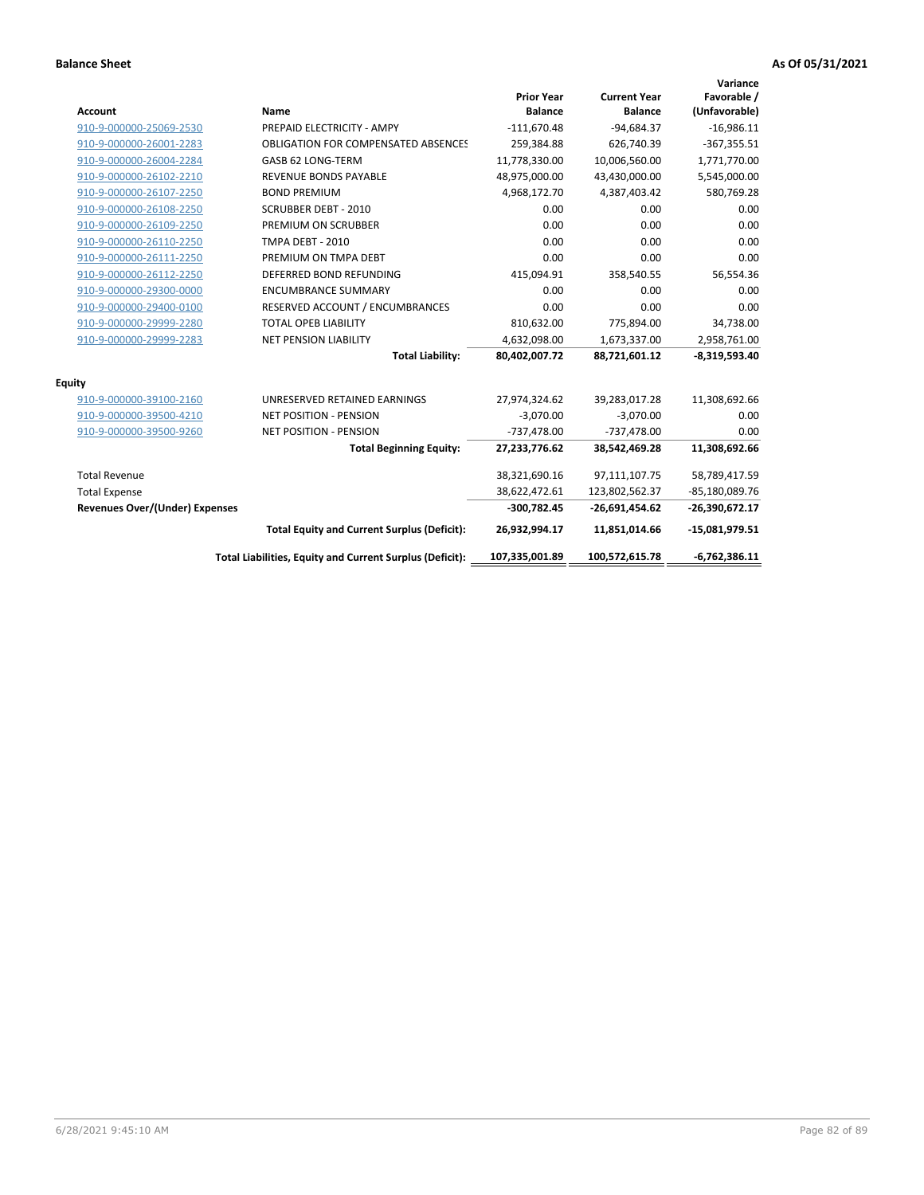| Account                               | Name                                                     | <b>Prior Year</b><br><b>Balance</b> | <b>Current Year</b><br><b>Balance</b> | Variance<br>Favorable /<br>(Unfavorable) |
|---------------------------------------|----------------------------------------------------------|-------------------------------------|---------------------------------------|------------------------------------------|
| 910-9-000000-25069-2530               | PREPAID ELECTRICITY - AMPY                               | $-111,670.48$                       | $-94,684.37$                          | $-16,986.11$                             |
| 910-9-000000-26001-2283               | <b>OBLIGATION FOR COMPENSATED ABSENCES</b>               | 259,384.88                          | 626,740.39                            | $-367,355.51$                            |
| 910-9-000000-26004-2284               | GASB 62 LONG-TERM                                        | 11,778,330.00                       | 10,006,560.00                         | 1,771,770.00                             |
| 910-9-000000-26102-2210               | <b>REVENUE BONDS PAYABLE</b>                             | 48,975,000.00                       | 43,430,000.00                         | 5,545,000.00                             |
| 910-9-000000-26107-2250               | <b>BOND PREMIUM</b>                                      | 4,968,172.70                        | 4,387,403.42                          | 580,769.28                               |
| 910-9-000000-26108-2250               | <b>SCRUBBER DEBT - 2010</b>                              | 0.00                                | 0.00                                  | 0.00                                     |
| 910-9-000000-26109-2250               | PREMIUM ON SCRUBBER                                      | 0.00                                | 0.00                                  | 0.00                                     |
| 910-9-000000-26110-2250               | <b>TMPA DEBT - 2010</b>                                  | 0.00                                | 0.00                                  | 0.00                                     |
| 910-9-000000-26111-2250               | PREMIUM ON TMPA DEBT                                     | 0.00                                | 0.00                                  | 0.00                                     |
| 910-9-000000-26112-2250               | DEFERRED BOND REFUNDING                                  | 415,094.91                          | 358,540.55                            | 56,554.36                                |
| 910-9-000000-29300-0000               | <b>ENCUMBRANCE SUMMARY</b>                               | 0.00                                | 0.00                                  | 0.00                                     |
| 910-9-000000-29400-0100               | RESERVED ACCOUNT / ENCUMBRANCES                          | 0.00                                | 0.00                                  | 0.00                                     |
| 910-9-000000-29999-2280               | <b>TOTAL OPEB LIABILITY</b>                              | 810,632.00                          | 775,894.00                            | 34,738.00                                |
| 910-9-000000-29999-2283               | <b>NET PENSION LIABILITY</b>                             | 4,632,098.00                        | 1,673,337.00                          | 2,958,761.00                             |
|                                       | <b>Total Liability:</b>                                  | 80,402,007.72                       | 88,721,601.12                         | $-8,319,593.40$                          |
| <b>Equity</b>                         |                                                          |                                     |                                       |                                          |
| 910-9-000000-39100-2160               | UNRESERVED RETAINED EARNINGS                             | 27,974,324.62                       | 39,283,017.28                         | 11,308,692.66                            |
| 910-9-000000-39500-4210               | <b>NET POSITION - PENSION</b>                            | $-3,070.00$                         | $-3,070.00$                           | 0.00                                     |
| 910-9-000000-39500-9260               | <b>NET POSITION - PENSION</b>                            | $-737,478.00$                       | $-737,478.00$                         | 0.00                                     |
|                                       | <b>Total Beginning Equity:</b>                           | 27,233,776.62                       | 38,542,469.28                         | 11,308,692.66                            |
| <b>Total Revenue</b>                  |                                                          | 38,321,690.16                       | 97,111,107.75                         | 58,789,417.59                            |
| <b>Total Expense</b>                  |                                                          | 38,622,472.61                       | 123,802,562.37                        | $-85,180,089.76$                         |
| <b>Revenues Over/(Under) Expenses</b> |                                                          | $-300,782.45$                       | -26,691,454.62                        | -26,390,672.17                           |
|                                       | <b>Total Equity and Current Surplus (Deficit):</b>       | 26,932,994.17                       | 11,851,014.66                         | $-15,081,979.51$                         |
|                                       | Total Liabilities, Equity and Current Surplus (Deficit): | 107,335,001.89                      | 100,572,615.78                        | $-6,762,386.11$                          |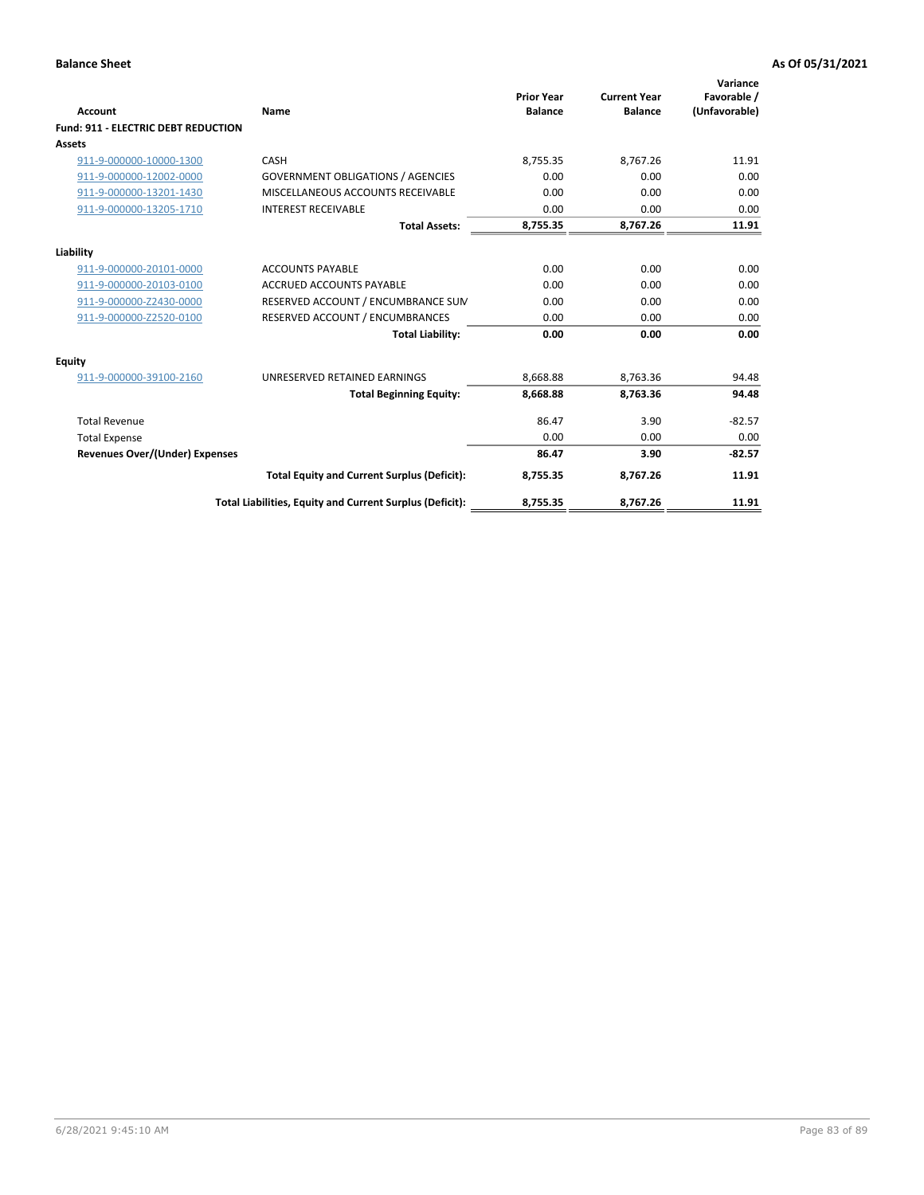| Account                                    | Name                                                     | <b>Prior Year</b><br><b>Balance</b> | <b>Current Year</b><br><b>Balance</b> | Variance<br>Favorable /<br>(Unfavorable) |
|--------------------------------------------|----------------------------------------------------------|-------------------------------------|---------------------------------------|------------------------------------------|
| <b>Fund: 911 - ELECTRIC DEBT REDUCTION</b> |                                                          |                                     |                                       |                                          |
| <b>Assets</b>                              |                                                          |                                     |                                       |                                          |
| 911-9-000000-10000-1300                    | CASH                                                     | 8.755.35                            | 8.767.26                              | 11.91                                    |
| 911-9-000000-12002-0000                    | <b>GOVERNMENT OBLIGATIONS / AGENCIES</b>                 | 0.00                                | 0.00                                  | 0.00                                     |
| 911-9-000000-13201-1430                    | MISCELLANEOUS ACCOUNTS RECEIVABLE                        | 0.00                                | 0.00                                  | 0.00                                     |
| 911-9-000000-13205-1710                    | <b>INTEREST RECEIVABLE</b>                               | 0.00                                | 0.00                                  | 0.00                                     |
|                                            | <b>Total Assets:</b>                                     | 8,755.35                            | 8,767.26                              | 11.91                                    |
| Liability                                  |                                                          |                                     |                                       |                                          |
| 911-9-000000-20101-0000                    | <b>ACCOUNTS PAYABLE</b>                                  | 0.00                                | 0.00                                  | 0.00                                     |
| 911-9-000000-20103-0100                    | <b>ACCRUED ACCOUNTS PAYABLE</b>                          | 0.00                                | 0.00                                  | 0.00                                     |
| 911-9-000000-Z2430-0000                    | RESERVED ACCOUNT / ENCUMBRANCE SUM                       | 0.00                                | 0.00                                  | 0.00                                     |
| 911-9-000000-Z2520-0100                    | RESERVED ACCOUNT / ENCUMBRANCES                          | 0.00                                | 0.00                                  | 0.00                                     |
|                                            | <b>Total Liability:</b>                                  | 0.00                                | 0.00                                  | 0.00                                     |
| Equity                                     |                                                          |                                     |                                       |                                          |
| 911-9-000000-39100-2160                    | UNRESERVED RETAINED EARNINGS                             | 8,668.88                            | 8,763.36                              | 94.48                                    |
|                                            | <b>Total Beginning Equity:</b>                           | 8,668.88                            | 8,763.36                              | 94.48                                    |
| <b>Total Revenue</b>                       |                                                          | 86.47                               | 3.90                                  | $-82.57$                                 |
| <b>Total Expense</b>                       |                                                          | 0.00                                | 0.00                                  | 0.00                                     |
| Revenues Over/(Under) Expenses             |                                                          | 86.47                               | 3.90                                  | $-82.57$                                 |
|                                            | <b>Total Equity and Current Surplus (Deficit):</b>       | 8,755.35                            | 8,767.26                              | 11.91                                    |
|                                            | Total Liabilities, Equity and Current Surplus (Deficit): | 8,755.35                            | 8,767.26                              | 11.91                                    |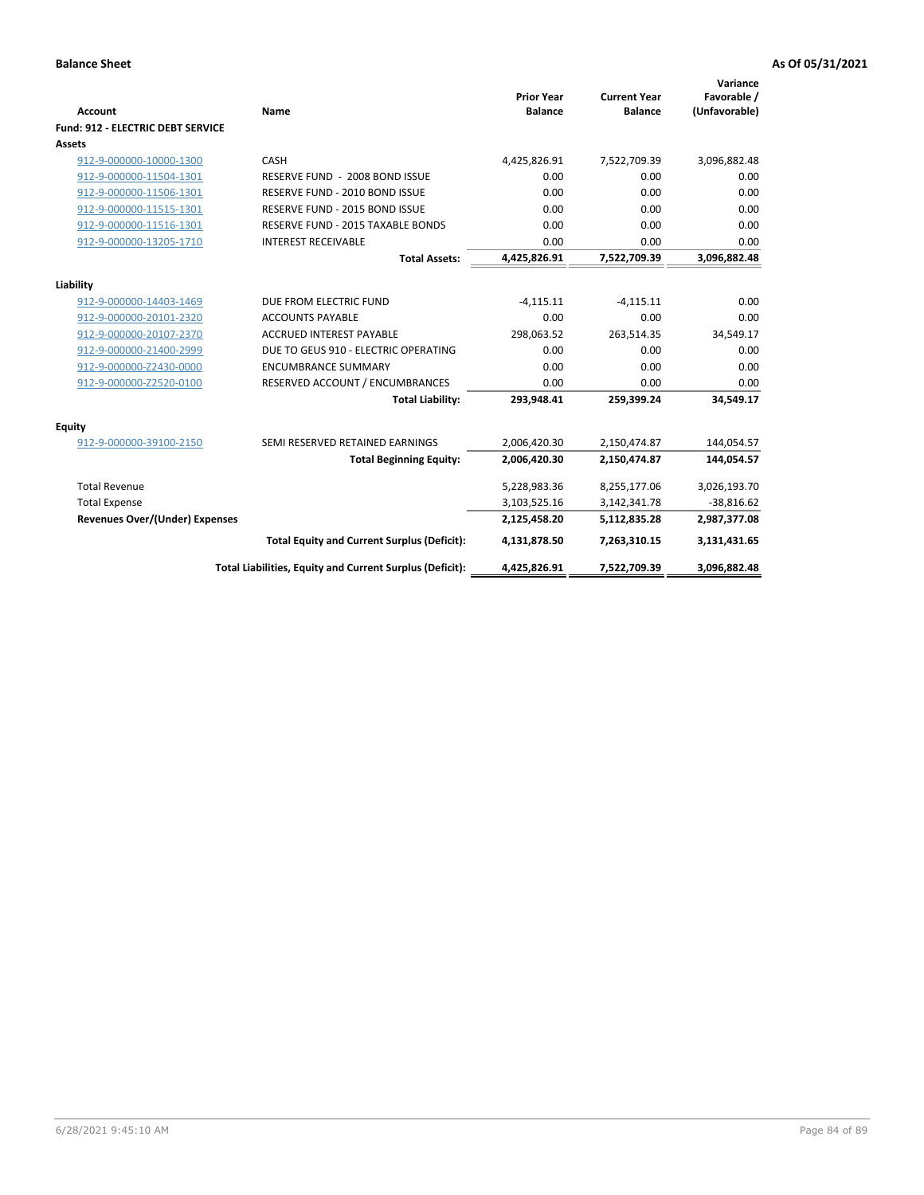| Account                               | Name                                                     | <b>Prior Year</b><br><b>Balance</b> | <b>Current Year</b><br><b>Balance</b> | Variance<br>Favorable /<br>(Unfavorable) |
|---------------------------------------|----------------------------------------------------------|-------------------------------------|---------------------------------------|------------------------------------------|
| Fund: 912 - ELECTRIC DEBT SERVICE     |                                                          |                                     |                                       |                                          |
| Assets                                |                                                          |                                     |                                       |                                          |
| 912-9-000000-10000-1300               | CASH                                                     | 4,425,826.91                        | 7,522,709.39                          | 3,096,882.48                             |
| 912-9-000000-11504-1301               | RESERVE FUND - 2008 BOND ISSUE                           | 0.00                                | 0.00                                  | 0.00                                     |
| 912-9-000000-11506-1301               | RESERVE FUND - 2010 BOND ISSUE                           | 0.00                                | 0.00                                  | 0.00                                     |
| 912-9-000000-11515-1301               | RESERVE FUND - 2015 BOND ISSUE                           | 0.00                                | 0.00                                  | 0.00                                     |
| 912-9-000000-11516-1301               | RESERVE FUND - 2015 TAXABLE BONDS                        | 0.00                                | 0.00                                  | 0.00                                     |
| 912-9-000000-13205-1710               | <b>INTEREST RECEIVABLE</b>                               | 0.00                                | 0.00                                  | 0.00                                     |
|                                       | <b>Total Assets:</b>                                     | 4,425,826.91                        | 7,522,709.39                          | 3,096,882.48                             |
|                                       |                                                          |                                     |                                       |                                          |
| Liability                             |                                                          |                                     |                                       |                                          |
| 912-9-000000-14403-1469               | DUE FROM ELECTRIC FUND                                   | $-4,115.11$                         | $-4,115.11$                           | 0.00                                     |
| 912-9-000000-20101-2320               | <b>ACCOUNTS PAYABLE</b>                                  | 0.00                                | 0.00                                  | 0.00                                     |
| 912-9-000000-20107-2370               | <b>ACCRUED INTEREST PAYABLE</b>                          | 298,063.52                          | 263,514.35                            | 34,549.17                                |
| 912-9-000000-21400-2999               | DUE TO GEUS 910 - ELECTRIC OPERATING                     | 0.00                                | 0.00                                  | 0.00                                     |
| 912-9-000000-Z2430-0000               | <b>ENCUMBRANCE SUMMARY</b>                               | 0.00                                | 0.00                                  | 0.00                                     |
| 912-9-000000-Z2520-0100               | RESERVED ACCOUNT / ENCUMBRANCES                          | 0.00                                | 0.00                                  | 0.00                                     |
|                                       | <b>Total Liability:</b>                                  | 293,948.41                          | 259,399.24                            | 34,549.17                                |
| <b>Equity</b>                         |                                                          |                                     |                                       |                                          |
| 912-9-000000-39100-2150               | SEMI RESERVED RETAINED EARNINGS                          | 2,006,420.30                        | 2,150,474.87                          | 144,054.57                               |
|                                       | <b>Total Beginning Equity:</b>                           | 2,006,420.30                        | 2,150,474.87                          | 144,054.57                               |
|                                       |                                                          |                                     |                                       |                                          |
| <b>Total Revenue</b>                  |                                                          | 5,228,983.36                        | 8,255,177.06                          | 3,026,193.70                             |
| <b>Total Expense</b>                  |                                                          | 3,103,525.16                        | 3,142,341.78                          | $-38,816.62$                             |
| <b>Revenues Over/(Under) Expenses</b> |                                                          | 2,125,458.20                        | 5,112,835.28                          | 2,987,377.08                             |
|                                       | <b>Total Equity and Current Surplus (Deficit):</b>       | 4,131,878.50                        | 7,263,310.15                          | 3,131,431.65                             |
|                                       | Total Liabilities, Equity and Current Surplus (Deficit): | 4,425,826.91                        | 7,522,709.39                          | 3,096,882.48                             |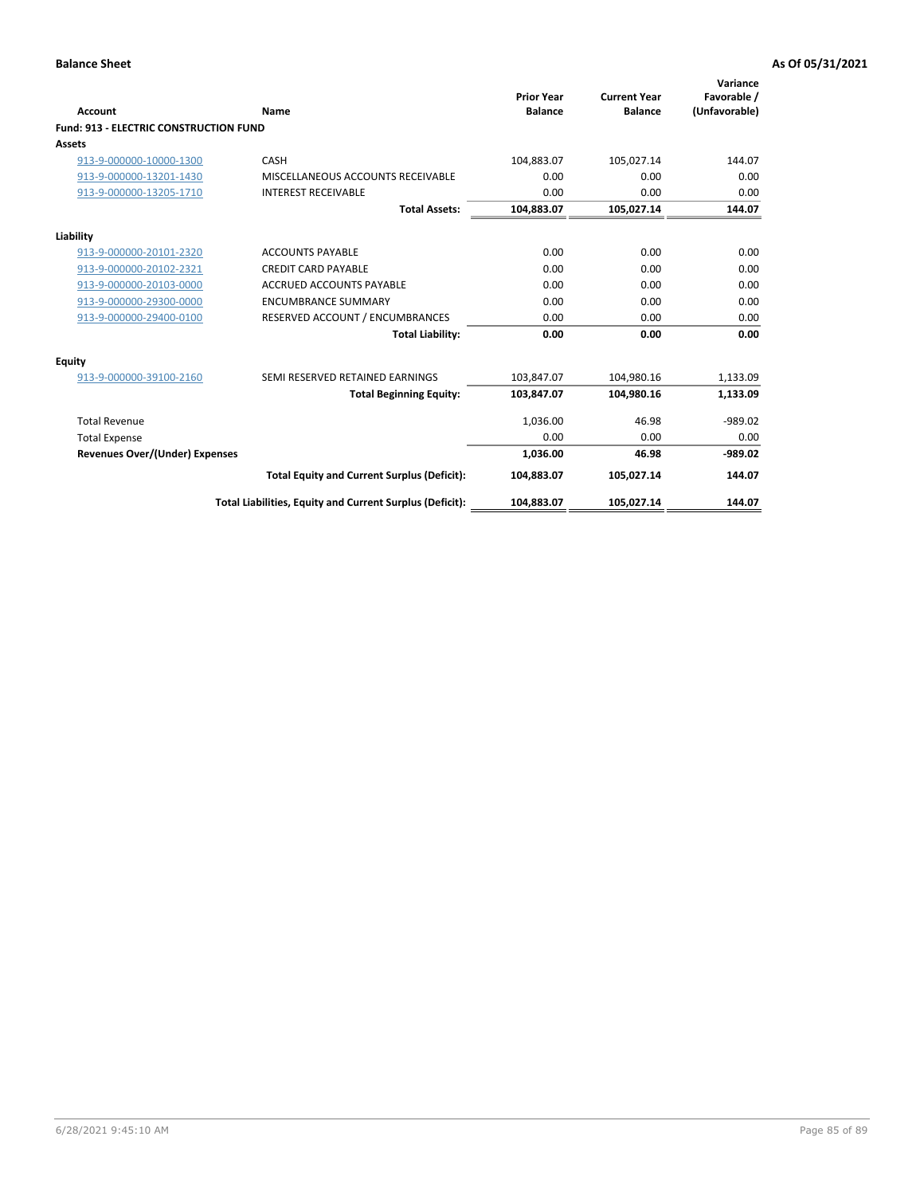| Account                                       | Name                                                     | <b>Prior Year</b><br><b>Balance</b> | <b>Current Year</b><br><b>Balance</b> | Variance<br>Favorable /<br>(Unfavorable) |
|-----------------------------------------------|----------------------------------------------------------|-------------------------------------|---------------------------------------|------------------------------------------|
| <b>Fund: 913 - ELECTRIC CONSTRUCTION FUND</b> |                                                          |                                     |                                       |                                          |
| <b>Assets</b>                                 |                                                          |                                     |                                       |                                          |
| 913-9-000000-10000-1300                       | CASH                                                     | 104,883.07                          | 105,027.14                            | 144.07                                   |
| 913-9-000000-13201-1430                       | MISCELLANEOUS ACCOUNTS RECEIVABLE                        | 0.00                                | 0.00                                  | 0.00                                     |
| 913-9-000000-13205-1710                       | <b>INTEREST RECEIVABLE</b>                               | 0.00                                | 0.00                                  | 0.00                                     |
|                                               | <b>Total Assets:</b>                                     | 104,883.07                          | 105,027.14                            | 144.07                                   |
| Liability                                     |                                                          |                                     |                                       |                                          |
| 913-9-000000-20101-2320                       | <b>ACCOUNTS PAYABLE</b>                                  | 0.00                                | 0.00                                  | 0.00                                     |
| 913-9-000000-20102-2321                       | <b>CREDIT CARD PAYABLE</b>                               | 0.00                                | 0.00                                  | 0.00                                     |
| 913-9-000000-20103-0000                       | <b>ACCRUED ACCOUNTS PAYABLE</b>                          | 0.00                                | 0.00                                  | 0.00                                     |
| 913-9-000000-29300-0000                       | <b>ENCUMBRANCE SUMMARY</b>                               | 0.00                                | 0.00                                  | 0.00                                     |
| 913-9-000000-29400-0100                       | RESERVED ACCOUNT / ENCUMBRANCES                          | 0.00                                | 0.00                                  | 0.00                                     |
|                                               | <b>Total Liability:</b>                                  | 0.00                                | 0.00                                  | 0.00                                     |
| <b>Equity</b>                                 |                                                          |                                     |                                       |                                          |
| 913-9-000000-39100-2160                       | SEMI RESERVED RETAINED EARNINGS                          | 103,847.07                          | 104,980.16                            | 1,133.09                                 |
|                                               | <b>Total Beginning Equity:</b>                           | 103,847.07                          | 104.980.16                            | 1,133.09                                 |
| <b>Total Revenue</b>                          |                                                          | 1,036.00                            | 46.98                                 | $-989.02$                                |
| <b>Total Expense</b>                          |                                                          | 0.00                                | 0.00                                  | 0.00                                     |
| <b>Revenues Over/(Under) Expenses</b>         |                                                          | 1,036.00                            | 46.98                                 | $-989.02$                                |
|                                               | <b>Total Equity and Current Surplus (Deficit):</b>       | 104,883.07                          | 105.027.14                            | 144.07                                   |
|                                               | Total Liabilities, Equity and Current Surplus (Deficit): | 104,883.07                          | 105,027.14                            | 144.07                                   |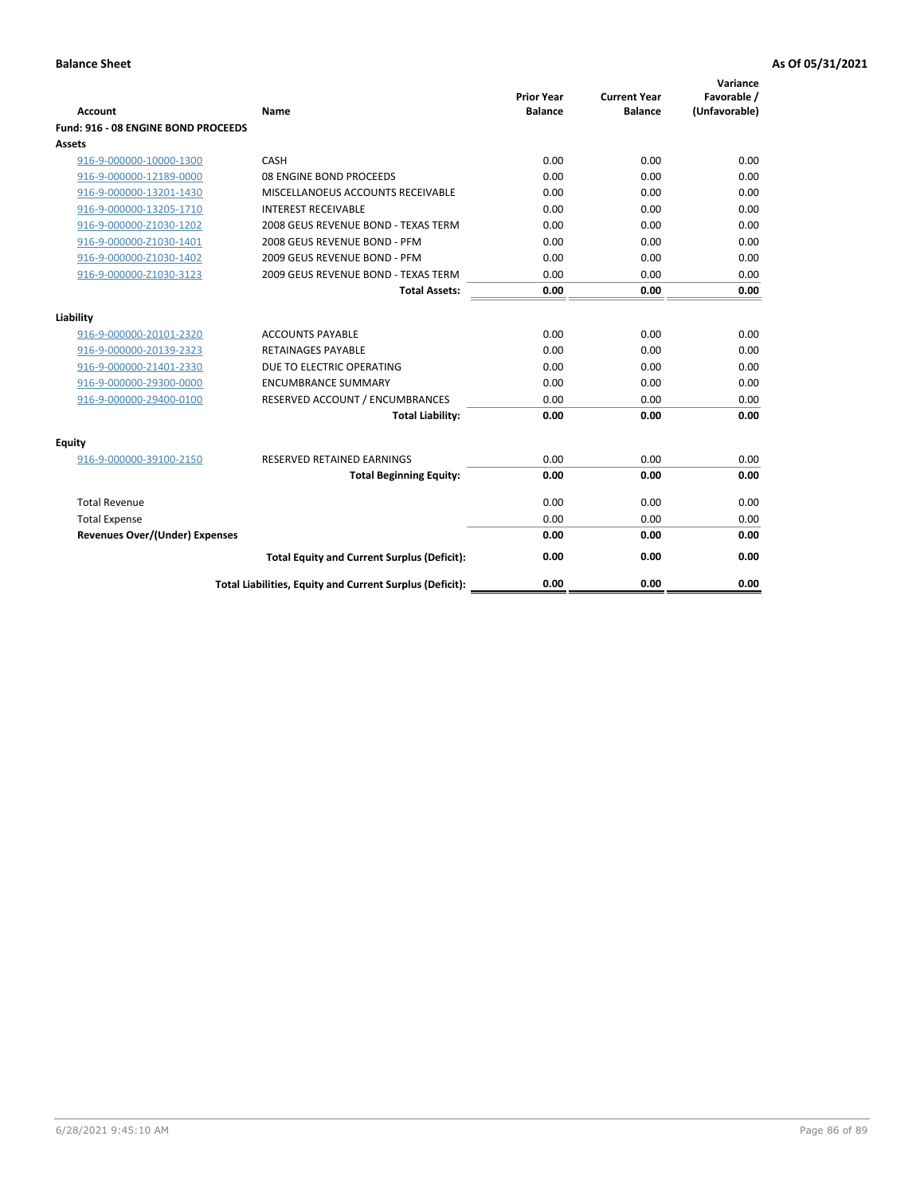| <b>Account</b>                        | Name                                                     | <b>Prior Year</b><br><b>Balance</b> | <b>Current Year</b><br><b>Balance</b> | Variance<br>Favorable /<br>(Unfavorable) |
|---------------------------------------|----------------------------------------------------------|-------------------------------------|---------------------------------------|------------------------------------------|
| Fund: 916 - 08 ENGINE BOND PROCEEDS   |                                                          |                                     |                                       |                                          |
| Assets                                |                                                          |                                     |                                       |                                          |
| 916-9-000000-10000-1300               | CASH                                                     | 0.00                                | 0.00                                  | 0.00                                     |
| 916-9-000000-12189-0000               | 08 ENGINE BOND PROCEEDS                                  | 0.00                                | 0.00                                  | 0.00                                     |
| 916-9-000000-13201-1430               | MISCELLANOEUS ACCOUNTS RECEIVABLE                        | 0.00                                | 0.00                                  | 0.00                                     |
| 916-9-000000-13205-1710               | <b>INTEREST RECEIVABLE</b>                               | 0.00                                | 0.00                                  | 0.00                                     |
| 916-9-000000-Z1030-1202               | 2008 GEUS REVENUE BOND - TEXAS TERM                      | 0.00                                | 0.00                                  | 0.00                                     |
| 916-9-000000-Z1030-1401               | 2008 GEUS REVENUE BOND - PFM                             | 0.00                                | 0.00                                  | 0.00                                     |
| 916-9-000000-Z1030-1402               | 2009 GEUS REVENUE BOND - PFM                             | 0.00                                | 0.00                                  | 0.00                                     |
| 916-9-000000-Z1030-3123               | 2009 GEUS REVENUE BOND - TEXAS TERM                      | 0.00                                | 0.00                                  | 0.00                                     |
|                                       | <b>Total Assets:</b>                                     | 0.00                                | 0.00                                  | 0.00                                     |
| Liability                             |                                                          |                                     |                                       |                                          |
| 916-9-000000-20101-2320               | <b>ACCOUNTS PAYABLE</b>                                  | 0.00                                | 0.00                                  | 0.00                                     |
| 916-9-000000-20139-2323               | RETAINAGES PAYABLE                                       | 0.00                                | 0.00                                  | 0.00                                     |
| 916-9-000000-21401-2330               | DUE TO ELECTRIC OPERATING                                | 0.00                                | 0.00                                  | 0.00                                     |
| 916-9-000000-29300-0000               | <b>ENCUMBRANCE SUMMARY</b>                               | 0.00                                | 0.00                                  | 0.00                                     |
| 916-9-000000-29400-0100               | RESERVED ACCOUNT / ENCUMBRANCES                          | 0.00                                | 0.00                                  | 0.00                                     |
|                                       | <b>Total Liability:</b>                                  | 0.00                                | 0.00                                  | 0.00                                     |
| Equity                                |                                                          |                                     |                                       |                                          |
| 916-9-000000-39100-2150               | <b>RESERVED RETAINED EARNINGS</b>                        | 0.00                                | 0.00                                  | 0.00                                     |
|                                       | <b>Total Beginning Equity:</b>                           | 0.00                                | 0.00                                  | 0.00                                     |
| <b>Total Revenue</b>                  |                                                          | 0.00                                | 0.00                                  | 0.00                                     |
| <b>Total Expense</b>                  |                                                          | 0.00                                | 0.00                                  | 0.00                                     |
| <b>Revenues Over/(Under) Expenses</b> |                                                          | 0.00                                | 0.00                                  | 0.00                                     |
|                                       | <b>Total Equity and Current Surplus (Deficit):</b>       | 0.00                                | 0.00                                  | 0.00                                     |
|                                       | Total Liabilities, Equity and Current Surplus (Deficit): | 0.00                                | 0.00                                  | 0.00                                     |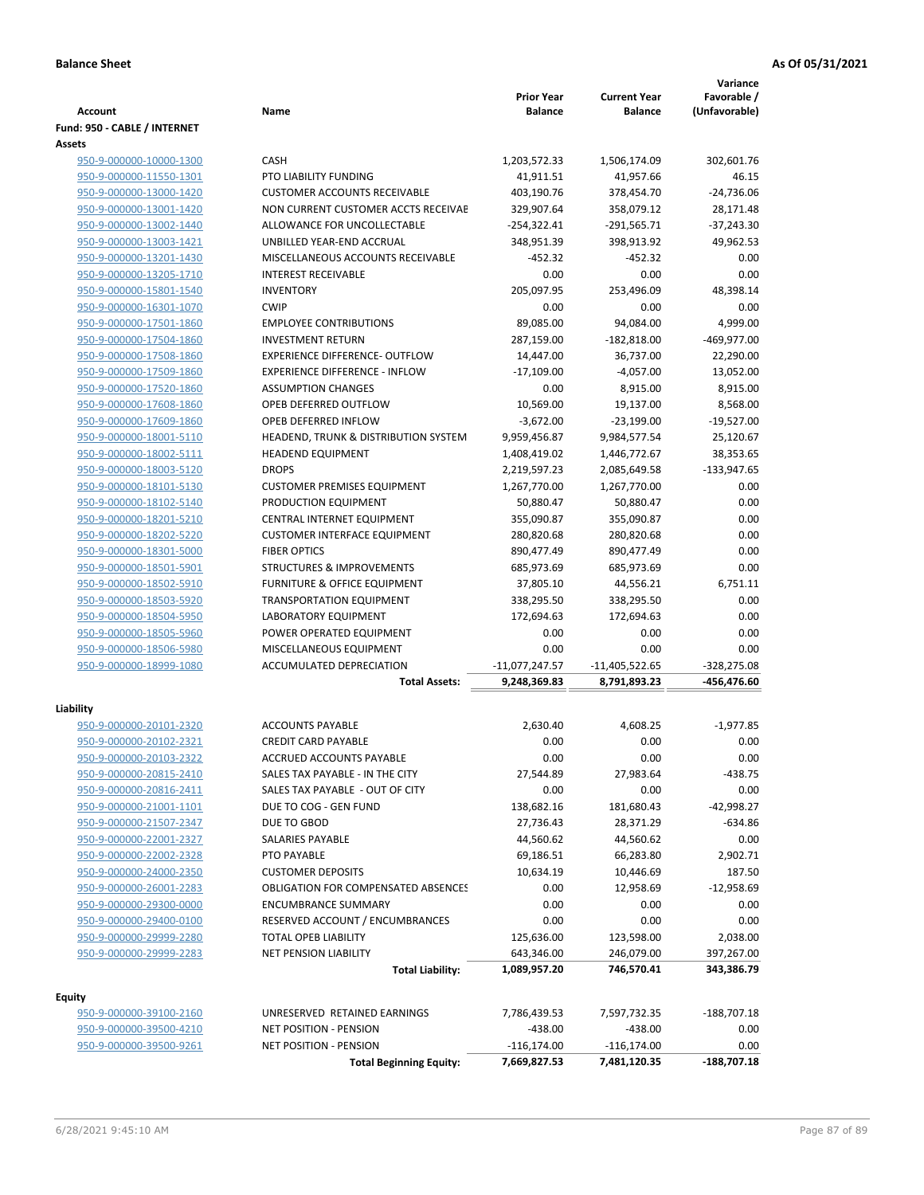| <b>Prior Year</b><br><b>Current Year</b><br>Favorable /<br>(Unfavorable)<br>Account<br>Name<br><b>Balance</b><br><b>Balance</b><br>Fund: 950 - CABLE / INTERNET<br>Assets<br><b>CASH</b><br>302,601.76<br>950-9-000000-10000-1300<br>1,203,572.33<br>1,506,174.09<br>PTO LIABILITY FUNDING<br>46.15<br>950-9-000000-11550-1301<br>41,911.51<br>41,957.66<br>950-9-000000-13000-1420<br><b>CUSTOMER ACCOUNTS RECEIVABLE</b><br>403,190.76<br>378,454.70<br>$-24,736.06$<br>950-9-000000-13001-1420<br>NON CURRENT CUSTOMER ACCTS RECEIVAE<br>329,907.64<br>358,079.12<br>28,171.48<br>950-9-000000-13002-1440<br>ALLOWANCE FOR UNCOLLECTABLE<br>$-254,322.41$<br>$-291,565.71$<br>$-37,243.30$<br>950-9-000000-13003-1421<br>UNBILLED YEAR-END ACCRUAL<br>348,951.39<br>398,913.92<br>49,962.53<br>MISCELLANEOUS ACCOUNTS RECEIVABLE<br>$-452.32$<br>$-452.32$<br>0.00<br>950-9-000000-13201-1430<br>0.00<br>950-9-000000-13205-1710<br><b>INTEREST RECEIVABLE</b><br>0.00<br>0.00<br>205,097.95<br>950-9-000000-15801-1540<br><b>INVENTORY</b><br>253,496.09<br>48,398.14<br><b>CWIP</b><br>950-9-000000-16301-1070<br>0.00<br>0.00<br>0.00<br>89,085.00<br>4,999.00<br><b>EMPLOYEE CONTRIBUTIONS</b><br>94,084.00<br>950-9-000000-17501-1860<br><b>INVESTMENT RETURN</b><br>287,159.00<br>$-182,818.00$<br>-469,977.00<br>950-9-000000-17504-1860<br>950-9-000000-17508-1860<br><b>EXPERIENCE DIFFERENCE- OUTFLOW</b><br>14,447.00<br>36,737.00<br>22,290.00<br>950-9-000000-17509-1860<br><b>EXPERIENCE DIFFERENCE - INFLOW</b><br>$-17,109.00$<br>$-4.057.00$<br>13,052.00<br>8,915.00<br>950-9-000000-17520-1860<br><b>ASSUMPTION CHANGES</b><br>0.00<br>8,915.00<br>OPEB DEFERRED OUTFLOW<br>950-9-000000-17608-1860<br>10,569.00<br>19,137.00<br>8,568.00<br>OPEB DEFERRED INFLOW<br>$-3,672.00$<br>$-19,527.00$<br>950-9-000000-17609-1860<br>-23,199.00<br>950-9-000000-18001-5110<br>HEADEND, TRUNK & DISTRIBUTION SYSTEM<br>9,959,456.87<br>9,984,577.54<br>25,120.67<br>950-9-000000-18002-5111<br><b>HEADEND EQUIPMENT</b><br>1,408,419.02<br>1,446,772.67<br>38,353.65<br><b>DROPS</b><br>$-133,947.65$<br>950-9-000000-18003-5120<br>2,219,597.23<br>2,085,649.58<br><b>CUSTOMER PREMISES EQUIPMENT</b><br>1,267,770.00<br>0.00<br>950-9-000000-18101-5130<br>1,267,770.00<br>PRODUCTION EQUIPMENT<br>50,880.47<br>50,880.47<br>0.00<br>950-9-000000-18102-5140<br>950-9-000000-18201-5210<br>CENTRAL INTERNET EQUIPMENT<br>355,090.87<br>355,090.87<br>0.00<br>0.00<br>950-9-000000-18202-5220<br><b>CUSTOMER INTERFACE EQUIPMENT</b><br>280,820.68<br>280,820.68<br>0.00<br>950-9-000000-18301-5000<br><b>FIBER OPTICS</b><br>890,477.49<br>890,477.49<br>0.00<br>950-9-000000-18501-5901<br><b>STRUCTURES &amp; IMPROVEMENTS</b><br>685,973.69<br>685,973.69<br>FURNITURE & OFFICE EQUIPMENT<br>37,805.10<br>6,751.11<br>950-9-000000-18502-5910<br>44,556.21<br>950-9-000000-18503-5920<br><b>TRANSPORTATION EQUIPMENT</b><br>338,295.50<br>338,295.50<br>0.00<br>950-9-000000-18504-5950<br><b>LABORATORY EQUIPMENT</b><br>172,694.63<br>172,694.63<br>0.00<br>0.00<br>950-9-000000-18505-5960<br>POWER OPERATED EQUIPMENT<br>0.00<br>0.00<br>950-9-000000-18506-5980<br>MISCELLANEOUS EQUIPMENT<br>0.00<br>0.00<br>0.00<br>950-9-000000-18999-1080<br><b>ACCUMULATED DEPRECIATION</b><br>$-11,077,247.57$<br>$-11,405,522.65$<br>$-328,275.08$<br><b>Total Assets:</b><br>9,248,369.83<br>8,791,893.23<br>-456,476.60<br>Liability<br><b>ACCOUNTS PAYABLE</b><br>2,630.40<br>4,608.25<br>$-1,977.85$<br>950-9-000000-20101-2320<br>0.00<br>950-9-000000-20102-2321<br><b>CREDIT CARD PAYABLE</b><br>0.00<br>0.00<br>950-9-000000-20103-2322<br>ACCRUED ACCOUNTS PAYABLE<br>0.00<br>0.00<br>0.00<br>27,544.89<br>27,983.64<br>$-438.75$<br>950-9-000000-20815-2410<br>SALES TAX PAYABLE - IN THE CITY<br>950-9-000000-20816-2411<br>SALES TAX PAYABLE - OUT OF CITY<br>0.00<br>0.00<br>0.00<br>138,682.16<br>950-9-000000-21001-1101<br>DUE TO COG - GEN FUND<br>181,680.43<br>$-42,998.27$<br>DUE TO GBOD<br>27,736.43<br>28,371.29<br>$-634.86$<br>950-9-000000-21507-2347<br>0.00<br>950-9-000000-22001-2327<br>SALARIES PAYABLE<br>44,560.62<br>44,560.62<br>69,186.51<br>2,902.71<br>950-9-000000-22002-2328<br>PTO PAYABLE<br>66,283.80<br>950-9-000000-24000-2350<br><b>CUSTOMER DEPOSITS</b><br>10,634.19<br>10,446.69<br>187.50<br>950-9-000000-26001-2283<br><b>OBLIGATION FOR COMPENSATED ABSENCES</b><br>0.00<br>12,958.69<br>$-12,958.69$<br>950-9-000000-29300-0000<br>0.00<br>0.00<br>0.00<br><b>ENCUMBRANCE SUMMARY</b><br>RESERVED ACCOUNT / ENCUMBRANCES<br>0.00<br>0.00<br>0.00<br>950-9-000000-29400-0100<br>125,636.00<br>950-9-000000-29999-2280<br>TOTAL OPEB LIABILITY<br>123,598.00<br>2,038.00<br>950-9-000000-29999-2283<br>NET PENSION LIABILITY<br>643,346.00<br>246,079.00<br>397,267.00<br><b>Total Liability:</b><br>1,089,957.20<br>343,386.79<br>746,570.41<br><b>Equity</b><br>950-9-000000-39100-2160<br>UNRESERVED RETAINED EARNINGS<br>$-188,707.18$<br>7,786,439.53<br>7,597,732.35<br><b>NET POSITION - PENSION</b><br>$-438.00$<br>$-438.00$<br>0.00<br>950-9-000000-39500-4210<br>950-9-000000-39500-9261<br>NET POSITION - PENSION<br>$-116, 174.00$<br>$-116,174.00$<br>0.00<br>$-188,707.18$<br><b>Total Beginning Equity:</b><br>7,669,827.53<br>7,481,120.35 |  |  | Variance |
|--------------------------------------------------------------------------------------------------------------------------------------------------------------------------------------------------------------------------------------------------------------------------------------------------------------------------------------------------------------------------------------------------------------------------------------------------------------------------------------------------------------------------------------------------------------------------------------------------------------------------------------------------------------------------------------------------------------------------------------------------------------------------------------------------------------------------------------------------------------------------------------------------------------------------------------------------------------------------------------------------------------------------------------------------------------------------------------------------------------------------------------------------------------------------------------------------------------------------------------------------------------------------------------------------------------------------------------------------------------------------------------------------------------------------------------------------------------------------------------------------------------------------------------------------------------------------------------------------------------------------------------------------------------------------------------------------------------------------------------------------------------------------------------------------------------------------------------------------------------------------------------------------------------------------------------------------------------------------------------------------------------------------------------------------------------------------------------------------------------------------------------------------------------------------------------------------------------------------------------------------------------------------------------------------------------------------------------------------------------------------------------------------------------------------------------------------------------------------------------------------------------------------------------------------------------------------------------------------------------------------------------------------------------------------------------------------------------------------------------------------------------------------------------------------------------------------------------------------------------------------------------------------------------------------------------------------------------------------------------------------------------------------------------------------------------------------------------------------------------------------------------------------------------------------------------------------------------------------------------------------------------------------------------------------------------------------------------------------------------------------------------------------------------------------------------------------------------------------------------------------------------------------------------------------------------------------------------------------------------------------------------------------------------------------------------------------------------------------------------------------------------------------------------------------------------------------------------------------------------------------------------------------------------------------------------------------------------------------------------------------------------------------------------------------------------------------------------------------------------------------------------------------------------------------------------------------------------------------------------------------------------------------------------------------------------------------------------------------------------------------------------------------------------------------------------------------------------------------------------------------------------------------------------------------------------------------------------------------------------------------------------------------------------------------------------------------------------------------------------------------------------------------------------------------------------------------------------------------------------------------------------------------------------------------------------------------------------------------------------------------------------------------------------------------------------------------------------------------------------------------------------------------------------------------------------------------------------------------------------------------------------------------------------------------------------------------------|--|--|----------|
|                                                                                                                                                                                                                                                                                                                                                                                                                                                                                                                                                                                                                                                                                                                                                                                                                                                                                                                                                                                                                                                                                                                                                                                                                                                                                                                                                                                                                                                                                                                                                                                                                                                                                                                                                                                                                                                                                                                                                                                                                                                                                                                                                                                                                                                                                                                                                                                                                                                                                                                                                                                                                                                                                                                                                                                                                                                                                                                                                                                                                                                                                                                                                                                                                                                                                                                                                                                                                                                                                                                                                                                                                                                                                                                                                                                                                                                                                                                                                                                                                                                                                                                                                                                                                                                                                                                                                                                                                                                                                                                                                                                                                                                                                                                                                                                                                                                                                                                                                                                                                                                                                                                                                                                                                                                                                                                                |  |  |          |
|                                                                                                                                                                                                                                                                                                                                                                                                                                                                                                                                                                                                                                                                                                                                                                                                                                                                                                                                                                                                                                                                                                                                                                                                                                                                                                                                                                                                                                                                                                                                                                                                                                                                                                                                                                                                                                                                                                                                                                                                                                                                                                                                                                                                                                                                                                                                                                                                                                                                                                                                                                                                                                                                                                                                                                                                                                                                                                                                                                                                                                                                                                                                                                                                                                                                                                                                                                                                                                                                                                                                                                                                                                                                                                                                                                                                                                                                                                                                                                                                                                                                                                                                                                                                                                                                                                                                                                                                                                                                                                                                                                                                                                                                                                                                                                                                                                                                                                                                                                                                                                                                                                                                                                                                                                                                                                                                |  |  |          |
|                                                                                                                                                                                                                                                                                                                                                                                                                                                                                                                                                                                                                                                                                                                                                                                                                                                                                                                                                                                                                                                                                                                                                                                                                                                                                                                                                                                                                                                                                                                                                                                                                                                                                                                                                                                                                                                                                                                                                                                                                                                                                                                                                                                                                                                                                                                                                                                                                                                                                                                                                                                                                                                                                                                                                                                                                                                                                                                                                                                                                                                                                                                                                                                                                                                                                                                                                                                                                                                                                                                                                                                                                                                                                                                                                                                                                                                                                                                                                                                                                                                                                                                                                                                                                                                                                                                                                                                                                                                                                                                                                                                                                                                                                                                                                                                                                                                                                                                                                                                                                                                                                                                                                                                                                                                                                                                                |  |  |          |
|                                                                                                                                                                                                                                                                                                                                                                                                                                                                                                                                                                                                                                                                                                                                                                                                                                                                                                                                                                                                                                                                                                                                                                                                                                                                                                                                                                                                                                                                                                                                                                                                                                                                                                                                                                                                                                                                                                                                                                                                                                                                                                                                                                                                                                                                                                                                                                                                                                                                                                                                                                                                                                                                                                                                                                                                                                                                                                                                                                                                                                                                                                                                                                                                                                                                                                                                                                                                                                                                                                                                                                                                                                                                                                                                                                                                                                                                                                                                                                                                                                                                                                                                                                                                                                                                                                                                                                                                                                                                                                                                                                                                                                                                                                                                                                                                                                                                                                                                                                                                                                                                                                                                                                                                                                                                                                                                |  |  |          |
|                                                                                                                                                                                                                                                                                                                                                                                                                                                                                                                                                                                                                                                                                                                                                                                                                                                                                                                                                                                                                                                                                                                                                                                                                                                                                                                                                                                                                                                                                                                                                                                                                                                                                                                                                                                                                                                                                                                                                                                                                                                                                                                                                                                                                                                                                                                                                                                                                                                                                                                                                                                                                                                                                                                                                                                                                                                                                                                                                                                                                                                                                                                                                                                                                                                                                                                                                                                                                                                                                                                                                                                                                                                                                                                                                                                                                                                                                                                                                                                                                                                                                                                                                                                                                                                                                                                                                                                                                                                                                                                                                                                                                                                                                                                                                                                                                                                                                                                                                                                                                                                                                                                                                                                                                                                                                                                                |  |  |          |
|                                                                                                                                                                                                                                                                                                                                                                                                                                                                                                                                                                                                                                                                                                                                                                                                                                                                                                                                                                                                                                                                                                                                                                                                                                                                                                                                                                                                                                                                                                                                                                                                                                                                                                                                                                                                                                                                                                                                                                                                                                                                                                                                                                                                                                                                                                                                                                                                                                                                                                                                                                                                                                                                                                                                                                                                                                                                                                                                                                                                                                                                                                                                                                                                                                                                                                                                                                                                                                                                                                                                                                                                                                                                                                                                                                                                                                                                                                                                                                                                                                                                                                                                                                                                                                                                                                                                                                                                                                                                                                                                                                                                                                                                                                                                                                                                                                                                                                                                                                                                                                                                                                                                                                                                                                                                                                                                |  |  |          |
|                                                                                                                                                                                                                                                                                                                                                                                                                                                                                                                                                                                                                                                                                                                                                                                                                                                                                                                                                                                                                                                                                                                                                                                                                                                                                                                                                                                                                                                                                                                                                                                                                                                                                                                                                                                                                                                                                                                                                                                                                                                                                                                                                                                                                                                                                                                                                                                                                                                                                                                                                                                                                                                                                                                                                                                                                                                                                                                                                                                                                                                                                                                                                                                                                                                                                                                                                                                                                                                                                                                                                                                                                                                                                                                                                                                                                                                                                                                                                                                                                                                                                                                                                                                                                                                                                                                                                                                                                                                                                                                                                                                                                                                                                                                                                                                                                                                                                                                                                                                                                                                                                                                                                                                                                                                                                                                                |  |  |          |
|                                                                                                                                                                                                                                                                                                                                                                                                                                                                                                                                                                                                                                                                                                                                                                                                                                                                                                                                                                                                                                                                                                                                                                                                                                                                                                                                                                                                                                                                                                                                                                                                                                                                                                                                                                                                                                                                                                                                                                                                                                                                                                                                                                                                                                                                                                                                                                                                                                                                                                                                                                                                                                                                                                                                                                                                                                                                                                                                                                                                                                                                                                                                                                                                                                                                                                                                                                                                                                                                                                                                                                                                                                                                                                                                                                                                                                                                                                                                                                                                                                                                                                                                                                                                                                                                                                                                                                                                                                                                                                                                                                                                                                                                                                                                                                                                                                                                                                                                                                                                                                                                                                                                                                                                                                                                                                                                |  |  |          |
|                                                                                                                                                                                                                                                                                                                                                                                                                                                                                                                                                                                                                                                                                                                                                                                                                                                                                                                                                                                                                                                                                                                                                                                                                                                                                                                                                                                                                                                                                                                                                                                                                                                                                                                                                                                                                                                                                                                                                                                                                                                                                                                                                                                                                                                                                                                                                                                                                                                                                                                                                                                                                                                                                                                                                                                                                                                                                                                                                                                                                                                                                                                                                                                                                                                                                                                                                                                                                                                                                                                                                                                                                                                                                                                                                                                                                                                                                                                                                                                                                                                                                                                                                                                                                                                                                                                                                                                                                                                                                                                                                                                                                                                                                                                                                                                                                                                                                                                                                                                                                                                                                                                                                                                                                                                                                                                                |  |  |          |
|                                                                                                                                                                                                                                                                                                                                                                                                                                                                                                                                                                                                                                                                                                                                                                                                                                                                                                                                                                                                                                                                                                                                                                                                                                                                                                                                                                                                                                                                                                                                                                                                                                                                                                                                                                                                                                                                                                                                                                                                                                                                                                                                                                                                                                                                                                                                                                                                                                                                                                                                                                                                                                                                                                                                                                                                                                                                                                                                                                                                                                                                                                                                                                                                                                                                                                                                                                                                                                                                                                                                                                                                                                                                                                                                                                                                                                                                                                                                                                                                                                                                                                                                                                                                                                                                                                                                                                                                                                                                                                                                                                                                                                                                                                                                                                                                                                                                                                                                                                                                                                                                                                                                                                                                                                                                                                                                |  |  |          |
|                                                                                                                                                                                                                                                                                                                                                                                                                                                                                                                                                                                                                                                                                                                                                                                                                                                                                                                                                                                                                                                                                                                                                                                                                                                                                                                                                                                                                                                                                                                                                                                                                                                                                                                                                                                                                                                                                                                                                                                                                                                                                                                                                                                                                                                                                                                                                                                                                                                                                                                                                                                                                                                                                                                                                                                                                                                                                                                                                                                                                                                                                                                                                                                                                                                                                                                                                                                                                                                                                                                                                                                                                                                                                                                                                                                                                                                                                                                                                                                                                                                                                                                                                                                                                                                                                                                                                                                                                                                                                                                                                                                                                                                                                                                                                                                                                                                                                                                                                                                                                                                                                                                                                                                                                                                                                                                                |  |  |          |
|                                                                                                                                                                                                                                                                                                                                                                                                                                                                                                                                                                                                                                                                                                                                                                                                                                                                                                                                                                                                                                                                                                                                                                                                                                                                                                                                                                                                                                                                                                                                                                                                                                                                                                                                                                                                                                                                                                                                                                                                                                                                                                                                                                                                                                                                                                                                                                                                                                                                                                                                                                                                                                                                                                                                                                                                                                                                                                                                                                                                                                                                                                                                                                                                                                                                                                                                                                                                                                                                                                                                                                                                                                                                                                                                                                                                                                                                                                                                                                                                                                                                                                                                                                                                                                                                                                                                                                                                                                                                                                                                                                                                                                                                                                                                                                                                                                                                                                                                                                                                                                                                                                                                                                                                                                                                                                                                |  |  |          |
|                                                                                                                                                                                                                                                                                                                                                                                                                                                                                                                                                                                                                                                                                                                                                                                                                                                                                                                                                                                                                                                                                                                                                                                                                                                                                                                                                                                                                                                                                                                                                                                                                                                                                                                                                                                                                                                                                                                                                                                                                                                                                                                                                                                                                                                                                                                                                                                                                                                                                                                                                                                                                                                                                                                                                                                                                                                                                                                                                                                                                                                                                                                                                                                                                                                                                                                                                                                                                                                                                                                                                                                                                                                                                                                                                                                                                                                                                                                                                                                                                                                                                                                                                                                                                                                                                                                                                                                                                                                                                                                                                                                                                                                                                                                                                                                                                                                                                                                                                                                                                                                                                                                                                                                                                                                                                                                                |  |  |          |
|                                                                                                                                                                                                                                                                                                                                                                                                                                                                                                                                                                                                                                                                                                                                                                                                                                                                                                                                                                                                                                                                                                                                                                                                                                                                                                                                                                                                                                                                                                                                                                                                                                                                                                                                                                                                                                                                                                                                                                                                                                                                                                                                                                                                                                                                                                                                                                                                                                                                                                                                                                                                                                                                                                                                                                                                                                                                                                                                                                                                                                                                                                                                                                                                                                                                                                                                                                                                                                                                                                                                                                                                                                                                                                                                                                                                                                                                                                                                                                                                                                                                                                                                                                                                                                                                                                                                                                                                                                                                                                                                                                                                                                                                                                                                                                                                                                                                                                                                                                                                                                                                                                                                                                                                                                                                                                                                |  |  |          |
|                                                                                                                                                                                                                                                                                                                                                                                                                                                                                                                                                                                                                                                                                                                                                                                                                                                                                                                                                                                                                                                                                                                                                                                                                                                                                                                                                                                                                                                                                                                                                                                                                                                                                                                                                                                                                                                                                                                                                                                                                                                                                                                                                                                                                                                                                                                                                                                                                                                                                                                                                                                                                                                                                                                                                                                                                                                                                                                                                                                                                                                                                                                                                                                                                                                                                                                                                                                                                                                                                                                                                                                                                                                                                                                                                                                                                                                                                                                                                                                                                                                                                                                                                                                                                                                                                                                                                                                                                                                                                                                                                                                                                                                                                                                                                                                                                                                                                                                                                                                                                                                                                                                                                                                                                                                                                                                                |  |  |          |
|                                                                                                                                                                                                                                                                                                                                                                                                                                                                                                                                                                                                                                                                                                                                                                                                                                                                                                                                                                                                                                                                                                                                                                                                                                                                                                                                                                                                                                                                                                                                                                                                                                                                                                                                                                                                                                                                                                                                                                                                                                                                                                                                                                                                                                                                                                                                                                                                                                                                                                                                                                                                                                                                                                                                                                                                                                                                                                                                                                                                                                                                                                                                                                                                                                                                                                                                                                                                                                                                                                                                                                                                                                                                                                                                                                                                                                                                                                                                                                                                                                                                                                                                                                                                                                                                                                                                                                                                                                                                                                                                                                                                                                                                                                                                                                                                                                                                                                                                                                                                                                                                                                                                                                                                                                                                                                                                |  |  |          |
|                                                                                                                                                                                                                                                                                                                                                                                                                                                                                                                                                                                                                                                                                                                                                                                                                                                                                                                                                                                                                                                                                                                                                                                                                                                                                                                                                                                                                                                                                                                                                                                                                                                                                                                                                                                                                                                                                                                                                                                                                                                                                                                                                                                                                                                                                                                                                                                                                                                                                                                                                                                                                                                                                                                                                                                                                                                                                                                                                                                                                                                                                                                                                                                                                                                                                                                                                                                                                                                                                                                                                                                                                                                                                                                                                                                                                                                                                                                                                                                                                                                                                                                                                                                                                                                                                                                                                                                                                                                                                                                                                                                                                                                                                                                                                                                                                                                                                                                                                                                                                                                                                                                                                                                                                                                                                                                                |  |  |          |
|                                                                                                                                                                                                                                                                                                                                                                                                                                                                                                                                                                                                                                                                                                                                                                                                                                                                                                                                                                                                                                                                                                                                                                                                                                                                                                                                                                                                                                                                                                                                                                                                                                                                                                                                                                                                                                                                                                                                                                                                                                                                                                                                                                                                                                                                                                                                                                                                                                                                                                                                                                                                                                                                                                                                                                                                                                                                                                                                                                                                                                                                                                                                                                                                                                                                                                                                                                                                                                                                                                                                                                                                                                                                                                                                                                                                                                                                                                                                                                                                                                                                                                                                                                                                                                                                                                                                                                                                                                                                                                                                                                                                                                                                                                                                                                                                                                                                                                                                                                                                                                                                                                                                                                                                                                                                                                                                |  |  |          |
|                                                                                                                                                                                                                                                                                                                                                                                                                                                                                                                                                                                                                                                                                                                                                                                                                                                                                                                                                                                                                                                                                                                                                                                                                                                                                                                                                                                                                                                                                                                                                                                                                                                                                                                                                                                                                                                                                                                                                                                                                                                                                                                                                                                                                                                                                                                                                                                                                                                                                                                                                                                                                                                                                                                                                                                                                                                                                                                                                                                                                                                                                                                                                                                                                                                                                                                                                                                                                                                                                                                                                                                                                                                                                                                                                                                                                                                                                                                                                                                                                                                                                                                                                                                                                                                                                                                                                                                                                                                                                                                                                                                                                                                                                                                                                                                                                                                                                                                                                                                                                                                                                                                                                                                                                                                                                                                                |  |  |          |
|                                                                                                                                                                                                                                                                                                                                                                                                                                                                                                                                                                                                                                                                                                                                                                                                                                                                                                                                                                                                                                                                                                                                                                                                                                                                                                                                                                                                                                                                                                                                                                                                                                                                                                                                                                                                                                                                                                                                                                                                                                                                                                                                                                                                                                                                                                                                                                                                                                                                                                                                                                                                                                                                                                                                                                                                                                                                                                                                                                                                                                                                                                                                                                                                                                                                                                                                                                                                                                                                                                                                                                                                                                                                                                                                                                                                                                                                                                                                                                                                                                                                                                                                                                                                                                                                                                                                                                                                                                                                                                                                                                                                                                                                                                                                                                                                                                                                                                                                                                                                                                                                                                                                                                                                                                                                                                                                |  |  |          |
|                                                                                                                                                                                                                                                                                                                                                                                                                                                                                                                                                                                                                                                                                                                                                                                                                                                                                                                                                                                                                                                                                                                                                                                                                                                                                                                                                                                                                                                                                                                                                                                                                                                                                                                                                                                                                                                                                                                                                                                                                                                                                                                                                                                                                                                                                                                                                                                                                                                                                                                                                                                                                                                                                                                                                                                                                                                                                                                                                                                                                                                                                                                                                                                                                                                                                                                                                                                                                                                                                                                                                                                                                                                                                                                                                                                                                                                                                                                                                                                                                                                                                                                                                                                                                                                                                                                                                                                                                                                                                                                                                                                                                                                                                                                                                                                                                                                                                                                                                                                                                                                                                                                                                                                                                                                                                                                                |  |  |          |
|                                                                                                                                                                                                                                                                                                                                                                                                                                                                                                                                                                                                                                                                                                                                                                                                                                                                                                                                                                                                                                                                                                                                                                                                                                                                                                                                                                                                                                                                                                                                                                                                                                                                                                                                                                                                                                                                                                                                                                                                                                                                                                                                                                                                                                                                                                                                                                                                                                                                                                                                                                                                                                                                                                                                                                                                                                                                                                                                                                                                                                                                                                                                                                                                                                                                                                                                                                                                                                                                                                                                                                                                                                                                                                                                                                                                                                                                                                                                                                                                                                                                                                                                                                                                                                                                                                                                                                                                                                                                                                                                                                                                                                                                                                                                                                                                                                                                                                                                                                                                                                                                                                                                                                                                                                                                                                                                |  |  |          |
|                                                                                                                                                                                                                                                                                                                                                                                                                                                                                                                                                                                                                                                                                                                                                                                                                                                                                                                                                                                                                                                                                                                                                                                                                                                                                                                                                                                                                                                                                                                                                                                                                                                                                                                                                                                                                                                                                                                                                                                                                                                                                                                                                                                                                                                                                                                                                                                                                                                                                                                                                                                                                                                                                                                                                                                                                                                                                                                                                                                                                                                                                                                                                                                                                                                                                                                                                                                                                                                                                                                                                                                                                                                                                                                                                                                                                                                                                                                                                                                                                                                                                                                                                                                                                                                                                                                                                                                                                                                                                                                                                                                                                                                                                                                                                                                                                                                                                                                                                                                                                                                                                                                                                                                                                                                                                                                                |  |  |          |
|                                                                                                                                                                                                                                                                                                                                                                                                                                                                                                                                                                                                                                                                                                                                                                                                                                                                                                                                                                                                                                                                                                                                                                                                                                                                                                                                                                                                                                                                                                                                                                                                                                                                                                                                                                                                                                                                                                                                                                                                                                                                                                                                                                                                                                                                                                                                                                                                                                                                                                                                                                                                                                                                                                                                                                                                                                                                                                                                                                                                                                                                                                                                                                                                                                                                                                                                                                                                                                                                                                                                                                                                                                                                                                                                                                                                                                                                                                                                                                                                                                                                                                                                                                                                                                                                                                                                                                                                                                                                                                                                                                                                                                                                                                                                                                                                                                                                                                                                                                                                                                                                                                                                                                                                                                                                                                                                |  |  |          |
|                                                                                                                                                                                                                                                                                                                                                                                                                                                                                                                                                                                                                                                                                                                                                                                                                                                                                                                                                                                                                                                                                                                                                                                                                                                                                                                                                                                                                                                                                                                                                                                                                                                                                                                                                                                                                                                                                                                                                                                                                                                                                                                                                                                                                                                                                                                                                                                                                                                                                                                                                                                                                                                                                                                                                                                                                                                                                                                                                                                                                                                                                                                                                                                                                                                                                                                                                                                                                                                                                                                                                                                                                                                                                                                                                                                                                                                                                                                                                                                                                                                                                                                                                                                                                                                                                                                                                                                                                                                                                                                                                                                                                                                                                                                                                                                                                                                                                                                                                                                                                                                                                                                                                                                                                                                                                                                                |  |  |          |
|                                                                                                                                                                                                                                                                                                                                                                                                                                                                                                                                                                                                                                                                                                                                                                                                                                                                                                                                                                                                                                                                                                                                                                                                                                                                                                                                                                                                                                                                                                                                                                                                                                                                                                                                                                                                                                                                                                                                                                                                                                                                                                                                                                                                                                                                                                                                                                                                                                                                                                                                                                                                                                                                                                                                                                                                                                                                                                                                                                                                                                                                                                                                                                                                                                                                                                                                                                                                                                                                                                                                                                                                                                                                                                                                                                                                                                                                                                                                                                                                                                                                                                                                                                                                                                                                                                                                                                                                                                                                                                                                                                                                                                                                                                                                                                                                                                                                                                                                                                                                                                                                                                                                                                                                                                                                                                                                |  |  |          |
|                                                                                                                                                                                                                                                                                                                                                                                                                                                                                                                                                                                                                                                                                                                                                                                                                                                                                                                                                                                                                                                                                                                                                                                                                                                                                                                                                                                                                                                                                                                                                                                                                                                                                                                                                                                                                                                                                                                                                                                                                                                                                                                                                                                                                                                                                                                                                                                                                                                                                                                                                                                                                                                                                                                                                                                                                                                                                                                                                                                                                                                                                                                                                                                                                                                                                                                                                                                                                                                                                                                                                                                                                                                                                                                                                                                                                                                                                                                                                                                                                                                                                                                                                                                                                                                                                                                                                                                                                                                                                                                                                                                                                                                                                                                                                                                                                                                                                                                                                                                                                                                                                                                                                                                                                                                                                                                                |  |  |          |
|                                                                                                                                                                                                                                                                                                                                                                                                                                                                                                                                                                                                                                                                                                                                                                                                                                                                                                                                                                                                                                                                                                                                                                                                                                                                                                                                                                                                                                                                                                                                                                                                                                                                                                                                                                                                                                                                                                                                                                                                                                                                                                                                                                                                                                                                                                                                                                                                                                                                                                                                                                                                                                                                                                                                                                                                                                                                                                                                                                                                                                                                                                                                                                                                                                                                                                                                                                                                                                                                                                                                                                                                                                                                                                                                                                                                                                                                                                                                                                                                                                                                                                                                                                                                                                                                                                                                                                                                                                                                                                                                                                                                                                                                                                                                                                                                                                                                                                                                                                                                                                                                                                                                                                                                                                                                                                                                |  |  |          |
|                                                                                                                                                                                                                                                                                                                                                                                                                                                                                                                                                                                                                                                                                                                                                                                                                                                                                                                                                                                                                                                                                                                                                                                                                                                                                                                                                                                                                                                                                                                                                                                                                                                                                                                                                                                                                                                                                                                                                                                                                                                                                                                                                                                                                                                                                                                                                                                                                                                                                                                                                                                                                                                                                                                                                                                                                                                                                                                                                                                                                                                                                                                                                                                                                                                                                                                                                                                                                                                                                                                                                                                                                                                                                                                                                                                                                                                                                                                                                                                                                                                                                                                                                                                                                                                                                                                                                                                                                                                                                                                                                                                                                                                                                                                                                                                                                                                                                                                                                                                                                                                                                                                                                                                                                                                                                                                                |  |  |          |
|                                                                                                                                                                                                                                                                                                                                                                                                                                                                                                                                                                                                                                                                                                                                                                                                                                                                                                                                                                                                                                                                                                                                                                                                                                                                                                                                                                                                                                                                                                                                                                                                                                                                                                                                                                                                                                                                                                                                                                                                                                                                                                                                                                                                                                                                                                                                                                                                                                                                                                                                                                                                                                                                                                                                                                                                                                                                                                                                                                                                                                                                                                                                                                                                                                                                                                                                                                                                                                                                                                                                                                                                                                                                                                                                                                                                                                                                                                                                                                                                                                                                                                                                                                                                                                                                                                                                                                                                                                                                                                                                                                                                                                                                                                                                                                                                                                                                                                                                                                                                                                                                                                                                                                                                                                                                                                                                |  |  |          |
|                                                                                                                                                                                                                                                                                                                                                                                                                                                                                                                                                                                                                                                                                                                                                                                                                                                                                                                                                                                                                                                                                                                                                                                                                                                                                                                                                                                                                                                                                                                                                                                                                                                                                                                                                                                                                                                                                                                                                                                                                                                                                                                                                                                                                                                                                                                                                                                                                                                                                                                                                                                                                                                                                                                                                                                                                                                                                                                                                                                                                                                                                                                                                                                                                                                                                                                                                                                                                                                                                                                                                                                                                                                                                                                                                                                                                                                                                                                                                                                                                                                                                                                                                                                                                                                                                                                                                                                                                                                                                                                                                                                                                                                                                                                                                                                                                                                                                                                                                                                                                                                                                                                                                                                                                                                                                                                                |  |  |          |
|                                                                                                                                                                                                                                                                                                                                                                                                                                                                                                                                                                                                                                                                                                                                                                                                                                                                                                                                                                                                                                                                                                                                                                                                                                                                                                                                                                                                                                                                                                                                                                                                                                                                                                                                                                                                                                                                                                                                                                                                                                                                                                                                                                                                                                                                                                                                                                                                                                                                                                                                                                                                                                                                                                                                                                                                                                                                                                                                                                                                                                                                                                                                                                                                                                                                                                                                                                                                                                                                                                                                                                                                                                                                                                                                                                                                                                                                                                                                                                                                                                                                                                                                                                                                                                                                                                                                                                                                                                                                                                                                                                                                                                                                                                                                                                                                                                                                                                                                                                                                                                                                                                                                                                                                                                                                                                                                |  |  |          |
|                                                                                                                                                                                                                                                                                                                                                                                                                                                                                                                                                                                                                                                                                                                                                                                                                                                                                                                                                                                                                                                                                                                                                                                                                                                                                                                                                                                                                                                                                                                                                                                                                                                                                                                                                                                                                                                                                                                                                                                                                                                                                                                                                                                                                                                                                                                                                                                                                                                                                                                                                                                                                                                                                                                                                                                                                                                                                                                                                                                                                                                                                                                                                                                                                                                                                                                                                                                                                                                                                                                                                                                                                                                                                                                                                                                                                                                                                                                                                                                                                                                                                                                                                                                                                                                                                                                                                                                                                                                                                                                                                                                                                                                                                                                                                                                                                                                                                                                                                                                                                                                                                                                                                                                                                                                                                                                                |  |  |          |
|                                                                                                                                                                                                                                                                                                                                                                                                                                                                                                                                                                                                                                                                                                                                                                                                                                                                                                                                                                                                                                                                                                                                                                                                                                                                                                                                                                                                                                                                                                                                                                                                                                                                                                                                                                                                                                                                                                                                                                                                                                                                                                                                                                                                                                                                                                                                                                                                                                                                                                                                                                                                                                                                                                                                                                                                                                                                                                                                                                                                                                                                                                                                                                                                                                                                                                                                                                                                                                                                                                                                                                                                                                                                                                                                                                                                                                                                                                                                                                                                                                                                                                                                                                                                                                                                                                                                                                                                                                                                                                                                                                                                                                                                                                                                                                                                                                                                                                                                                                                                                                                                                                                                                                                                                                                                                                                                |  |  |          |
|                                                                                                                                                                                                                                                                                                                                                                                                                                                                                                                                                                                                                                                                                                                                                                                                                                                                                                                                                                                                                                                                                                                                                                                                                                                                                                                                                                                                                                                                                                                                                                                                                                                                                                                                                                                                                                                                                                                                                                                                                                                                                                                                                                                                                                                                                                                                                                                                                                                                                                                                                                                                                                                                                                                                                                                                                                                                                                                                                                                                                                                                                                                                                                                                                                                                                                                                                                                                                                                                                                                                                                                                                                                                                                                                                                                                                                                                                                                                                                                                                                                                                                                                                                                                                                                                                                                                                                                                                                                                                                                                                                                                                                                                                                                                                                                                                                                                                                                                                                                                                                                                                                                                                                                                                                                                                                                                |  |  |          |
|                                                                                                                                                                                                                                                                                                                                                                                                                                                                                                                                                                                                                                                                                                                                                                                                                                                                                                                                                                                                                                                                                                                                                                                                                                                                                                                                                                                                                                                                                                                                                                                                                                                                                                                                                                                                                                                                                                                                                                                                                                                                                                                                                                                                                                                                                                                                                                                                                                                                                                                                                                                                                                                                                                                                                                                                                                                                                                                                                                                                                                                                                                                                                                                                                                                                                                                                                                                                                                                                                                                                                                                                                                                                                                                                                                                                                                                                                                                                                                                                                                                                                                                                                                                                                                                                                                                                                                                                                                                                                                                                                                                                                                                                                                                                                                                                                                                                                                                                                                                                                                                                                                                                                                                                                                                                                                                                |  |  |          |
|                                                                                                                                                                                                                                                                                                                                                                                                                                                                                                                                                                                                                                                                                                                                                                                                                                                                                                                                                                                                                                                                                                                                                                                                                                                                                                                                                                                                                                                                                                                                                                                                                                                                                                                                                                                                                                                                                                                                                                                                                                                                                                                                                                                                                                                                                                                                                                                                                                                                                                                                                                                                                                                                                                                                                                                                                                                                                                                                                                                                                                                                                                                                                                                                                                                                                                                                                                                                                                                                                                                                                                                                                                                                                                                                                                                                                                                                                                                                                                                                                                                                                                                                                                                                                                                                                                                                                                                                                                                                                                                                                                                                                                                                                                                                                                                                                                                                                                                                                                                                                                                                                                                                                                                                                                                                                                                                |  |  |          |
|                                                                                                                                                                                                                                                                                                                                                                                                                                                                                                                                                                                                                                                                                                                                                                                                                                                                                                                                                                                                                                                                                                                                                                                                                                                                                                                                                                                                                                                                                                                                                                                                                                                                                                                                                                                                                                                                                                                                                                                                                                                                                                                                                                                                                                                                                                                                                                                                                                                                                                                                                                                                                                                                                                                                                                                                                                                                                                                                                                                                                                                                                                                                                                                                                                                                                                                                                                                                                                                                                                                                                                                                                                                                                                                                                                                                                                                                                                                                                                                                                                                                                                                                                                                                                                                                                                                                                                                                                                                                                                                                                                                                                                                                                                                                                                                                                                                                                                                                                                                                                                                                                                                                                                                                                                                                                                                                |  |  |          |
|                                                                                                                                                                                                                                                                                                                                                                                                                                                                                                                                                                                                                                                                                                                                                                                                                                                                                                                                                                                                                                                                                                                                                                                                                                                                                                                                                                                                                                                                                                                                                                                                                                                                                                                                                                                                                                                                                                                                                                                                                                                                                                                                                                                                                                                                                                                                                                                                                                                                                                                                                                                                                                                                                                                                                                                                                                                                                                                                                                                                                                                                                                                                                                                                                                                                                                                                                                                                                                                                                                                                                                                                                                                                                                                                                                                                                                                                                                                                                                                                                                                                                                                                                                                                                                                                                                                                                                                                                                                                                                                                                                                                                                                                                                                                                                                                                                                                                                                                                                                                                                                                                                                                                                                                                                                                                                                                |  |  |          |
|                                                                                                                                                                                                                                                                                                                                                                                                                                                                                                                                                                                                                                                                                                                                                                                                                                                                                                                                                                                                                                                                                                                                                                                                                                                                                                                                                                                                                                                                                                                                                                                                                                                                                                                                                                                                                                                                                                                                                                                                                                                                                                                                                                                                                                                                                                                                                                                                                                                                                                                                                                                                                                                                                                                                                                                                                                                                                                                                                                                                                                                                                                                                                                                                                                                                                                                                                                                                                                                                                                                                                                                                                                                                                                                                                                                                                                                                                                                                                                                                                                                                                                                                                                                                                                                                                                                                                                                                                                                                                                                                                                                                                                                                                                                                                                                                                                                                                                                                                                                                                                                                                                                                                                                                                                                                                                                                |  |  |          |
|                                                                                                                                                                                                                                                                                                                                                                                                                                                                                                                                                                                                                                                                                                                                                                                                                                                                                                                                                                                                                                                                                                                                                                                                                                                                                                                                                                                                                                                                                                                                                                                                                                                                                                                                                                                                                                                                                                                                                                                                                                                                                                                                                                                                                                                                                                                                                                                                                                                                                                                                                                                                                                                                                                                                                                                                                                                                                                                                                                                                                                                                                                                                                                                                                                                                                                                                                                                                                                                                                                                                                                                                                                                                                                                                                                                                                                                                                                                                                                                                                                                                                                                                                                                                                                                                                                                                                                                                                                                                                                                                                                                                                                                                                                                                                                                                                                                                                                                                                                                                                                                                                                                                                                                                                                                                                                                                |  |  |          |
|                                                                                                                                                                                                                                                                                                                                                                                                                                                                                                                                                                                                                                                                                                                                                                                                                                                                                                                                                                                                                                                                                                                                                                                                                                                                                                                                                                                                                                                                                                                                                                                                                                                                                                                                                                                                                                                                                                                                                                                                                                                                                                                                                                                                                                                                                                                                                                                                                                                                                                                                                                                                                                                                                                                                                                                                                                                                                                                                                                                                                                                                                                                                                                                                                                                                                                                                                                                                                                                                                                                                                                                                                                                                                                                                                                                                                                                                                                                                                                                                                                                                                                                                                                                                                                                                                                                                                                                                                                                                                                                                                                                                                                                                                                                                                                                                                                                                                                                                                                                                                                                                                                                                                                                                                                                                                                                                |  |  |          |
|                                                                                                                                                                                                                                                                                                                                                                                                                                                                                                                                                                                                                                                                                                                                                                                                                                                                                                                                                                                                                                                                                                                                                                                                                                                                                                                                                                                                                                                                                                                                                                                                                                                                                                                                                                                                                                                                                                                                                                                                                                                                                                                                                                                                                                                                                                                                                                                                                                                                                                                                                                                                                                                                                                                                                                                                                                                                                                                                                                                                                                                                                                                                                                                                                                                                                                                                                                                                                                                                                                                                                                                                                                                                                                                                                                                                                                                                                                                                                                                                                                                                                                                                                                                                                                                                                                                                                                                                                                                                                                                                                                                                                                                                                                                                                                                                                                                                                                                                                                                                                                                                                                                                                                                                                                                                                                                                |  |  |          |
|                                                                                                                                                                                                                                                                                                                                                                                                                                                                                                                                                                                                                                                                                                                                                                                                                                                                                                                                                                                                                                                                                                                                                                                                                                                                                                                                                                                                                                                                                                                                                                                                                                                                                                                                                                                                                                                                                                                                                                                                                                                                                                                                                                                                                                                                                                                                                                                                                                                                                                                                                                                                                                                                                                                                                                                                                                                                                                                                                                                                                                                                                                                                                                                                                                                                                                                                                                                                                                                                                                                                                                                                                                                                                                                                                                                                                                                                                                                                                                                                                                                                                                                                                                                                                                                                                                                                                                                                                                                                                                                                                                                                                                                                                                                                                                                                                                                                                                                                                                                                                                                                                                                                                                                                                                                                                                                                |  |  |          |
|                                                                                                                                                                                                                                                                                                                                                                                                                                                                                                                                                                                                                                                                                                                                                                                                                                                                                                                                                                                                                                                                                                                                                                                                                                                                                                                                                                                                                                                                                                                                                                                                                                                                                                                                                                                                                                                                                                                                                                                                                                                                                                                                                                                                                                                                                                                                                                                                                                                                                                                                                                                                                                                                                                                                                                                                                                                                                                                                                                                                                                                                                                                                                                                                                                                                                                                                                                                                                                                                                                                                                                                                                                                                                                                                                                                                                                                                                                                                                                                                                                                                                                                                                                                                                                                                                                                                                                                                                                                                                                                                                                                                                                                                                                                                                                                                                                                                                                                                                                                                                                                                                                                                                                                                                                                                                                                                |  |  |          |
|                                                                                                                                                                                                                                                                                                                                                                                                                                                                                                                                                                                                                                                                                                                                                                                                                                                                                                                                                                                                                                                                                                                                                                                                                                                                                                                                                                                                                                                                                                                                                                                                                                                                                                                                                                                                                                                                                                                                                                                                                                                                                                                                                                                                                                                                                                                                                                                                                                                                                                                                                                                                                                                                                                                                                                                                                                                                                                                                                                                                                                                                                                                                                                                                                                                                                                                                                                                                                                                                                                                                                                                                                                                                                                                                                                                                                                                                                                                                                                                                                                                                                                                                                                                                                                                                                                                                                                                                                                                                                                                                                                                                                                                                                                                                                                                                                                                                                                                                                                                                                                                                                                                                                                                                                                                                                                                                |  |  |          |
|                                                                                                                                                                                                                                                                                                                                                                                                                                                                                                                                                                                                                                                                                                                                                                                                                                                                                                                                                                                                                                                                                                                                                                                                                                                                                                                                                                                                                                                                                                                                                                                                                                                                                                                                                                                                                                                                                                                                                                                                                                                                                                                                                                                                                                                                                                                                                                                                                                                                                                                                                                                                                                                                                                                                                                                                                                                                                                                                                                                                                                                                                                                                                                                                                                                                                                                                                                                                                                                                                                                                                                                                                                                                                                                                                                                                                                                                                                                                                                                                                                                                                                                                                                                                                                                                                                                                                                                                                                                                                                                                                                                                                                                                                                                                                                                                                                                                                                                                                                                                                                                                                                                                                                                                                                                                                                                                |  |  |          |
|                                                                                                                                                                                                                                                                                                                                                                                                                                                                                                                                                                                                                                                                                                                                                                                                                                                                                                                                                                                                                                                                                                                                                                                                                                                                                                                                                                                                                                                                                                                                                                                                                                                                                                                                                                                                                                                                                                                                                                                                                                                                                                                                                                                                                                                                                                                                                                                                                                                                                                                                                                                                                                                                                                                                                                                                                                                                                                                                                                                                                                                                                                                                                                                                                                                                                                                                                                                                                                                                                                                                                                                                                                                                                                                                                                                                                                                                                                                                                                                                                                                                                                                                                                                                                                                                                                                                                                                                                                                                                                                                                                                                                                                                                                                                                                                                                                                                                                                                                                                                                                                                                                                                                                                                                                                                                                                                |  |  |          |
|                                                                                                                                                                                                                                                                                                                                                                                                                                                                                                                                                                                                                                                                                                                                                                                                                                                                                                                                                                                                                                                                                                                                                                                                                                                                                                                                                                                                                                                                                                                                                                                                                                                                                                                                                                                                                                                                                                                                                                                                                                                                                                                                                                                                                                                                                                                                                                                                                                                                                                                                                                                                                                                                                                                                                                                                                                                                                                                                                                                                                                                                                                                                                                                                                                                                                                                                                                                                                                                                                                                                                                                                                                                                                                                                                                                                                                                                                                                                                                                                                                                                                                                                                                                                                                                                                                                                                                                                                                                                                                                                                                                                                                                                                                                                                                                                                                                                                                                                                                                                                                                                                                                                                                                                                                                                                                                                |  |  |          |
|                                                                                                                                                                                                                                                                                                                                                                                                                                                                                                                                                                                                                                                                                                                                                                                                                                                                                                                                                                                                                                                                                                                                                                                                                                                                                                                                                                                                                                                                                                                                                                                                                                                                                                                                                                                                                                                                                                                                                                                                                                                                                                                                                                                                                                                                                                                                                                                                                                                                                                                                                                                                                                                                                                                                                                                                                                                                                                                                                                                                                                                                                                                                                                                                                                                                                                                                                                                                                                                                                                                                                                                                                                                                                                                                                                                                                                                                                                                                                                                                                                                                                                                                                                                                                                                                                                                                                                                                                                                                                                                                                                                                                                                                                                                                                                                                                                                                                                                                                                                                                                                                                                                                                                                                                                                                                                                                |  |  |          |
|                                                                                                                                                                                                                                                                                                                                                                                                                                                                                                                                                                                                                                                                                                                                                                                                                                                                                                                                                                                                                                                                                                                                                                                                                                                                                                                                                                                                                                                                                                                                                                                                                                                                                                                                                                                                                                                                                                                                                                                                                                                                                                                                                                                                                                                                                                                                                                                                                                                                                                                                                                                                                                                                                                                                                                                                                                                                                                                                                                                                                                                                                                                                                                                                                                                                                                                                                                                                                                                                                                                                                                                                                                                                                                                                                                                                                                                                                                                                                                                                                                                                                                                                                                                                                                                                                                                                                                                                                                                                                                                                                                                                                                                                                                                                                                                                                                                                                                                                                                                                                                                                                                                                                                                                                                                                                                                                |  |  |          |
|                                                                                                                                                                                                                                                                                                                                                                                                                                                                                                                                                                                                                                                                                                                                                                                                                                                                                                                                                                                                                                                                                                                                                                                                                                                                                                                                                                                                                                                                                                                                                                                                                                                                                                                                                                                                                                                                                                                                                                                                                                                                                                                                                                                                                                                                                                                                                                                                                                                                                                                                                                                                                                                                                                                                                                                                                                                                                                                                                                                                                                                                                                                                                                                                                                                                                                                                                                                                                                                                                                                                                                                                                                                                                                                                                                                                                                                                                                                                                                                                                                                                                                                                                                                                                                                                                                                                                                                                                                                                                                                                                                                                                                                                                                                                                                                                                                                                                                                                                                                                                                                                                                                                                                                                                                                                                                                                |  |  |          |
|                                                                                                                                                                                                                                                                                                                                                                                                                                                                                                                                                                                                                                                                                                                                                                                                                                                                                                                                                                                                                                                                                                                                                                                                                                                                                                                                                                                                                                                                                                                                                                                                                                                                                                                                                                                                                                                                                                                                                                                                                                                                                                                                                                                                                                                                                                                                                                                                                                                                                                                                                                                                                                                                                                                                                                                                                                                                                                                                                                                                                                                                                                                                                                                                                                                                                                                                                                                                                                                                                                                                                                                                                                                                                                                                                                                                                                                                                                                                                                                                                                                                                                                                                                                                                                                                                                                                                                                                                                                                                                                                                                                                                                                                                                                                                                                                                                                                                                                                                                                                                                                                                                                                                                                                                                                                                                                                |  |  |          |
|                                                                                                                                                                                                                                                                                                                                                                                                                                                                                                                                                                                                                                                                                                                                                                                                                                                                                                                                                                                                                                                                                                                                                                                                                                                                                                                                                                                                                                                                                                                                                                                                                                                                                                                                                                                                                                                                                                                                                                                                                                                                                                                                                                                                                                                                                                                                                                                                                                                                                                                                                                                                                                                                                                                                                                                                                                                                                                                                                                                                                                                                                                                                                                                                                                                                                                                                                                                                                                                                                                                                                                                                                                                                                                                                                                                                                                                                                                                                                                                                                                                                                                                                                                                                                                                                                                                                                                                                                                                                                                                                                                                                                                                                                                                                                                                                                                                                                                                                                                                                                                                                                                                                                                                                                                                                                                                                |  |  |          |
|                                                                                                                                                                                                                                                                                                                                                                                                                                                                                                                                                                                                                                                                                                                                                                                                                                                                                                                                                                                                                                                                                                                                                                                                                                                                                                                                                                                                                                                                                                                                                                                                                                                                                                                                                                                                                                                                                                                                                                                                                                                                                                                                                                                                                                                                                                                                                                                                                                                                                                                                                                                                                                                                                                                                                                                                                                                                                                                                                                                                                                                                                                                                                                                                                                                                                                                                                                                                                                                                                                                                                                                                                                                                                                                                                                                                                                                                                                                                                                                                                                                                                                                                                                                                                                                                                                                                                                                                                                                                                                                                                                                                                                                                                                                                                                                                                                                                                                                                                                                                                                                                                                                                                                                                                                                                                                                                |  |  |          |
|                                                                                                                                                                                                                                                                                                                                                                                                                                                                                                                                                                                                                                                                                                                                                                                                                                                                                                                                                                                                                                                                                                                                                                                                                                                                                                                                                                                                                                                                                                                                                                                                                                                                                                                                                                                                                                                                                                                                                                                                                                                                                                                                                                                                                                                                                                                                                                                                                                                                                                                                                                                                                                                                                                                                                                                                                                                                                                                                                                                                                                                                                                                                                                                                                                                                                                                                                                                                                                                                                                                                                                                                                                                                                                                                                                                                                                                                                                                                                                                                                                                                                                                                                                                                                                                                                                                                                                                                                                                                                                                                                                                                                                                                                                                                                                                                                                                                                                                                                                                                                                                                                                                                                                                                                                                                                                                                |  |  |          |
|                                                                                                                                                                                                                                                                                                                                                                                                                                                                                                                                                                                                                                                                                                                                                                                                                                                                                                                                                                                                                                                                                                                                                                                                                                                                                                                                                                                                                                                                                                                                                                                                                                                                                                                                                                                                                                                                                                                                                                                                                                                                                                                                                                                                                                                                                                                                                                                                                                                                                                                                                                                                                                                                                                                                                                                                                                                                                                                                                                                                                                                                                                                                                                                                                                                                                                                                                                                                                                                                                                                                                                                                                                                                                                                                                                                                                                                                                                                                                                                                                                                                                                                                                                                                                                                                                                                                                                                                                                                                                                                                                                                                                                                                                                                                                                                                                                                                                                                                                                                                                                                                                                                                                                                                                                                                                                                                |  |  |          |
|                                                                                                                                                                                                                                                                                                                                                                                                                                                                                                                                                                                                                                                                                                                                                                                                                                                                                                                                                                                                                                                                                                                                                                                                                                                                                                                                                                                                                                                                                                                                                                                                                                                                                                                                                                                                                                                                                                                                                                                                                                                                                                                                                                                                                                                                                                                                                                                                                                                                                                                                                                                                                                                                                                                                                                                                                                                                                                                                                                                                                                                                                                                                                                                                                                                                                                                                                                                                                                                                                                                                                                                                                                                                                                                                                                                                                                                                                                                                                                                                                                                                                                                                                                                                                                                                                                                                                                                                                                                                                                                                                                                                                                                                                                                                                                                                                                                                                                                                                                                                                                                                                                                                                                                                                                                                                                                                |  |  |          |
|                                                                                                                                                                                                                                                                                                                                                                                                                                                                                                                                                                                                                                                                                                                                                                                                                                                                                                                                                                                                                                                                                                                                                                                                                                                                                                                                                                                                                                                                                                                                                                                                                                                                                                                                                                                                                                                                                                                                                                                                                                                                                                                                                                                                                                                                                                                                                                                                                                                                                                                                                                                                                                                                                                                                                                                                                                                                                                                                                                                                                                                                                                                                                                                                                                                                                                                                                                                                                                                                                                                                                                                                                                                                                                                                                                                                                                                                                                                                                                                                                                                                                                                                                                                                                                                                                                                                                                                                                                                                                                                                                                                                                                                                                                                                                                                                                                                                                                                                                                                                                                                                                                                                                                                                                                                                                                                                |  |  |          |
|                                                                                                                                                                                                                                                                                                                                                                                                                                                                                                                                                                                                                                                                                                                                                                                                                                                                                                                                                                                                                                                                                                                                                                                                                                                                                                                                                                                                                                                                                                                                                                                                                                                                                                                                                                                                                                                                                                                                                                                                                                                                                                                                                                                                                                                                                                                                                                                                                                                                                                                                                                                                                                                                                                                                                                                                                                                                                                                                                                                                                                                                                                                                                                                                                                                                                                                                                                                                                                                                                                                                                                                                                                                                                                                                                                                                                                                                                                                                                                                                                                                                                                                                                                                                                                                                                                                                                                                                                                                                                                                                                                                                                                                                                                                                                                                                                                                                                                                                                                                                                                                                                                                                                                                                                                                                                                                                |  |  |          |
|                                                                                                                                                                                                                                                                                                                                                                                                                                                                                                                                                                                                                                                                                                                                                                                                                                                                                                                                                                                                                                                                                                                                                                                                                                                                                                                                                                                                                                                                                                                                                                                                                                                                                                                                                                                                                                                                                                                                                                                                                                                                                                                                                                                                                                                                                                                                                                                                                                                                                                                                                                                                                                                                                                                                                                                                                                                                                                                                                                                                                                                                                                                                                                                                                                                                                                                                                                                                                                                                                                                                                                                                                                                                                                                                                                                                                                                                                                                                                                                                                                                                                                                                                                                                                                                                                                                                                                                                                                                                                                                                                                                                                                                                                                                                                                                                                                                                                                                                                                                                                                                                                                                                                                                                                                                                                                                                |  |  |          |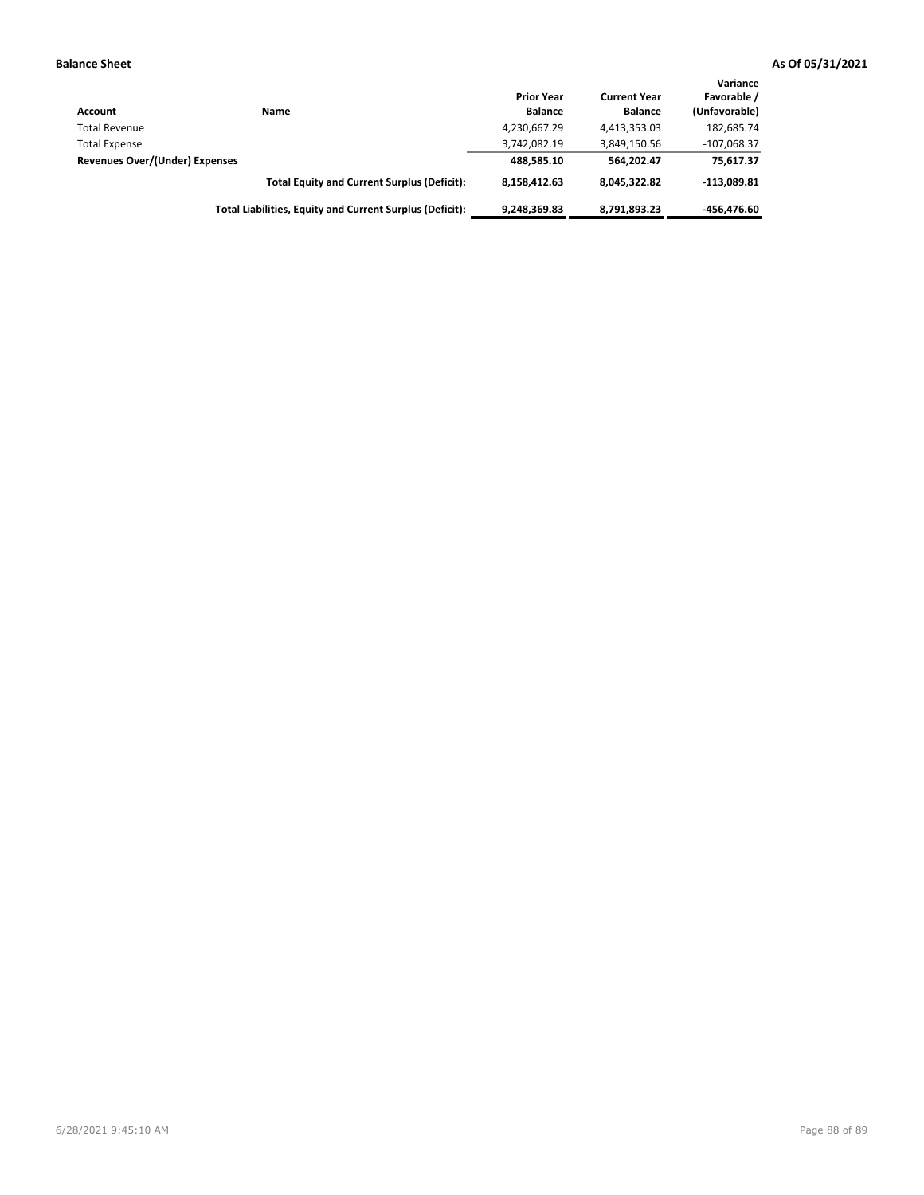| Account                               | Name                                                     | <b>Prior Year</b><br><b>Balance</b> | <b>Current Year</b><br><b>Balance</b> | Variance<br>Favorable /<br>(Unfavorable) |
|---------------------------------------|----------------------------------------------------------|-------------------------------------|---------------------------------------|------------------------------------------|
| <b>Total Revenue</b>                  |                                                          | 4,230,667.29                        | 4,413,353.03                          | 182,685.74                               |
| <b>Total Expense</b>                  |                                                          | 3,742,082.19                        | 3,849,150.56                          | $-107,068.37$                            |
| <b>Revenues Over/(Under) Expenses</b> |                                                          | 488.585.10                          | 564.202.47                            | 75,617.37                                |
|                                       | <b>Total Equity and Current Surplus (Deficit):</b>       | 8.158.412.63                        | 8.045.322.82                          | $-113.089.81$                            |
|                                       | Total Liabilities, Equity and Current Surplus (Deficit): | 9,248,369.83                        | 8,791,893.23                          | -456.476.60                              |